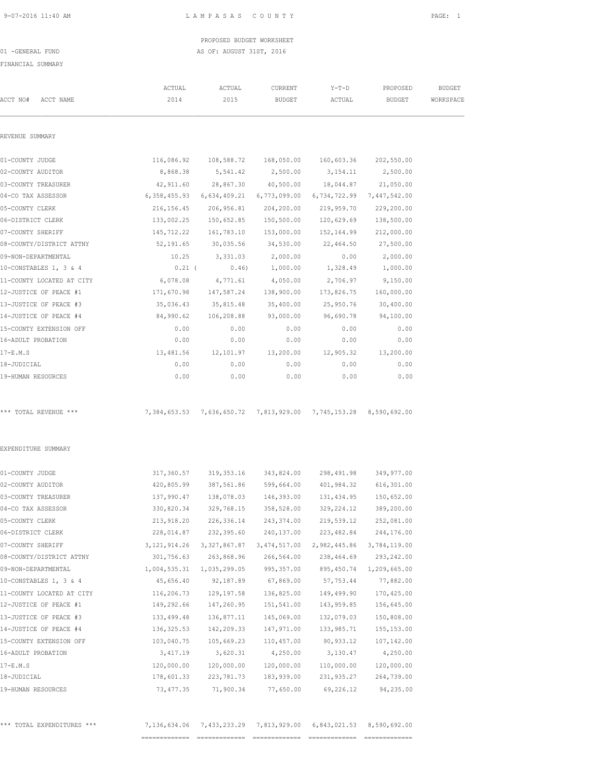PROPOSED BUDGET WORKSHEET 01 -GENERAL FUND AS OF: AUGUST 31ST, 2016

### FINANCIAL SUMMARY

| ACCT NO#<br>ACCT NAME     | ACTUAL<br>2014 | ACTUAL<br>2015                                                   | CURRENT<br><b>BUDGET</b> | $Y-T-D$<br>ACTUAL | PROPOSED<br><b>BUDGET</b> | <b>BUDGET</b><br>WORKSPACE |
|---------------------------|----------------|------------------------------------------------------------------|--------------------------|-------------------|---------------------------|----------------------------|
|                           |                |                                                                  |                          |                   |                           |                            |
| REVENUE SUMMARY           |                |                                                                  |                          |                   |                           |                            |
| 01-COUNTY JUDGE           |                | 116,086.92 108,588.72                                            | 168,050.00               | 160,603.36        | 202,550.00                |                            |
| 02-COUNTY AUDITOR         | 8,868.38       | 5,541.42                                                         | 2,500.00                 | 3,154.11          | 2,500.00                  |                            |
| 03-COUNTY TREASURER       | 42,911.60      | 28,867.30                                                        | 40,500.00                | 18,044.87         | 21,050.00                 |                            |
| 04-CO TAX ASSESSOR        |                | 6,358,455.93 6,634,409.21                                        | 6,773,099.00             | 6,734,722.99      | 7,447,542.00              |                            |
| 05-COUNTY CLERK           | 216,156.45     | 206,956.81                                                       | 204,200.00               | 219,959.70        | 229,200.00                |                            |
| 06-DISTRICT CLERK         | 133,002.25     | 150,652.85                                                       | 150,500.00               | 120,629.69        | 138,500.00                |                            |
| 07-COUNTY SHERIFF         | 145,712.22     | 161,783.10                                                       | 153,000.00               | 152,164.99        | 212,000.00                |                            |
| 08-COUNTY/DISTRICT ATTNY  | 52,191.65      | 30,035.56                                                        | 34,530.00                | 22,464.50         | 27,500.00                 |                            |
| 09-NON-DEPARTMENTAL       | 10.25          | 3,331.03                                                         | 2,000.00                 | 0.00              | 2,000.00                  |                            |
| 10-CONSTABLES 1, 3 & 4    | $0.21$ (       | 0.46)                                                            | 1,000.00                 | 1,328.49          | 1,000.00                  |                            |
| 11-COUNTY LOCATED AT CITY | 6,078.08       | 4,771.61                                                         | 4,050.00                 | 2,706.97          | 9,150.00                  |                            |
| 12-JUSTICE OF PEACE #1    | 171,670.98     | 147,587.24                                                       | 138,900.00               | 173,826.75        | 160,000.00                |                            |
| 13-JUSTICE OF PEACE #3    | 35,036.43      | 35,815.48                                                        | 35,400.00                | 25,950.76         | 30,400.00                 |                            |
| 14-JUSTICE OF PEACE #4    | 84,990.62      | 106,208.88                                                       | 93,000.00                | 96,690.78         | 94,100.00                 |                            |
| 15-COUNTY EXTENSION OFF   | 0.00           | 0.00                                                             | 0.00                     | 0.00              | 0.00                      |                            |
| 16-ADULT PROBATION        | 0.00           | 0.00                                                             | 0.00                     | 0.00              | 0.00                      |                            |
| $17-E.M.S$                | 13,481.56      | 12,101.97                                                        | 13,200.00                | 12,905.32         | 13,200.00                 |                            |
| 18-JUDICIAL               | 0.00           | 0.00                                                             | 0.00                     | 0.00              | 0.00                      |                            |
| 19-HUMAN RESOURCES        | 0.00           | 0.00                                                             | 0.00                     | 0.00              | 0.00                      |                            |
| *** TOTAL REVENUE ***     |                | 7,384,653.53 7,636,650.72 7,813,929.00 7,745,153.28 8,590,692.00 |                          |                   |                           |                            |
| EXPENDITURE SUMMARY       |                |                                                                  |                          |                   |                           |                            |
| 01-COUNTY JUDGE           | 317,360.57     | 319,353.16                                                       | 343,824.00               | 298,491.98        | 349,977.00                |                            |
| 02-COUNTY AUDITOR         | 420,805.99     |                                                                  | 387,561.86 599,664.00    | 401,984.32        | 616,301.00                |                            |
| 03-COUNTY TREASURER       | 137,990.47     | 138,078.03                                                       | 146,393.00               | 131,434.95        | 150,652.00                |                            |
| 04-CO TAX ASSESSOR        | 330,820.34     | 329,768.15                                                       | 358,528.00               | 329, 224.12       | 389,200.00                |                            |
| 05-COUNTY CLERK           | 213,918.20     | 226, 336.14                                                      | 243, 374.00              | 219,539.12        | 252,081.00                |                            |
| 06-DISTRICT CLERK         | 228,014.87     | 232,395.60                                                       | 240,137.00               | 223, 482.84       | 244,176.00                |                            |
| 07-COUNTY SHERIFF         | 3, 121, 914.26 | 3, 327, 867.87                                                   | 3, 474, 517.00           | 2,982,445.86      | 3,784,119.00              |                            |
| 08-COUNTY/DISTRICT ATTNY  | 301,756.63     | 263,868.96                                                       | 266,564.00               | 238,464.69        | 293, 242.00               |                            |
| 09-NON-DEPARTMENTAL       | 1,004,535.31   | 1,035,299.05                                                     | 995, 357.00              | 895, 450.74       | 1,209,665.00              |                            |
| 10-CONSTABLES 1, 3 & 4    | 45,656.40      | 92,187.89                                                        | 67,869.00                | 57,753.44         | 77,882.00                 |                            |
| 11-COUNTY LOCATED AT CITY | 116,206.73     | 129, 197.58                                                      | 136,825.00               | 149,499.90        | 170,425.00                |                            |
| 12-JUSTICE OF PEACE #1    | 149,292.66     | 147,260.95                                                       | 151,541.00               | 143,959.85        | 156,645.00                |                            |
| 13-JUSTICE OF PEACE #3    | 133,499.48     | 136,877.11                                                       | 145,069.00               | 132,079.03        | 150,808.00                |                            |
| 14-JUSTICE OF PEACE #4    | 136, 325.53    | 142,209.33                                                       | 147,971.00               | 133,985.71        | 155, 153.00               |                            |
| 15-COUNTY EXTENSION OFF   | 103,040.75     | 105,669.23                                                       | 110,457.00               | 90, 933.12        | 107,142.00                |                            |
| 16-ADULT PROBATION        | 3, 417.19      | 3,620.31                                                         | 4,250.00                 | 3,130.47          | 4,250.00                  |                            |
| 17-E.M.S                  | 120,000.00     | 120,000.00                                                       | 120,000.00               | 110,000.00        | 120,000.00                |                            |
| 18-JUDICIAL               | 178,601.33     | 223,781.73                                                       | 183,939.00               | 231,935.27        | 264,739.00                |                            |
| 19-HUMAN RESOURCES        | 73, 477.35     | 71,900.34                                                        | 77,650.00                | 69,226.12         | 94,235.00                 |                            |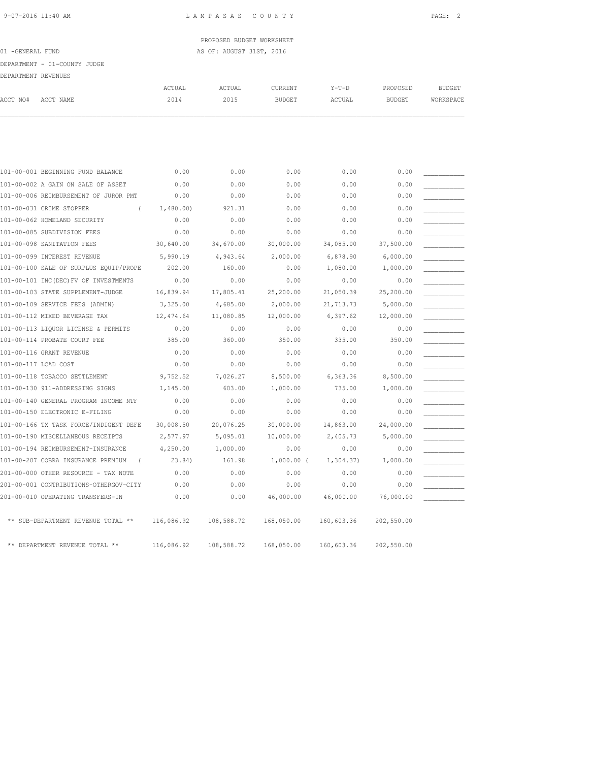PROPOSED BUDGET WORKSHEET 01 -GENERAL FUND **AS OF: AUGUST 31ST, 2016** 

DEPARTMENT - 01-COUNTY JUDGE

| י סוווואסזוקת חוגסוגות הרוסי |  |
|------------------------------|--|

| DEPARTMENT REVENUES  |                                                  |            |            |               |            |               |               |
|----------------------|--------------------------------------------------|------------|------------|---------------|------------|---------------|---------------|
|                      |                                                  | ACTUAL     | ACTUAL     | CURRENT       | $Y-T-D$    | PROPOSED      | <b>BUDGET</b> |
| ACCT NO#             | ACCT NAME                                        | 2014       | 2015       | <b>BUDGET</b> | ACTUAL     | <b>BUDGET</b> | WORKSPACE     |
|                      |                                                  |            |            |               |            |               |               |
|                      |                                                  |            |            |               |            |               |               |
|                      | 101-00-001 BEGINNING FUND BALANCE                | 0.00       | 0.00       | 0.00          | 0.00       | 0.00          |               |
|                      | 101-00-002 A GAIN ON SALE OF ASSET               | 0.00       | 0.00       | 0.00          | 0.00       | 0.00          |               |
|                      | 101-00-006 REIMBURSEMENT OF JUROR PMT            | 0.00       | 0.00       | 0.00          | 0.00       | 0.00          |               |
|                      | 101-00-031 CRIME STOPPER<br>$\left($             | 1,480.00)  | 921.31     | 0.00          | 0.00       | 0.00          |               |
|                      | 101-00-062 HOMELAND SECURITY                     | 0.00       | 0.00       | 0.00          | 0.00       | 0.00          |               |
|                      | 101-00-085 SUBDIVISION FEES                      | 0.00       | 0.00       | 0.00          | 0.00       | 0.00          |               |
|                      | 101-00-098 SANITATION FEES                       | 30,640.00  | 34,670.00  | 30,000.00     | 34,085.00  | 37,500.00     |               |
|                      | 101-00-099 INTEREST REVENUE                      | 5,990.19   | 4,943.64   | 2,000.00      | 6,878.90   | 6,000.00      |               |
|                      | 101-00-100 SALE OF SURPLUS EQUIP/PROPE           | 202.00     | 160.00     | 0.00          | 1,080.00   | 1,000.00      |               |
|                      | 101-00-101 INC(DEC) FV OF INVESTMENTS            | 0.00       | 0.00       | 0.00          | 0.00       | 0.00          |               |
|                      | 101-00-103 STATE SUPPLEMENT-JUDGE                | 16,839.94  | 17,805.41  | 25,200.00     | 21,050.39  | 25,200.00     |               |
|                      | 101-00-109 SERVICE FEES (ADMIN)                  | 3,325.00   | 4,685.00   | 2,000.00      | 21,713.73  | 5,000.00      |               |
|                      | 101-00-112 MIXED BEVERAGE TAX                    | 12, 474.64 | 11,080.85  | 12,000.00     | 6,397.62   | 12,000.00     |               |
|                      | 101-00-113 LIQUOR LICENSE & PERMITS              | 0.00       | 0.00       | 0.00          | 0.00       | 0.00          |               |
|                      | 101-00-114 PROBATE COURT FEE                     | 385.00     | 360.00     | 350.00        | 335.00     | 350.00        |               |
|                      | 101-00-116 GRANT REVENUE                         | 0.00       | 0.00       | 0.00          | 0.00       | 0.00          |               |
| 101-00-117 LCAD COST |                                                  | 0.00       | 0.00       | 0.00          | 0.00       | 0.00          |               |
|                      | 101-00-118 TOBACCO SETTLEMENT                    | 9,752.52   | 7,026.27   | 8,500.00      | 6,363.36   | 8,500.00      |               |
|                      | 101-00-130 911-ADDRESSING SIGNS                  | 1,145.00   | 603.00     | 1,000.00      | 735.00     | 1,000.00      |               |
|                      | 101-00-140 GENERAL PROGRAM INCOME NTF            | 0.00       | 0.00       | 0.00          | 0.00       | 0.00          |               |
|                      | 101-00-150 ELECTRONIC E-FILING                   | 0.00       | 0.00       | 0.00          | 0.00       | 0.00          |               |
|                      | 101-00-166 TX TASK FORCE/INDIGENT DEFE           | 30,008.50  | 20,076.25  | 30,000.00     | 14,863.00  | 24,000.00     |               |
|                      | 101-00-190 MISCELLANEOUS RECEIPTS                | 2,577.97   | 5,095.01   | 10,000.00     | 2,405.73   | 5,000.00      |               |
|                      | 101-00-194 REIMBURSEMENT-INSURANCE               | 4,250.00   | 1,000.00   | 0.00          | 0.00       | 0.00          |               |
|                      | 101-00-207 COBRA INSURANCE PREMIUM<br>$\sqrt{2}$ | 23.84)     | 161.98     | $1,000.00$ (  | 1, 304.37  | 1,000.00      |               |
|                      | 201-00-000 OTHER RESOURCE - TAX NOTE             | 0.00       | 0.00       | 0.00          | 0.00       | 0.00          |               |
|                      | 201-00-001 CONTRIBUTIONS-OTHERGOV-CITY           | 0.00       | 0.00       | 0.00          | 0.00       | 0.00          |               |
|                      | 201-00-010 OPERATING TRANSFERS-IN                | 0.00       | 0.00       | 46,000.00     | 46,000.00  | 76,000.00     |               |
|                      | ** SUB-DEPARTMENT REVENUE TOTAL **               | 116,086.92 | 108,588.72 | 168,050.00    | 160,603.36 | 202,550.00    |               |
|                      | ** DEPARTMENT REVENUE TOTAL **                   | 116,086.92 | 108,588.72 | 168,050.00    | 160,603.36 | 202,550.00    |               |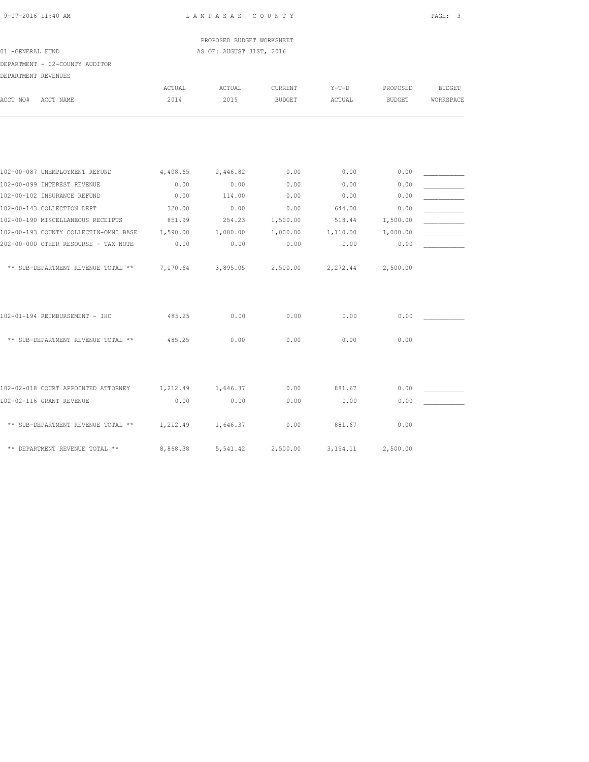PROPOSED BUDGET WORKSHEET 01 -GENERAL FUND AS OF: AUGUST 31ST, 2016

DEPARTMENT - 02-COUNTY AUDITOR

| DEPARTMENT REVENUES |                                       |          |          |          |            |               |               |
|---------------------|---------------------------------------|----------|----------|----------|------------|---------------|---------------|
|                     |                                       | ACTUAL   | ACTUAL   | CURRENT  | $Y-T-D$    | PROPOSED      | <b>BUDGET</b> |
| ACCT NO#            | ACCT NAME                             | 2014     | 2015     | BUDGET   | ACTUAL     | <b>BUDGET</b> | WORKSPACE     |
|                     |                                       |          |          |          |            |               |               |
|                     |                                       |          |          |          |            |               |               |
|                     | 102-00-087 UNEMPLOYMENT REFUND        | 4,408.65 | 2,446.82 | 0.00     | 0.00       | 0.00          |               |
|                     | 102-00-099 INTEREST REVENUE           | 0.00     | 0.00     | 0.00     | 0.00       | 0.00          |               |
|                     | 102-00-102 INSURANCE REFUND           | 0.00     | 114.00   | 0.00     | 0.00       | 0.00          |               |
|                     | 102-00-143 COLLECTION DEPT            | 320.00   | 0.00     | 0.00     | 644.00     | 0.00          |               |
|                     | 102-00-190 MISCELLANEOUS RECEIPTS     | 851.99   | 254.23   | 1,500.00 | 518.44     | 1,500.00      |               |
|                     | 102-00-193 COUNTY COLLECTIN-OMNI BASE | 1,590.00 | 1,080.00 | 1,000.00 | 1,110.00   | 1,000.00      |               |
|                     | 202-00-000 OTHER RESOURSE - TAX NOTE  | 0.00     | 0.00     | 0.00     | 0.00       | 0.00          |               |
|                     | ** SUB-DEPARTMENT REVENUE TOTAL **    | 7,170.64 | 3,895.05 | 2,500.00 | 2,272.44   | 2,500.00      |               |
|                     | 102-01-194 REIMBURSEMENT - IHC        | 485.25   | 0.00     | 0.00     | 0.00       | 0.00          |               |
|                     | ** SUB-DEPARTMENT REVENUE TOTAL **    | 485.25   | 0.00     | 0.00     | 0.00       | 0.00          |               |
|                     |                                       |          |          |          |            |               |               |
|                     | 102-02-018 COURT APPOINTED ATTORNEY   | 1,212.49 | 1,646.37 | 0.00     | 881.67     | 0.00          |               |
|                     | 102-02-116 GRANT REVENUE              | 0.00     | 0.00     | 0.00     | 0.00       | 0.00          |               |
|                     | ** SUB-DEPARTMENT REVENUE TOTAL **    | 1,212.49 | 1,646.37 | 0.00     | 881.67     | 0.00          |               |
|                     | ** DEPARTMENT REVENUE TOTAL **        | 8,868.38 | 5,541.42 | 2,500.00 | 3, 154. 11 | 2,500.00      |               |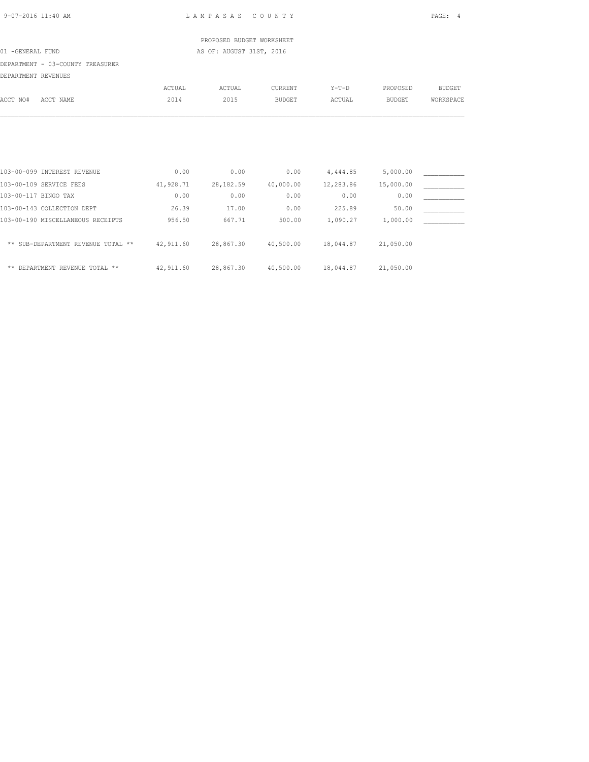|                                                                                      |        | PROPOSED BUDGET WORKSHEET |               |                          |               |               |
|--------------------------------------------------------------------------------------|--------|---------------------------|---------------|--------------------------|---------------|---------------|
| 01 -GENERAL FUND                                                                     |        | AS OF: AUGUST 31ST, 2016  |               |                          |               |               |
| DEPARTMENT - 03-COUNTY TREASURER                                                     |        |                           |               |                          |               |               |
| DEPARTMENT REVENUES                                                                  |        |                           |               |                          |               |               |
|                                                                                      | ACTUAL | ACTUAL                    | CURRENT       | Y-T-D                    | PROPOSED      | <b>BUDGET</b> |
| ACCT NO#<br>ACCT NAME                                                                | 2014   | 2015                      | <b>BUDGET</b> | ACTUAL                   | <b>BUDGET</b> | WORKSPACE     |
|                                                                                      |        |                           |               |                          |               |               |
|                                                                                      |        |                           |               |                          |               |               |
|                                                                                      |        |                           |               |                          |               |               |
|                                                                                      |        |                           |               |                          |               |               |
|                                                                                      |        |                           |               |                          |               |               |
| 103-00-099 INTEREST REVENUE                                                          | 0.00   | 0.00                      |               | $0.00$ 4,444.85 5,000.00 |               |               |
| 103-00-109 SERVICE FEES                                                              |        | 41,928.71 28,182.59       |               | 40,000.00 12,283.86      | 15,000.00     |               |
| 103-00-117 BINGO TAX                                                                 | 0.00   | 0.00                      | 0.00          | 0.00                     | 0.00          |               |
| 103-00-143 COLLECTION DEPT                                                           | 26.39  | 17.00                     | 0.00          | 225.89                   | 50.00         |               |
| 103-00-190 MISCELLANEOUS RECEIPTS                                                    | 956.50 | 667.71                    | 500.00        | 1,090.27                 | 1,000.00      |               |
|                                                                                      |        |                           |               |                          |               |               |
| ** SUB-DEPARTMENT REVENUE TOTAL ** 42,911.60 28,867.30 40,500.00 18,044.87 21,050.00 |        |                           |               |                          |               |               |

\*\* DEPARTMENT REVENUE TOTAL \*\* 42,911.60 28,867.30 40,500.00 18,044.87 21,050.00

9-07-2016 11:40 AM L A M P A S A S C O U N T Y PAGE: 4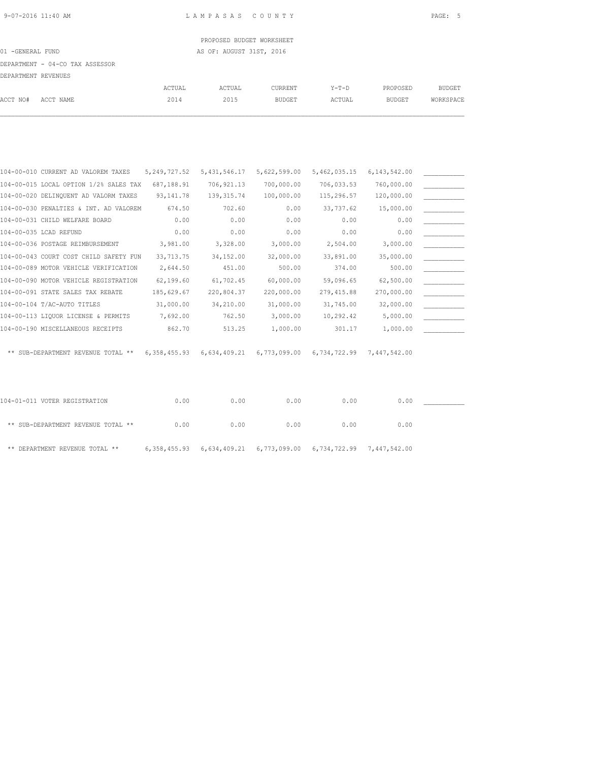PROPOSED BUDGET WORKSHEET 01 -GENERAL FUND **AS OF: AUGUST 31ST, 2016** 

### DEPARTMENT - 04-CO TAX ASSESSOR

| DEPARTMENT REVENUES |           |        |        |               |         |               |               |
|---------------------|-----------|--------|--------|---------------|---------|---------------|---------------|
|                     |           | ACTUAL | ACTUAL | CURRENT       | $Y-T-D$ | PROPOSED      | <b>BUDGET</b> |
| ACCT NO#            | ACCT NAME | 2014   | 2015   | <b>BUDGET</b> | ACTUAL  | <b>BUDGET</b> | WORKSPACE     |

| 104-00-010 CURRENT AD VALOREM TAXES    | 5, 249, 727.52 | 5, 431, 546.17 | 5,622,599.00              | 5,462,035.15              | 6, 143, 542.00 |  |
|----------------------------------------|----------------|----------------|---------------------------|---------------------------|----------------|--|
| 104-00-015 LOCAL OPTION 1/2% SALES TAX | 687,188.91     | 706, 921.13    | 700,000.00                | 706,033.53                | 760,000.00     |  |
| 104-00-020 DELINQUENT AD VALORM TAXES  | 93, 141. 78    | 139, 315.74    | 100,000.00                | 115,296.57                | 120,000.00     |  |
| 104-00-030 PENALTIES & INT. AD VALOREM | 674.50         | 702.60         | 0.00                      | 33,737.62                 | 15,000.00      |  |
| 104-00-031 CHILD WELFARE BOARD         | 0.00           | 0.00           | 0.00                      | 0.00                      | 0.00           |  |
| 104-00-035 LCAD REFUND                 | 0.00           | 0.00           | 0.00                      | 0.00                      | 0.00           |  |
| 104-00-036 POSTAGE REIMBURSEMENT       | 3,981.00       | 3,328.00       | 3,000.00                  | 2,504.00                  | 3,000.00       |  |
| 104-00-043 COURT COST CHILD SAFETY FUN | 33, 713. 75    | 34,152.00      | 32,000.00                 | 33,891.00                 | 35,000.00      |  |
| 104-00-089 MOTOR VEHICLE VERIFICATION  | 2,644.50       | 451.00         | 500.00                    | 374.00                    | 500.00         |  |
| 104-00-090 MOTOR VEHICLE REGISTRATION  | 62,199.60      | 61,702.45      | 60,000.00                 | 59,096.65                 | 62,500.00      |  |
| 104-00-091 STATE SALES TAX REBATE      | 185,629.67     | 220,804.37     | 220,000.00                | 279, 415.88               | 270,000.00     |  |
| 104-00-104 T/AC-AUTO TITLES            | 31,000.00      | 34,210.00      | 31,000.00                 | 31,745.00                 | 32,000.00      |  |
| 104-00-113 LIQUOR LICENSE & PERMITS    | 7,692.00       | 762.50         | 3,000.00                  | 10,292.42                 | 5,000.00       |  |
| 104-00-190 MISCELLANEOUS RECEIPTS      | 862.70         | 513.25         | 1,000.00                  | 301.17                    | 1,000.00       |  |
|                                        |                |                |                           |                           |                |  |
| ** SUB-DEPARTMENT REVENUE TOTAL **     | 6,358,455.93   |                | 6,634,409.21 6,773,099.00 | 6,734,722.99 7,447,542.00 |                |  |

| 104-01-011 VOTER REGISTRATION      | 0.00 | 0.00 | 0.00 | 0.00                                                                       | 0.00 |  |
|------------------------------------|------|------|------|----------------------------------------------------------------------------|------|--|
| ** SUB-DEPARTMENT REVENUE TOTAL ** | 0.00 | 0.00 | 0.00 | 0.00                                                                       | 0.00 |  |
| ** DEPARTMENT REVENUE TOTAL **     |      |      |      | $6,358,455.93$ $6,634,409.21$ $6,773,099.00$ $6,734,722.99$ $7,447,542.00$ |      |  |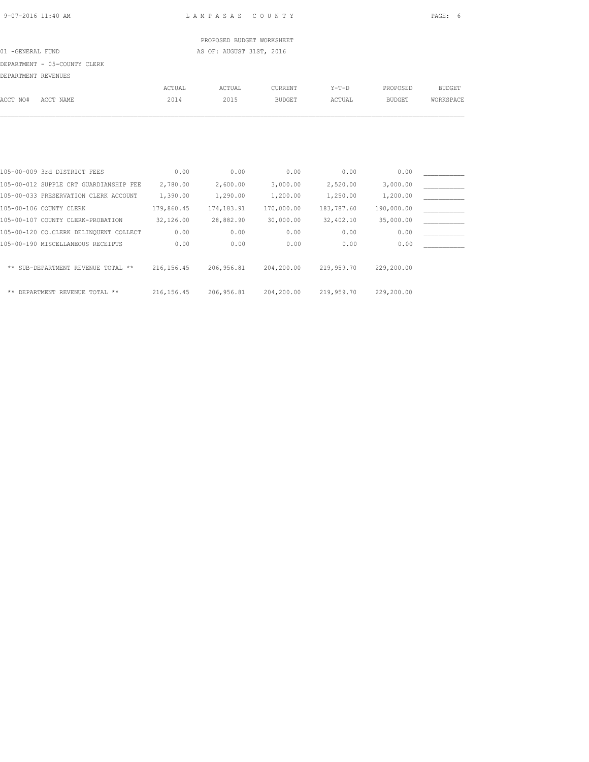PROPOSED BUDGET WORKSHEET 01 -GENERAL FUND **AS OF: AUGUST 31ST, 2016** 

DEPARTMENT - 05-COUNTY CLERK

| DEPARTMENT REVENUES |                                        |               |             |               |            |               |               |
|---------------------|----------------------------------------|---------------|-------------|---------------|------------|---------------|---------------|
|                     |                                        | <b>ACTUAL</b> | ACTUAL      | CURRENT       | $Y-T-D$    | PROPOSED      | <b>BUDGET</b> |
| ACCT NO#            | ACCT NAME                              | 2014          | 2015        | <b>BUDGET</b> | ACTUAL     | <b>BUDGET</b> | WORKSPACE     |
|                     |                                        |               |             |               |            |               |               |
|                     |                                        |               |             |               |            |               |               |
|                     |                                        |               |             |               |            |               |               |
|                     |                                        |               |             |               |            |               |               |
|                     | 105-00-009 3rd DISTRICT FEES           | 0.00          | 0.00        | 0.00          | 0.00       | 0.00          |               |
|                     | 105-00-012 SUPPLE CRT GUARDIANSHIP FEE | 2,780.00      | 2,600.00    | 3,000.00      | 2,520.00   | 3,000.00      |               |
|                     | 105-00-033 PRESERVATION CLERK ACCOUNT  | 1,390.00      | 1,290.00    | 1,200.00      | 1,250.00   | 1,200.00      |               |
|                     | 105-00-106 COUNTY CLERK                | 179,860.45    | 174, 183.91 | 170,000.00    | 183,787.60 | 190,000.00    |               |
|                     | 105-00-107 COUNTY CLERK-PROBATION      | 32,126.00     | 28,882.90   | 30,000.00     | 32,402.10  | 35,000.00     |               |
|                     | 105-00-120 CO.CLERK DELINQUENT COLLECT | 0.00          | 0.00        | 0.00          | 0.00       | 0.00          |               |

| 105-00-190 MISCELLANEOUS RECEIPTS  | 0.00       | 0.00       | 0.00       | 0.00       | 0.00       |  |
|------------------------------------|------------|------------|------------|------------|------------|--|
| ** SUB-DEPARTMENT REVENUE TOTAL ** | 216,156.45 | 206,956.81 | 204,200.00 | 219,959.70 | 229,200.00 |  |
| ** DEPARTMENT REVENUE TOTAL **     | 216,156.45 | 206,956.81 | 204,200.00 | 219,959.70 | 229,200.00 |  |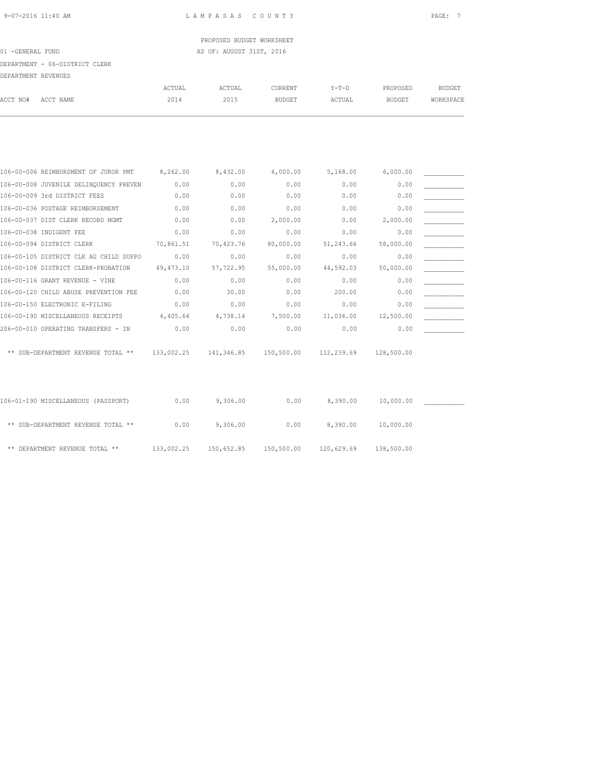PROPOSED BUDGET WORKSHEET 01 -GENERAL FUND **AS OF: AUGUST 31ST, 2016** 

### DEPARTMENT - 06-DISTRICT CLERK

|  |  |  | DEPARTMENT REVENUES |
|--|--|--|---------------------|
|--|--|--|---------------------|

| DEFANIMENI NEVENOSO |           |        |        |               |        |               |           |
|---------------------|-----------|--------|--------|---------------|--------|---------------|-----------|
|                     |           | ACTUAL | ACTUAL | CURRENT       | Y-T-D  | PROPOSED      | BUDGET    |
| ACCT NO#            | ACCT NAME | 2014   | 2015   | <b>BUDGET</b> | ACTUAL | <b>BUDGET</b> | WORKSPACE |
|                     |           |        |        |               |        |               |           |

| 106-00-006 REIMBURSMENT OF JUROR PMT   | 8,262.00   | 8,432.00   | 6,000.00   | 5,168.00   | 6,000.00   |  |
|----------------------------------------|------------|------------|------------|------------|------------|--|
| 106-00-008 JUVENILE DELINQUENCY PREVEN | 0.00       | 0.00       | 0.00       | 0.00       | 0.00       |  |
| 106-00-009 3rd DISTRICT FEES           | 0.00       | 0.00       | 0.00       | 0.00       | 0.00       |  |
| 106-00-036 POSTAGE REIMBURSEMENT       | 0.00       | 0.00       | 0.00       | 0.00       | 0.00       |  |
| 106-00-037 DIST CLERK RECORD MGMT      | 0.00       | 0.00       | 2,000.00   | 0.00       | 2,000.00   |  |
| 106-00-038 INDIGENT FEE                | 0.00       | 0.00       | 0.00       | 0.00       | 0.00       |  |
| 106-00-094 DISTRICT CLERK              | 70,861.51  | 70,423.76  | 80,000.00  | 51,243.66  | 58,000.00  |  |
| 106-00-105 DISTRICT CLK AG CHILD SUPPO | 0.00       | 0.00       | 0.00       | 0.00       | 0.00       |  |
| 106-00-108 DISTRICT CLERK-PROBATION    | 49, 473.10 | 57,722.95  | 55,000.00  | 44,592.03  | 50,000.00  |  |
| 106-00-116 GRANT REVENUE - VINE        | 0.00       | 0.00       | 0.00       | 0.00       | 0.00       |  |
| 106-00-120 CHILD ABUSE PREVENTION FEE  | 0.00       | 30.00      | 0.00       | 200.00     | 0.00       |  |
| 106-00-150 ELECTRONIC E-FILING         | 0.00       | 0.00       | 0.00       | 0.00       | 0.00       |  |
| 106-00-190 MISCELLANEOUS RECEIPTS      | 4,405.64   | 4,738.14   | 7,500.00   | 11,036.00  | 12,500.00  |  |
| 206-00-010 OPERATING TRANSFERS - IN    | 0.00       | 0.00       | 0.00       | 0.00       | 0.00       |  |
|                                        |            |            |            |            |            |  |
| ** SUB-DEPARTMENT REVENUE TOTAL **     | 133,002.25 | 141,346.85 | 150,500.00 | 112,239.69 | 128,500.00 |  |
|                                        |            |            |            |            |            |  |
|                                        |            |            |            |            |            |  |

| 106-01-190 MISCELLANEOUS (PASSPORT) | 0.00       | 9,306.00   | 0.00       | 8,390.00   | 10,000.00  |  |
|-------------------------------------|------------|------------|------------|------------|------------|--|
| ** SUB-DEPARTMENT REVENUE TOTAL **  | 0.00       | 9,306.00   | 0.00       | 8,390.00   | 10,000.00  |  |
| ** DEPARTMENT REVENUE TOTAL **      | 133,002.25 | 150,652.85 | 150,500.00 | 120,629.69 | 138,500.00 |  |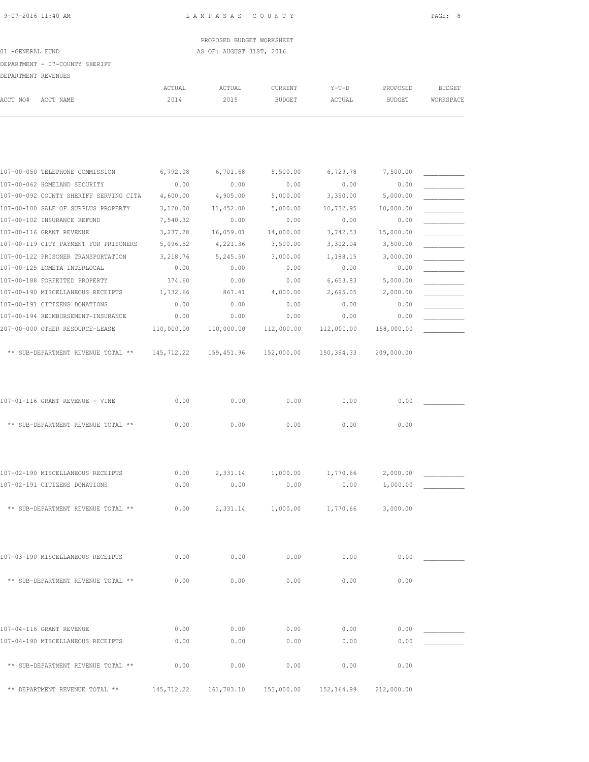# PROPOSED BUDGET WORKSHEET 01 -GENERAL FUND **AS OF: AUGUST 31ST, 2016**

|                     | DEPARTMENT - 07-COUNTY SHERIFF  |          |          |          |          |          |           |
|---------------------|---------------------------------|----------|----------|----------|----------|----------|-----------|
| DEPARTMENT REVENUES |                                 |          |          |          |          |          |           |
|                     |                                 | ACTUAL   | ACTUAL   | CURRENT  | $Y-T-D$  | PROPOSED | BUDGET    |
| ACCT NO#            | ACCT NAME                       | 2014     | 2015     | BUDGET   | ACTUAL   | BUDGET   | WORKSPACE |
|                     |                                 |          |          |          |          |          |           |
|                     |                                 |          |          |          |          |          |           |
|                     |                                 |          |          |          |          |          |           |
|                     |                                 |          |          |          |          |          |           |
|                     |                                 |          |          |          |          |          |           |
|                     | 107-00-050 TELEPHONE COMMISSION | 6,792.08 | 6,701.68 | 5,500.00 | 6,729.78 | 7,500.00 |           |

| 107-00-062 HOMELAND SECURITY           | 0.00        | 0.00       | 0.00       | 0.00       | 0.00       |  |
|----------------------------------------|-------------|------------|------------|------------|------------|--|
| 107-00-092 COUNTY SHERIFF SERVING CITA | 4,600.00    | 4,905.00   | 5,000.00   | 3,350.00   | 5,000.00   |  |
| 107-00-100 SALE OF SURPLUS PROPERTY    | 3,120.00    | 11,452.00  | 5,000.00   | 10,732.95  | 10,000.00  |  |
| 107-00-102 INSURANCE REFUND            | 7,540.32    | 0.00       | 0.00       | 0.00       | 0.00       |  |
| 107-00-116 GRANT REVENUE               | 3,237.28    | 16,059.01  | 14,000.00  | 3,742.53   | 15,000.00  |  |
| 107-00-119 CITY PAYMENT FOR PRISONERS  | 5,096.52    | 4,221.36   | 3,500.00   | 3,302.04   | 3,500.00   |  |
| 107-00-122 PRISONER TRANSPORTATION     | 3,218.76    | 5,245.50   | 3,000.00   | 1,188.15   | 3,000.00   |  |
| 107-00-125 LOMETA INTERLOCAL           | 0.00        | 0.00       | 0.00       | 0.00       | 0.00       |  |
| 107-00-188 FORFEITED PROPERTY          | 374.60      | 0.00       | 0.00       | 6,653.83   | 5,000.00   |  |
| 107-00-190 MISCELLANEOUS RECEIPTS      | 1,732.66    | 867.41     | 4,000.00   | 2,695.05   | 2,000.00   |  |
| 107-00-191 CITIZENS DONATIONS          | 0.00        | 0.00       | 0.00       | 0.00       | 0.00       |  |
| 107-00-194 REIMBURSEMENT-INSURANCE     | 0.00        | 0.00       | 0.00       | 0.00       | 0.00       |  |
| 207-00-000 OTHER RESOURCE-LEASE        | 110,000.00  | 110,000.00 | 112,000.00 | 112,000.00 | 158,000.00 |  |
|                                        |             |            |            |            |            |  |
| ** SUB-DEPARTMENT REVENUE TOTAL **     | 145, 712.22 | 159,451.96 | 152,000.00 | 150,394.33 | 209,000.00 |  |

| 107-01-116 GRANT REVENUE - VINE    | 0.00 | 0.00 | 0.00 | 0.00 | 0.00 |
|------------------------------------|------|------|------|------|------|
| ** SUB-DEPARTMENT REVENUE TOTAL ** | 0.00 | 0.00 | 0.00 | 0.00 | 0.00 |

| 107-02-190 MISCELLANEOUS RECEIPTS  | 0.00 | 2,331.14 | 1,000.00 | 1,770.66 | 2,000.00 |  |
|------------------------------------|------|----------|----------|----------|----------|--|
| 107-02-191 CITIZENS DONATIONS      | 0.00 | 0.00     | 0.00     | 0.00     | 1,000.00 |  |
| ** SUB-DEPARTMENT REVENUE TOTAL ** | 0.00 | 2,331.14 | 1,000.00 | 1,770.66 | 3,000.00 |  |
| 107-03-190 MISCELLANEOUS RECEIPTS  | 0.00 | 0.00     | 0.00     | 0.00     | 0.00     |  |

| ** SUB-DEPARTMENT REVENUE TOTAL ** | 0.00 | 0.00 | 0.00 | 0.00 | 0.00 |
|------------------------------------|------|------|------|------|------|
|                                    |      |      |      |      |      |

| 107-04-116 GRANT REVENUE           | 0.00       | 0.00       | 0.00       | 0.00       | 0.00       |  |
|------------------------------------|------------|------------|------------|------------|------------|--|
| 107-04-190 MISCELLANEOUS RECEIPTS  | 0.00       | 0.00       | 0.00       | 0.00       | 0.00       |  |
| ** SUB-DEPARTMENT REVENUE TOTAL ** | 0.00       | 0.00       | 0.00       | 0.00       | 0.00       |  |
| ** DEPARTMENT REVENUE TOTAL **     | 145,712.22 | 161,783.10 | 153,000.00 | 152,164.99 | 212,000.00 |  |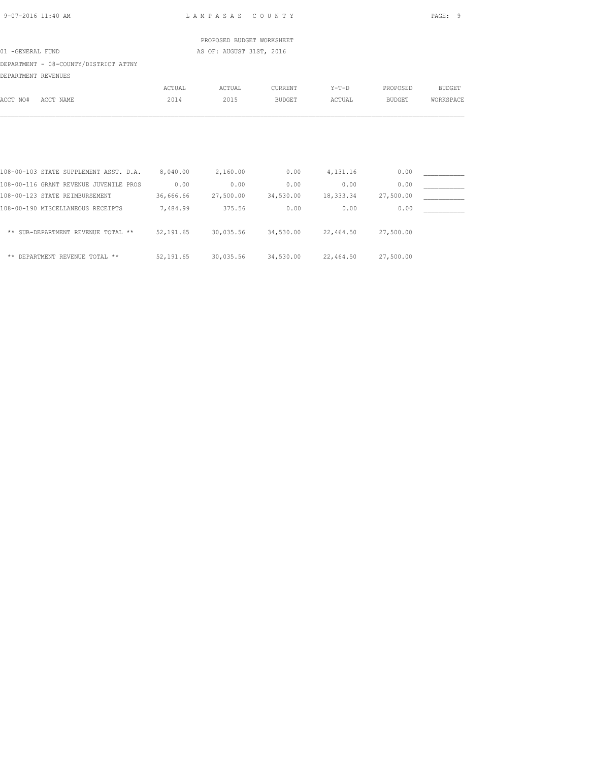| 9-07-2016 11:40 AM                                       |          | LAMPASAS COUNTY                                   |               |                  |           | PAGE: 9       |
|----------------------------------------------------------|----------|---------------------------------------------------|---------------|------------------|-----------|---------------|
|                                                          |          | PROPOSED BUDGET WORKSHEET                         |               |                  |           |               |
| 01 -GENERAL FUND                                         |          | AS OF: AUGUST 31ST, 2016                          |               |                  |           |               |
| DEPARTMENT - 08-COUNTY/DISTRICT ATTNY                    |          |                                                   |               |                  |           |               |
| DEPARTMENT REVENUES                                      |          |                                                   |               |                  |           |               |
|                                                          | ACTUAL   | ACTUAL                                            | CURRENT       | $Y-T-D$          | PROPOSED  | <b>BUDGET</b> |
| ACCT NO#<br>ACCT NAME                                    | 2014     | 2015                                              | <b>BUDGET</b> | ACTUAL           | BUDGET    | WORKSPACE     |
|                                                          |          |                                                   |               |                  |           |               |
|                                                          |          |                                                   |               |                  |           |               |
| 108-00-103 STATE SUPPLEMENT ASST. D.A. 8,040.00 2,160.00 |          |                                                   |               | $0.00$ 4, 131.16 | 0.00      |               |
| 108-00-116 GRANT REVENUE JUVENILE PROS                   | 0.00     | 0.00                                              | 0.00          | 0.00             | 0.00      |               |
| 108-00-123 STATE REIMBURSEMENT                           |          | $36,666.66$ $27,500.00$ $34,530.00$ $18,333.34$   |               |                  | 27,500.00 |               |
| 108-00-190 MISCELLANEOUS RECEIPTS                        | 7,484.99 | 375.56                                            | 0.00          | 0.00             | 0.00      |               |
| ** SUB-DEPARTMENT REVENUE TOTAL **                       |          | 52,191.65 30,035.56 34,530.00 22,464.50 27,500.00 |               |                  |           |               |
| ** DEPARTMENT REVENUE TOTAL **                           |          | 52,191.65 30,035.56 34,530.00 22,464.50 27,500.00 |               |                  |           |               |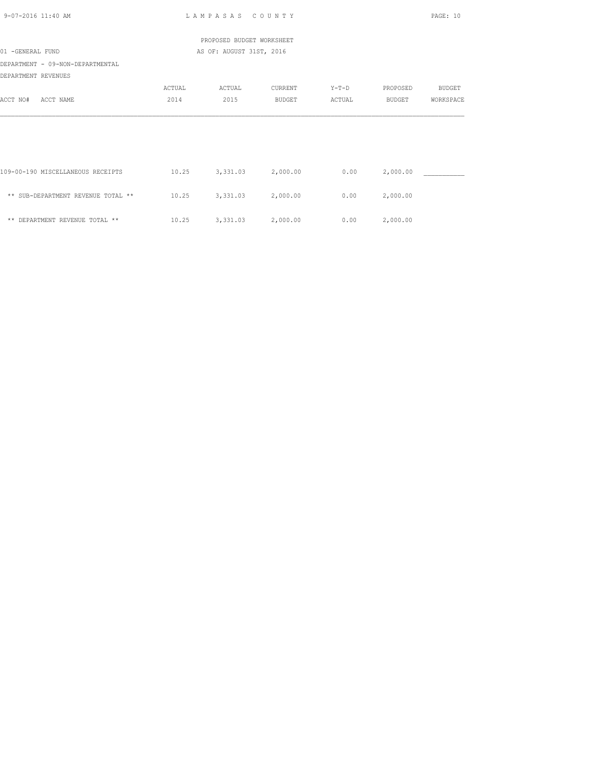| 9-07-2016 11:40 AM                                      |        | LAMPASAS COUNTY           |               |         |          | PAGE: 10  |  |  |
|---------------------------------------------------------|--------|---------------------------|---------------|---------|----------|-----------|--|--|
|                                                         |        | PROPOSED BUDGET WORKSHEET |               |         |          |           |  |  |
| 01 -GENERAL FUND                                        |        | AS OF: AUGUST 31ST, 2016  |               |         |          |           |  |  |
| DEPARTMENT - 09-NON-DEPARTMENTAL<br>DEPARTMENT REVENUES |        |                           |               |         |          |           |  |  |
|                                                         | ACTUAL | ACTUAL                    | CURRENT       | $Y-T-D$ | PROPOSED | BUDGET    |  |  |
| ACCT NO#<br>ACCT NAME                                   | 2014   | 2015                      | <b>BUDGET</b> | ACTUAL  | BUDGET   | WORKSPACE |  |  |
|                                                         |        |                           |               |         |          |           |  |  |
|                                                         |        |                           |               |         |          |           |  |  |
| 109-00-190 MISCELLANEOUS RECEIPTS                       | 10.25  | 3,331.03                  | 2,000.00      | 0.00    | 2,000.00 |           |  |  |
| ** SUB-DEPARTMENT REVENUE TOTAL **                      | 10.25  | 3,331.03                  | 2,000.00      | 0.00    | 2,000.00 |           |  |  |
| ** DEPARTMENT REVENUE TOTAL **                          | 10.25  | 3,331.03                  | 2,000.00      | 0.00    | 2,000.00 |           |  |  |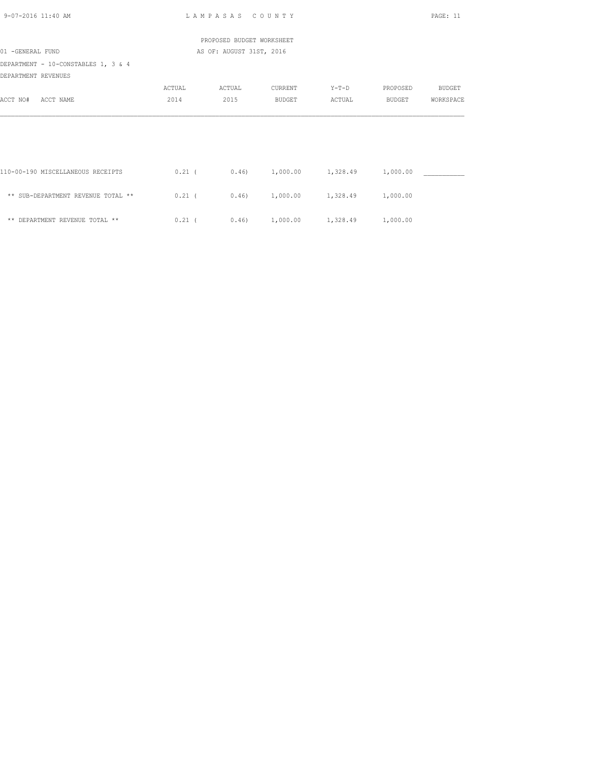| 9-07-2016 11:40 AM                                         |          | LAMPASAS COUNTY           |         |                                                    |          | PAGE: 11      |  |  |
|------------------------------------------------------------|----------|---------------------------|---------|----------------------------------------------------|----------|---------------|--|--|
|                                                            |          | PROPOSED BUDGET WORKSHEET |         |                                                    |          |               |  |  |
| 01 -GENERAL FUND                                           |          | AS OF: AUGUST 31ST, 2016  |         |                                                    |          |               |  |  |
| DEPARTMENT - 10-CONSTABLES 1, 3 & 4<br>DEPARTMENT REVENUES |          |                           |         |                                                    |          |               |  |  |
|                                                            | ACTUAL   | ACTUAL                    | CURRENT | Y-T-D                                              | PROPOSED | <b>BUDGET</b> |  |  |
| ACCT NO#<br>ACCT NAME                                      | 2014     | 2015                      | BUDGET  | ACTUAL                                             | BUDGET   | WORKSPACE     |  |  |
|                                                            |          |                           |         |                                                    |          |               |  |  |
| 110-00-190 MISCELLANEOUS RECEIPTS                          | $0.21$ ( |                           |         | $0.46$ 1,000.00 1,328.49                           | 1,000.00 |               |  |  |
| ** SUB-DEPARTMENT REVENUE TOTAL **                         | $0.21$ ( |                           |         | $0.46$ 1,000.00 1,328.49                           | 1,000.00 |               |  |  |
| ** DEPARTMENT REVENUE TOTAL **                             |          |                           |         | $0.21$ ( $0.46$ ) $1,000.00$ $1,328.49$ $1,000.00$ |          |               |  |  |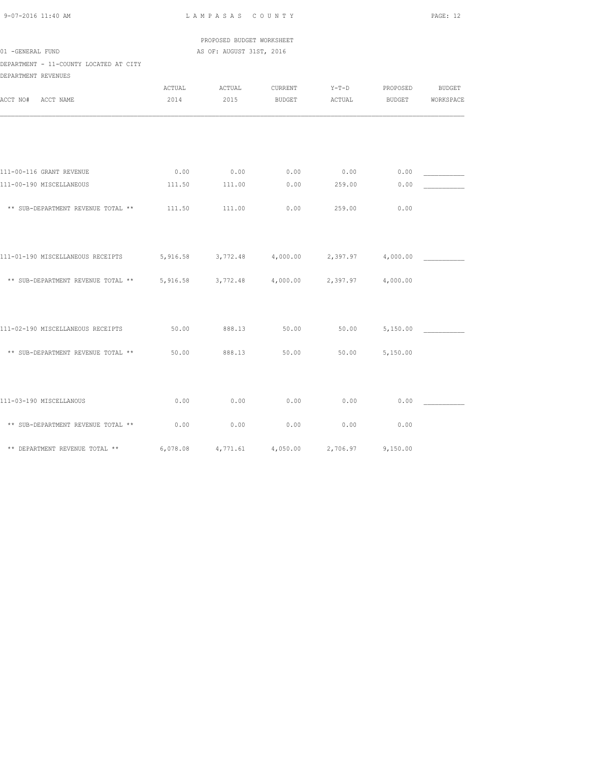| PROPOSED BUDGET WORKSHEET<br>01 -GENERAL FUND<br>AS OF: AUGUST 31ST, 2016 |        |        |                                              |             |                   |               |  |  |  |  |
|---------------------------------------------------------------------------|--------|--------|----------------------------------------------|-------------|-------------------|---------------|--|--|--|--|
| DEPARTMENT - 11-COUNTY LOCATED AT CITY<br>DEPARTMENT REVENUES             |        |        |                                              |             |                   |               |  |  |  |  |
|                                                                           | ACTUAL | ACTUAL | CURRENT                                      | $Y-T-D$     | PROPOSED          | <b>BUDGET</b> |  |  |  |  |
| ACCT NO#<br>ACCT NAME                                                     | 2014   | 2015   | BUDGET                                       | ACTUAL      | <b>BUDGET</b>     | WORKSPACE     |  |  |  |  |
|                                                                           |        |        |                                              |             |                   |               |  |  |  |  |
|                                                                           |        |        |                                              |             |                   |               |  |  |  |  |
| 111-00-116 GRANT REVENUE                                                  | 0.00   | 0.00   | 0.00                                         | $0.00$ 0.00 |                   |               |  |  |  |  |
| 111-00-190 MISCELLANEOUS                                                  | 111.50 | 111.00 | 0.00                                         | 259.00      | 0.00              |               |  |  |  |  |
| ** SUB-DEPARTMENT REVENUE TOTAL ** 111.50                                 |        | 111.00 | 0.00                                         | 259.00      | 0.00              |               |  |  |  |  |
|                                                                           |        |        |                                              |             |                   |               |  |  |  |  |
| 111-01-190 MISCELLANEOUS RECEIPTS                                         |        |        | 5,916.58 3,772.48 4,000.00 2,397.97 4,000.00 |             |                   |               |  |  |  |  |
| ** SUB-DEPARTMENT REVENUE TOTAL ** 5,916.58 3,772.48 4,000.00             |        |        |                                              |             | 2,397.97 4,000.00 |               |  |  |  |  |
|                                                                           |        |        |                                              |             |                   |               |  |  |  |  |
| 111-02-190 MISCELLANEOUS RECEIPTS                                         | 50.00  | 888.13 | 50.00                                        | 50.00       | 5,150.00          |               |  |  |  |  |
| ** SUB-DEPARTMENT REVENUE TOTAL **                                        | 50.00  | 888.13 | 50.00                                        | 50.00       | 5,150.00          |               |  |  |  |  |
|                                                                           |        |        |                                              |             |                   |               |  |  |  |  |
| 111-03-190 MISCELLANOUS                                                   | 0.00   | 0.00   | 0.00                                         | 0.00        | 0.00              |               |  |  |  |  |
| ** SUB-DEPARTMENT REVENUE TOTAL **                                        | 0.00   | 0.00   | 0.00                                         | 0.00        | 0.00              |               |  |  |  |  |

\*\* DEPARTMENT REVENUE TOTAL \*\* 6,078.08 4,771.61 4,050.00 2,706.97 9,150.00

9-07-2016 11:40 AM L A M P A S A S C O U N T Y PAGE: 12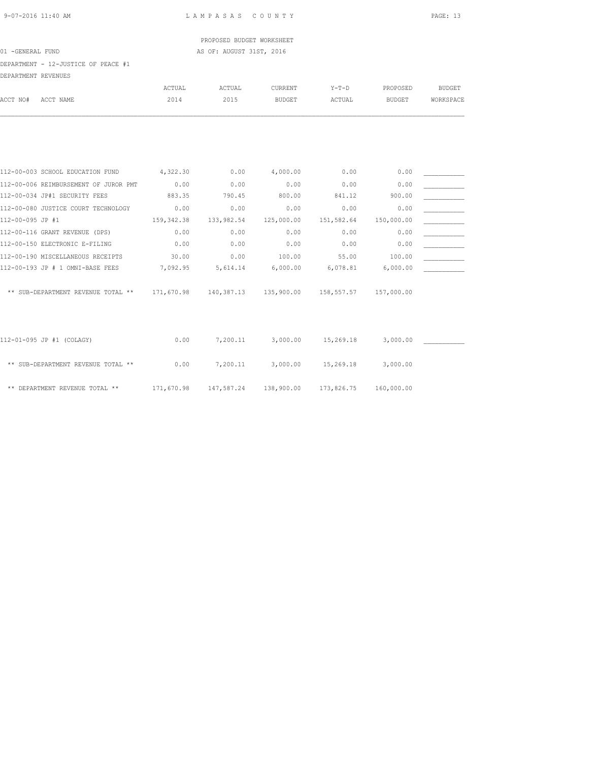PROPOSED BUDGET WORKSHEET 01 -GENERAL FUND AS OF: AUGUST 31ST, 2016

DEPARTMENT - 12-JUSTICE OF PEACE #1

| DEPARTMENT REVENUES                   |               |                       |               |            |               |               |
|---------------------------------------|---------------|-----------------------|---------------|------------|---------------|---------------|
|                                       | <b>ACTUAL</b> | ACTUAL                | CURRENT       | $Y-T-D$    | PROPOSED      | <b>BUDGET</b> |
| ACCT NO#<br>ACCT NAME                 | 2014          | 2015                  | <b>BUDGET</b> | ACTUAL     | <b>BUDGET</b> | WORKSPACE     |
|                                       |               |                       |               |            |               |               |
| 112-00-003 SCHOOL EDUCATION FUND      | 4,322.30      | 0.00                  | 4,000.00      | 0.00       | 0.00          |               |
| 112-00-006 REIMBURSEMENT OF JUROR PMT | 0.00          | 0.00                  | 0.00          | 0.00       | 0.00          |               |
| 112-00-034 JP#1 SECURITY FEES         | 883.35        | 790.45                | 800.00        | 841.12     | 900.00        |               |
| 112-00-080 JUSTICE COURT TECHNOLOGY   | 0.00          | 0.00                  | 0.00          | 0.00       | 0.00          |               |
| 112-00-095 JP #1                      | 159, 342.38   | 133,982.54            | 125,000.00    | 151,582.64 | 150,000.00    |               |
| 112-00-116 GRANT REVENUE (DPS)        | 0.00          | 0.00                  | 0.00          | 0.00       | 0.00          |               |
| 112-00-150 ELECTRONIC E-FILING        | 0.00          | 0.00                  | 0.00          | 0.00       | 0.00          |               |
| 112-00-190 MISCELLANEOUS RECEIPTS     | 30.00         | 0.00                  | 100.00        | 55.00      | 100.00        |               |
| 112-00-193 JP # 1 OMNI-BASE FEES      | 7,092.95      | 5,614.14              | 6,000.00      | 6,078.81   | 6,000.00      |               |
| ** SUB-DEPARTMENT REVENUE TOTAL **    |               | 171,670.98 140,387.13 | 135,900.00    | 158,557.57 | 157,000.00    |               |
| 112-01-095 JP #1 (COLAGY)             | 0.00          | 7,200.11              | 3,000.00      | 15,269.18  | 3,000.00      |               |
|                                       |               |                       |               |            |               |               |
| ** SUB-DEPARTMENT REVENUE TOTAL **    | 0.00          | 7,200.11              | 3,000.00      | 15,269.18  | 3,000.00      |               |
| ** DEPARTMENT REVENUE TOTAL **        | 171,670.98    | 147,587.24            | 138,900.00    | 173,826.75 | 160,000.00    |               |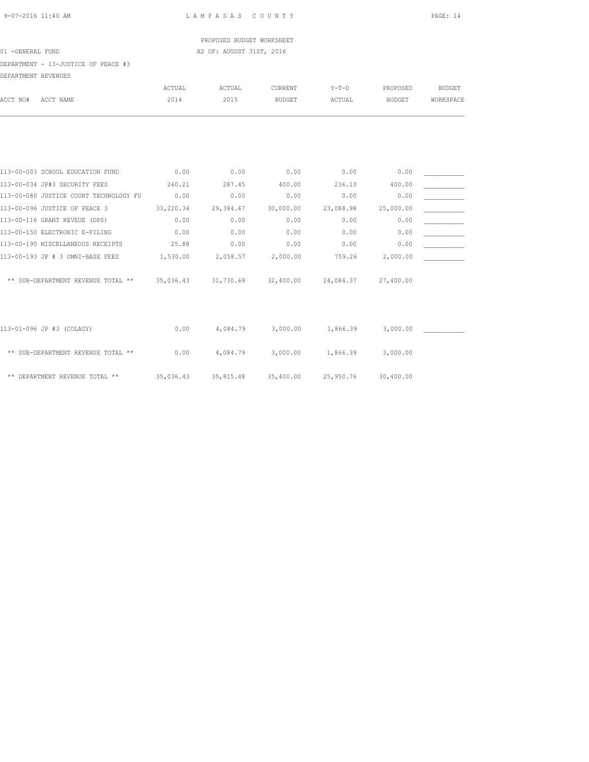PROPOSED BUDGET WORKSHEET 01 -GENERAL FUND **AS OF: AUGUST 31ST, 2016** 

DEPARTMENT - 13-JUSTICE OF PEACE #3

| DEPARTMENT REVENUES |                                              |           |           |                     |           |               |               |
|---------------------|----------------------------------------------|-----------|-----------|---------------------|-----------|---------------|---------------|
|                     |                                              | ACTUAL    | ACTUAL    | CURRENT             | $Y-T-D$   | PROPOSED      | <b>BUDGET</b> |
| ACCT NO#            | ACCT NAME                                    | 2014      | 2015      | <b>BUDGET</b>       | ACTUAL    | <b>BUDGET</b> | WORKSPACE     |
|                     |                                              |           |           |                     |           |               |               |
|                     | 113-00-003 SCHOOL EDUCATION FUND             | 0.00      | 0.00      | 0.00                | 0.00      | 0.00          |               |
|                     | 113-00-034 JP#3 SECURITY FEES                | 260.21    | 287.45    | 400.00              | 236.13    | 400.00        |               |
|                     | 113-00-080 JUSTICE COURT TECHNOLOGY FU       | 0.00      | 0.00      | 0.00                | 0.00      | 0.00          |               |
|                     | 113-00-096 JUSTICE OF PEACE 3                | 33,220.34 | 29,384.67 | 30,000.00           | 23,088.98 | 25,000.00     |               |
|                     | 113-00-116 GRANT REVEUE (DPS)                | 0.00      | 0.00      | 0.00                | 0.00      | 0.00          |               |
|                     | 113-00-150 ELECTRONIC E-FILING               | 0.00      | 0.00      | 0.00                | 0.00      | 0.00          |               |
|                     | 113-00-190 MISCELLANEOUS RECEIPTS            | 25.88     | 0.00      | 0.00                | 0.00      | 0.00          |               |
|                     | 113-00-193 JP # 3 OMNI-BASE FEES             | 1,530.00  | 2,058.57  | 2,000.00            | 759.26    | 2,000.00      |               |
|                     | ** SUB-DEPARTMENT REVENUE TOTAL ** 35,036.43 |           |           | 31,730.69 32,400.00 | 24,084.37 | 27,400.00     |               |
|                     |                                              |           |           |                     |           |               |               |
|                     | 113-01-096 JP #3 (COLAGY)                    | 0.00      | 4,084.79  | 3,000.00            | 1,866.39  | 3,000.00      |               |
|                     | ** SUB-DEPARTMENT REVENUE TOTAL **           | 0.00      | 4,084.79  | 3,000.00            | 1,866.39  | 3,000.00      |               |
|                     | ** DEPARTMENT REVENUE TOTAL **               | 35,036.43 | 35,815.48 | 35,400.00           | 25,950.76 | 30,400.00     |               |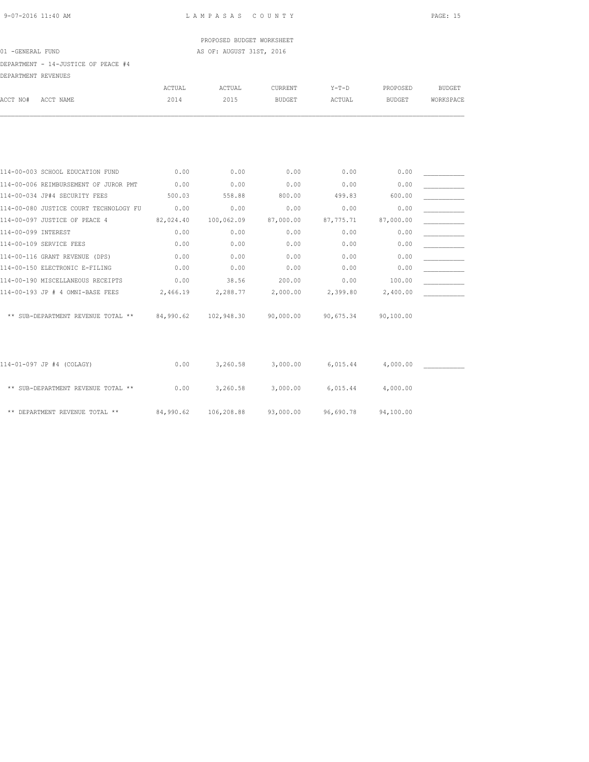PROPOSED BUDGET WORKSHEET 01 -GENERAL FUND **AS OF: AUGUST 31ST, 2016** 

DEPARTMENT - 14-JUSTICE OF PEACE #4

| DEPARTMENT REVENUES |                                              |           |            |               |           |               |               |
|---------------------|----------------------------------------------|-----------|------------|---------------|-----------|---------------|---------------|
|                     |                                              | ACTUAL    | ACTUAL     | CURRENT       | $Y-T-D$   | PROPOSED      | <b>BUDGET</b> |
| ACCT NO#            | ACCT NAME                                    | 2014      | 2015       | <b>BUDGET</b> | ACTUAL    | <b>BUDGET</b> | WORKSPACE     |
|                     |                                              |           |            |               |           |               |               |
|                     |                                              |           |            |               |           |               |               |
|                     | 114-00-003 SCHOOL EDUCATION FUND             | 0.00      | 0.00       | 0.00          | 0.00      | 0.00          |               |
|                     | 114-00-006 REIMBURSEMENT OF JUROR PMT        | 0.00      | 0.00       | 0.00          | 0.00      | 0.00          |               |
|                     | 114-00-034 JP#4 SECURITY FEES                | 500.03    | 558.88     | 800.00        | 499.83    | 600.00        |               |
|                     | 114-00-080 JUSTICE COURT TECHNOLOGY FU       | 0.00      | 0.00       | 0.00          | 0.00      | 0.00          |               |
|                     | 114-00-097 JUSTICE OF PEACE 4                | 82,024.40 | 100,062.09 | 87,000.00     | 87,775.71 | 87,000.00     |               |
| 114-00-099 INTEREST |                                              | 0.00      | 0.00       | 0.00          | 0.00      | 0.00          |               |
|                     | 114-00-109 SERVICE FEES                      | 0.00      | 0.00       | 0.00          | 0.00      | 0.00          |               |
|                     | 114-00-116 GRANT REVENUE (DPS)               | 0.00      | 0.00       | 0.00          | 0.00      | 0.00          |               |
|                     | 114-00-150 ELECTRONIC E-FILING               | 0.00      | 0.00       | 0.00          | 0.00      | 0.00          |               |
|                     | 114-00-190 MISCELLANEOUS RECEIPTS            | 0.00      | 38.56      | 200.00        | 0.00      | 100.00        |               |
|                     | 114-00-193 JP # 4 OMNI-BASE FEES             | 2,466.19  | 2,288.77   | 2,000.00      | 2,399.80  | 2,400.00      |               |
|                     | ** SUB-DEPARTMENT REVENUE TOTAL ** 84,990.62 |           | 102,948.30 | 90,000.00     | 90,675.34 | 90,100.00     |               |
|                     |                                              |           |            |               |           |               |               |
|                     | 114-01-097 JP #4 (COLAGY)                    | 0.00      | 3,260.58   | 3,000.00      | 6,015.44  | 4,000.00      |               |
|                     | ** SUB-DEPARTMENT REVENUE TOTAL **           | 0.00      | 3,260.58   | 3,000.00      | 6,015.44  | 4,000.00      |               |
|                     | ** DEPARTMENT REVENUE TOTAL **               | 84,990.62 | 106,208.88 | 93,000.00     | 96,690.78 | 94,100.00     |               |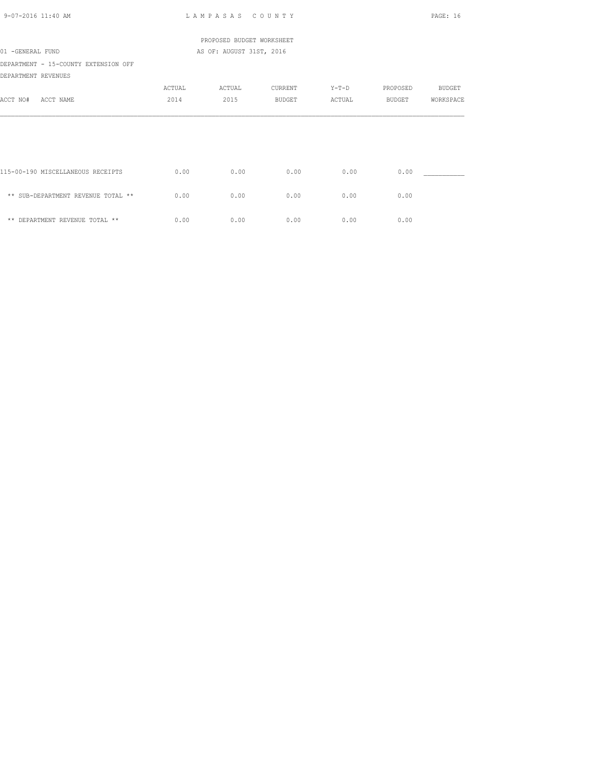| 9-07-2016 11:40 AM                                          |        | LAMPASAS COUNTY           |         |         |               | PAGE: 16      |
|-------------------------------------------------------------|--------|---------------------------|---------|---------|---------------|---------------|
|                                                             |        | PROPOSED BUDGET WORKSHEET |         |         |               |               |
| 01 -GENERAL FUND                                            |        | AS OF: AUGUST 31ST, 2016  |         |         |               |               |
| DEPARTMENT - 15-COUNTY EXTENSION OFF<br>DEPARTMENT REVENUES |        |                           |         |         |               |               |
|                                                             | ACTUAL | ACTUAL                    | CURRENT | $Y-T-D$ | PROPOSED      | <b>BUDGET</b> |
| ACCT NO#<br>ACCT NAME                                       | 2014   | 2015                      | BUDGET  | ACTUAL  | <b>BUDGET</b> | WORKSPACE     |
|                                                             |        |                           |         |         |               |               |
|                                                             |        |                           |         |         |               |               |
| 115-00-190 MISCELLANEOUS RECEIPTS                           | 0.00   | 0.00                      | 0.00    | 0.00    | 0.00          |               |
| ** SUB-DEPARTMENT REVENUE TOTAL **                          | 0.00   | 0.00                      | 0.00    | 0.00    | 0.00          |               |
| ** DEPARTMENT REVENUE TOTAL **                              | 0.00   | 0.00                      | 0.00    | 0.00    | 0.00          |               |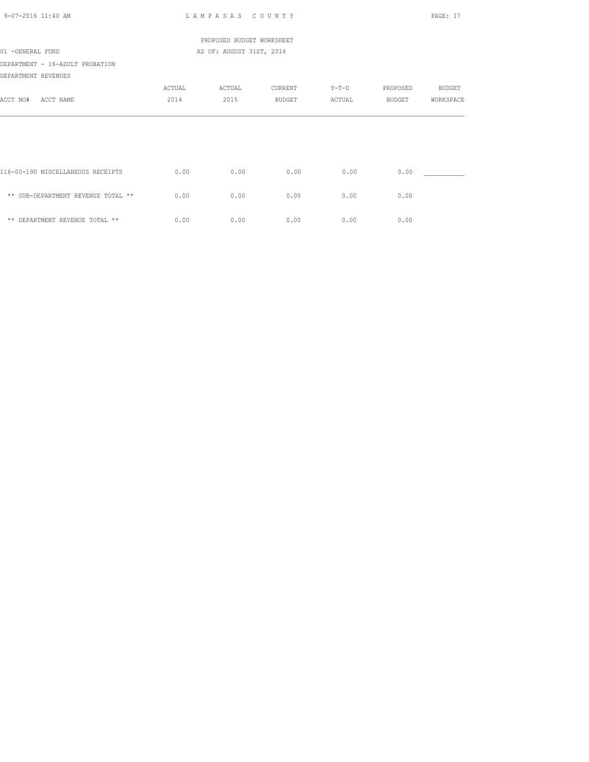| 9-07-2016 11:40 AM                 |        | LAMPASAS COUNTY           |               |        |               | PAGE: 17      |
|------------------------------------|--------|---------------------------|---------------|--------|---------------|---------------|
|                                    |        | PROPOSED BUDGET WORKSHEET |               |        |               |               |
| 01 -GENERAL FUND                   |        | AS OF: AUGUST 31ST, 2016  |               |        |               |               |
| DEPARTMENT - 16-ADULT PROBATION    |        |                           |               |        |               |               |
| DEPARTMENT REVENUES                |        |                           |               |        |               |               |
|                                    | ACTUAL | ACTUAL                    | CURRENT       | Y-T-D  | PROPOSED      | <b>BUDGET</b> |
| ACCT NO#<br>ACCT NAME              | 2014   | 2015                      | <b>BUDGET</b> | ACTUAL | <b>BUDGET</b> | WORKSPACE     |
|                                    |        |                           |               |        |               |               |
|                                    |        |                           |               |        |               |               |
|                                    |        |                           |               |        |               |               |
| 116-00-190 MISCELLANEOUS RECEIPTS  | 0.00   | 0.00                      | 0.00          | 0.00   | 0.00          |               |
| ** SUB-DEPARTMENT REVENUE TOTAL ** | 0.00   | 0.00                      | 0.00          | 0.00   | 0.00          |               |
| ** DEPARTMENT REVENUE TOTAL **     | 0.00   | 0.00                      | 0.00          | 0.00   | 0.00          |               |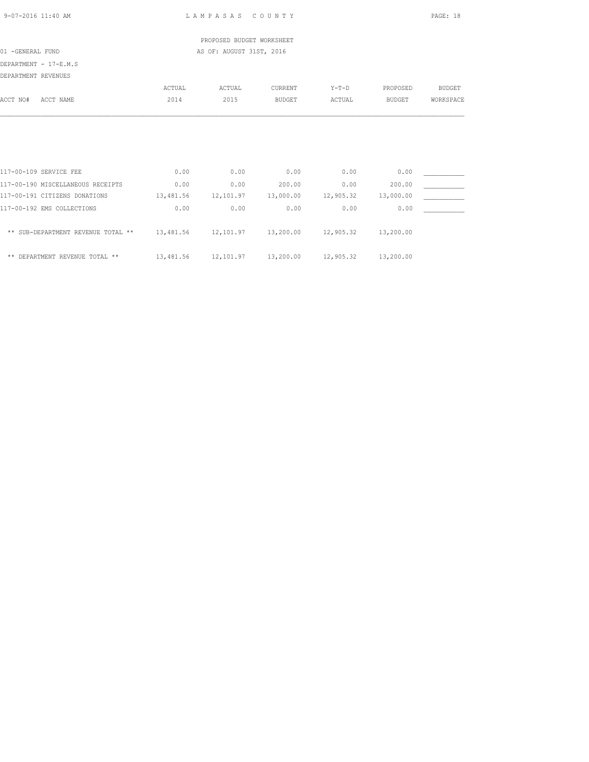PROPOSED BUDGET WORKSHEET 01 -GENERAL FUND AS OF: AUGUST 31ST, 2016

DEPARTMENT - 17-E.M.S

DEPARTMENT REVENUES

|                                    | ACTUAL    | ACTUAL    | CURRENT       | $Y-T-D$   | PROPOSED  | <b>BUDGET</b> |
|------------------------------------|-----------|-----------|---------------|-----------|-----------|---------------|
| ACCT NO#<br>ACCT NAME              | 2014      | 2015      | <b>BUDGET</b> | ACTUAL    | BUDGET    | WORKSPACE     |
|                                    |           |           |               |           |           |               |
|                                    |           |           |               |           |           |               |
|                                    |           |           |               |           |           |               |
|                                    |           |           |               |           |           |               |
| 117-00-109 SERVICE FEE             | 0.00      | 0.00      | 0.00          | 0.00      | 0.00      |               |
| 117-00-190 MISCELLANEOUS RECEIPTS  | 0.00      | 0.00      | 200.00        | 0.00      | 200.00    |               |
| 117-00-191 CITIZENS DONATIONS      | 13,481.56 | 12,101.97 | 13,000.00     | 12,905.32 | 13,000.00 |               |
| 117-00-192 EMS COLLECTIONS         | 0.00      | 0.00      | 0.00          | 0.00      | 0.00      |               |
| ** SUB-DEPARTMENT REVENUE TOTAL ** | 13,481.56 | 12,101.97 | 13,200.00     | 12,905.32 | 13,200.00 |               |
| ** DEPARTMENT REVENUE TOTAL **     | 13,481.56 | 12,101.97 | 13,200.00     | 12,905.32 | 13,200.00 |               |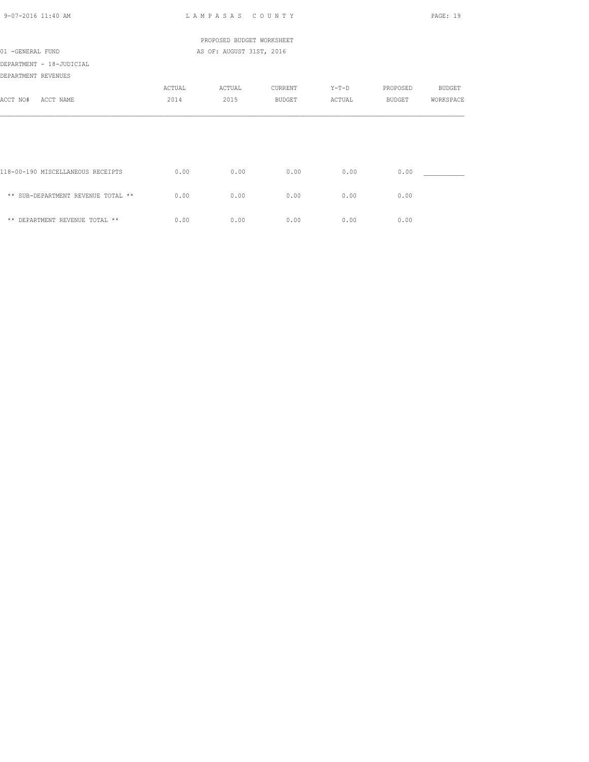| $9 - 07 - 2016$ 11:40 AM           |               | LAMPASAS COUNTY           |               |         |               | PAGE: 19      |
|------------------------------------|---------------|---------------------------|---------------|---------|---------------|---------------|
|                                    |               | PROPOSED BUDGET WORKSHEET |               |         |               |               |
| 01 -GENERAL FUND                   |               | AS OF: AUGUST 31ST, 2016  |               |         |               |               |
| DEPARTMENT - 18-JUDICIAL           |               |                           |               |         |               |               |
| DEPARTMENT REVENUES                |               |                           |               |         |               |               |
|                                    | <b>ACTUAL</b> | ACTUAL                    | CURRENT       | $Y-T-D$ | PROPOSED      | <b>BUDGET</b> |
| ACCT NO#<br>ACCT NAME              | 2014          | 2015                      | <b>BUDGET</b> | ACTUAL  | <b>BUDGET</b> | WORKSPACE     |
|                                    |               |                           |               |         |               |               |
|                                    |               |                           |               |         |               |               |
| 118-00-190 MISCELLANEOUS RECEIPTS  | 0.00          | 0.00                      | 0.00          | 0.00    | 0.00          |               |
| ** SUB-DEPARTMENT REVENUE TOTAL ** | 0.00          | 0.00                      | 0.00          | 0.00    | 0.00          |               |
| ** DEPARTMENT REVENUE TOTAL **     | 0.00          | 0.00                      | 0.00          | 0.00    | 0.00          |               |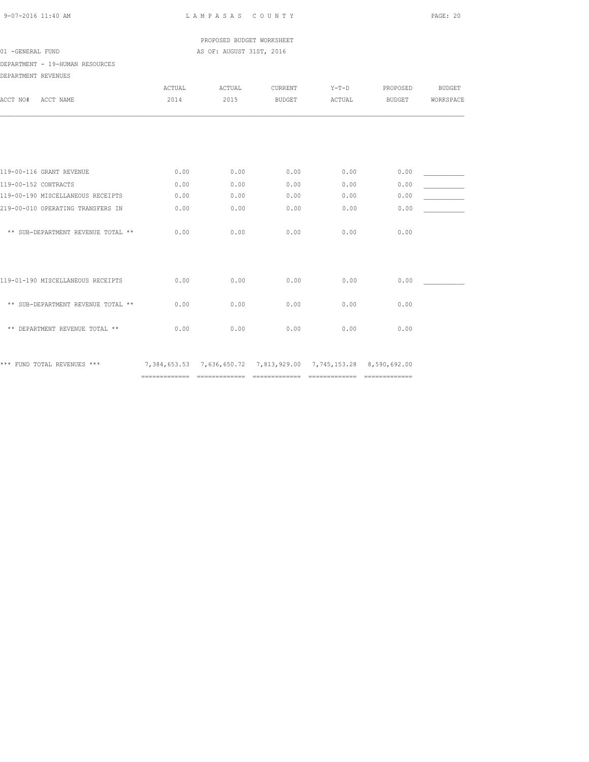PROPOSED BUDGET WORKSHEET 01 -GENERAL FUND **AS OF: AUGUST 31ST, 2016** 

DEPARTMENT - 19-HUMAN RESOURCES

| DEPARTMENT REVENUES                |        |        |                                                                  |         |               |               |
|------------------------------------|--------|--------|------------------------------------------------------------------|---------|---------------|---------------|
|                                    | ACTUAL | ACTUAL | CURRENT                                                          | $Y-T-D$ | PROPOSED      | <b>BUDGET</b> |
| ACCT NO#<br>ACCT NAME              | 2014   | 2015   | <b>BUDGET</b>                                                    | ACTUAL  | <b>BUDGET</b> | WORKSPACE     |
|                                    |        |        |                                                                  |         |               |               |
|                                    |        |        |                                                                  |         |               |               |
| 119-00-116 GRANT REVENUE           | 0.00   | 0.00   | 0.00                                                             | 0.00    | 0.00          |               |
| 119-00-152 CONTRACTS               | 0.00   | 0.00   | 0.00                                                             | 0.00    | 0.00          |               |
| 119-00-190 MISCELLANEOUS RECEIPTS  | 0.00   | 0.00   | 0.00                                                             | 0.00    | 0.00          |               |
| 219-00-010 OPERATING TRANSFERS IN  | 0.00   | 0.00   | 0.00                                                             | 0.00    | 0.00          |               |
| ** SUB-DEPARTMENT REVENUE TOTAL ** | 0.00   | 0.00   | 0.00                                                             | 0.00    | 0.00          |               |
|                                    |        |        |                                                                  |         |               |               |
| 119-01-190 MISCELLANEOUS RECEIPTS  | 0.00   | 0.00   | 0.00                                                             | 0.00    | 0.00          |               |
| ** SUB-DEPARTMENT REVENUE TOTAL ** | 0.00   | 0.00   | 0.00                                                             | 0.00    | 0.00          |               |
| ** DEPARTMENT REVENUE TOTAL **     | 0.00   | 0.00   | 0.00                                                             | 0.00    | 0.00          |               |
| *** FUND TOTAL REVENUES ***        |        |        | 7,384,653.53 7,636,650.72 7,813,929.00 7,745,153.28 8,590,692.00 |         |               |               |
|                                    |        |        |                                                                  |         |               |               |

============= ============= ============= ============= =============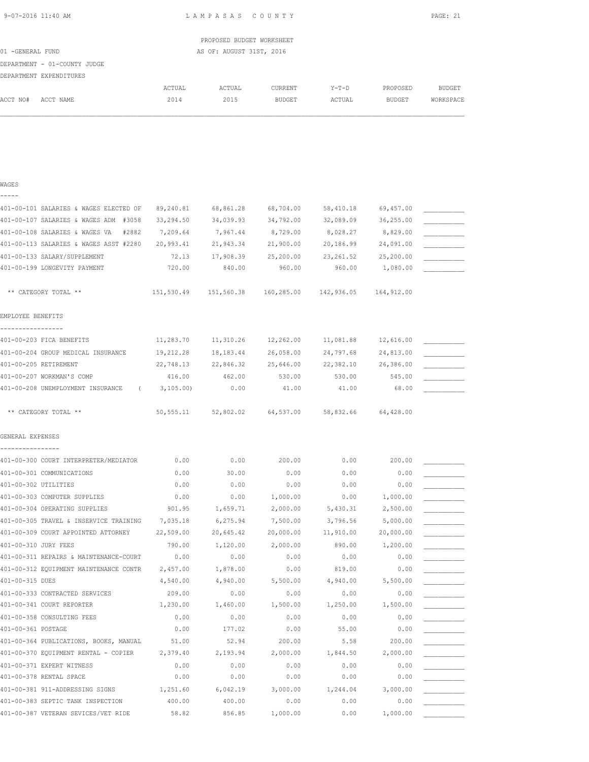| 9-07-2016 11:40 AM |  |  |  |  |  |
|--------------------|--|--|--|--|--|
|--------------------|--|--|--|--|--|

L A M P A S A S C O U N T Y PAGE: 21

|                  |                              |        | PROPOSED BUDGET WORKSHEET |               |        |          |           |
|------------------|------------------------------|--------|---------------------------|---------------|--------|----------|-----------|
| 01 -GENERAL FUND |                              |        | AS OF: AUGUST 31ST, 2016  |               |        |          |           |
|                  | DEPARTMENT - 01-COUNTY JUDGE |        |                           |               |        |          |           |
|                  | DEPARTMENT EXPENDITURES      |        |                           |               |        |          |           |
|                  |                              | ACTUAL | ACTUAL                    | CURRENT       | Y-T-D  | PROPOSED | BUDGET    |
| ACCT NO#         | ACCT NAME                    | 2014   | 2015                      | <b>BUDGET</b> | ACTUAL | BUDGET   | WORKSPACE |
|                  |                              |        |                           |               |        |          |           |

### WAGES -----

| 401-00-101 SALARIES & WAGES ELECTED OF  | 89,240.81  | 68,861.28             | 68,704.00  | 58,410.18  | 69,457.00  |  |
|-----------------------------------------|------------|-----------------------|------------|------------|------------|--|
| 401-00-107 SALARIES & WAGES ADM #3058   | 33,294.50  | 34,039.93             | 34,792.00  | 32,089.09  | 36,255.00  |  |
| 401-00-108 SALARIES & WAGES VA<br>#2882 | 7,209.64   | 7,967.44              | 8,729.00   | 8,028.27   | 8,829.00   |  |
| 401-00-113 SALARIES & WAGES ASST #2280  | 20,993.41  | 21,943.34             | 21,900.00  | 20,186.99  | 24,091.00  |  |
| 401-00-133 SALARY/SUPPLEMENT            | 72.13      | 17,908.39             | 25,200.00  | 23, 261.52 | 25,200.00  |  |
| 401-00-199 LONGEVITY PAYMENT            | 720.00     | 840.00                | 960.00     | 960.00     | 1,080.00   |  |
|                                         |            |                       |            |            |            |  |
| ** CATEGORY TOTAL **                    | 151,530.49 | 151,560.38            | 160,285.00 | 142,936.05 | 164,912.00 |  |
|                                         |            |                       |            |            |            |  |
| EMPLOYEE BENEFITS                       |            |                       |            |            |            |  |
| -----------------                       |            |                       |            |            |            |  |
| 401-00-203 FICA BENEFITS                | 11,283.70  | 11,310.26             | 12,262.00  | 11,081.88  | 12,616.00  |  |
| 401-00-204 GROUP MEDICAL INSURANCE      | 19,212.28  | 18, 183. 44           | 26,058.00  | 24,797.68  | 24,813.00  |  |
| 401-00-205 RETIREMENT                   | 22,748.13  | 22,846.32             | 25,646.00  | 22,382.10  | 26,386.00  |  |
| 401-00-207 WORKMAN'S COMP               | 416.00     | 462.00                | 530.00     | 530.00     | 545.00     |  |
| 401-00-208 UNEMPLOYMENT INSURANCE (     | 3,105.00   | 0.00                  | 41.00      | 41.00      | 68.00      |  |
|                                         |            |                       |            |            |            |  |
| ** CATEGORY TOTAL **                    |            | 50, 555.11 52, 802.02 | 64,537.00  | 58,832.66  | 64,428.00  |  |
|                                         |            |                       |            |            |            |  |
| GENERAL EXPENSES                        |            |                       |            |            |            |  |
|                                         |            |                       |            |            |            |  |
| 401-00-300 COURT INTERPRETER/MEDIATOR   | 0.00       | 0.00                  | 200.00     | 0.00       | 200.00     |  |
| 401-00-301 COMMUNICATIONS               | 0.00       | 30.00                 | 0.00       | 0.00       | 0.00       |  |
| 401-00-302 UTILITIES                    | 0.00       | 0.00                  | 0.00       | 0.00       | 0.00       |  |
| 401-00-303 COMPUTER SUPPLIES            | 0.00       | 0.00                  | 1,000.00   | 0.00       | 1,000.00   |  |
| 401-00-304 OPERATING SUPPLIES           | 901.95     | 1,659.71              | 2,000.00   | 5,430.31   | 2,500.00   |  |
| 401-00-305 TRAVEL & INSERVICE TRAINING  | 7,035.18   | 6,275.94              | 7,500.00   | 3,796.56   | 5,000.00   |  |
| 401-00-309 COURT APPOINTED ATTORNEY     | 22,509.00  | 20,645.42             | 20,000.00  | 11,910.00  | 20,000.00  |  |
| 401-00-310 JURY FEES                    | 790.00     | 1,120.00              | 2,000.00   | 890.00     | 1,200.00   |  |
| 401-00-311 REPAIRS & MAINTENANCE-COURT  | 0.00       | 0.00                  | 0.00       | 0.00       | 0.00       |  |
| 401-00-312 EQUIPMENT MAINTENANCE CONTR  | 2,457.00   | 1,878.00              | 0.00       | 819.00     | 0.00       |  |
| 401-00-315 DUES                         | 4,540.00   | 4,940.00              | 5,500.00   | 4,940.00   | 5,500.00   |  |
| 401-00-333 CONTRACTED SERVICES          | 209.00     | 0.00                  | 0.00       | 0.00       | 0.00       |  |
| 401-00-341 COURT REPORTER               | 1,230.00   | 1,460.00              | 1,500.00   | 1,250.00   | 1,500.00   |  |
| 401-00-358 CONSULTING FEES              | 0.00       | 0.00                  | 0.00       | 0.00       | 0.00       |  |
| 401-00-361 POSTAGE                      | 0.00       | 177.02                | 0.00       | 55.00      | 0.00       |  |
| 401-00-364 PUBLICATIONS, BOOKS, MANUAL  | 51.00      | 52.94                 | 200.00     | 5.58       | 200.00     |  |
| 401-00-370 EQUIPMENT RENTAL - COPIER    | 2,379.40   | 2,193.94              | 2,000.00   | 1,844.50   | 2,000.00   |  |
| 401-00-371 EXPERT WITNESS               | 0.00       | 0.00                  | 0.00       | 0.00       | 0.00       |  |
| 401-00-378 RENTAL SPACE                 | 0.00       | 0.00                  | 0.00       | 0.00       | 0.00       |  |
| 401-00-381 911-ADDRESSING SIGNS         | 1,251.60   | 6,042.19              | 3,000.00   | 1,244.04   | 3,000.00   |  |
| 401-00-383 SEPTIC TANK INSPECTION       | 400.00     | 400.00                | 0.00       | 0.00       | 0.00       |  |
| 401-00-387 VETERAN SEVICES/VET RIDE     | 58.82      | 856.85                | 1,000.00   | 0.00       | 1,000.00   |  |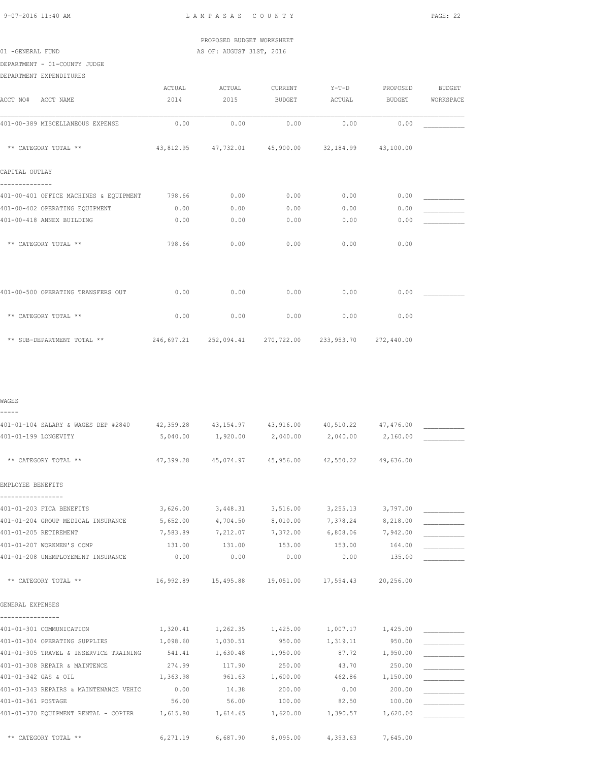# PROPOSED BUDGET WORKSHEET 01 -GENERAL FUND **AS OF: AUGUST 31ST, 2016**

DEPARTMENT - 01-COUNTY JUDGE

|                                        | ACTUAL | ACTUAL | CURRENT                                                    | $Y-T-D$ | PROPOSED      | <b>BUDGET</b> |
|----------------------------------------|--------|--------|------------------------------------------------------------|---------|---------------|---------------|
| ACCT NO#<br>ACCT NAME                  | 2014   | 2015   | <b>BUDGET</b>                                              | ACTUAL  | <b>BUDGET</b> | WORKSPACE     |
| 401-00-389 MISCELLANEOUS EXPENSE       | 0.00   | 0.00   | 0.00                                                       | 0.00    | 0.00          |               |
| ** CATEGORY TOTAL **                   |        |        | 43,812.95 47,732.01 45,900.00 32,184.99                    |         | 43,100.00     |               |
| CAPITAL OUTLAY                         |        |        |                                                            |         |               |               |
| 401-00-401 OFFICE MACHINES & EQUIPMENT | 798.66 | 0.00   | 0.00                                                       | 0.00    | 0.00          |               |
| 401-00-402 OPERATING EQUIPMENT         | 0.00   | 0.00   | 0.00                                                       | 0.00    | 0.00          |               |
| 401-00-418 ANNEX BUILDING              | 0.00   | 0.00   | 0.00                                                       | 0.00    | 0.00          |               |
| ** CATEGORY TOTAL **                   | 798.66 | 0.00   | 0.00                                                       | 0.00    | 0.00          |               |
|                                        |        |        |                                                            |         |               |               |
| 401-00-500 OPERATING TRANSFERS OUT     | 0.00   | 0.00   | 0.00                                                       | 0.00    | 0.00          |               |
| ** CATEGORY TOTAL **                   | 0.00   | 0.00   | 0.00                                                       | 0.00    | 0.00          |               |
| ** SUB-DEPARTMENT TOTAL **             |        |        | 246,697.21  252,094.41  270,722.00  233,953.70  272,440.00 |         |               |               |

### WAGES -----

| 401-01-104 SALARY & WAGES DEP #2840 42,359.28 43,154.97 43,916.00 |           |                                                       |                   | 40,510.22 47,476.00 |          |  |
|-------------------------------------------------------------------|-----------|-------------------------------------------------------|-------------------|---------------------|----------|--|
| 401-01-199 LONGEVITY                                              | 5,040.00  | 1,920.00 2,040.00                                     |                   | 2,040.00            | 2,160.00 |  |
|                                                                   |           |                                                       |                   |                     |          |  |
| ** CATEGORY TOTAL **                                              | 47,399.28 | 45,074.97  45,956.00  42,550.22  49,636.00            |                   |                     |          |  |
| EMPLOYEE BENEFITS                                                 |           |                                                       |                   |                     |          |  |
|                                                                   |           |                                                       |                   |                     |          |  |
| 401-01-203 FICA BENEFITS                                          | 3,626.00  | 3,448.31 3,516.00 3,255.13                            |                   |                     | 3,797.00 |  |
| 401-01-204 GROUP MEDICAL INSURANCE                                | 5,652,00  | 4,704.50                                              | 8,010.00          | 7,378.24 8,218.00   |          |  |
| 401-01-205 RETIREMENT                                             | 7,583.89  |                                                       | 7,212.07 7,372.00 | 6,808.06 7,942.00   |          |  |
| 401-01-207 WORKMEN'S COMP                                         | 131.00    | 131.00                                                | 153.00            | 153.00              | 164.00   |  |
| 401-01-208 UNEMPLOYEMENT INSURANCE                                | 0.00      | 0.00                                                  | 0.00              | 0.00                | 135.00   |  |
| ** CATEGORY TOTAL **                                              |           | 16,992.89  15,495.88  19,051.00  17,594.43  20,256.00 |                   |                     |          |  |
| GENERAL EXPENSES                                                  |           |                                                       |                   |                     |          |  |
| 401-01-301 COMMUNICATION                                          |           | 1,320.41 1,262.35 1,425.00                            |                   | 1,007.17 1,425.00   |          |  |
| 401-01-304 OPERATING SUPPLIES                                     | 1,098.60  | 1,030.51                                              | 950.00            | 1,319.11            | 950.00   |  |
| 401-01-305 TRAVEL & INSERVICE TRAINING                            | 541.41    | 1,630.48                                              | 1,950.00          | 87.72               | 1,950.00 |  |
| 401-01-308 REPAIR & MAINTENCE                                     | 274.99    | 117.90                                                | 250.00            | 43.70               | 250.00   |  |
| 401-01-342 GAS & OIL                                              | 1,363.98  | 961.63                                                | 1,600.00          | 462.86              | 1,150.00 |  |
| 401-01-343 REPAIRS & MAINTENANCE VEHIC                            | 0.00      | 14.38                                                 | 200.00            | 0.00                | 200.00   |  |
| 401-01-361 POSTAGE                                                | 56.00     | 56.00                                                 | 100.00            | 82.50               | 100.00   |  |
| 401-01-370 EQUIPMENT RENTAL - COPIER 1,615.80                     |           | 1,614.65 1,620.00                                     |                   | 1,390.57            | 1,620.00 |  |
| ** CATEGORY TOTAL **                                              | 6,271.19  | 6,687.90                                              | 8,095.00          | 4,393.63            | 7,645.00 |  |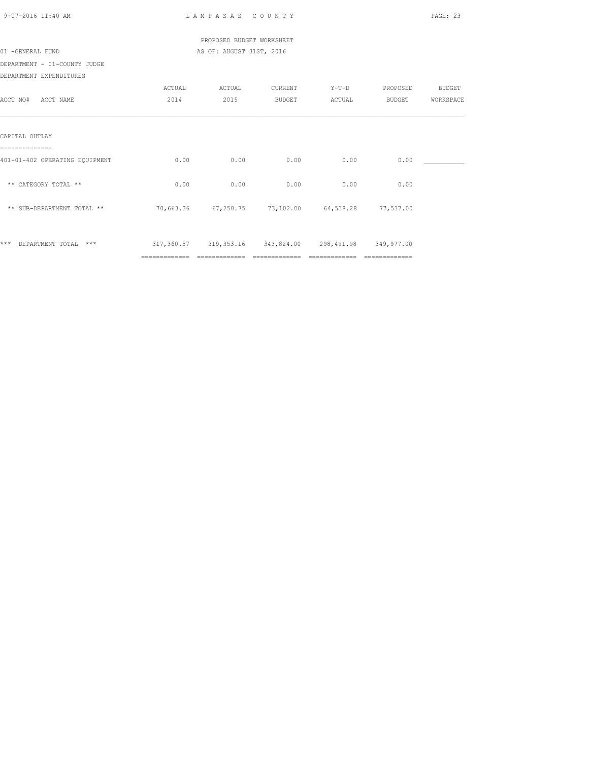| 9-07-2016 11:40 AM             |               | LAMPASAS COUNTY                                                                        |        |                |                | PAGE: 23  |
|--------------------------------|---------------|----------------------------------------------------------------------------------------|--------|----------------|----------------|-----------|
|                                |               | PROPOSED BUDGET WORKSHEET                                                              |        |                |                |           |
| 01 -GENERAL FUND               |               | AS OF: AUGUST 31ST, 2016                                                               |        |                |                |           |
| DEPARTMENT - 01-COUNTY JUDGE   |               |                                                                                        |        |                |                |           |
| DEPARTMENT EXPENDITURES        |               |                                                                                        |        |                |                |           |
|                                | ACTUAL        | ACTUAL CURRENT                                                                         |        |                | Y-T-D PROPOSED | BUDGET    |
| ACCT NO# ACCT NAME             | 2014          | 2015                                                                                   | BUDGET | <b>ACTUAL</b>  | BUDGET         | WORKSPACE |
| CAPITAL OUTLAY                 |               |                                                                                        |        |                |                |           |
| 401-01-402 OPERATING EQUIPMENT | 0.00          | 0.00                                                                                   | 0.00   | 0.00           | 0.00           |           |
| ** CATEGORY TOTAL **           | 0.00          | 0.00                                                                                   | 0.00   | 0.00           | 0.00           |           |
| ** SUB-DEPARTMENT TOTAL **     |               | 70,663.36 67,258.75 73,102.00 64,538.28 77,537.00                                      |        |                |                |           |
| *** DEPARTMENT TOTAL ***       | ============= | 317,360.57 319,353.16 343,824.00 298,491.98 349,977.00<br>============================ |        | ============== | -------------- |           |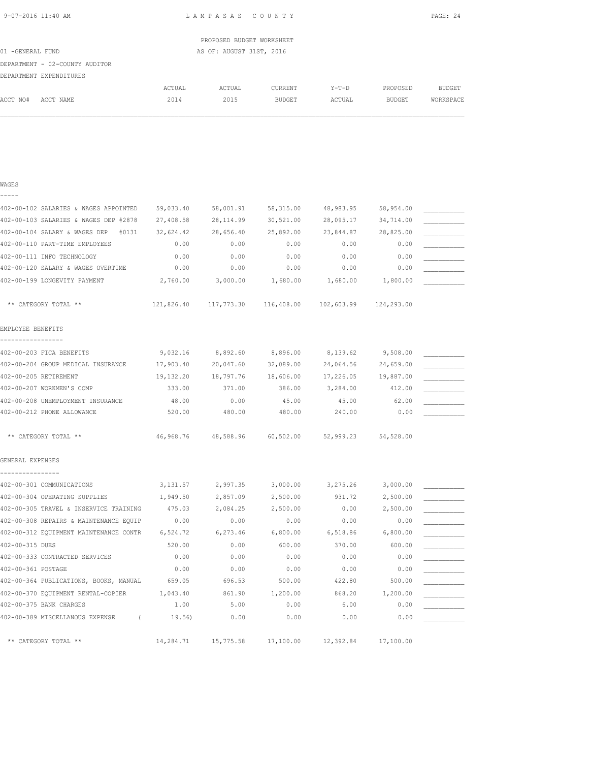| 9-07-2016 11:40 AM |  |
|--------------------|--|
|                    |  |

WAGES -----

L A M P A S A S C O U N T Y PAGE: 24

|                  |                                |        | PROPOSED BUDGET WORKSHEET |         |         |               |           |
|------------------|--------------------------------|--------|---------------------------|---------|---------|---------------|-----------|
| 01 -GENERAL FUND |                                |        | AS OF: AUGUST 31ST, 2016  |         |         |               |           |
|                  | DEPARTMENT - 02-COUNTY AUDITOR |        |                           |         |         |               |           |
|                  | DEPARTMENT EXPENDITURES        |        |                           |         |         |               |           |
|                  |                                | ACTUAL | ACTUAL                    | CURRENT | $Y-T-D$ | PROPOSED      | BUDGET    |
| ACCT NO#         | ACCT NAME                      | 2014   | 2015                      | BUDGET  | ACTUAL  | <b>BUDGET</b> | WORKSPACE |
|                  |                                |        |                           |         |         |               |           |
|                  |                                |        |                           |         |         |               |           |
|                  |                                |        |                           |         |         |               |           |

| 402-00-102 SALARIES & WAGES APPOINTED  | 59,033.40 | 58,001.91             | 58, 315.00 | 48,983.95             | 58,954.00  |  |
|----------------------------------------|-----------|-----------------------|------------|-----------------------|------------|--|
| 402-00-103 SALARIES & WAGES DEP #2878  | 27,408.58 | 28, 114.99            | 30,521.00  | 28,095.17             | 34,714.00  |  |
| 402-00-104 SALARY & WAGES DEP<br>#0131 | 32,624.42 | 28,656.40             | 25,892.00  | 23,844.87             | 28,825.00  |  |
| 402-00-110 PART-TIME EMPLOYEES         | 0.00      | 0.00                  | 0.00       | 0.00                  | 0.00       |  |
| 402-00-111 INFO TECHNOLOGY             | 0.00      | 0.00                  | 0.00       | 0.00                  | 0.00       |  |
| 402-00-120 SALARY & WAGES OVERTIME     | 0.00      | 0.00                  | 0.00       | 0.00                  | 0.00       |  |
| 402-00-199 LONGEVITY PAYMENT           | 2,760.00  | 3,000.00              | 1,680.00   | 1,680.00              | 1,800.00   |  |
| ** CATEGORY TOTAL **                   |           | 121,826.40 117,773.30 |            | 116,408.00 102,603.99 | 124,293.00 |  |
| EMPLOYEE BENEFITS                      |           |                       |            |                       |            |  |
| 402-00-203 FICA BENEFITS               | 9,032.16  | 8,892.60              | 8,896.00   | 8,139.62              | 9,508.00   |  |
| 402-00-204 GROUP MEDICAL INSURANCE     | 17,903.40 | 20,047.60             | 32,089.00  | 24,064.56             | 24,659.00  |  |
| 402-00-205 RETIREMENT                  | 19,132.20 | 18,797.76             | 18,606.00  | 17,226.05             | 19,887.00  |  |
| 402-00-207 WORKMEN'S COMP              | 333.00    | 371.00                | 386.00     | 3,284.00              | 412.00     |  |
| 402-00-208 UNEMPLOYMENT INSURANCE      | 48.00     | 0.00                  | 45.00      | 45.00                 | 62.00      |  |
| 402-00-212 PHONE ALLOWANCE             | 520.00    | 480.00                | 480.00     | 240.00                | 0.00       |  |
| ** CATEGORY TOTAL **                   | 46,968.76 | 48,588.96             |            | 60,502.00 52,999.23   | 54,528.00  |  |
| GENERAL EXPENSES                       |           |                       |            |                       |            |  |
| 402-00-301 COMMUNICATIONS              | 3,131.57  | 2,997.35              | 3,000.00   | 3,275.26              | 3,000.00   |  |
| 402-00-304 OPERATING SUPPLIES          | 1,949.50  | 2,857.09              | 2,500.00   | 931.72                | 2,500.00   |  |
| 402-00-305 TRAVEL & INSERVICE TRAINING | 475.03    | 2,084.25              | 2,500.00   | 0.00                  | 2,500.00   |  |
| 402-00-308 REPAIRS & MAINTENANCE EQUIP | 0.00      | 0.00                  | 0.00       | 0.00                  | 0.00       |  |
| 402-00-312 EQUIPMENT MAINTENANCE CONTR | 6,524.72  | 6,273.46              | 6,800.00   | 6,518.86              | 6,800.00   |  |
| 402-00-315 DUES                        | 520.00    | 0.00                  | 600.00     | 370.00                | 600.00     |  |
| 402-00-333 CONTRACTED SERVICES         | 0.00      | 0.00                  | 0.00       | 0.00                  | 0.00       |  |
| 402-00-361 POSTAGE                     | 0.00      | 0.00                  | 0.00       | 0.00                  | 0.00       |  |
| 402-00-364 PUBLICATIONS, BOOKS, MANUAL | 659.05    | 696.53                | 500.00     | 422.80                | 500.00     |  |
| 402-00-370 EQUIPMENT RENTAL-COPIER     | 1,043.40  | 861.90                | 1,200.00   | 868.20                | 1,200.00   |  |
| 402-00-375 BANK CHARGES                | 1.00      | 5.00                  | 0.00       | 6.00                  | 0.00       |  |
| 402-00-389 MISCELLANOUS EXPENSE (      | 19.56)    | 0.00                  | 0.00       | 0.00                  | 0.00       |  |
| ** CATEGORY TOTAL **                   | 14,284.71 | 15,775.58             | 17,100.00  | 12,392.84             | 17,100.00  |  |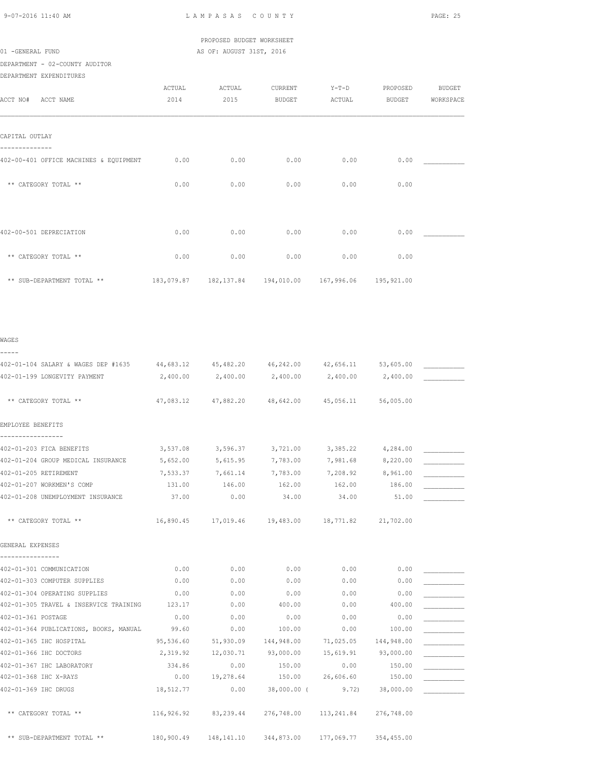## PROPOSED BUDGET WORKSHEET 01 -GENERAL FUND **AS OF: AUGUST 31ST, 2016**

# DEPARTMENT - 02-COUNTY AUDITOR

DEPARTMENT EXPENDITURES

|                                        | ACTUAL | ACTUAL | CURRENT       | $Y-T-D$                                                    | PROPOSED      | <b>BUDGET</b> |
|----------------------------------------|--------|--------|---------------|------------------------------------------------------------|---------------|---------------|
| ACCT NO#<br>ACCT NAME                  | 2014   | 2015   | <b>BUDGET</b> | ACTUAL                                                     | <b>BUDGET</b> | WORKSPACE     |
|                                        |        |        |               |                                                            |               |               |
|                                        |        |        |               |                                                            |               |               |
| CAPITAL OUTLAY                         |        |        |               |                                                            |               |               |
|                                        |        |        |               |                                                            |               |               |
| 402-00-401 OFFICE MACHINES & EQUIPMENT | 0.00   | 0.00   | 0.00          | 0.00                                                       | 0.00          |               |
|                                        |        |        |               |                                                            |               |               |
| ** CATEGORY TOTAL **                   | 0.00   | 0.00   | 0.00          | 0.00                                                       | 0.00          |               |
|                                        |        |        |               |                                                            |               |               |
|                                        |        |        |               |                                                            |               |               |
|                                        |        |        |               |                                                            |               |               |
| 402-00-501 DEPRECIATION                | 0.00   | 0.00   | 0.00          | 0.00                                                       | 0.00          |               |
| ** CATEGORY TOTAL **                   | 0.00   | 0.00   | 0.00          | 0.00                                                       | 0.00          |               |
|                                        |        |        |               |                                                            |               |               |
| ** SUB-DEPARTMENT TOTAL **             |        |        |               | 183,079.87  182,137.84  194,010.00  167,996.06  195,921.00 |               |               |
|                                        |        |        |               |                                                            |               |               |

### WAGES

| -----                                                   |                       |                      |                                                   |                   |                      |  |
|---------------------------------------------------------|-----------------------|----------------------|---------------------------------------------------|-------------------|----------------------|--|
| 402-01-104 SALARY & WAGES DEP #1635 44,683.12 45,482.20 |                       |                      | 46, 242.00 42, 656.11 53, 605.00                  |                   |                      |  |
| 402-01-199 LONGEVITY PAYMENT                            | 2,400.00              | 2,400.00 2,400.00    |                                                   | 2,400.00 2,400.00 |                      |  |
|                                                         |                       |                      |                                                   |                   |                      |  |
| ** CATEGORY TOTAL **                                    |                       |                      | 47,083.12 47,882.20 48,642.00 45,056.11 56,005.00 |                   |                      |  |
| EMPLOYEE BENEFITS                                       |                       |                      |                                                   |                   |                      |  |
| 402-01-203 FICA BENEFITS                                |                       | 3,537.08 3,596.37    | 3,721.00                                          | 3,385.22          | 4,284.00             |  |
| 402-01-204 GROUP MEDICAL INSURANCE                      | 5,652.00              | 5,615.95 7,783.00    |                                                   | 7,981.68 8,220.00 |                      |  |
| 402-01-205 RETIREMENT                                   | 7,533.37              | 7,661.14 7,783.00    |                                                   | 7,208.92 8,961.00 |                      |  |
| 402-01-207 WORKMEN'S COMP                               | 131.00                | 146.00               | 162.00                                            | 162.00            | 186.00               |  |
| 402-01-208 UNEMPLOYMENT INSURANCE                       | 37.00                 | 0.00                 | 34.00                                             | 34.00             | 51.00                |  |
| ** CATEGORY TOTAL **                                    |                       |                      | 16,890.45    17,019.46    19,483.00    18,771.82  |                   | 21,702.00            |  |
| GENERAL EXPENSES                                        |                       |                      |                                                   |                   |                      |  |
|                                                         |                       |                      |                                                   |                   |                      |  |
| 402-01-301 COMMUNICATION                                | 0.00                  | 0.00                 | 0.00                                              | 0.00              | 0.00                 |  |
| 402-01-303 COMPUTER SUPPLIES                            | 0.00                  | 0.00                 | 0.00                                              | 0.00              | 0.00                 |  |
| 402-01-304 OPERATING SUPPLIES                           | 0.00                  | 0.00                 | 0.00                                              | 0.00              | 0.00                 |  |
| 402-01-305 TRAVEL & INSERVICE TRAINING 123.17           |                       | 0.00                 | 400.00                                            | 0.00              | 400.00               |  |
| 402-01-361 POSTAGE                                      | 0.00                  | 0.00                 | 0.00                                              | 0.00              | 0.00                 |  |
| 402-01-364 PUBLICATIONS, BOOKS, MANUAL 99.60            |                       | 0.00                 | 100.00                                            | 0.00              | 100.00               |  |
| 402-01-365 IHC HOSPITAL                                 | 95,536.60             | 51,930.09 144,948.00 |                                                   |                   | 71,025.05 144,948.00 |  |
| 402-01-366 IHC DOCTORS                                  | 2,319.92              | 12,030.71            | 93,000.00                                         | 15,619.91         | 93,000.00            |  |
| 402-01-367 IHC LABORATORY                               | 334.86                | 0.00                 | 150.00                                            | 0.00              | 150.00               |  |
| 402-01-368 IHC X-RAYS                                   | 0.00                  |                      | 19,278.64 150.00                                  |                   | 26,606.60 150.00     |  |
| 402-01-369 IHC DRUGS                                    | 18,512.77             | 0.00                 | 38,000.00 (                                       |                   | $9.72$ ) 38,000.00   |  |
| ** CATEGORY TOTAL **                                    |                       | 116,926.92 83,239.44 | 276,748.00                                        | 113,241.84        | 276,748.00           |  |
| ** SUB-DEPARTMENT TOTAL **                              | 180,900.49 148,141.10 |                      | 344,873.00 177,069.77 354,455.00                  |                   |                      |  |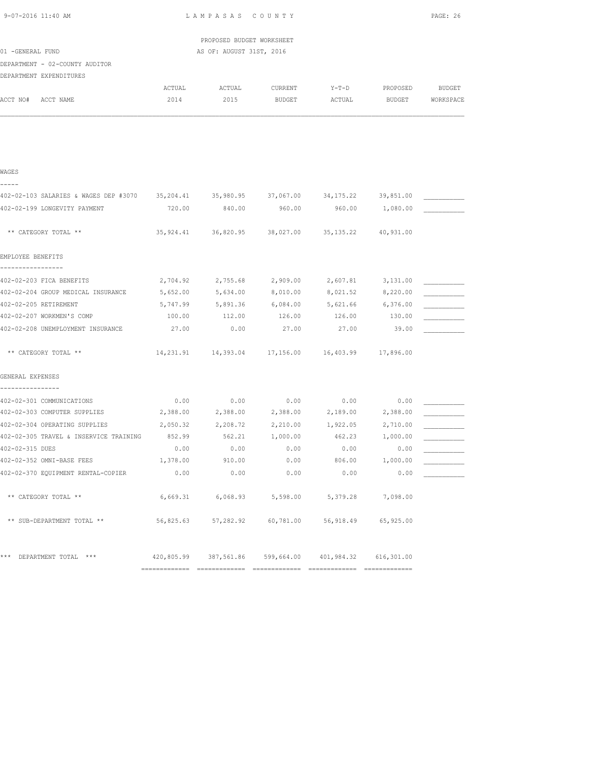|          |                                                                |                                                                                        |                                                                                                                                     |                                                                                                          | PAGE: 26                                                                                                                                                                                                                                                                                                                                                                            |
|----------|----------------------------------------------------------------|----------------------------------------------------------------------------------------|-------------------------------------------------------------------------------------------------------------------------------------|----------------------------------------------------------------------------------------------------------|-------------------------------------------------------------------------------------------------------------------------------------------------------------------------------------------------------------------------------------------------------------------------------------------------------------------------------------------------------------------------------------|
|          |                                                                |                                                                                        |                                                                                                                                     |                                                                                                          |                                                                                                                                                                                                                                                                                                                                                                                     |
|          |                                                                |                                                                                        |                                                                                                                                     |                                                                                                          |                                                                                                                                                                                                                                                                                                                                                                                     |
|          |                                                                |                                                                                        |                                                                                                                                     |                                                                                                          |                                                                                                                                                                                                                                                                                                                                                                                     |
|          |                                                                |                                                                                        |                                                                                                                                     |                                                                                                          |                                                                                                                                                                                                                                                                                                                                                                                     |
| ACTUAL   | ACTUAL                                                         | CURRENT                                                                                | $Y-T-D$                                                                                                                             | PROPOSED                                                                                                 | BUDGET                                                                                                                                                                                                                                                                                                                                                                              |
| 2014     | 2015                                                           | BUDGET                                                                                 | ACTUAL                                                                                                                              | BUDGET                                                                                                   | WORKSPACE                                                                                                                                                                                                                                                                                                                                                                           |
|          |                                                                |                                                                                        |                                                                                                                                     |                                                                                                          |                                                                                                                                                                                                                                                                                                                                                                                     |
|          |                                                                |                                                                                        |                                                                                                                                     |                                                                                                          |                                                                                                                                                                                                                                                                                                                                                                                     |
|          |                                                                |                                                                                        |                                                                                                                                     |                                                                                                          |                                                                                                                                                                                                                                                                                                                                                                                     |
|          |                                                                |                                                                                        |                                                                                                                                     |                                                                                                          |                                                                                                                                                                                                                                                                                                                                                                                     |
|          |                                                                |                                                                                        |                                                                                                                                     |                                                                                                          |                                                                                                                                                                                                                                                                                                                                                                                     |
|          |                                                                | 960.00                                                                                 |                                                                                                                                     | 1,080.00                                                                                                 |                                                                                                                                                                                                                                                                                                                                                                                     |
|          |                                                                |                                                                                        |                                                                                                                                     | 40,931.00                                                                                                |                                                                                                                                                                                                                                                                                                                                                                                     |
|          |                                                                |                                                                                        |                                                                                                                                     |                                                                                                          |                                                                                                                                                                                                                                                                                                                                                                                     |
|          |                                                                |                                                                                        |                                                                                                                                     |                                                                                                          |                                                                                                                                                                                                                                                                                                                                                                                     |
|          |                                                                |                                                                                        |                                                                                                                                     |                                                                                                          |                                                                                                                                                                                                                                                                                                                                                                                     |
|          |                                                                |                                                                                        |                                                                                                                                     |                                                                                                          |                                                                                                                                                                                                                                                                                                                                                                                     |
| 100.00   | 112.00                                                         | 126.00                                                                                 | 126.00                                                                                                                              | 130.00                                                                                                   |                                                                                                                                                                                                                                                                                                                                                                                     |
| 27.00    | 0.00                                                           | 27.00                                                                                  | 27.00                                                                                                                               | 39.00                                                                                                    |                                                                                                                                                                                                                                                                                                                                                                                     |
|          |                                                                |                                                                                        |                                                                                                                                     |                                                                                                          |                                                                                                                                                                                                                                                                                                                                                                                     |
|          |                                                                |                                                                                        |                                                                                                                                     |                                                                                                          |                                                                                                                                                                                                                                                                                                                                                                                     |
|          |                                                                |                                                                                        |                                                                                                                                     |                                                                                                          |                                                                                                                                                                                                                                                                                                                                                                                     |
|          | 0.00                                                           |                                                                                        |                                                                                                                                     | 0.00                                                                                                     |                                                                                                                                                                                                                                                                                                                                                                                     |
|          |                                                                |                                                                                        |                                                                                                                                     | 2,388.00                                                                                                 |                                                                                                                                                                                                                                                                                                                                                                                     |
|          |                                                                |                                                                                        |                                                                                                                                     | 2,710.00                                                                                                 |                                                                                                                                                                                                                                                                                                                                                                                     |
| 852.99   | 562.21                                                         | 1,000.00                                                                               | 462.23                                                                                                                              | 1,000.00                                                                                                 |                                                                                                                                                                                                                                                                                                                                                                                     |
| 0.00     | 0.00                                                           | 0.00                                                                                   | 0.00                                                                                                                                | 0.00                                                                                                     |                                                                                                                                                                                                                                                                                                                                                                                     |
| 1,378.00 | 910.00                                                         | 0.00                                                                                   | 806.00                                                                                                                              | 1,000.00                                                                                                 |                                                                                                                                                                                                                                                                                                                                                                                     |
| 0.00     | 0.00                                                           | 0.00                                                                                   | 0.00                                                                                                                                | 0.00                                                                                                     |                                                                                                                                                                                                                                                                                                                                                                                     |
|          |                                                                |                                                                                        |                                                                                                                                     |                                                                                                          |                                                                                                                                                                                                                                                                                                                                                                                     |
|          |                                                                |                                                                                        |                                                                                                                                     | 65,925.00                                                                                                |                                                                                                                                                                                                                                                                                                                                                                                     |
|          |                                                                |                                                                                        |                                                                                                                                     |                                                                                                          |                                                                                                                                                                                                                                                                                                                                                                                     |
|          | 5,652.00<br>5,747.99<br>402-02-305 TRAVEL & INSERVICE TRAINING | 2,704.92<br>5,634.00<br>5,891.36<br>0.00<br>2,388.00<br>2,050.32 2,208.72<br>56,825.63 | PROPOSED BUDGET WORKSHEET<br>AS OF: AUGUST 31ST, 2016<br>720.00 840.00<br>2,755.68<br>8,010.00<br>6,084.00<br>2,388.00<br>57,282.92 | 2,909.00<br>8,021.52<br>0.00<br>2,388.00<br>2,210.00 1,922.05<br>6,669.31 6,068.93 5,598.00<br>60,781.00 | 402-02-103 SALARIES & WAGES DEP #3070 35,204.41 35,980.95 37,067.00 34,175.22 39,851.00<br>960.00<br>35,924.41 36,820.95 38,027.00 35,135.22<br>2,607.81<br>3,131.00<br>8,220.00<br>5,621.66 6,376.00<br>14, 231.91  14, 393.04  17, 156.00  16, 403.99  17, 896.00<br>0.00<br>2,189.00<br>5,379.28 7,098.00<br>56,918.49<br>420,805.99 387,561.86 599,664.00 401,984.32 616,301.00 |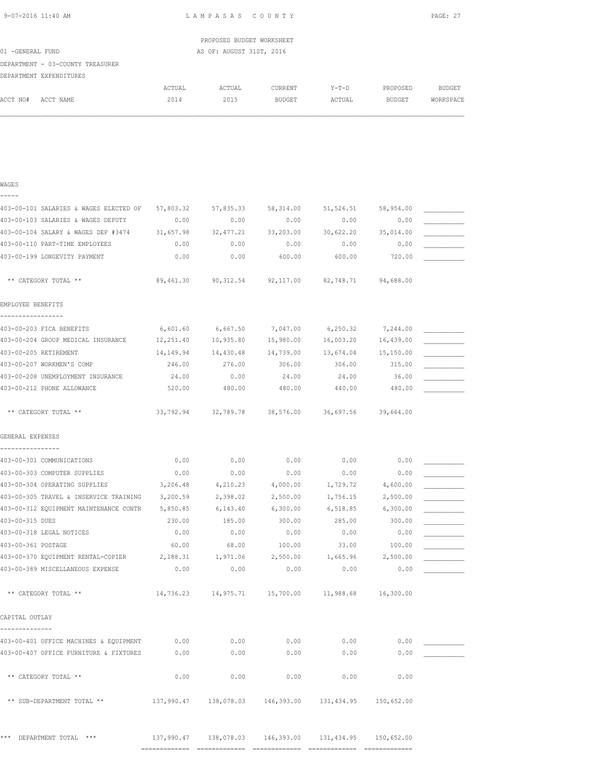| 9-07-2016 11:40 AM | LAMPASAS | C O U N T Y | $\sim$ $-$<br>PAGE: 2 |
|--------------------|----------|-------------|-----------------------|
|                    |          |             |                       |

|                  |                                  |        | PROPOSED BUDGET WORKSHEET |         |         |               |           |
|------------------|----------------------------------|--------|---------------------------|---------|---------|---------------|-----------|
| 01 -GENERAL FUND |                                  |        | AS OF: AUGUST 31ST, 2016  |         |         |               |           |
|                  | DEPARTMENT - 03-COUNTY TREASURER |        |                           |         |         |               |           |
|                  | DEPARTMENT EXPENDITURES          |        |                           |         |         |               |           |
|                  |                                  | ACTUAL | ACTUAL                    | CURRENT | $Y-T-D$ | PROPOSED      | BUDGET    |
| ACCT NO#         | ACCT NAME                        | 2014   | 2015                      | BUDGET  | ACTUAL  | <b>BUDGET</b> | WORKSPACE |
|                  |                                  |        |                           |         |         |               |           |
|                  |                                  |        |                           |         |         |               |           |

| WAGES                                       |                |                |                                                            |                   |                |  |
|---------------------------------------------|----------------|----------------|------------------------------------------------------------|-------------------|----------------|--|
|                                             |                |                |                                                            |                   |                |  |
| 403-00-101 SALARIES & WAGES ELECTED OF      | 57,803.32      | 57,835.33      | 58,314.00                                                  | 51,526.51         | 58,954.00      |  |
| 403-00-103 SALARIES & WAGES DEPUTY          | 0.00           | 0.00           | 0.00                                                       | 0.00              | 0.00           |  |
| 403-00-104 SALARY & WAGES DEP #3474         | 31,657.98      | 32, 477.21     | 33,203.00                                                  | 30,622.20         | 35,014.00      |  |
| 403-00-110 PART-TIME EMPLOYEES              | 0.00           | 0.00           | 0.00                                                       | 0.00              | 0.00           |  |
| 403-00-199 LONGEVITY PAYMENT                | 0.00           | 0.00           | 600.00                                                     | 600.00            | 720.00         |  |
| ** CATEGORY TOTAL **                        | 89,461.30      | 90,312.54      | 92,117.00                                                  | 82,748.71         | 94,688.00      |  |
| EMPLOYEE BENEFITS                           |                |                |                                                            |                   |                |  |
| -----------------                           |                |                |                                                            |                   |                |  |
| 403-00-203 FICA BENEFITS                    | 6,601.60       | 6,667.50       | 7,047.00                                                   | 6, 250.32         | 7,244.00       |  |
| 403-00-204 GROUP MEDICAL INSURANCE          | 12,251.40      | 10,935.80      | 15,980.00                                                  | 16,003.20         | 16,439.00      |  |
| 403-00-205 RETIREMENT                       | 14,149.94      | 14,430.48      | 14,739.00                                                  | 13,674.04         | 15,150.00      |  |
| 403-00-207 WORKMEN'S COMP                   | 246.00         | 276.00         | 306.00                                                     | 306.00            | 315.00         |  |
| 403-00-208 UNEMPLOYMENT INSURANCE           | 24.00          | 0.00           | 24.00                                                      | 24.00             | 36.00          |  |
| 403-00-212 PHONE ALLOWANCE                  | 520.00         | 480.00         | 480.00                                                     | 440.00            | 480.00         |  |
| ** CATEGORY TOTAL **                        |                |                | 33,792.94 32,789.78 38,576.00 36,697.56 39,664.00          |                   |                |  |
| GENERAL EXPENSES                            |                |                |                                                            |                   |                |  |
|                                             |                |                |                                                            |                   |                |  |
| 403-00-301 COMMUNICATIONS                   | 0.00           | 0.00           | 0.00                                                       | 0.00              | 0.00           |  |
| 403-00-303 COMPUTER SUPPLIES                | 0.00           | 0.00           | 0.00                                                       | 0.00              | 0.00           |  |
| 403-00-304 OPERATING SUPPLIES               | 3,206.48       | 4,210.23       | 4,000.00                                                   | 1,729.72          | 4,600.00       |  |
| 403-00-305 TRAVEL & INSERVICE TRAINING      | 3,200.59       | 2,398.02       | 2,500.00                                                   | 1,756.15          | 2,500.00       |  |
| 403-00-312 EQUIPMENT MAINTENANCE CONTR      | 5,850.85       | 6,143.40       | 6,300.00                                                   | 6,518.85          | 6,300.00       |  |
| 403-00-315 DUES<br>403-00-318 LEGAL NOTICES | 230.00<br>0.00 | 185.00<br>0.00 | 300.00<br>0.00                                             | 285.00<br>0.00    | 300.00<br>0.00 |  |
|                                             |                |                |                                                            |                   |                |  |
| 403-00-361 POSTAGE                          | 60.00          | 68.00          | 100.00<br>2,500.00                                         | 33.00<br>1,665.96 | 100.00         |  |
| 403-00-370 EQUIPMENT RENTAL-COPIER 2,188.31 |                | 1,971.06       |                                                            |                   | 2,500.00       |  |
| 403-00-389 MISCELLANEOUS EXPENSE            | 0.00           | 0.00           | 0.00                                                       | 0.00              | 0.00           |  |
| ** CATEGORY TOTAL **                        |                |                |                                                            |                   | 16,300.00      |  |
| CAPITAL OUTLAY                              |                |                |                                                            |                   |                |  |
|                                             |                |                |                                                            |                   |                |  |
| 403-00-401 OFFICE MACHINES & EQUIPMENT      | 0.00           | 0.00           | 0.00                                                       | 0.00              | 0.00           |  |
| 403-00-407 OFFICE FURNITURE & FIXTURES      | 0.00           | 0.00           | 0.00                                                       | 0.00              | 0.00           |  |
| ** CATEGORY TOTAL **                        | 0.00           | 0.00           | 0.00                                                       | 0.00              | 0.00           |  |
| ** SUB-DEPARTMENT TOTAL **                  |                |                | 137,990.47  138,078.03  146,393.00  131,434.95  150,652.00 |                   |                |  |
|                                             |                |                |                                                            |                   |                |  |

\*\*\* DEPARTMENT TOTAL \*\*\* 137,990.47 138,078.03 146,393.00 131,434.95 150,652.00 ============= ============= ============= ============= =============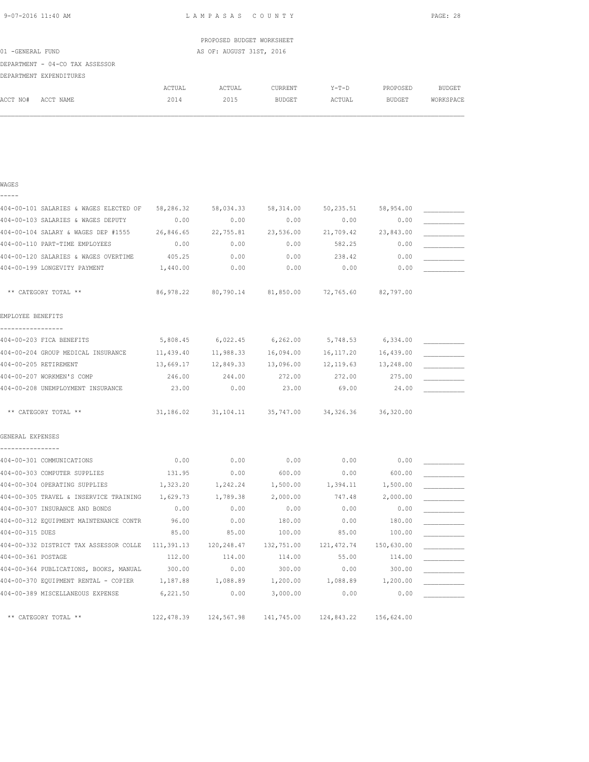| 9-07-2016 11:40 AM |  |
|--------------------|--|
|                    |  |

WAGES

L A M P A S A S C O U N T Y PAGE: 28

|                  |                                 |        | PROPOSED BUDGET WORKSHEET |         |        |          |           |
|------------------|---------------------------------|--------|---------------------------|---------|--------|----------|-----------|
| 01 -GENERAL FUND |                                 |        | AS OF: AUGUST 31ST, 2016  |         |        |          |           |
|                  | DEPARTMENT - 04-CO TAX ASSESSOR |        |                           |         |        |          |           |
|                  | DEPARTMENT EXPENDITURES         |        |                           |         |        |          |           |
|                  |                                 | ACTUAL | ACTUAL                    | CURRENT | Y-T-D  | PROPOSED | BUDGET    |
| ACCT NO#         | ACCT NAME                       | 2014   | 2015                      | BUDGET  | ACTUAL | BUDGET   | WORKSPACE |
|                  |                                 |        |                           |         |        |          |           |

| -----                                        |            |                                                   |                     |                       |                         |  |
|----------------------------------------------|------------|---------------------------------------------------|---------------------|-----------------------|-------------------------|--|
| 404-00-101 SALARIES & WAGES ELECTED OF       | 58,286.32  | 58,034.33                                         | 58, 314.00          | 50,235.51             | 58,954.00               |  |
| 404-00-103 SALARIES & WAGES DEPUTY           | 0.00       | 0.00                                              | 0.00                | 0.00                  | 0.00                    |  |
| 404-00-104 SALARY & WAGES DEP #1555          | 26,846.65  | 22,755.81                                         | 23,536.00           | 21,709.42             | 23,843.00               |  |
| 404-00-110 PART-TIME EMPLOYEES               | 0.00       | 0.00                                              | 0.00                | 582.25                | 0.00                    |  |
| 404-00-120 SALARIES & WAGES OVERTIME         | 405.25     | 0.00                                              | 0.00                | 238.42                | 0.00                    |  |
| 404-00-199 LONGEVITY PAYMENT                 | 1,440.00   | 0.00                                              | 0.00                | 0.00                  | 0.00                    |  |
|                                              |            |                                                   |                     |                       |                         |  |
| ** CATEGORY TOTAL **                         |            | 86,978.22 80,790.14 81,850.00 72,765.60 82,797.00 |                     |                       |                         |  |
| EMPLOYEE BENEFITS                            |            |                                                   |                     |                       |                         |  |
| ----------------                             |            |                                                   |                     |                       |                         |  |
| 404-00-203 FICA BENEFITS                     | 5,808.45   | $6,022.45$ $6,262.00$ $5,748.53$ $6,334.00$       |                     |                       |                         |  |
| 404-00-204 GROUP MEDICAL INSURANCE 11,439.40 |            |                                                   | 11,988.33 16,094.00 |                       | 16, 117. 20 16, 439. 00 |  |
| 404-00-205 RETIREMENT                        | 13,669.17  | 12,849.33 13,096.00                               |                     | 12, 119.63 13, 248.00 |                         |  |
| 404-00-207 WORKMEN'S COMP                    | 246.00     | 244.00                                            | 272.00              | 272.00                | 275.00                  |  |
| 404-00-208 UNEMPLOYMENT INSURANCE            | 23.00      | 0.00                                              | 23.00               | 69.00                 | 24.00                   |  |
| ** CATEGORY TOTAL **                         |            | 31,186.02 31,104.11 35,747.00 34,326.36 36,320.00 |                     |                       |                         |  |
| GENERAL EXPENSES                             |            |                                                   |                     |                       |                         |  |
|                                              |            |                                                   |                     |                       |                         |  |
| 404-00-301 COMMUNICATIONS                    | 0.00       | 0.00                                              | 0.00                | 0.00                  | 0.00                    |  |
| 404-00-303 COMPUTER SUPPLIES                 | 131.95     | 0.00                                              | 600.00              | 0.00                  | 600.00                  |  |
| 404-00-304 OPERATING SUPPLIES                | 1,323.20   | 1,242.24                                          | 1,500.00            | 1,394.11              | 1,500.00                |  |
| 404-00-305 TRAVEL & INSERVICE TRAINING       | 1,629.73   | 1,789.38                                          | 2,000.00            | 747.48                | 2,000.00                |  |
| 404-00-307 INSURANCE AND BONDS               | 0.00       | 0.00                                              | 0.00                | 0.00                  | 0.00                    |  |
| 404-00-312 EQUIPMENT MAINTENANCE CONTR       | 96.00      | 0.00                                              | 180.00              | 0.00                  | 180.00                  |  |
| 404-00-315 DUES                              | 85.00      | 85.00                                             | 100.00              | 85.00                 | 100.00                  |  |
| 404-00-332 DISTRICT TAX ASSESSOR COLLE       | 111,391.13 | 120,248.47                                        | 132,751.00          | 121, 472.74           | 150,630.00              |  |
| 404-00-361 POSTAGE                           | 112.00     | 114.00                                            | 114.00              | 55.00                 | 114.00                  |  |
| 404-00-364 PUBLICATIONS, BOOKS, MANUAL       | 300.00     | 0.00                                              | 300.00              | 0.00                  | 300.00                  |  |
| 404-00-370 EQUIPMENT RENTAL - COPIER         | 1,187.88   | 1,088.89                                          | 1,200.00            | 1,088.89              | 1,200.00                |  |
| 404-00-389 MISCELLANEOUS EXPENSE             | 6,221.50   | 0.00                                              | 3,000.00            | 0.00                  | 0.00                    |  |
| ** CATEGORY TOTAL **                         | 122,478.39 | 124,567.98                                        |                     | 141,745.00 124,843.22 | 156,624.00              |  |
|                                              |            |                                                   |                     |                       |                         |  |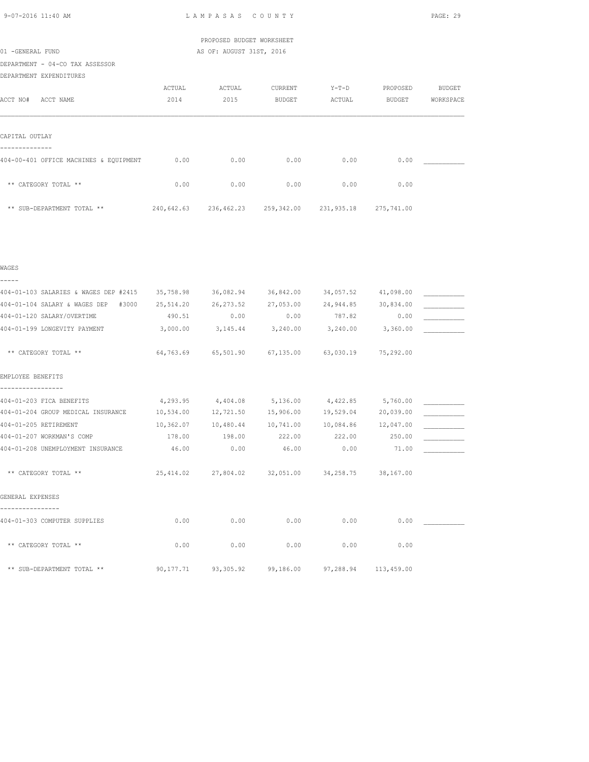|  | 9-07-2016 11:40 AM |  |
|--|--------------------|--|
|  |                    |  |

L A M P A S A S C O U N T Y PAGE: 29

 PROPOSED BUDGET WORKSHEET 01 -GENERAL FUND AS OF: AUGUST 31ST, 2016

| DEPARTMENT - 04-CO TAX ASSESSOR        |            |            |         |                       |            |           |
|----------------------------------------|------------|------------|---------|-----------------------|------------|-----------|
| DEPARTMENT EXPENDITURES                |            |            |         |                       |            |           |
|                                        | ACTUAL     | ACTUAL     | CURRENT | $Y-T-D$               | PROPOSED   | BUDGET    |
| ACCT NO#<br>ACCT NAME                  | 2014       | 2015       | BUDGET  | ACTUAL                | BUDGET     | WORKSPACE |
|                                        |            |            |         |                       |            |           |
| CAPITAL OUTLAY                         |            |            |         |                       |            |           |
| 404-00-401 OFFICE MACHINES & EQUIPMENT | 0.00       | 0.00       | 0.00    | 0.00                  | 0.00       |           |
| ** CATEGORY TOTAL **                   | 0.00       | 0.00       | 0.00    | 0.00                  | 0.00       |           |
| ** SUB-DEPARTMENT TOTAL **             | 240,642.63 | 236,462.23 |         | 259,342.00 231,935.18 | 275,741.00 |           |

|  | ۰, | ۰, |
|--|----|----|

| 404-01-103 SALARIES & WAGES DEP #2415 |           | 35,758.98 36,082.94 36,842.00                               |                     |               | 34,057.52 41,098.00  |  |
|---------------------------------------|-----------|-------------------------------------------------------------|---------------------|---------------|----------------------|--|
| 404-01-104 SALARY & WAGES DEP #3000   | 25,514.20 | 26,273.52 27,053.00                                         |                     |               | 24,944.85 30,834.00  |  |
| 404-01-120 SALARY/OVERTIME            | 490.51    | 0.00                                                        | 0.00                | 787.82        | 0.00                 |  |
| 404-01-199 LONGEVITY PAYMENT          | 3,000.00  | $3,145.44$ $3,240.00$ $3,240.00$ $3,360.00$                 |                     |               |                      |  |
| ** CATEGORY TOTAL **                  |           | 64,763.69   65,501.90   67,135.00   63,030.19   75,292.00   |                     |               |                      |  |
| EMPLOYEE BENEFITS                     |           |                                                             |                     |               |                      |  |
| 404-01-203 FICA BENEFITS              |           | $4,293.95$ $4,404.08$ $5,136.00$ $4,422.85$ $5,760.00$      |                     |               |                      |  |
| 404-01-204 GROUP MEDICAL INSURANCE    | 10,534.00 |                                                             | 12,721.50 15,906.00 |               | 19,529.04 20,039.00  |  |
| 404-01-205 RETIREMENT                 |           | $10,362.07$ $10,480.44$ $10,741.00$ $10,084.86$ $12,047.00$ |                     |               |                      |  |
| 404-01-207 WORKMAN'S COMP             | 178.00    | 198.00                                                      | 222.00              | 222.00 250.00 |                      |  |
| 404-01-208 UNEMPLOYMENT INSURANCE     | 46.00     | 0.00                                                        | 46.00               | 0.00          | 71.00                |  |
| ** CATEGORY TOTAL **                  |           | 25,414.02 27,804.02 32,051.00 34,258.75 38,167.00           |                     |               |                      |  |
| GENERAL EXPENSES                      |           |                                                             |                     |               |                      |  |
| 404-01-303 COMPUTER SUPPLIES          | 0.00      | 0.00                                                        | 0.00                | 0.00          | 0.00                 |  |
| ** CATEGORY TOTAL **                  | 0.00      | 0.00                                                        | 0.00                | 0.00          | 0.00                 |  |
| ** SUB-DEPARTMENT TOTAL **            |           | 90,177.71 93,305.92 99,186.00                               |                     |               | 97,288.94 113,459.00 |  |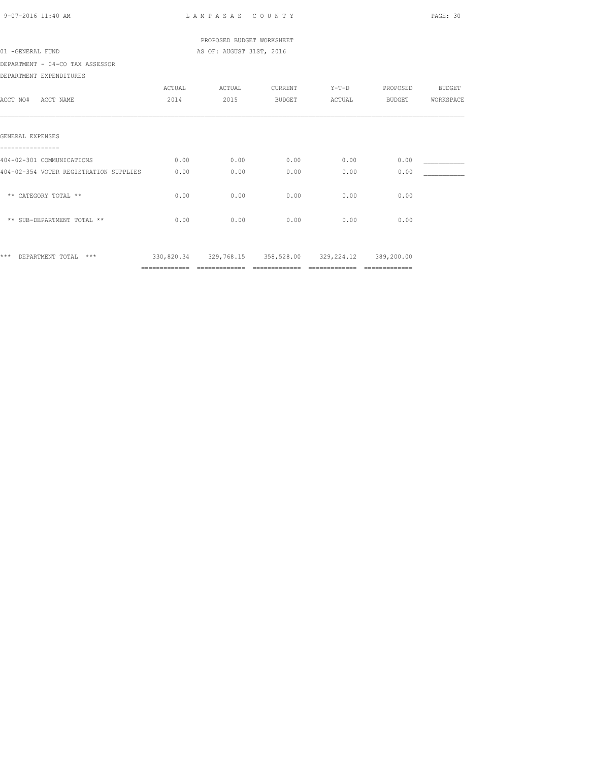| 9-07-2016 11:40 AM                     |        | LAMPASAS COUNTY             |               |                                                        |          | PAGE: 30      |
|----------------------------------------|--------|-----------------------------|---------------|--------------------------------------------------------|----------|---------------|
|                                        |        | PROPOSED BUDGET WORKSHEET   |               |                                                        |          |               |
| 01 -GENERAL FUND                       |        | AS OF: AUGUST 31ST, 2016    |               |                                                        |          |               |
| DEPARTMENT - 04-CO TAX ASSESSOR        |        |                             |               |                                                        |          |               |
| DEPARTMENT EXPENDITURES                |        |                             |               |                                                        |          |               |
|                                        | ACTUAL | ACTUAL                      | CURRENT       | $Y-T-D$                                                | PROPOSED | <b>BUDGET</b> |
| ACCT NO# ACCT NAME                     | 2014   | 2015                        | <b>BUDGET</b> | ACTUAL                                                 | BUDGET   | WORKSPACE     |
|                                        |        |                             |               |                                                        |          |               |
| GENERAL EXPENSES                       |        |                             |               |                                                        |          |               |
|                                        |        |                             |               |                                                        |          |               |
| 404-02-301 COMMUNICATIONS              | 0.00   | 0.00                        | 0.00          | 0.00                                                   | 0.00     |               |
| 404-02-354 VOTER REGISTRATION SUPPLIES | 0.00   | 0.00                        | 0.00          | 0.00                                                   | 0.00     |               |
|                                        |        |                             |               |                                                        |          |               |
| ** CATEGORY TOTAL **                   | 0.00   | 0.00                        | 0.00          | 0.00                                                   | 0.00     |               |
|                                        |        |                             |               |                                                        |          |               |
| ** SUB-DEPARTMENT TOTAL **             | 0.00   | 0.00                        | 0.00          | 0.00                                                   | 0.00     |               |
|                                        |        |                             |               |                                                        |          |               |
|                                        |        |                             |               |                                                        |          |               |
| *** DEPARTMENT TOTAL ***               |        |                             |               | 330,820.34 329,768.15 358,528.00 329,224.12 389,200.00 |          |               |
|                                        |        | ============= ============= |               |                                                        |          |               |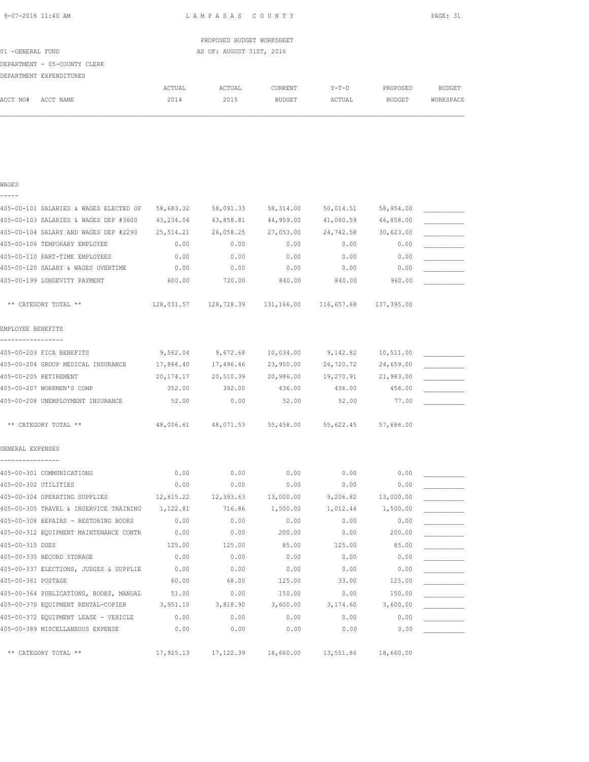| 9-07-2016 11:40 AM |  |
|--------------------|--|
|                    |  |

WAGES

L A M P A S A S C O U N T Y PAGE: 31

|                  |                              |        |                          | PROPOSED BUDGET WORKSHEET |         |          |           |
|------------------|------------------------------|--------|--------------------------|---------------------------|---------|----------|-----------|
| 01 -GENERAL FUND |                              |        | AS OF: AUGUST 31ST, 2016 |                           |         |          |           |
|                  | DEPARTMENT - 05-COUNTY CLERK |        |                          |                           |         |          |           |
|                  | DEPARTMENT EXPENDITURES      |        |                          |                           |         |          |           |
|                  |                              | ACTUAL | ACTUAL                   | CURRENT                   | $Y-T-D$ | PROPOSED | BUDGET    |
| ACCT NO#         | ACCT NAME                    | 2014   | 2015                     | <b>BUDGET</b>             | ACTUAL  | BUDGET   | WORKSPACE |
|                  |                              |        |                          |                           |         |          |           |

| -----                                  |             |                                                |           |           |            |  |
|----------------------------------------|-------------|------------------------------------------------|-----------|-----------|------------|--|
| 405-00-101 SALARIES & WAGES ELECTED OF | 58,683.32   | 58,091.33                                      | 58,314.00 | 50,014.51 | 58,954.00  |  |
| 405-00-103 SALARIES & WAGES DEP #3600  | 43,234.04   | 43,858.81                                      | 44,959.00 | 41,060.59 | 46,858.00  |  |
| 405-00-104 SALARY AND WAGES DEP #2290  | 25, 514.21  | 26,058.25                                      | 27,053.00 | 24,742.58 | 30,623.00  |  |
| 405-00-106 TEMPORARY EMPLOYEE          | 0.00        | 0.00                                           | 0.00      | 0.00      | 0.00       |  |
| 405-00-110 PART-TIME EMPLOYEES         | 0.00        | 0.00                                           | 0.00      | 0.00      | 0.00       |  |
| 405-00-120 SALARY & WAGES OVERTIME     | 0.00        | 0.00                                           | 0.00      | 0.00      | 0.00       |  |
| 405-00-199 LONGEVITY PAYMENT           | 600.00      | 720.00                                         | 840.00    | 840.00    | 960.00     |  |
| ** CATEGORY TOTAL **                   |             | 128,031.57  128,728.39  131,166.00  116,657.68 |           |           | 137,395.00 |  |
| EMPLOYEE BENEFITS                      |             |                                                |           |           |            |  |
| 405-00-203 FICA BENEFITS               | 9,562.04    | 9,672.68                                       | 10,034.00 | 9,142.82  | 10,511.00  |  |
| 405-00-204 GROUP MEDICAL INSURANCE     | 17,866.40   | 17,496.46                                      | 23,950.00 | 26,720.72 | 24,659.00  |  |
| 405-00-205 RETIREMENT                  | 20, 174. 17 | 20,510.39                                      | 20,986.00 | 19,270.91 | 21,983.00  |  |
| 405-00-207 WORKMEN'S COMP              | 352.00      | 392.00                                         | 436.00    | 436.00    | 456.00     |  |
| 405-00-208 UNEMPLOYMENT INSURANCE      | 52.00       | 0.00                                           | 52.00     | 52.00     | 77.00      |  |
| ** CATEGORY TOTAL **                   | 48,006.61   | 48,071.53                                      | 55,458.00 | 55,622.45 | 57,686.00  |  |
| GENERAL EXPENSES<br>--------------     |             |                                                |           |           |            |  |
| 405-00-301 COMMUNICATIONS              | 0.00        | 0.00                                           | 0.00      | 0.00      | 0.00       |  |
| 405-00-302 UTILITIES                   | 0.00        | 0.00                                           | 0.00      | 0.00      | 0.00       |  |
| 405-00-304 OPERATING SUPPLIES          | 12,615.22   | 12,393.63                                      | 13,000.00 | 9,206.82  | 13,000.00  |  |
| 405-00-305 TRAVEL & INSERVICE TRAINING | 1,122.81    | 716.86                                         | 1,500.00  | 1,012.44  | 1,500.00   |  |
| 405-00-308 REPAIRS - RESTORING BOOKS   | 0.00        | 0.00                                           | 0.00      | 0.00      | 0.00       |  |
| 405-00-312 EQUIPMENT MAINTENANCE CONTR | 0.00        | 0.00                                           | 200.00    | 0.00      | 200.00     |  |
| 405-00-315 DUES                        | 125.00      | 125.00                                         | 85.00     | 125.00    | 85.00      |  |
| 405-00-335 RECORD STORAGE              | 0.00        | 0.00                                           | 0.00      | 0.00      | 0.00       |  |
| 405-00-337 ELECTIONS, JUDGES & SUPPLIE | 0.00        | 0.00                                           | 0.00      | 0.00      | 0.00       |  |
| 405-00-361 POSTAGE                     | 60.00       | 68.00                                          | 125.00    | 33.00     | 125.00     |  |
| 405-00-364 PUBLICATIONS, BOOKS, MANUAL | 51.00       | 0.00                                           | 150.00    | 0.00      | 150.00     |  |
| 405-00-370 EQUIPMENT RENTAL-COPIER     | 3,951.10    | 3,818.90                                       | 3,600.00  | 3,174.60  | 3,600.00   |  |
| 405-00-372 EQUIPMENT LEASE - VEHICLE   | 0.00        | 0.00                                           | 0.00      | 0.00      | 0.00       |  |
| 405-00-389 MISCELLANEOUS EXPENSE       | 0.00        | 0.00                                           | 0.00      | 0.00      | 0.00       |  |
| ** CATEGORY TOTAL **                   | 17,925.13   | 17, 122.39                                     | 18,660.00 | 13,551.86 | 18,660.00  |  |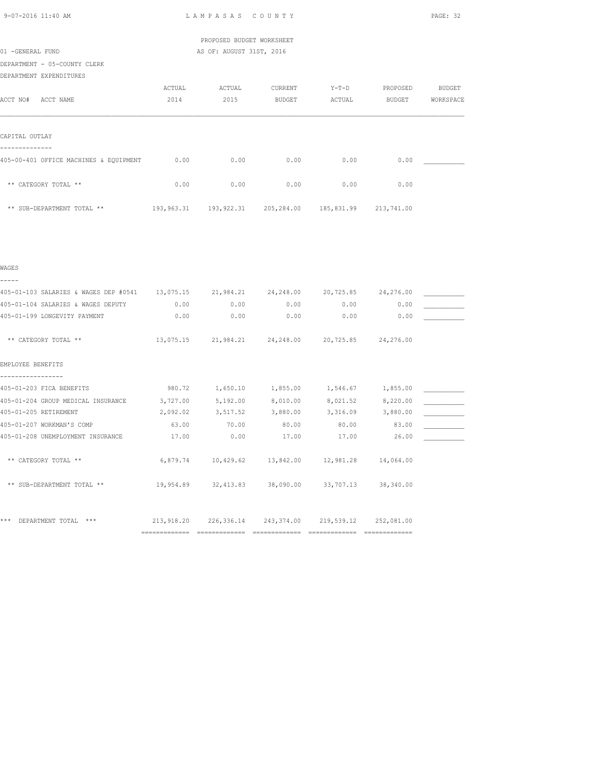| 9-07-2016 11:40 AM |  |  |
|--------------------|--|--|

L A M P A S A S C O U N T Y PAGE: 32

# PROPOSED BUDGET WORKSHEET 01 -GENERAL FUND **AS OF: AUGUST 31ST, 2016**

DEPARTMENT - 05-COUNTY CLERK

DEPARTMENT EXPENDITURES

|                                        | ACTUAL     | ACTUAL     | CURRENT       | $Y-T-D$    | PROPOSED      | <b>BUDGET</b> |
|----------------------------------------|------------|------------|---------------|------------|---------------|---------------|
| ACCT NO#<br>ACCT NAME                  | 2014       | 2015       | <b>BUDGET</b> | ACTUAL     | <b>BUDGET</b> | WORKSPACE     |
|                                        |            |            |               |            |               |               |
|                                        |            |            |               |            |               |               |
| CAPITAL OUTLAY                         |            |            |               |            |               |               |
|                                        |            |            |               |            |               |               |
| 405-00-401 OFFICE MACHINES & EQUIPMENT | 0.00       | 0.00       | 0.00          | 0.00       | 0.00          |               |
|                                        |            |            |               |            |               |               |
| ** CATEGORY TOTAL **                   | 0.00       | 0.00       | 0.00          | 0.00       | 0.00          |               |
|                                        |            |            |               |            |               |               |
| ** SUB-DEPARTMENT TOTAL **             | 193,963.31 | 193,922.31 | 205,284.00    | 185,831.99 | 213,741.00    |               |

|  | ۰, | I |  |
|--|----|---|--|
|  |    |   |  |

| 405-01-103 SALARIES & WAGES DEP #0541 13,075.15 |            |           | 21,984.21 24,248.00   | 20,725.85  | 24,276.00  |  |
|-------------------------------------------------|------------|-----------|-----------------------|------------|------------|--|
| 405-01-104 SALARIES & WAGES DEPUTY              | 0.00       | 0.00      | 0.00                  | 0.00       | 0.00       |  |
| 405-01-199 LONGEVITY PAYMENT                    | 0.00       | 0.00      | 0.00                  | 0.00       | 0.00       |  |
| ** CATEGORY TOTAL **                            | 13,075.15  |           | 21,984.21 24,248.00   | 20,725.85  | 24,276.00  |  |
| EMPLOYEE BENEFITS                               |            |           |                       |            |            |  |
| 405-01-203 FICA BENEFITS                        | 980.72     | 1,650.10  | 1,855.00              | 1,546.67   | 1,855.00   |  |
| 405-01-204 GROUP MEDICAL INSURANCE              | 3,727.00   | 5,192.00  | 8,010.00              | 8,021.52   | 8,220.00   |  |
| 405-01-205 RETIREMENT                           | 2,092.02   | 3,517.52  | 3,880.00              | 3,316.09   | 3,880.00   |  |
| 405-01-207 WORKMAN'S COMP                       | 63.00      | 70.00     | 80.00                 | 80.00      | 83.00      |  |
| 405-01-208 UNEMPLOYMENT INSURANCE               | 17.00      | 0.00      | 17.00                 | 17.00      | 26.00      |  |
| ** CATEGORY TOTAL **                            | 6,879.74   |           | 10,429.62 13,842.00   | 12,981.28  | 14,064.00  |  |
| ** SUB-DEPARTMENT TOTAL **                      | 19,954.89  | 32,413.83 | 38,090.00             | 33,707.13  | 38,340.00  |  |
|                                                 |            |           |                       |            |            |  |
| DEPARTMENT TOTAL<br>***<br>$***$                | 213,918.20 |           | 226,336.14 243,374.00 | 219,539.12 | 252,081.00 |  |
|                                                 |            |           |                       |            |            |  |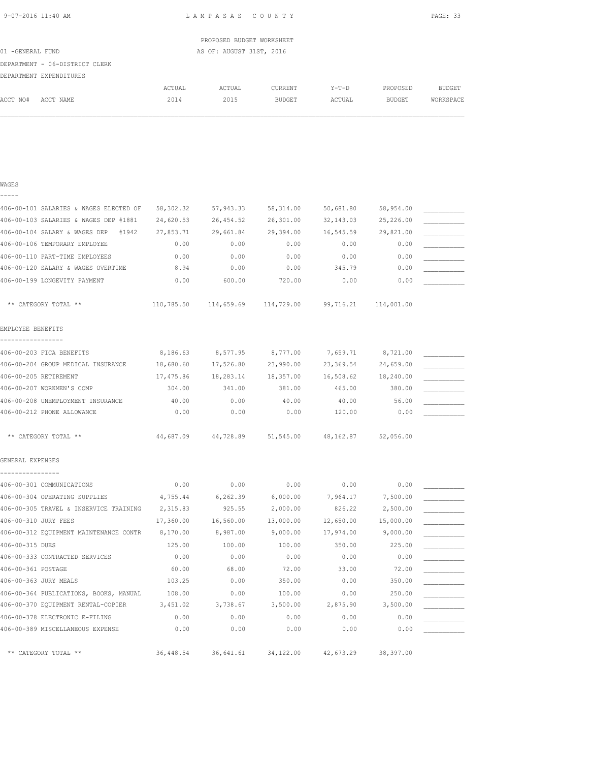| 9-07-2016 11:40 AM |  |
|--------------------|--|

WAGES

L A M P A S A S C O U N T Y PAGE: 33

|                                |        | PROPOSED BUDGET WORKSHEET |               |         |               |           |
|--------------------------------|--------|---------------------------|---------------|---------|---------------|-----------|
| 01 -GENERAL FUND               |        | AS OF: AUGUST 31ST, 2016  |               |         |               |           |
| DEPARTMENT - 06-DISTRICT CLERK |        |                           |               |         |               |           |
| DEPARTMENT EXPENDITURES        |        |                           |               |         |               |           |
|                                | ACTUAL | ACTUAL                    | CURRENT       | $Y-T-D$ | PROPOSED      | BUDGET    |
| ACCT NO#<br>ACCT NAME          | 2014   | 2015                      | <b>BUDGET</b> | ACTUAL  | <b>BUDGET</b> | WORKSPACE |
|                                |        |                           |               |         |               |           |
|                                |        |                           |               |         |               |           |

| 58,302.32                                          | 57,943.33  | 58,314.00  | 50,681.80  | 58,954.00  |           |
|----------------------------------------------------|------------|------------|------------|------------|-----------|
| 24,620.53                                          | 26, 454.52 | 26,301.00  | 32, 143.03 | 25,226.00  |           |
| 27,853.71                                          | 29,661.84  | 29,394.00  | 16,545.59  | 29,821.00  |           |
| 0.00                                               | 0.00       | 0.00       | 0.00       | 0.00       |           |
| 0.00                                               | 0.00       | 0.00       | 0.00       | 0.00       |           |
| 8.94                                               | 0.00       | 0.00       | 345.79     | 0.00       |           |
| 0.00                                               | 600.00     | 720.00     | 0.00       | 0.00       |           |
| 110,785.50                                         | 114,659.69 | 114,729.00 | 99,716.21  | 114,001.00 |           |
|                                                    |            |            |            |            |           |
| 8,186.63                                           | 8,577.95   | 8,777.00   | 7,659.71   | 8,721.00   |           |
| 18,680.60                                          | 17,526.80  | 23,990.00  | 23,369.54  | 24,659.00  |           |
| 17,475.86                                          | 18,283.14  | 18,357.00  | 16,508.62  | 18,240.00  |           |
| 304.00                                             | 341.00     | 381.00     | 465.00     | 380.00     |           |
| 40.00                                              | 0.00       | 40.00      | 40.00      | 56.00      |           |
| 0.00                                               | 0.00       | 0.00       | 120.00     | 0.00       |           |
| 44,687.09                                          | 44,728.89  | 51,545.00  |            | 52,056.00  |           |
|                                                    |            |            |            |            |           |
| 0.00                                               | 0.00       | 0.00       | 0.00       | 0.00       |           |
| 4,755.44                                           | 6,262.39   | 6,000.00   | 7,964.17   | 7,500.00   |           |
| 406-00-305 TRAVEL & INSERVICE TRAINING<br>2,315.83 | 925.55     | 2,000.00   | 826.22     | 2,500.00   |           |
| 17,360.00                                          | 16,560.00  | 13,000.00  | 12,650.00  | 15,000.00  |           |
| 406-00-312 EQUIPMENT MAINTENANCE CONTR<br>8,170.00 | 8,987.00   | 9,000.00   | 17,974.00  | 9,000.00   |           |
| 125.00                                             | 100.00     | 100.00     | 350.00     | 225.00     |           |
| 0.00                                               | 0.00       | 0.00       | 0.00       | 0.00       |           |
| 60.00                                              | 68.00      | 72.00      | 33.00      | 72.00      |           |
| 103.25                                             | 0.00       | 350.00     | 0.00       | 350.00     |           |
| 406-00-364 PUBLICATIONS, BOOKS, MANUAL<br>108.00   | 0.00       | 100.00     | 0.00       | 250.00     |           |
| 3,451.02                                           | 3,738.67   | 3,500.00   | 2,875.90   | 3,500.00   |           |
| 0.00                                               | 0.00       | 0.00       | 0.00       | 0.00       |           |
| 0.00                                               | 0.00       | 0.00       | 0.00       | 0.00       |           |
| 36, 448.54                                         | 36,641.61  | 34,122.00  | 42,673.29  | 38,397.00  |           |
|                                                    |            |            |            |            | 48,162.87 |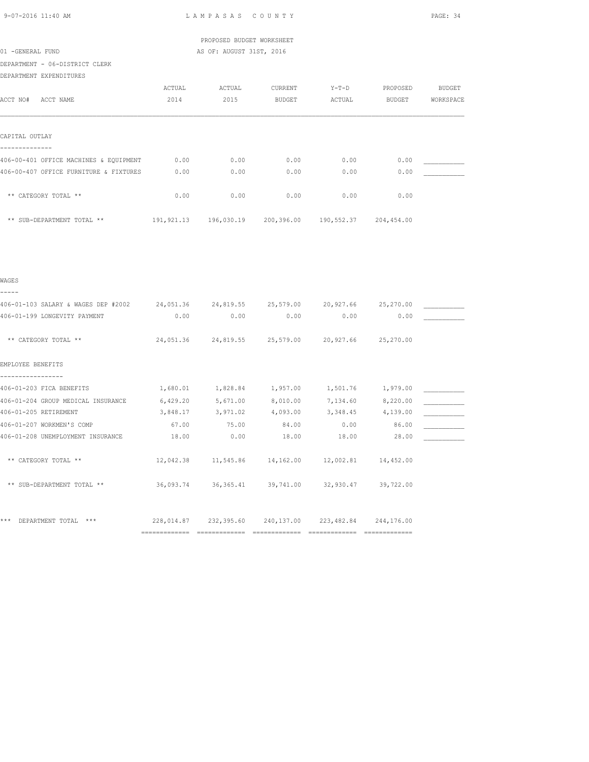|                                              |        | PROPOSED BUDGET WORKSHEET |                                                                 |         |          |               |
|----------------------------------------------|--------|---------------------------|-----------------------------------------------------------------|---------|----------|---------------|
| 01 -GENERAL FUND                             |        | AS OF: AUGUST 31ST, 2016  |                                                                 |         |          |               |
| DEPARTMENT - 06-DISTRICT CLERK               |        |                           |                                                                 |         |          |               |
| DEPARTMENT EXPENDITURES                      |        |                           |                                                                 |         |          |               |
|                                              | ACTUAL | ACTUAL                    | CURRENT                                                         | $Y-T-D$ | PROPOSED | <b>BUDGET</b> |
| ACCT NO# ACCT NAME                           | 2014   | 2015                      | <b>BUDGET</b>                                                   | ACTUAL  | BUDGET   | WORKSPACE     |
| CAPITAL OUTLAY                               |        |                           |                                                                 |         |          |               |
|                                              |        |                           |                                                                 |         |          |               |
| 406-00-401 OFFICE MACHINES & EQUIPMENT       | 0.00   | 0.00                      | 0.00                                                            | 0.00    | 0.00     |               |
| 406-00-407 OFFICE FURNITURE & FIXTURES       | 0.00   | 0.00                      | 0.00                                                            | 0.00    | 0.00     |               |
| ** CATEGORY TOTAL **                         | 0.00   | 0.00                      | 0.00                                                            | 0.00    | 0.00     |               |
| ** SUB-DEPARTMENT TOTAL **                   |        |                           | 191, 921.13  196, 030.19  200, 396.00  190, 552.37  204, 454.00 |         |          |               |
|                                              |        |                           |                                                                 |         |          |               |
|                                              |        |                           |                                                                 |         |          |               |
| WAGES                                        |        |                           |                                                                 |         |          |               |
| -----<br>406-01-103 SALARY & WAGES DEP #2002 |        |                           | 24,051.36 24,819.55 25,579.00 20,927.66 25,270.00               |         |          |               |
| 406-01-199 LONGEVITY PAYMENT                 | 0.00   | 0.00                      | 0.00                                                            | 0.00    | 0.00     |               |

\*\* CATEGORY TOTAL \*\* 24,051.36 24,819.55 25,579.00 20,927.66 25,270.00

406-01-203 FICA BENEFITS  $1,680.01$   $1,828.84$   $1,957.00$   $1,501.76$   $1,979.00$   $\qquad \qquad$ 406-01-204 GROUP MEDICAL INSURANCE 6,429.20 5,671.00 8,010.00 7,134.60 8,220.00 \_\_\_\_\_\_\_\_\_\_\_ 406-01-205 RETIREMENT 3,848.17 3,971.02 4,093.00 3,348.45 4,139.00 \_\_\_\_\_\_\_\_\_\_\_

406-01-207 WORKMEN'S COMP 67.00 67.00 75.00 84.00 0.00 86.00 \_\_\_\_\_\_\_\_\_\_\_\_\_\_\_\_\_\_\_\_<br>406-01-208 UNEMPLOYMENT INSURANCE 18.00 0.00 18.00 18.00 18.00 28.00 \_\_\_\_\_\_\_\_\_\_\_ 406-01-208 UNEMPLOYMENT INSURANCE  $18.00$  0.00  $18.00$  18.00  $18.00$  28.00

============= ============= ============= ============= =============

\*\* CATEGORY TOTAL \*\*  $12,042.38$   $11,545.86$   $14,162.00$   $12,002.81$   $14,452.00$ 

\*\* SUB-DEPARTMENT TOTAL \*\* 36,093.74 36,365.41 39,741.00 32,930.47 39,722.00

\*\*\* DEPARTMENT TOTAL \*\*\* 228,014.87 232,395.60 240,137.00 223,482.84 244,176.00

EMPLOYEE BENEFITS -----------------

9-07-2016 11:40 AM L A M P A S A S C O U N T Y PAGE: 34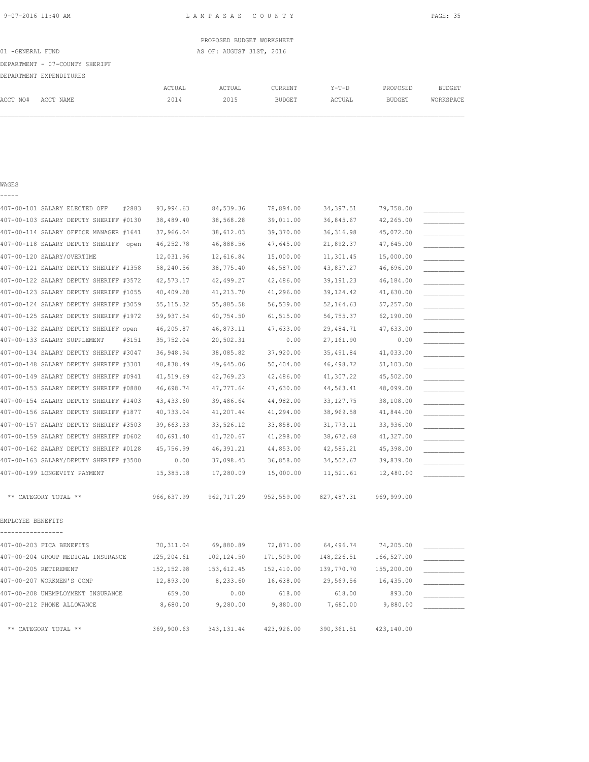|                  |                                |        | PROPOSED BUDGET WORKSHEET |         |         |               |           |
|------------------|--------------------------------|--------|---------------------------|---------|---------|---------------|-----------|
| 01 -GENERAL FUND |                                |        | AS OF: AUGUST 31ST, 2016  |         |         |               |           |
|                  | DEPARTMENT - 07-COUNTY SHERIFF |        |                           |         |         |               |           |
|                  | DEPARTMENT EXPENDITURES        |        |                           |         |         |               |           |
|                  |                                | ACTUAL | ACTUAL                    | CURRENT | $Y-T-D$ | PROPOSED      | BUDGET    |
| ACCT NO#         | ACCT NAME                      | 2014   | 2015                      | BUDGET  | ACTUAL  | <b>BUDGET</b> | WORKSPACE |
|                  |                                |        |                           |         |         |               |           |
|                  |                                |        |                           |         |         |               |           |

### WAGES

-----

| 407-00-101 SALARY ELECTED OFF          | 93,994.63<br>#2883 | 84,539.36   | 78,894.00  | 34, 397.51  | 79,758.00  |  |
|----------------------------------------|--------------------|-------------|------------|-------------|------------|--|
| 407-00-103 SALARY DEPUTY SHERIFF #0130 | 38,489.40          | 38,568.28   | 39,011.00  | 36,845.67   | 42,265.00  |  |
| 407-00-114 SALARY OFFICE MANAGER #1641 | 37,966.04          | 38,612.03   | 39,370.00  | 36, 316.98  | 45,072.00  |  |
| 407-00-118 SALARY DEPUTY SHERIFF       | 46, 252.78<br>open | 46,888.56   | 47,645.00  | 21,892.37   | 47,645.00  |  |
| 407-00-120 SALARY/OVERTIME             | 12,031.96          | 12,616.84   | 15,000.00  | 11,301.45   | 15,000.00  |  |
| 407-00-121 SALARY DEPUTY SHERIFF #1358 | 58,240.56          | 38,775.40   | 46,587.00  | 43,837.27   | 46,696.00  |  |
| 407-00-122 SALARY DEPUTY SHERIFF #3572 | 42,573.17          | 42,499.27   | 42,486.00  | 39, 191.23  | 46,184.00  |  |
| 407-00-123 SALARY DEPUTY SHERIFF #1055 | 40,409.28          | 41,213.70   | 41,296.00  | 39, 124.42  | 41,630.00  |  |
| 407-00-124 SALARY DEPUTY SHERIFF #3059 | 55, 115.32         | 55,885.58   | 56,539.00  | 52, 164.63  | 57,257.00  |  |
| 407-00-125 SALARY DEPUTY SHERIFF #1972 | 59,937.54          | 60,754.50   | 61,515.00  | 56,755.37   | 62,190.00  |  |
| 407-00-132 SALARY DEPUTY SHERIFF open  | 46,205.87          | 46,873.11   | 47,633.00  | 29,484.71   | 47,633.00  |  |
| 407-00-133 SALARY SUPPLEMENT           | 35,752.04<br>#3151 | 20,502.31   | 0.00       | 27,161.90   | 0.00       |  |
| 407-00-134 SALARY DEPUTY SHERIFF #3047 | 36,948.94          | 38,085.82   | 37,920.00  | 35,491.84   | 41,033.00  |  |
| 407-00-148 SALARY DEPUTY SHERIFF #3301 | 48,838.49          | 49,645.06   | 50,404.00  | 46, 498.72  | 51,103.00  |  |
| 407-00-149 SALARY DEPUTY SHERIFF #0941 | 41,519.69          | 42,769.23   | 42,486.00  | 41,307.22   | 45,502.00  |  |
| 407-00-153 SALARY DEPUTY SHERIFF #0880 | 46,698.74          | 47,777.64   | 47,630.00  | 44,563.41   | 48,099.00  |  |
| 407-00-154 SALARY DEPUTY SHERIFF #1403 | 43, 433.60         | 39,486.64   | 44,982.00  | 33, 127.75  | 38,108.00  |  |
| 407-00-156 SALARY DEPUTY SHERIFF #1877 | 40,733.04          | 41,207.44   | 41,294.00  | 38,969.58   | 41,844.00  |  |
| 407-00-157 SALARY DEPUTY SHERIFF #3503 | 39,663.33          | 33,526.12   | 33,858.00  | 31,773.11   | 33,936.00  |  |
| 407-00-159 SALARY DEPUTY SHERIFF #0602 | 40,691.40          | 41,720.67   | 41,298.00  | 38,672.68   | 41,327.00  |  |
| 407-00-162 SALARY DEPUTY SHERIFF #0128 | 45,756.99          | 46,391.21   | 44,853.00  | 42,585.21   | 45,398.00  |  |
| 407-00-163 SALARY/DEPUTY SHERIFF #3500 | 0.00               | 37,098.43   | 36,858.00  | 34,502.67   | 39,839.00  |  |
| 407-00-199 LONGEVITY PAYMENT           | 15,385.18          | 17,280.09   | 15,000.00  | 11,521.61   | 12,480.00  |  |
| ** CATEGORY TOTAL **                   | 966,637.99         | 962, 717.29 | 952,559.00 | 827, 487.31 | 969,999.00 |  |
| EMPLOYEE BENEFITS<br>------------      |                    |             |            |             |            |  |
| 407-00-203 FICA BENEFITS               | 70, 311.04         | 69,880.89   | 72,871.00  | 64,496.74   | 74,205.00  |  |
| 407-00-204 GROUP MEDICAL INSURANCE     | 125, 204.61        | 102, 124.50 | 171,509.00 | 148,226.51  | 166,527.00 |  |
| 407-00-205 RETIREMENT                  | 152, 152.98        | 153,612.45  | 152,410.00 | 139,770.70  | 155,200.00 |  |
| 407-00-207 WORKMEN'S COMP              | 12,893.00          | 8,233.60    | 16,638.00  | 29,569.56   | 16,435.00  |  |
| 407-00-208 UNEMPLOYMENT INSURANCE      | 659.00             | 0.00        | 618.00     | 618.00      | 893.00     |  |
| 407-00-212 PHONE ALLOWANCE             | 8,680.00           | 9,280.00    | 9,880.00   | 7,680.00    | 9,880.00   |  |
| ** CATEGORY TOTAL **                   | 369,900.63         | 343, 131.44 | 423,926.00 | 390, 361.51 | 423,140.00 |  |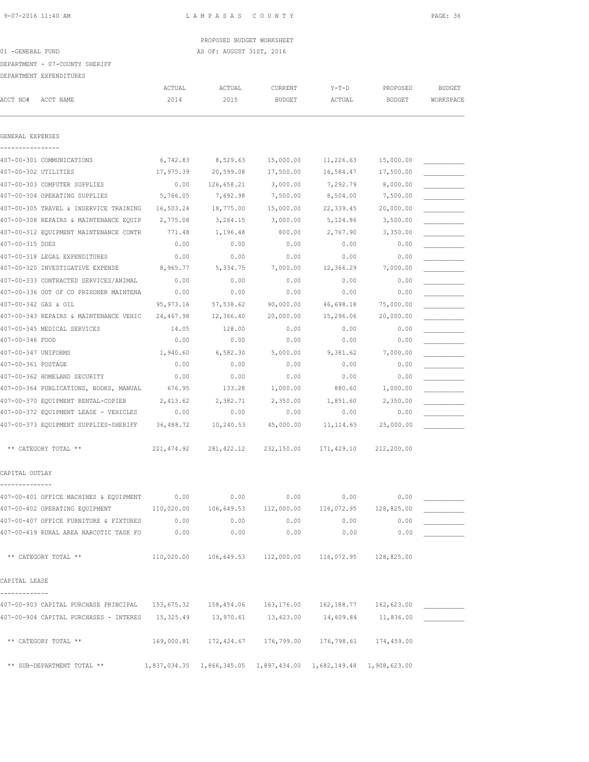PROPOSED BUDGET WORKSHEET 01 -GENERAL FUND **AS OF: AUGUST 31ST, 2016** 

DEPARTMENT - 07-COUNTY SHERIFF

DEPARTMENT EXPENDITURES

|                      | DEFARIMENI EAFENDIIURES                                                                      |                |                |                                                            |                                                                      |                           |                            |
|----------------------|----------------------------------------------------------------------------------------------|----------------|----------------|------------------------------------------------------------|----------------------------------------------------------------------|---------------------------|----------------------------|
| ACCT NO#             | ACCT NAME                                                                                    | ACTUAL<br>2014 | ACTUAL<br>2015 | CURRENT<br><b>BUDGET</b>                                   | $Y-T-D$<br>ACTUAL                                                    | PROPOSED<br><b>BUDGET</b> | <b>BUDGET</b><br>WORKSPACE |
|                      |                                                                                              |                |                |                                                            |                                                                      |                           |                            |
| GENERAL EXPENSES     |                                                                                              |                |                |                                                            |                                                                      |                           |                            |
|                      | 407-00-301 COMMUNICATIONS                                                                    | 6,742.83       | 8,529.63       | 15,000.00                                                  | 11,226.63                                                            | 15,000.00                 |                            |
| 407-00-302 UTILITIES |                                                                                              | 17,975.39      | 20,599.08      | 17,500.00                                                  | 16,584.47                                                            | 17,500.00                 |                            |
|                      | 407-00-303 COMPUTER SUPPLIES                                                                 | 0.00           | 126,658.21     | 3,000.00                                                   | 7,292.79                                                             | 8,000.00                  |                            |
|                      | 407-00-304 OPERATING SUPPLIES                                                                | 5,766.05       | 7,692.98       | 7,500.00                                                   | 8,504.00                                                             | 7,500.00                  |                            |
|                      | 407-00-305 TRAVEL & INSERVICE TRAINING                                                       | 16,503.24      | 18,775.00      | 15,000.00                                                  | 22,339.45                                                            | 20,000.00                 |                            |
|                      | 407-00-308 REPAIRS & MAINTENANCE EQUIP                                                       | 2,775.08       | 3,264.15       | 3,000.00                                                   | 5,124.86                                                             | 3,500.00                  |                            |
|                      | 407-00-312 EQUIPMENT MAINTENANCE CONTR                                                       | 771.48         | 1,196.48       | 800.00                                                     | 2,767.90                                                             | 3,350.00                  |                            |
| 407-00-315 DUES      |                                                                                              | 0.00           | 0.00           | 0.00                                                       | 0.00                                                                 | 0.00                      |                            |
|                      | 407-00-318 LEGAL EXPENDITURES                                                                | 0.00           | 0.00           | 0.00                                                       | 0.00                                                                 | 0.00                      |                            |
|                      | 407-00-320 INVESTIGATIVE EXPENSE                                                             | 8,965.77       | 5,334.75       | 7,000.00                                                   | 12,366.29                                                            | 7,000.00                  |                            |
|                      | 407-00-333 CONTRACTED SERVICES/ANIMAL                                                        | 0.00           | 0.00           | 0.00                                                       | 0.00                                                                 | 0.00                      |                            |
|                      | 407-00-336 OUT OF CO PRISONER MAINTENA                                                       | 0.00           | 0.00           | 0.00                                                       | 0.00                                                                 | 0.00                      |                            |
| 407-00-342 GAS & OIL |                                                                                              | 95, 973.16     | 57,538.62      | 90,000.00                                                  | 46,698.18                                                            | 75,000.00                 |                            |
|                      | 407-00-343 REPAIRS & MAINTENANCE VEHIC                                                       | 24,467.98      | 12,366.40      | 20,000.00                                                  | 15,296.06                                                            | 20,000.00                 |                            |
|                      | 407-00-345 MEDICAL SERVICES                                                                  | 14.05          | 128.00         | 0.00                                                       | 0.00                                                                 | 0.00                      |                            |
| 407-00-346 FOOD      |                                                                                              | 0.00           | 0.00           | 0.00                                                       | 0.00                                                                 | 0.00                      |                            |
| 407-00-347 UNIFORMS  |                                                                                              | 1,940.60       | 6,582.30       | 5,000.00                                                   | 9,381.62                                                             | 7,000.00                  |                            |
| 407-00-361 POSTAGE   |                                                                                              | 0.00           | 0.00           | 0.00                                                       | 0.00                                                                 | 0.00                      |                            |
|                      | 407-00-362 HOMELAND SECURITY                                                                 | 0.00           | 0.00           | 0.00                                                       | 0.00                                                                 | 0.00                      |                            |
|                      | 407-00-364 PUBLICATIONS, BOOKS, MANUAL                                                       | 676.95         | 133.28         | 1,000.00                                                   | 880.60                                                               | 1,000.00                  |                            |
|                      |                                                                                              |                |                |                                                            |                                                                      |                           |                            |
|                      | 407-00-370 EQUIPMENT RENTAL-COPIER                                                           | 2,413.62       | 2,382.71       | 2,350.00                                                   | 1,851.60                                                             | 2,350.00                  |                            |
|                      | 407-00-372 EQUIPMENT LEASE - VEHICLES                                                        | 0.00           | 0.00           | 0.00                                                       | 0.00                                                                 | 0.00                      |                            |
|                      | 407-00-373 EQUIPMENT SUPPLIES-SHERIFF                                                        | 36,488.72      | 10,240.53      | 45,000.00                                                  | 11, 114.65                                                           | 25,000.00                 |                            |
|                      | ** CATEGORY TOTAL **                                                                         | 221, 474.92    | 281, 422.12    | 232,150.00                                                 | 171,429.10                                                           | 212,200.00                |                            |
| CAPITAL OUTLAY       |                                                                                              |                |                |                                                            |                                                                      |                           |                            |
|                      | 407-00-401 OFFICE MACHINES & EQUIPMENT                                                       | 0.00           | 0.00           | 0.00                                                       | 0.00                                                                 | 0.00                      |                            |
|                      | 407-00-402 OPERATING EQUIPMENT                                                               | 110,020.00     |                | 106,649.53 112,000.00                                      | 116,072.95                                                           | 128,825.00                |                            |
|                      | 407-00-407 OFFICE FURNITURE & FIXTURES                                                       | 0.00           | 0.00           | 0.00                                                       | 0.00                                                                 | 0.00                      |                            |
|                      | 407-00-419 RURAL AREA NARCOTIC TASK FO                                                       | 0.00           | 0.00           | 0.00                                                       | 0.00                                                                 | 0.00                      |                            |
|                      |                                                                                              |                |                |                                                            |                                                                      |                           |                            |
|                      | ** CATEGORY TOTAL **                                                                         |                |                | 110,020.00  106,649.53  112,000.00  116,072.95  128,825.00 |                                                                      |                           |                            |
| CAPITAL LEASE        |                                                                                              |                |                |                                                            |                                                                      |                           |                            |
| -------------        | 407-00-903 CAPITAL PURCHASE PRINCIPAL 153,675.32 158,454.06 163,176.00 162,188.77 162,623.00 |                |                |                                                            |                                                                      |                           |                            |
|                      | 407-00-904 CAPITAL PURCHASES - INTERES 15,325.49 13,970.61                                   |                |                | 13,623.00                                                  | 14,609.84                                                            | 11,836.00                 |                            |
|                      |                                                                                              |                |                |                                                            |                                                                      |                           |                            |
|                      | ** CATEGORY TOTAL **                                                                         |                |                | 169,000.81  172,424.67  176,799.00  176,798.61  174,459.00 |                                                                      |                           |                            |
|                      | ** SUB-DEPARTMENT TOTAL **                                                                   |                |                |                                                            | 1,837,034.35  1,866,345.05  1,897,434.00  1,682,149.48  1,908,623.00 |                           |                            |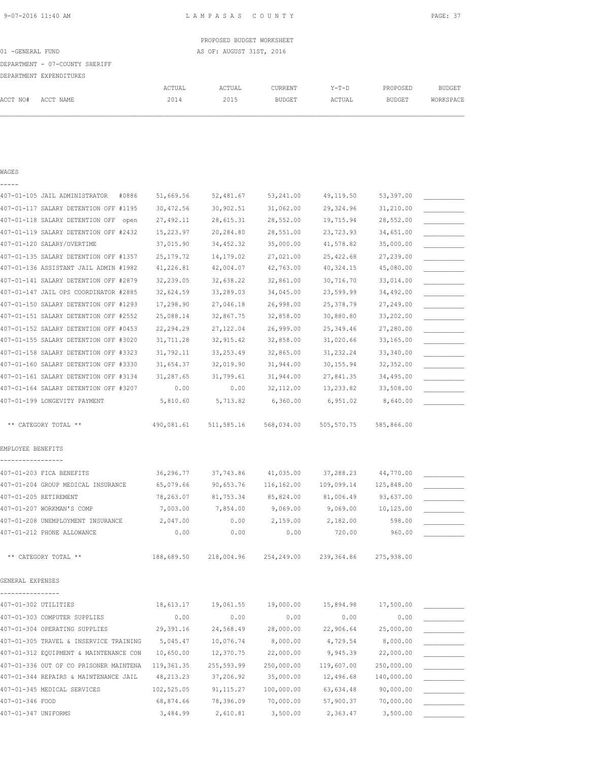|                  |                                |        | PROPOSED BUDGET WORKSHEET |         |         |          |               |
|------------------|--------------------------------|--------|---------------------------|---------|---------|----------|---------------|
| 01 -GENERAL FUND |                                |        | AS OF: AUGUST 31ST, 2016  |         |         |          |               |
|                  | DEPARTMENT - 07-COUNTY SHERIFF |        |                           |         |         |          |               |
|                  | DEPARTMENT EXPENDITURES        |        |                           |         |         |          |               |
|                  |                                | ACTUAL | ACTUAL                    | CURRENT | $Y-T-D$ | PROPOSED | <b>BUDGET</b> |
| ACCT NO#         | ACCT NAME                      | 2014   | 2015                      | BUDGET  | ACTUAL  | BUDGET   | WORKSPACE     |
|                  |                                |        |                           |         |         |          |               |
|                  |                                |        |                           |         |         |          |               |

| WAGES                                   |             |             |            |            |            |  |
|-----------------------------------------|-------------|-------------|------------|------------|------------|--|
|                                         |             |             |            |            |            |  |
| 407-01-105 JAIL ADMINISTRATOR<br>#0886  | 51,669.56   | 52,481.67   | 53,241.00  | 49,119.50  | 53,397.00  |  |
| 407-01-117 SALARY DETENTION OFF #1195   | 30,472.56   | 30,902.51   | 31,062.00  | 29,324.96  | 31,210.00  |  |
| 407-01-118 SALARY DETENTION OFF<br>open | 27,492.11   | 28,615.31   | 28,552.00  | 19,715.94  | 28,552.00  |  |
| 407-01-119 SALARY DETENTION OFF #2432   | 15,223.97   | 20,284.80   | 28,551.00  | 23,723.93  | 34,651.00  |  |
| 407-01-120 SALARY/OVERTIME              | 37,015.90   | 34,452.32   | 35,000.00  | 41,578.82  | 35,000.00  |  |
| 407-01-135 SALARY DETENTION OFF #1357   | 25, 179. 72 | 14,179.02   | 27,021.00  | 25,422.68  | 27,239.00  |  |
| 407-01-136 ASSISTANT JAIL ADMIN #1982   | 41,226.81   | 42,004.07   | 42,763.00  | 40,324.15  | 45,080.00  |  |
| 407-01-141 SALARY DETENTION OFF #2879   | 32,239.05   | 32,638.22   | 32,861.00  | 30,716.70  | 33,014.00  |  |
| 407-01-147 JAIL OPS COORDINATOR #2885   | 32,624.59   | 33,289.03   | 34,045.00  | 23,599.99  | 34,492.00  |  |
| 407-01-150 SALARY DETENTION OFF #1293   | 17,298.90   | 27,046.18   | 26,998.00  | 25,378.79  | 27,249.00  |  |
| 407-01-151 SALARY DETENTION OFF #2552   | 25,088.14   | 32,867.75   | 32,858.00  | 30,880.80  | 33,202.00  |  |
| 407-01-152 SALARY DETENTION OFF #0453   | 22, 294.29  | 27, 122.04  | 26,999.00  | 25,349.46  | 27,280.00  |  |
| 407-01-155 SALARY DETENTION OFF #3020   | 31,711.28   | 32, 915.42  | 32,858.00  | 31,020.66  | 33, 165.00 |  |
| 407-01-158 SALARY DETENTION OFF #3323   | 31,792.11   | 33, 253.49  | 32,865.00  | 31, 232.24 | 33,340.00  |  |
| 407-01-160 SALARY DETENTION OFF #3330   | 31,654.37   | 32,019.90   | 31,944.00  | 30, 155.94 | 32, 352.00 |  |
| 407-01-161 SALARY DETENTION OFF #3134   | 31,287.65   | 31,799.61   | 31,944.00  | 27,841.35  | 34,495.00  |  |
| 407-01-164 SALARY DETENTION OFF #3207   | 0.00        | 0.00        | 32,112.00  | 13,233.82  | 33,508.00  |  |
| 407-01-199 LONGEVITY PAYMENT            | 5,810.60    | 5,713.82    | 6,360.00   | 6,951.02   | 8,640.00   |  |
| ** CATEGORY TOTAL **                    | 490,081.61  | 511,585.16  | 568,034.00 | 505,570.75 | 585,866.00 |  |
| EMPLOYEE BENEFITS                       |             |             |            |            |            |  |
|                                         |             |             |            |            |            |  |
| 407-01-203 FICA BENEFITS                | 36,296.77   | 37,743.86   | 41,035.00  | 37,288.23  | 44,770.00  |  |
| 407-01-204 GROUP MEDICAL INSURANCE      | 65,079.66   | 90,653.76   | 116,162.00 | 109,099.14 | 125,848.00 |  |
| 407-01-205 RETIREMENT                   | 78,263.07   | 81,753.34   | 85,824.00  | 81,006.49  | 93,637.00  |  |
| 407-01-207 WORKMAN'S COMP               | 7,003.00    | 7,854.00    | 9,069.00   | 9,069.00   | 10,125.00  |  |
| 407-01-208 UNEMPLOYMENT INSURANCE       | 2,047.00    | 0.00        | 2,159.00   | 2,182.00   | 598.00     |  |
| 407-01-212 PHONE ALLOWANCE              | 0.00        | 0.00        | 0.00       | 720.00     | 960.00     |  |
| ** CATEGORY TOTAL **                    | 188,689.50  | 218,004.96  | 254,249.00 | 239,364.86 | 275,938.00 |  |
| GENERAL EXPENSES                        |             |             |            |            |            |  |
| 407-01-302 UTILITIES                    | 18,613.17   | 19,061.55   | 19,000.00  | 15,894.98  | 17,500.00  |  |
| 407-01-303 COMPUTER SUPPLIES            | 0.00        | 0.00        | 0.00       | 0.00       | 0.00       |  |
| 407-01-304 OPERATING SUPPLIES           | 29,391.16   | 24,568.49   | 28,000.00  | 22,906.64  | 25,000.00  |  |
| 407-01-305 TRAVEL & INSERVICE TRAINING  | 5,045.47    | 10,076.74   | 8,000.00   | 4,729.54   | 8,000.00   |  |
| 407-01-312 EQUIPMENT & MAINTENANCE CON  | 10,650.00   | 12,370.75   | 22,000.00  | 9,945.39   | 22,000.00  |  |
| 407-01-336 OUT OF CO PRISONER MAINTENA  | 119, 361.35 | 255, 593.99 | 250,000.00 | 119,607.00 | 250,000.00 |  |
| 407-01-344 REPAIRS & MAINTENANCE JAIL   | 48, 213. 23 | 37,206.92   | 35,000.00  | 12,496.68  | 140,000.00 |  |
| 407-01-345 MEDICAL SERVICES             | 102,525.05  | 91, 115.27  | 100,000.00 | 63, 634.48 | 90,000.00  |  |
| 407-01-346 FOOD                         | 68,874.66   | 78,396.09   | 70,000.00  | 57,900.37  | 70,000.00  |  |
| 407-01-347 UNIFORMS                     | 3,484.99    | 2,610.81    | 3,500.00   | 2,363.47   | 3,500.00   |  |
|                                         |             |             |            |            |            |  |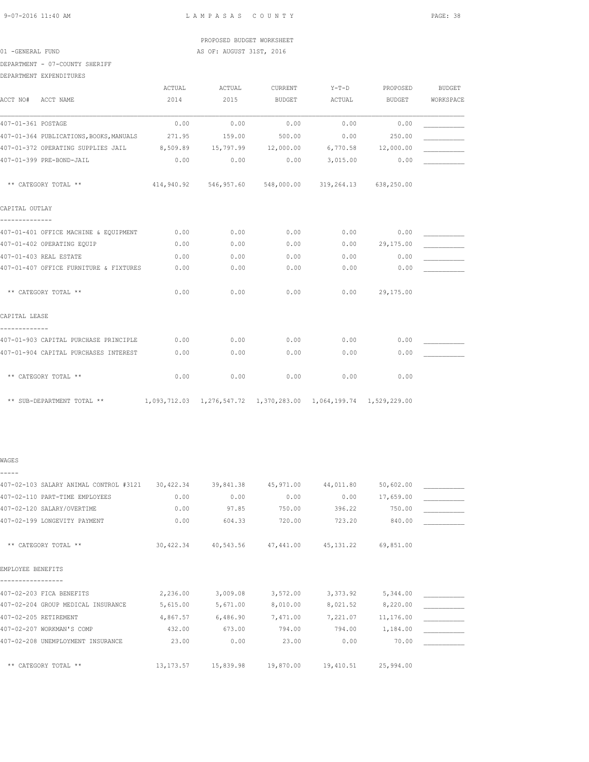| 9-07-2016 11:40 AM |  |  |
|--------------------|--|--|

L A M P A S A S C O U N T Y PAGE: 38

## PROPOSED BUDGET WORKSHEET 01 -GENERAL FUND **AS OF: AUGUST 31ST, 2016**

DEPARTMENT - 07-COUNTY SHERIFF

DEPARTMENT EXPENDITURES

|                    |                                                                                             | ACTUAL     | ACTUAL              | <b>CURRENT</b> | $Y-T-D$                          | PROPOSED           | <b>BUDGET</b> |
|--------------------|---------------------------------------------------------------------------------------------|------------|---------------------|----------------|----------------------------------|--------------------|---------------|
| ACCT NO#           | ACCT NAME                                                                                   | 2014       | 2015                | <b>BUDGET</b>  | ACTUAL                           | <b>BUDGET</b>      | WORKSPACE     |
| 407-01-361 POSTAGE |                                                                                             | 0.00       | 0.00                | 0.00           | 0.00                             | 0.00               |               |
|                    | 407-01-364 PUBLICATIONS, BOOKS, MANUALS                                                     | 271.95     | 159.00              | 500.00         | 0.00                             | 250.00             |               |
|                    | 407-01-372 OPERATING SUPPLIES JAIL                                                          | 8,509.89   | 15,797.99 12,000.00 |                |                                  | 6,770.58 12,000.00 |               |
|                    | 407-01-399 PRE-BOND-JAIL                                                                    | 0.00       | 0.00                | 0.00           | 3,015.00                         | 0.00               |               |
|                    | ** CATEGORY TOTAL **                                                                        | 414,940.92 | 546,957.60          |                | 548,000.00 319,264.13 638,250.00 |                    |               |
| CAPITAL OUTLAY     |                                                                                             |            |                     |                |                                  |                    |               |
|                    | 407-01-401 OFFICE MACHINE & EQUIPMENT                                                       | 0.00       | 0.00                | 0.00           | 0.00                             | 0.00               |               |
|                    | 407-01-402 OPERATING EQUIP                                                                  | 0.00       | 0.00                | 0.00           |                                  | $0.00$ 29,175.00   |               |
|                    | 407-01-403 REAL ESTATE                                                                      | 0.00       | 0.00                | 0.00           | 0.00                             | 0.00               |               |
|                    | 407-01-407 OFFICE FURNITURE & FIXTURES                                                      | 0.00       | 0.00                | 0.00           | 0.00                             | 0.00               |               |
|                    | ** CATEGORY TOTAL **                                                                        | 0.00       | 0.00                | 0.00           | 0.00                             | 29,175.00          |               |
| CAPITAL LEASE      |                                                                                             |            |                     |                |                                  |                    |               |
|                    | 407-01-903 CAPITAL PURCHASE PRINCIPLE                                                       | 0.00       | 0.00                | 0.00           | 0.00                             | 0.00               |               |
|                    | 407-01-904 CAPITAL PURCHASES INTEREST                                                       | 0.00       | 0.00                | 0.00           | 0.00                             | 0.00               |               |
|                    | ** CATEGORY TOTAL **                                                                        | 0.00       | 0.00                | 0.00           | 0.00                             | 0.00               |               |
|                    | ** SUB-DEPARTMENT TOTAL ** 1,093,712.03 1,276,547.72 1,370,283.00 1,064,199.74 1,529,229.00 |            |                     |                |                                  |                    |               |

## WAGES -----

| 407-02-103 SALARY ANIMAL CONTROL #3121 | 30,422.34   | 39,841.38 | 45,971.00 | 44,011.80  | 50,602.00 |  |
|----------------------------------------|-------------|-----------|-----------|------------|-----------|--|
| 407-02-110 PART-TIME EMPLOYEES         | 0.00        | 0.00      | 0.00      | 0.00       | 17,659.00 |  |
| 407-02-120 SALARY/OVERTIME             | 0.00        | 97.85     | 750.00    | 396.22     | 750.00    |  |
| 407-02-199 LONGEVITY PAYMENT           | 0.00        | 604.33    | 720.00    | 723.20     | 840.00    |  |
| ** CATEGORY TOTAL **                   | 30,422.34   | 40,543.56 | 47,441.00 | 45, 131.22 | 69,851.00 |  |
| EMPLOYEE BENEFITS                      |             |           |           |            |           |  |
| 407-02-203 FICA BENEFITS               | 2,236.00    | 3,009.08  | 3,572.00  | 3,373.92   | 5,344.00  |  |
| 407-02-204 GROUP MEDICAL INSURANCE     | 5,615.00    | 5,671.00  | 8,010.00  | 8,021.52   | 8,220.00  |  |
| 407-02-205 RETIREMENT                  | 4,867.57    | 6,486.90  | 7,471.00  | 7,221.07   | 11,176.00 |  |
| 407-02-207 WORKMAN'S COMP              | 432.00      | 673.00    | 794.00    | 794.00     | 1,184.00  |  |
| 407-02-208 UNEMPLOYMENT INSURANCE      | 23.00       | 0.00      | 23.00     | 0.00       | 70.00     |  |
| ** CATEGORY TOTAL **                   | 13, 173. 57 | 15,839.98 | 19,870.00 | 19,410.51  | 25,994.00 |  |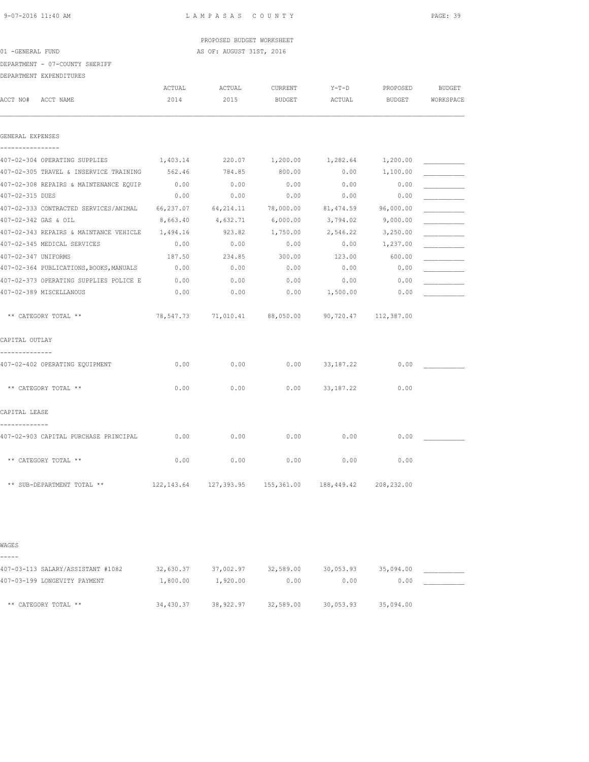# PROPOSED BUDGET WORKSHEET 01 -GENERAL FUND **AS OF: AUGUST 31ST, 2016**

DEPARTMENT - 07-COUNTY SHERIFF

DEPARTMENT EXPENDITURES

|                     | ACCT NO# ACCT NAME                                       | ACTUAL<br>2014 | ACTUAL<br>2015                                         | CURRENT<br>BUDGET | $Y-T-D$<br>ACTUAL | PROPOSED<br>BUDGET | <b>BUDGET</b><br>WORKSPACE |
|---------------------|----------------------------------------------------------|----------------|--------------------------------------------------------|-------------------|-------------------|--------------------|----------------------------|
| GENERAL EXPENSES    |                                                          |                |                                                        |                   |                   |                    |                            |
|                     |                                                          |                |                                                        |                   |                   |                    |                            |
|                     | 407-02-304 OPERATING SUPPLIES $1,403.14$ 220.07 1,200.00 |                |                                                        |                   | 1,282.64 1,200.00 |                    |                            |
|                     | 407-02-305 TRAVEL & INSERVICE TRAINING 562.46            |                | 784.85                                                 | 800.00            | 0.00              | 1,100.00           |                            |
|                     | 407-02-308 REPAIRS & MAINTENANCE EQUIP                   | 0.00           | 0.00                                                   | 0.00              | 0.00              | 0.00               |                            |
| 407-02-315 DUES     |                                                          | 0.00           | 0.00                                                   | 0.00              | 0.00              | 0.00               |                            |
|                     | 407-02-333 CONTRACTED SERVICES/ANIMAL                    | 66,237.07      | 64, 214.11                                             | 78,000.00         | 81,474.59         | 96,000.00          |                            |
|                     | 407-02-342 GAS & OIL                                     | 8,663.40       | 4,632.71                                               | 6,000.00          | 3,794.02          | 9,000.00           |                            |
|                     | 407-02-343 REPAIRS & MAINTANCE VEHICLE                   | 1,494.16       | 923.82                                                 | 1,750.00          | 2,546.22          | 3,250.00           |                            |
|                     | 407-02-345 MEDICAL SERVICES                              | 0.00           | 0.00                                                   | 0.00              | 0.00              | 1,237.00           |                            |
| 407-02-347 UNIFORMS |                                                          | 187.50         | 234.85                                                 | 300.00            | 123.00            | 600.00             |                            |
|                     | 407-02-364 PUBLICATIONS, BOOKS, MANUALS                  | 0.00           | 0.00                                                   | 0.00              | 0.00              | 0.00               |                            |
|                     | 407-02-373 OPERATING SUPPLIES POLICE E 0.00              |                | 0.00                                                   | 0.00              | 0.00              | 0.00               |                            |
|                     | 407-02-389 MISCELLANOUS                                  | 0.00           | 0.00                                                   | 0.00              | 1,500.00          | 0.00               |                            |
|                     | ** CATEGORY TOTAL **                                     |                | 78,547.73 71,010.41 88,050.00 90,720.47 112,387.00     |                   |                   |                    |                            |
| CAPITAL OUTLAY      |                                                          |                |                                                        |                   |                   |                    |                            |
|                     | 407-02-402 OPERATING EOUIPMENT                           | 0.00           | 0.00                                                   | 0.00              | 33, 187. 22       | 0.00               |                            |
|                     | ** CATEGORY TOTAL **                                     | 0.00           | 0.00                                                   | 0.00              | 33,187.22         | 0.00               |                            |
| CAPITAL LEASE       |                                                          |                |                                                        |                   |                   |                    |                            |
|                     | 407-02-903 CAPITAL PURCHASE PRINCIPAL                    | 0.00           | 0.00                                                   | 0.00              | 0.00              | 0.00               |                            |
|                     | ** CATEGORY TOTAL **                                     | 0.00           | 0.00                                                   | 0.00              | 0.00              | 0.00               |                            |
|                     | ** SUB-DEPARTMENT TOTAL **                               |                | 122,143.64 127,393.95 155,361.00 188,449.42 208,232.00 |                   |                   |                    |                            |

### WAGES

| -----                             |           |           |           |           |           |  |
|-----------------------------------|-----------|-----------|-----------|-----------|-----------|--|
| 407-03-113 SALARY/ASSISTANT #1082 | 32,630.37 | 37,002.97 | 32,589.00 | 30,053.93 | 35,094.00 |  |
| 407-03-199 LONGEVITY PAYMENT      | 1,800.00  | 1,920.00  | 0.00      | 0.00      | 0.00      |  |
| ** CATEGORY TOTAL **              | 34,430.37 | 38,922.97 | 32,589.00 | 30,053.93 | 35,094.00 |  |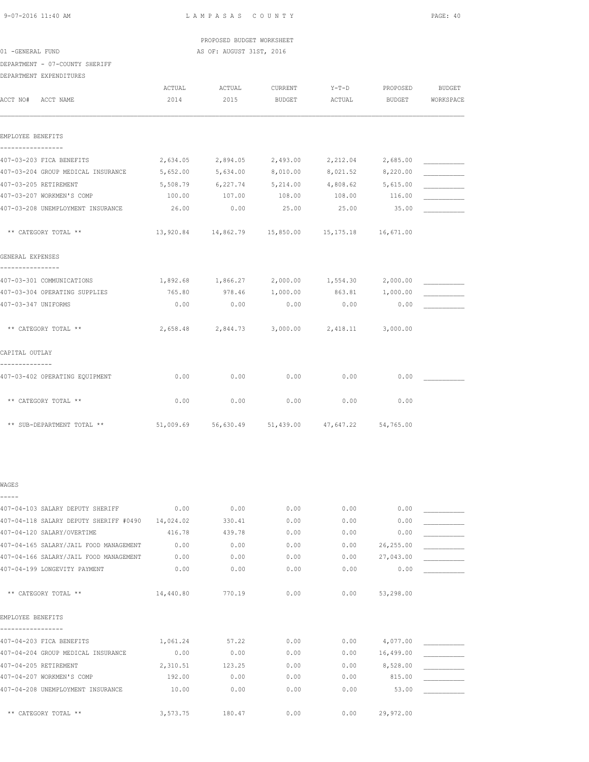|                                        |          | PROPOSED BUDGET WORKSHEET                              |                   |          |                     |           |
|----------------------------------------|----------|--------------------------------------------------------|-------------------|----------|---------------------|-----------|
| 01 -GENERAL FUND                       |          | AS OF: AUGUST 31ST, 2016                               |                   |          |                     |           |
| DEPARTMENT - 07-COUNTY SHERIFF         |          |                                                        |                   |          |                     |           |
| DEPARTMENT EXPENDITURES                |          |                                                        |                   |          |                     |           |
|                                        | ACTUAL   | ACTUAL                                                 | CURRENT           | $Y-T-D$  | PROPOSED            | BUDGET    |
| ACCT NO# ACCT NAME                     | 2014     | 2015                                                   | BUDGET            | ACTUAL   | <b>BUDGET</b>       | WORKSPACE |
| EMPLOYEE BENEFITS<br>----------------- |          |                                                        |                   |          |                     |           |
| 407-03-203 FICA BENEFITS               | 2,634.05 |                                                        | 2,894.05 2,493.00 |          | 2, 212.04 2, 685.00 |           |
| 407-03-204 GROUP MEDICAL INSURANCE     | 5,652.00 | 5,634.00                                               | 8,010.00          | 8,021.52 | 8,220.00            |           |
| 407-03-205 RETIREMENT                  | 5,508.79 | 6,227.74                                               | 5,214.00          | 4,808.62 | 5,615.00            |           |
| 407-03-207 WORKMEN'S COMP              | 100.00   | 107.00                                                 | 108.00            | 108.00   | 116.00              |           |
| 407-03-208 UNEMPLOYMENT INSURANCE      | 26.00    | 0.00                                                   | 25.00             | 25.00    | 35.00               |           |
| ** CATEGORY TOTAL **                   |          | 13,920.84  14,862.79  15,850.00  15,175.18  16,671.00  |                   |          |                     |           |
| GENERAL EXPENSES                       |          |                                                        |                   |          |                     |           |
| 407-03-301 COMMUNICATIONS              |          | $1,892.68$ $1,866.27$ $2,000.00$ $1,554.30$ $2,000.00$ |                   |          |                     |           |
| 407-03-304 OPERATING SUPPLIES          | 765.80   | 978.46                                                 | 1,000.00          | 863.81   | 1,000.00            |           |
| 407-03-347 UNIFORMS                    | 0.00     | 0.00                                                   | 0.00              | 0.00     | 0.00                |           |
| ** CATEGORY TOTAL **                   |          | 2,658.48 2,844.73 3,000.00 2,418.11 3,000.00           |                   |          |                     |           |
| CAPITAL OUTLAY                         |          |                                                        |                   |          |                     |           |
| --------------                         |          |                                                        |                   |          |                     |           |
| 407-03-402 OPERATING EQUIPMENT         | 0.00     | 0.00                                                   | 0.00              | 0.00     | 0.00                |           |
| ** CATEGORY TOTAL **                   | 0.00     | 0.00                                                   | 0.00              | 0.00     | 0.00                |           |
|                                        |          |                                                        |                   |          |                     |           |

| WAGES                                  |           |        |      |      |           |  |
|----------------------------------------|-----------|--------|------|------|-----------|--|
|                                        |           |        |      |      |           |  |
| 407-04-103 SALARY DEPUTY SHERIFF       | 0.00      | 0.00   | 0.00 | 0.00 | 0.00      |  |
| 407-04-118 SALARY DEPUTY SHERIFF #0490 | 14,024.02 | 330.41 | 0.00 | 0.00 | 0.00      |  |
| 407-04-120 SALARY/OVERTIME             | 416.78    | 439.78 | 0.00 | 0.00 | 0.00      |  |
| 407-04-165 SALARY/JAIL FOOD MANAGEMENT | 0.00      | 0.00   | 0.00 | 0.00 | 26,255.00 |  |
| 407-04-166 SALARY/JAIL FOOD MANAGEMENT | 0.00      | 0.00   | 0.00 | 0.00 | 27,043.00 |  |
| 407-04-199 LONGEVITY PAYMENT           | 0.00      | 0.00   | 0.00 | 0.00 | 0.00      |  |
| ** CATEGORY TOTAL **                   | 14,440.80 | 770.19 | 0.00 | 0.00 | 53,298.00 |  |
| EMPLOYEE BENEFITS                      |           |        |      |      |           |  |
| 407-04-203 FICA BENEFITS               | 1,061.24  | 57.22  | 0.00 | 0.00 | 4,077.00  |  |
| 407-04-204 GROUP MEDICAL INSURANCE     | 0.00      | 0.00   | 0.00 | 0.00 | 16,499.00 |  |
| 407-04-205 RETIREMENT                  | 2,310.51  | 123.25 | 0.00 | 0.00 | 8,528.00  |  |
| 407-04-207 WORKMEN'S COMP              | 192.00    | 0.00   | 0.00 | 0.00 | 815.00    |  |
| 407-04-208 UNEMPLOYMENT INSURANCE      | 10.00     | 0.00   | 0.00 | 0.00 | 53.00     |  |
| ** CATEGORY TOTAL **                   | 3,573.75  | 180.47 | 0.00 | 0.00 | 29,972.00 |  |

\*\* SUB-DEPARTMENT TOTAL \*\* 51,009.69 56,630.49 51,439.00 47,647.22 54,765.00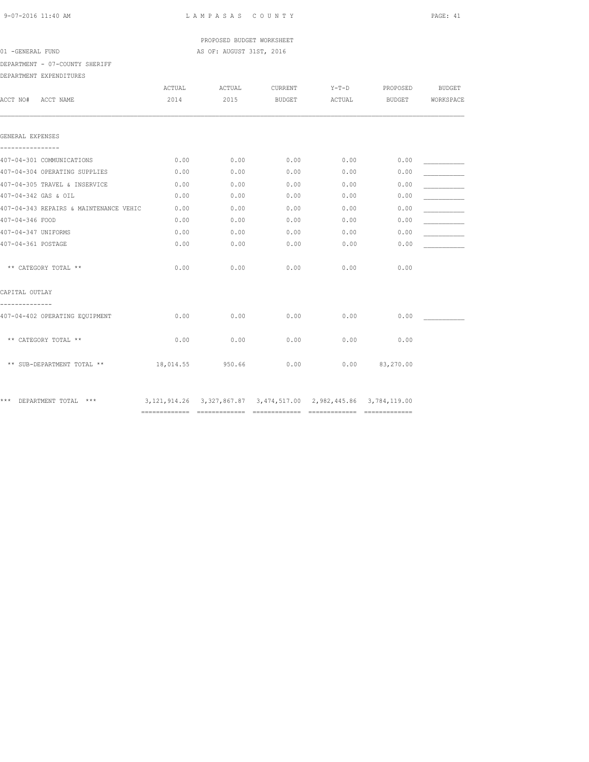# PROPOSED BUDGET WORKSHEET 01 -GENERAL FUND **AS OF: AUGUST 31ST, 2016**

DEPARTMENT - 07-COUNTY SHERIFF

### DEPARTMENT EXPENDITURES

| ACCT NO#<br>ACCT NAME                  | ACTUAL<br>2014 | ACTUAL<br>2015                                                             | CURRENT<br><b>BUDGET</b> | $Y-T-D$<br>ACTUAL | PROPOSED<br>BUDGET | <b>BUDGET</b><br>WORKSPACE |
|----------------------------------------|----------------|----------------------------------------------------------------------------|--------------------------|-------------------|--------------------|----------------------------|
| GENERAL EXPENSES                       |                |                                                                            |                          |                   |                    |                            |
| 407-04-301 COMMUNICATIONS              | 0.00           | 0.00                                                                       | 0.00                     | 0.00              | 0.00               |                            |
| 407-04-304 OPERATING SUPPLIES          | 0.00           | 0.00                                                                       | 0.00                     | 0.00              | 0.00               |                            |
| 407-04-305 TRAVEL & INSERVICE          | 0.00           | 0.00                                                                       | 0.00                     | 0.00              | 0.00               |                            |
| 407-04-342 GAS & OIL                   | 0.00           | 0.00                                                                       | 0.00                     | 0.00              | 0.00               |                            |
| 407-04-343 REPAIRS & MAINTENANCE VEHIC | 0.00           | 0.00                                                                       | 0.00                     | 0.00              | 0.00               |                            |
| 407-04-346 FOOD                        | 0.00           | 0.00                                                                       | 0.00                     | 0.00              | 0.00               |                            |
| 407-04-347 UNIFORMS                    | 0.00           | 0.00                                                                       | 0.00                     | 0.00              | 0.00               |                            |
| 407-04-361 POSTAGE                     | 0.00           | 0.00                                                                       | 0.00                     | 0.00              | 0.00               |                            |
| ** CATEGORY TOTAL **                   | 0.00           | 0.00                                                                       | 0.00                     | 0.00              | 0.00               |                            |
| CAPITAL OUTLAY                         |                |                                                                            |                          |                   |                    |                            |
| 407-04-402 OPERATING EQUIPMENT         | 0.00           | 0.00                                                                       | 0.00                     | 0.00              | 0.00               |                            |
| ** CATEGORY TOTAL **                   | 0.00           | 0.00                                                                       | 0.00                     | 0.00              | 0.00               |                            |
| ** SUB-DEPARTMENT TOTAL **             | 18,014.55      | 950.66                                                                     | 0.00                     | 0.00              | 83,270.00          |                            |
| *** DEPARTMENT TOTAL<br>***            |                | 3, 121, 914.26 3, 327, 867.87 3, 474, 517.00 2, 982, 445.86 3, 784, 119.00 |                          |                   |                    |                            |

============= ============= ============= ============= =============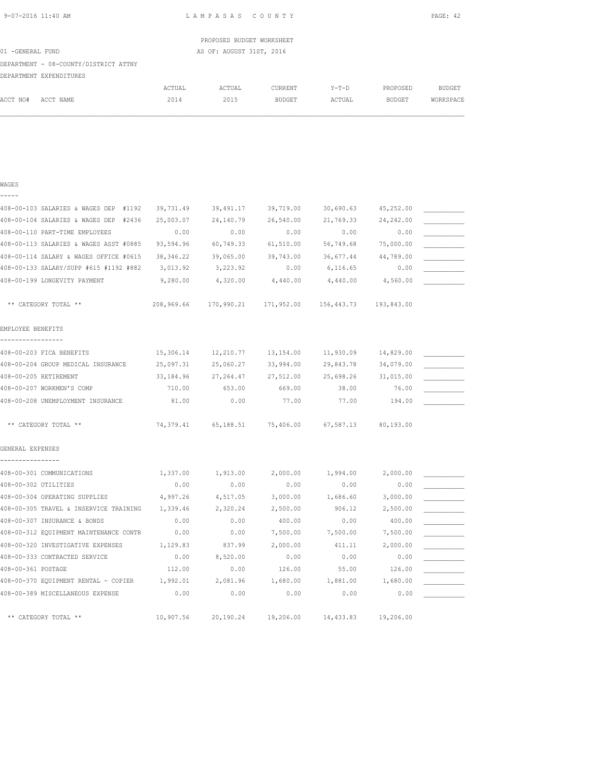L A M P A S A S C O U N T Y PAGE: 42

|                                       |        | PROPOSED BUDGET WORKSHEET |         |       |          |               |
|---------------------------------------|--------|---------------------------|---------|-------|----------|---------------|
| 01 -GENERAL FUND                      |        | AS OF: AUGUST 31ST, 2016  |         |       |          |               |
| DEPARTMENT - 08-COUNTY/DISTRICT ATTNY |        |                           |         |       |          |               |
| DEPARTMENT EXPENDITURES               |        |                           |         |       |          |               |
|                                       | ACTUAL | ACTUAL                    | CURRENT | Y-T-D | PROPOSED | <b>BUDGET</b> |

ACCT NO# ACCT NAME 2014 2015 BUDGET ACTUAL BUDGET WORKSPACE

| WAGES                                    |            |            |            |            |            |  |
|------------------------------------------|------------|------------|------------|------------|------------|--|
| -----                                    |            |            |            |            |            |  |
| 408-00-103 SALARIES & WAGES DEP #1192    | 39,731.49  | 39,491.17  | 39,719.00  | 30,690.63  | 45,252.00  |  |
| 408-00-104 SALARIES & WAGES DEP<br>#2436 | 25,003.07  | 24,140.79  | 26,540.00  | 21,769.33  | 24, 242.00 |  |
| 408-00-110 PART-TIME EMPLOYEES           | 0.00       | 0.00       | 0.00       | 0.00       | 0.00       |  |
| 408-00-113 SALARIES & WAGES ASST #0885   | 93,594.96  | 60,749.33  | 61,510.00  | 56,749.68  | 75,000.00  |  |
| 408-00-114 SALARY & WAGES OFFICE #0615   | 38, 346.22 | 39,065.00  | 39,743.00  | 36,677.44  | 44,789.00  |  |
| 408-00-133 SALARY/SUPP #615 #1192 #882   | 3,013.92   | 3,223.92   | 0.00       | 6,116.65   | 0.00       |  |
| 408-00-199 LONGEVITY PAYMENT             | 9,280.00   | 4,320.00   | 4,440.00   | 4,440.00   | 4,560.00   |  |
| ** CATEGORY TOTAL **                     | 208,969.66 | 170,990.21 | 171,952.00 | 156,443.73 | 193,843.00 |  |
| EMPLOYEE BENEFITS                        |            |            |            |            |            |  |
| 408-00-203 FICA BENEFITS                 | 15,306.14  | 12,210.77  | 13,154.00  | 11,930.09  | 14,829.00  |  |
| 408-00-204 GROUP MEDICAL INSURANCE       | 25,097.31  | 25,060.27  | 33,994.00  | 29,843.78  | 34,079.00  |  |
| 408-00-205 RETIREMENT                    | 33, 184.96 | 27, 264.47 | 27,512.00  | 25,698.26  | 31,015.00  |  |
| 408-00-207 WORKMEN'S COMP                | 710.00     | 653.00     | 669.00     | 38.00      | 76.00      |  |
| 408-00-208 UNEMPLOYMENT INSURANCE        | 81.00      | 0.00       | 77.00      | 77.00      | 194.00     |  |
| ** CATEGORY TOTAL **                     | 74,379.41  | 65,188.51  | 75,406.00  | 67,587.13  | 80,193.00  |  |
| GENERAL EXPENSES                         |            |            |            |            |            |  |
|                                          |            |            |            |            |            |  |
| 408-00-301 COMMUNICATIONS                | 1,337.00   | 1,913.00   | 2,000.00   | 1,994.00   | 2,000.00   |  |
| 408-00-302 UTILITIES                     | 0.00       | 0.00       | 0.00       | 0.00       | 0.00       |  |
| 408-00-304 OPERATING SUPPLIES            | 4,997.26   | 4,517.05   | 3,000.00   | 1,686.60   | 3,000.00   |  |
| 408-00-305 TRAVEL & INSERVICE TRAINING   | 1,339.46   | 2,320.24   | 2,500.00   | 906.12     | 2,500.00   |  |
| 408-00-307 INSURANCE & BONDS             | 0.00       | 0.00       | 400.00     | 0.00       | 400.00     |  |
| 408-00-312 EQUIPMENT MAINTENANCE CONTR   | 0.00       | 0.00       | 7,500.00   | 7,500.00   | 7,500.00   |  |
| 408-00-320 INVESTIGATIVE EXPENSES        | 1,129.83   | 837.99     | 2,000.00   | 411.11     | 2,000.00   |  |
| 408-00-333 CONTRACTED SERVICE            | 0.00       | 8,520.00   | 0.00       | 0.00       | 0.00       |  |
| 408-00-361 POSTAGE                       | 112.00     | 0.00       | 126.00     | 55.00      | 126.00     |  |
| 408-00-370 EQUIPMENT RENTAL - COPIER     | 1,992.01   | 2,081.96   | 1,680.00   | 1,881.00   | 1,680.00   |  |
| 408-00-389 MISCELLANEOUS EXPENSE         | 0.00       | 0.00       | 0.00       | 0.00       | 0.00       |  |
| ** CATEGORY TOTAL **                     | 10,907.56  | 20,190.24  | 19,206.00  | 14,433.83  | 19,206.00  |  |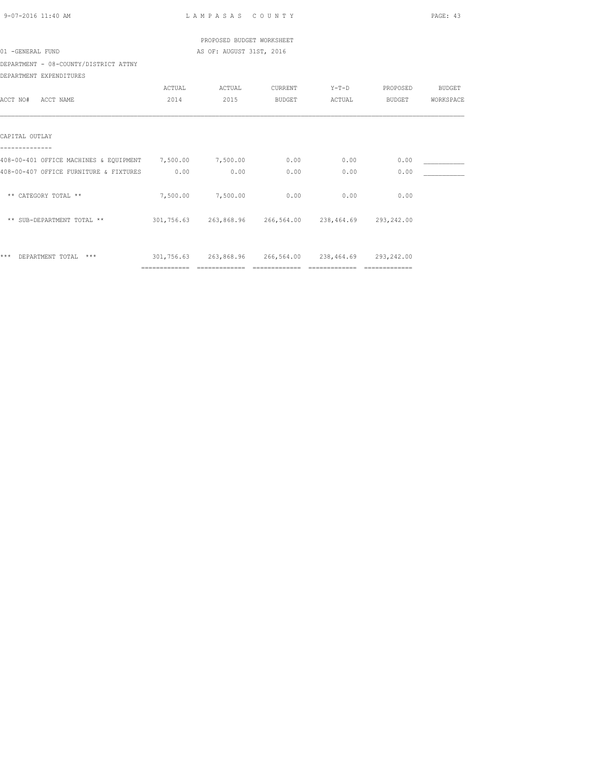| 9-07-2016 11:40 AM                                            |                | LAMPASAS COUNTY                                            |               |                |                 | PAGE: 43  |
|---------------------------------------------------------------|----------------|------------------------------------------------------------|---------------|----------------|-----------------|-----------|
|                                                               |                | PROPOSED BUDGET WORKSHEET                                  |               |                |                 |           |
| 01 -GENERAL FUND                                              |                | AS OF: AUGUST 31ST, 2016                                   |               |                |                 |           |
| DEPARTMENT - 08-COUNTY/DISTRICT ATTNY                         |                |                                                            |               |                |                 |           |
| DEPARTMENT EXPENDITURES                                       |                |                                                            |               |                |                 |           |
|                                                               | ACTUAL         | ACTUAL                                                     | CURRENT       | $Y-T-D$        | PROPOSED BUDGET |           |
| ACCT NO# ACCT NAME                                            | 2014           | 2015                                                       | <b>BUDGET</b> | ACTUAL         | BUDGET          | WORKSPACE |
|                                                               |                |                                                            |               |                |                 |           |
| CAPITAL OUTLAY                                                |                |                                                            |               |                |                 |           |
|                                                               |                |                                                            |               |                |                 |           |
| 408-00-401 OFFICE MACHINES & EQUIPMENT 7,500.00 7,500.00 0.00 |                |                                                            |               | 0.00           | 0.00            |           |
| 408-00-407 OFFICE FURNITURE & FIXTURES 0.00                   |                | 0.00                                                       | 0.00          | 0.00           | 0.00            |           |
| ** CATEGORY TOTAL **                                          |                | 7,500.00 7,500.00 0.00                                     |               | 0.00           | 0.00            |           |
| ** SUB-DEPARTMENT TOTAL **                                    |                | 301,756.63  263,868.96  266,564.00  238,464.69  293,242.00 |               |                |                 |           |
| *** DEPARTMENT TOTAL ***                                      |                | 301,756.63  263,868.96  266,564.00  238,464.69  293,242.00 |               |                |                 |           |
|                                                               | ============== |                                                            |               | ============== | --------------  |           |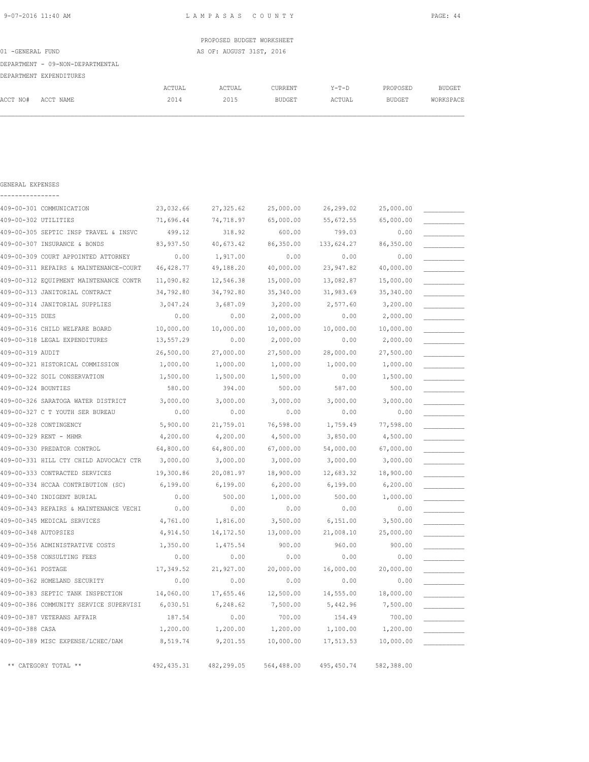GENERAL EXPENSES

9-07-2016 11:40 AM L A M P A S A S C O U N T Y PAGE: 44

|                  |                                  |        | PROPOSED BUDGET WORKSHEET |         |         |          |           |
|------------------|----------------------------------|--------|---------------------------|---------|---------|----------|-----------|
| 01 -GENERAL FUND |                                  |        | AS OF: AUGUST 31ST, 2016  |         |         |          |           |
|                  | DEPARTMENT - 09-NON-DEPARTMENTAL |        |                           |         |         |          |           |
|                  | DEPARTMENT EXPENDITURES          |        |                           |         |         |          |           |
|                  |                                  | ACTUAL | ACTUAL                    | CURRENT | $Y-T-D$ | PROPOSED | BUDGET    |
| ACCT NO#         | ACCT NAME                        | 2014   | 2015                      | BUDGET  | ACTUAL  | BUDGET   | WORKSPACE |
|                  |                                  |        |                           |         |         |          |           |

| 409-00-301 COMMUNICATION               | 23,032.66   | 27, 325.62 | 25,000.00  | 26,299.02   | 25,000.00  |  |
|----------------------------------------|-------------|------------|------------|-------------|------------|--|
| 409-00-302 UTILITIES                   | 71,696.44   | 74,718.97  | 65,000.00  | 55,672.55   | 65,000.00  |  |
| 409-00-305 SEPTIC INSP TRAVEL & INSVC  | 499.12      | 318.92     | 600.00     | 799.03      | 0.00       |  |
| 409-00-307 INSURANCE & BONDS           | 83,937.50   | 40,673.42  | 86,350.00  | 133,624.27  | 86,350.00  |  |
| 409-00-309 COURT APPOINTED ATTORNEY    | 0.00        | 1,917.00   | 0.00       | 0.00        | 0.00       |  |
| 409-00-311 REPAIRS & MAINTENANCE-COURT | 46, 428.77  | 49,188.20  | 40,000.00  | 23,947.82   | 40,000.00  |  |
| 409-00-312 EQUIPMENT MAINTENANCE CONTR | 11,090.82   | 12,546.38  | 15,000.00  | 13,082.87   | 15,000.00  |  |
| 409-00-313 JANITORIAL CONTRACT         | 34,792.80   | 34,792.80  | 35,340.00  | 31,983.69   | 35,340.00  |  |
| 409-00-314 JANITORIAL SUPPLIES         | 3,047.24    | 3,687.09   | 3,200.00   | 2,577.60    | 3,200.00   |  |
| 409-00-315 DUES                        | 0.00        | 0.00       | 2,000.00   | 0.00        | 2,000.00   |  |
| 409-00-316 CHILD WELFARE BOARD         | 10,000.00   | 10,000.00  | 10,000.00  | 10,000.00   | 10,000.00  |  |
| 409-00-318 LEGAL EXPENDITURES          | 13,557.29   | 0.00       | 2,000.00   | 0.00        | 2,000.00   |  |
| 409-00-319 AUDIT                       | 26,500.00   | 27,000.00  | 27,500.00  | 28,000.00   | 27,500.00  |  |
| 409-00-321 HISTORICAL COMMISSION       | 1,000.00    | 1,000.00   | 1,000.00   | 1,000.00    | 1,000.00   |  |
| 409-00-322 SOIL CONSERVATION           | 1,500.00    | 1,500.00   | 1,500.00   | 0.00        | 1,500.00   |  |
| 409-00-324 BOUNTIES                    | 580.00      | 394.00     | 500.00     | 587.00      | 500.00     |  |
| 409-00-326 SARATOGA WATER DISTRICT     | 3,000.00    | 3,000.00   | 3,000.00   | 3,000.00    | 3,000.00   |  |
| 409-00-327 C T YOUTH SER BUREAU        | 0.00        | 0.00       | 0.00       | 0.00        | 0.00       |  |
| 409-00-328 CONTINGENCY                 | 5,900.00    | 21,759.01  | 76,598.00  | 1,759.49    | 77,598.00  |  |
| 409-00-329 RENT - MHMR                 | 4,200.00    | 4,200.00   | 4,500.00   | 3,850.00    | 4,500.00   |  |
| 409-00-330 PREDATOR CONTROL            | 64,800.00   | 64,800.00  | 67,000.00  | 54,000.00   | 67,000.00  |  |
| 409-00-331 HILL CTY CHILD ADVOCACY CTR | 3,000.00    | 3,000.00   | 3,000.00   | 3,000.00    | 3,000.00   |  |
| 409-00-333 CONTRACTED SERVICES         | 19,300.86   | 20,081.97  | 18,900.00  | 12,683.32   | 18,900.00  |  |
| 409-00-334 HCCAA CONTRIBUTION (SC)     | 6,199.00    | 6,199.00   | 6, 200.00  | 6,199.00    | 6, 200.00  |  |
| 409-00-340 INDIGENT BURIAL             | 0.00        | 500.00     | 1,000.00   | 500.00      | 1,000.00   |  |
| 409-00-343 REPAIRS & MAINTENANCE VECHI | 0.00        | 0.00       | 0.00       | 0.00        | 0.00       |  |
| 409-00-345 MEDICAL SERVICES            | 4,761.00    | 1,816.00   | 3,500.00   | 6,151.00    | 3,500.00   |  |
| 409-00-348 AUTOPSIES                   | 4,914.50    | 14, 172.50 | 13,000.00  | 21,008.10   | 25,000.00  |  |
| 409-00-356 ADMINISTRATIVE COSTS        | 1,350.00    | 1,475.54   | 900.00     | 960.00      | 900.00     |  |
| 409-00-358 CONSULTING FEES             | 0.00        | 0.00       | 0.00       | 0.00        | 0.00       |  |
| 409-00-361 POSTAGE                     | 17,349.52   | 21,927.00  | 20,000.00  | 16,000.00   | 20,000.00  |  |
| 409-00-362 HOMELAND SECURITY           | 0.00        | 0.00       | 0.00       | 0.00        | 0.00       |  |
| 409-00-383 SEPTIC TANK INSPECTION      | 14,060.00   | 17,655.46  | 12,500.00  | 14,555.00   | 18,000.00  |  |
| 409-00-386 COMMUNITY SERVICE SUPERVISI | 6,030.51    | 6,248.62   | 7,500.00   | 5,442.96    | 7,500.00   |  |
| 409-00-387 VETERANS AFFAIR             | 187.54      | 0.00       | 700.00     | 154.49      | 700.00     |  |
| 409-00-388 CASA                        | 1,200.00    | 1,200.00   | 1,200.00   | 1,100.00    | 1,200.00   |  |
| 409-00-389 MISC EXPENSE/LCHEC/DAM      | 8,519.74    | 9,201.55   | 10,000.00  | 17,513.53   | 10,000.00  |  |
| ** CATEGORY TOTAL **                   | 492, 435.31 | 482,299.05 | 564,488.00 | 495, 450.74 | 582,388.00 |  |
|                                        |             |            |            |             |            |  |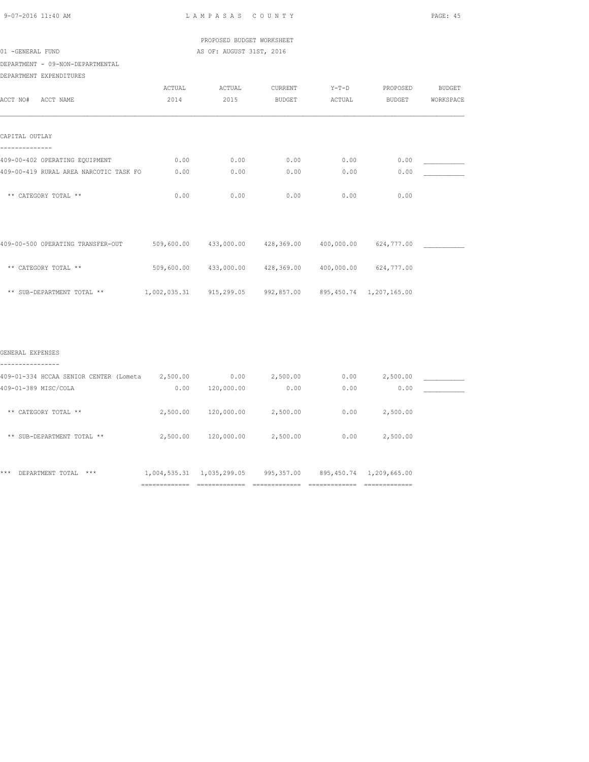PROPOSED BUDGET WORKSHEET 01 -GENERAL FUND **AS OF: AUGUST 31ST, 2016** 

DEPARTMENT - 09-NON-DEPARTMENTAL

|  | DEPARTMENT EXPENDITURES |
|--|-------------------------|
|--|-------------------------|

| ACCT NO#<br>ACCT NAME                                                    | <b>ACTUAL</b><br>2014 | ACTUAL<br>2015 | CURRENT<br><b>BUDGET</b> | $Y-T-D$<br>ACTUAL | PROPOSED<br><b>BUDGET</b>  | <b>BUDGET</b><br>WORKSPACE |
|--------------------------------------------------------------------------|-----------------------|----------------|--------------------------|-------------------|----------------------------|----------------------------|
| CAPITAL OUTLAY                                                           |                       |                |                          |                   |                            |                            |
| 409-00-402 OPERATING EQUIPMENT<br>409-00-419 RURAL AREA NARCOTIC TASK FO | 0.00<br>0.00          | 0.00<br>0.00   | 0.00<br>0.00             | 0.00<br>0.00      | 0.00<br>0.00               |                            |
| ** CATEGORY TOTAL **                                                     | 0.00                  | 0.00           | 0.00                     | 0.00              | 0.00                       |                            |
| 409-00-500 OPERATING TRANSFER-OUT                                        | 509,600.00            | 433,000.00     | 428,369.00               | 400,000.00        | 624,777.00                 |                            |
| ** CATEGORY TOTAL **                                                     | 509,600.00            | 433,000.00     | 428,369.00               | 400,000.00        | 624,777.00                 |                            |
| ** SUB-DEPARTMENT TOTAL **                                               | 1,002,035.31          | 915,299.05     | 992,857.00               |                   | 895, 450.74 1, 207, 165.00 |                            |

| 409-01-334 HCCAA SENIOR CENTER (Lometa | 2,500.00                           | 0.00           | 2,500.00       | 0.00            | 2,500.00                         |  |
|----------------------------------------|------------------------------------|----------------|----------------|-----------------|----------------------------------|--|
| 409-01-389 MISC/COLA                   | 0.00                               | 120,000.00     | 0.00           | 0.00            | 0.00                             |  |
|                                        |                                    |                |                |                 |                                  |  |
| CATEGORY TOTAL **<br>**                | 2,500.00                           | 120,000.00     | 2,500.00       | 0.00            | 2,500.00                         |  |
|                                        |                                    |                |                |                 |                                  |  |
| SUB-DEPARTMENT TOTAL **<br>**          | 2,500.00                           | 120,000.00     | 2,500.00       | 0.00            | 2,500.00                         |  |
|                                        |                                    |                |                |                 |                                  |  |
|                                        |                                    |                |                |                 |                                  |  |
| ***<br>DEPARTMENT TOTAL<br>***         | 1,004,535.31                       | 1,035,299.05   | 995,357.00     | 895, 450.74     | 1,209,665.00                     |  |
|                                        | ----------------<br>-------------- | -------------- | -------------- | --------------- | ______________<br>-------------- |  |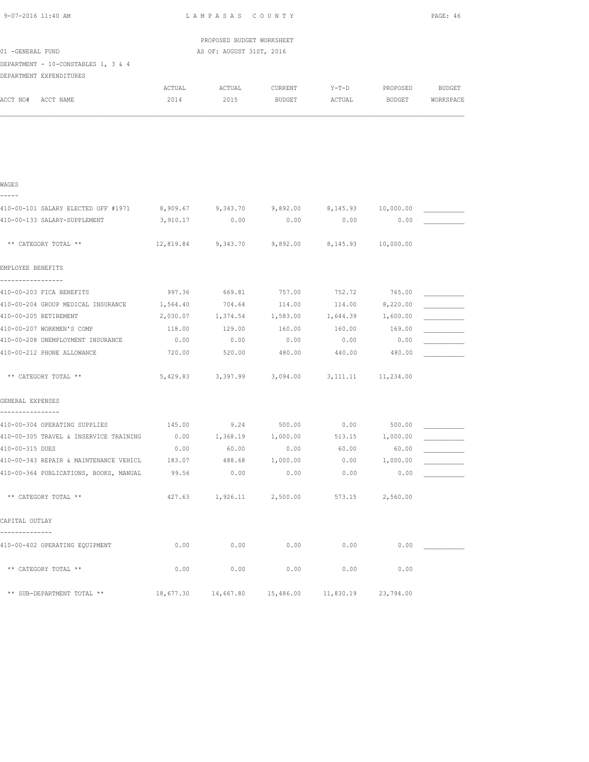| 9-07-2016 11:40 AM                                    |           | LAMPASAS COUNTY           |                                                  |                       |                 | PAGE: 46  |
|-------------------------------------------------------|-----------|---------------------------|--------------------------------------------------|-----------------------|-----------------|-----------|
|                                                       |           | PROPOSED BUDGET WORKSHEET |                                                  |                       |                 |           |
| 01 -GENERAL FUND                                      |           | AS OF: AUGUST 31ST, 2016  |                                                  |                       |                 |           |
| DEPARTMENT - 10-CONSTABLES 1, 3 & 4                   |           |                           |                                                  |                       |                 |           |
| DEPARTMENT EXPENDITURES                               |           |                           |                                                  |                       |                 |           |
|                                                       | ACTUAL    | ACTUAL                    | CURRENT                                          | $Y-T-D$               | PROPOSED        | BUDGET    |
| ACCT NO# ACCT NAME                                    | 2014      | 2015                      | BUDGET                                           | ACTUAL                | <b>BUDGET</b>   | WORKSPACE |
|                                                       |           |                           |                                                  |                       |                 |           |
|                                                       |           |                           |                                                  |                       |                 |           |
|                                                       |           |                           |                                                  |                       |                 |           |
| WAGES                                                 |           |                           |                                                  |                       |                 |           |
| -----<br>410-00-101 SALARY ELECTED OFF #1971 8,909.67 |           |                           | 9,343.70 9,892.00                                | 8,145.93    10,000.00 |                 |           |
| 410-00-133 SALARY-SUPPLEMENT                          | 3,910.17  | 0.00                      | 0.00                                             | 0.00                  | 0.00            |           |
| ** CATEGORY TOTAL **                                  | 12,819.84 |                           | 9,343.70 9,892.00                                | 8,145.93    10,000.00 |                 |           |
| EMPLOYEE BENEFITS                                     |           |                           |                                                  |                       |                 |           |
| -----------------                                     |           |                           |                                                  |                       |                 |           |
| 410-00-203 FICA BENEFITS                              | 997.36    | 669.81                    | 757.00                                           | 752.72                | 765.00          |           |
| 410-00-204 GROUP MEDICAL INSURANCE                    | 1,564.40  | 704.64                    | 114.00                                           |                       | 114.00 8,220.00 |           |
| 410-00-205 RETIREMENT                                 |           |                           | 2,030.07  1,374.54  1,583.00  1,644.39  1,600.00 |                       |                 |           |
| 410-00-207 WORKMEN'S COMP                             | 118.00    | 129.00                    | 160.00                                           | 160.00                | 169.00          |           |
| 410-00-208 UNEMPLOYMENT INSURANCE                     | 0.00      | 0.00                      | 0.00                                             | 0.00                  | 0.00            |           |
| 410-00-212 PHONE ALLOWANCE                            | 720.00    | 520.00                    | 480.00                                           | 440.00                | 480.00          |           |
| ** CATEGORY TOTAL **                                  |           |                           | 5,429.83 3,397.99 3,094.00 3,111.11 11,234.00    |                       |                 |           |
| GENERAL EXPENSES                                      |           |                           |                                                  |                       |                 |           |
| 410-00-304 OPERATING SUPPLIES                         | 145.00    |                           |                                                  |                       | 500.00          |           |
| 410-00-305 TRAVEL & INSERVICE TRAINING                | 0.00      | 1,368.19 1,000.00         | $9.24$ 500.00 0.00                               | 513.15                | 1,000.00        |           |
| 410-00-315 DUES                                       | 0.00      | 60.00                     | 0.00                                             | 60.00                 | 60.00           |           |
| 410-00-343 REPAIR & MAINTENANCE VEHICL                | 183.07    |                           | 488.68 1,000.00                                  | 0.00                  | 1,000.00        |           |
| 410-00-364 PUBLICATIONS, BOOKS, MANUAL                | 99.56     | 0.00                      | 0.00                                             | 0.00                  | 0.00            |           |
|                                                       |           |                           |                                                  |                       |                 |           |
| ** CATEGORY TOTAL **                                  | 427.63    | 1,926.11                  | 2,500.00                                         | 573.15                | 2,560.00        |           |
| CAPITAL OUTLAY<br>--------------                      |           |                           |                                                  |                       |                 |           |
| 410-00-402 OPERATING EQUIPMENT                        | 0.00      | 0.00                      | 0.00                                             | 0.00                  | 0.00            |           |
| ** CATEGORY TOTAL **                                  | 0.00      | 0.00                      | 0.00                                             | 0.00                  | 0.00            |           |
| ** SUB-DEPARTMENT TOTAL **                            | 18,677.30 | 14,667.80                 | 15,486.00                                        | 11,830.19             | 23,794.00       |           |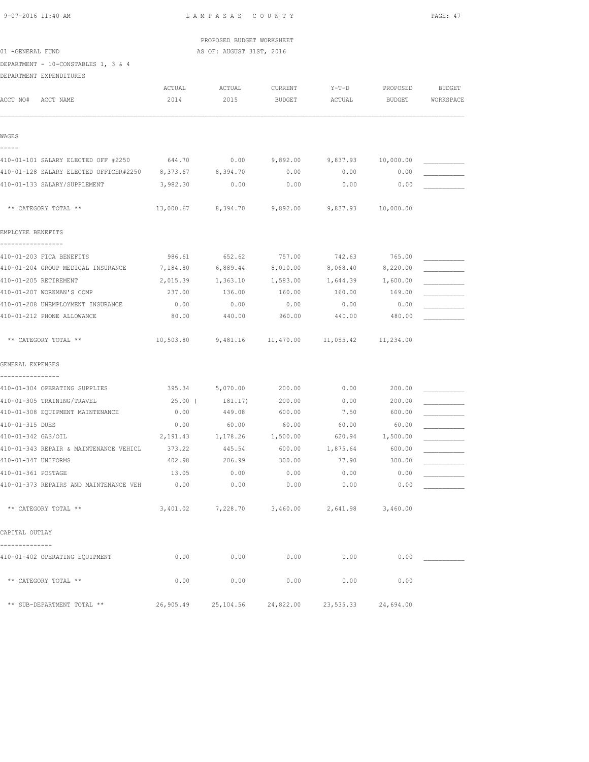|  | 9-07-2016 11:40 AM |  |
|--|--------------------|--|
|  |                    |  |

L A M P A S A S C O U N T Y PAGE: 47

 PROPOSED BUDGET WORKSHEET 01 -GENERAL FUND AS OF: AUGUST 31ST, 2016

DEPARTMENT - 10-CONSTABLES 1, 3 & 4

DEPARTMENT EXPENDITURES

| ACCT NO#            | ACCT NAME                                       | ACTUAL<br>2014  | ACTUAL<br>2015              | CURRENT<br><b>BUDGET</b> | $Y-T-D$<br>ACTUAL  | PROPOSED<br><b>BUDGET</b> | <b>BUDGET</b><br>WORKSPACE |
|---------------------|-------------------------------------------------|-----------------|-----------------------------|--------------------------|--------------------|---------------------------|----------------------------|
| WAGES               |                                                 |                 |                             |                          |                    |                           |                            |
| -----               | 410-01-101 SALARY ELECTED OFF #2250             | 644.70          | 0.00                        | 9,892.00                 | 9,837.93           | 10,000.00                 |                            |
|                     | 410-01-128 SALARY ELECTED OFFICER#2250 8,373.67 |                 | 8,394.70                    | 0.00                     | 0.00               | 0.00                      |                            |
|                     | 410-01-133 SALARY/SUPPLEMENT                    | 3,982.30        | 0.00                        | 0.00                     | 0.00               | 0.00                      |                            |
|                     | ** CATEGORY TOTAL **                            |                 | 13,000.67 8,394.70 9,892.00 |                          | 9,837.93 10,000.00 |                           |                            |
| EMPLOYEE BENEFITS   |                                                 |                 |                             |                          |                    |                           |                            |
|                     | 410-01-203 FICA BENEFITS                        | 986.61          | 652.62                      | 757.00                   | 742.63             | 765.00                    |                            |
|                     | 410-01-204 GROUP MEDICAL INSURANCE              | 7,184.80        | 6,889.44                    | 8,010.00                 |                    | 8,068.40 8,220.00         |                            |
|                     | 410-01-205 RETIREMENT                           | 2,015.39        | 1,363.10                    | 1,583.00                 | 1,644.39           | 1,600.00                  |                            |
|                     | 410-01-207 WORKMAN'S COMP                       | 237.00          | 136.00                      | 160.00                   | 160.00             | 169.00                    |                            |
|                     | 410-01-208 UNEMPLOYMENT INSURANCE               | 0.00            | 0.00                        | 0.00                     | 0.00               | 0.00                      |                            |
|                     | 410-01-212 PHONE ALLOWANCE                      | 80.00           | 440.00                      | 960.00                   | 440.00             | 480.00                    |                            |
|                     | ** CATEGORY TOTAL **                            | 10,503.80       |                             |                          |                    |                           |                            |
| GENERAL EXPENSES    |                                                 |                 |                             |                          |                    |                           |                            |
| ----------------    | 410-01-304 OPERATING SUPPLIES                   | 395.34 5,070.00 |                             | 200.00                   | 0.00               | 200.00                    |                            |
|                     | 410-01-305 TRAINING/TRAVEL                      | 25.00 (         | 181.17)                     | 200.00                   | 0.00               | 200.00                    |                            |
|                     | 410-01-308 EQUIPMENT MAINTENANCE                | 0.00            | 449.08                      | 600.00                   | 7.50               | 600.00                    |                            |
| 410-01-315 DUES     |                                                 | 0.00            | 60.00                       | 60.00                    | 60.00              | 60.00                     |                            |
| 410-01-342 GAS/OIL  |                                                 | 2,191.43        | 1,178.26                    | 1,500.00                 | 620.94             | 1,500.00                  |                            |
|                     | 410-01-343 REPAIR & MAINTENANCE VEHICL          | 373.22          | 445.54                      | 600.00                   | 1,875.64           | 600.00                    |                            |
| 410-01-347 UNIFORMS |                                                 | 402.98          | 206.99                      | 300.00                   | 77.90              | 300.00                    |                            |
| 410-01-361 POSTAGE  |                                                 | 13.05           | 0.00                        | 0.00                     | 0.00               | 0.00                      |                            |
|                     | 410-01-373 REPAIRS AND MAINTENANCE VEH          | 0.00            | 0.00                        | 0.00                     | 0.00               | 0.00                      |                            |
|                     | ** CATEGORY TOTAL **                            | 3,401.02        | 7,228.70                    | 3,460.00                 | 2,641.98           | 3,460.00                  |                            |
| CAPITAL OUTLAY      |                                                 |                 |                             |                          |                    |                           |                            |
| ------------        | 410-01-402 OPERATING EQUIPMENT                  | 0.00            | 0.00                        | 0.00                     | 0.00               | 0.00                      |                            |
|                     | ** CATEGORY TOTAL **                            | 0.00            | 0.00                        | 0.00                     | 0.00               | 0.00                      |                            |
|                     | ** SUB-DEPARTMENT TOTAL **                      | 26,905.49       | 25,104.56                   | 24,822.00                | 23,535.33          | 24,694.00                 |                            |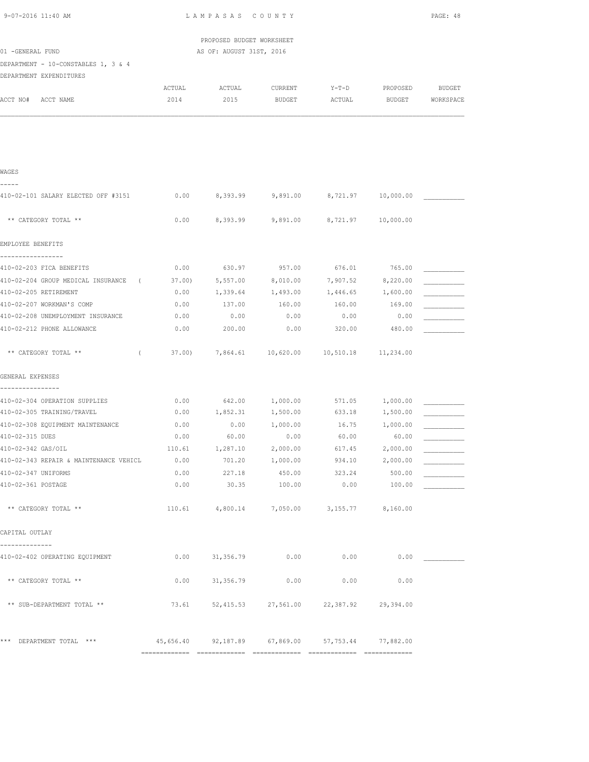| 9-07-2016 11:40 AM                                             |              | LAMPASAS COUNTY           |                                                   |                    |                   | PAGE: 48      |
|----------------------------------------------------------------|--------------|---------------------------|---------------------------------------------------|--------------------|-------------------|---------------|
|                                                                |              | PROPOSED BUDGET WORKSHEET |                                                   |                    |                   |               |
| 01 -GENERAL FUND                                               |              | AS OF: AUGUST 31ST, 2016  |                                                   |                    |                   |               |
| DEPARTMENT - 10-CONSTABLES 1, 3 & 4                            |              |                           |                                                   |                    |                   |               |
| DEPARTMENT EXPENDITURES                                        |              |                           |                                                   |                    |                   |               |
|                                                                | ACTUAL       | ACTUAL                    | CURRENT                                           | Y-T-D              | PROPOSED          | <b>BUDGET</b> |
| ACCT NO# ACCT NAME                                             | 2014         | 2015                      | BUDGET                                            | ACTUAL             | BUDGET            | WORKSPACE     |
|                                                                |              |                           |                                                   |                    |                   |               |
|                                                                |              |                           |                                                   |                    |                   |               |
| WAGES                                                          |              |                           |                                                   |                    |                   |               |
| -----<br>410-02-101 SALARY ELECTED OFF #3151                   | 0.00         |                           | 8,393.99 9,891.00 8,721.97 10,000.00              |                    |                   |               |
| ** CATEGORY TOTAL **                                           | 0.00         |                           | 8,393.99 9,891.00                                 | 8,721.97 10,000.00 |                   |               |
| EMPLOYEE BENEFITS                                              |              |                           |                                                   |                    |                   |               |
| -----------------                                              |              |                           |                                                   |                    |                   |               |
| 410-02-203 FICA BENEFITS                                       | 0.00         | 630.97                    | 957.00                                            | 676.01             | 765.00            |               |
| 410-02-204 GROUP MEDICAL INSURANCE (                           | 37.00)       | 5,557.00                  | 8,010.00                                          | 7,907.52           | 8,220.00          |               |
| 410-02-205 RETIREMENT                                          | 0.00         | 1,339.64                  | 1,493.00                                          | 1,446.65 1,600.00  |                   |               |
| 410-02-207 WORKMAN'S COMP<br>410-02-208 UNEMPLOYMENT INSURANCE | 0.00<br>0.00 | 137.00<br>0.00            | 160.00<br>0.00                                    | 160.00<br>0.00     | 169.00<br>0.00    |               |
| 410-02-212 PHONE ALLOWANCE                                     | 0.00         | 200.00                    | 0.00                                              | 320.00             | 480.00            |               |
|                                                                |              |                           |                                                   |                    |                   |               |
| ** CATEGORY TOTAL **<br>$\left($                               | 37.00)       |                           | 7,864.61  10,620.00  10,510.18  11,234.00         |                    |                   |               |
| GENERAL EXPENSES<br>----------------                           |              |                           |                                                   |                    |                   |               |
| 410-02-304 OPERATION SUPPLIES                                  | 0.00         | 642.00                    | 1,000.00                                          | 571.05             | 1,000.00          |               |
| 410-02-305 TRAINING/TRAVEL                                     | 0.00         | 1,852.31                  | 1,500.00                                          | 633.18             | 1,500.00          |               |
| 410-02-308 EOUIPMENT MAINTENANCE                               | 0.00         | 0.00                      | 1,000.00                                          | 16.75              | 1,000.00          |               |
| 410-02-315 DUES                                                | 0.00         | 60.00                     | 0.00                                              | 60.00              | 60.00             |               |
| 410-02-342 GAS/OIL                                             | 110.61       | 1,287.10                  | 2,000.00                                          | 617.45             | 2,000.00          |               |
| 410-02-343 REPAIR & MAINTENANCE VEHICL                         | 0.00         |                           | 701.20 1,000.00 934.10                            |                    | 2,000.00          |               |
| 410-02-347 UNIFORMS                                            |              |                           | $0.00$ 227.18 450.00 323.24                       |                    | 500.00            |               |
| 410-02-361 POSTAGE                                             | 0.00         |                           | 30.35 100.00                                      | 0.00               | 100.00            |               |
| ** CATEGORY TOTAL **                                           | 110.61       |                           | 4,800.14 7,050.00                                 |                    | 3,155.77 8,160.00 |               |
| CAPITAL OUTLAY                                                 |              |                           |                                                   |                    |                   |               |
| --------------<br>410-02-402 OPERATING EQUIPMENT               | 0.00         | 31,356.79                 | 0.00                                              | 0.00               | 0.00              |               |
| ** CATEGORY TOTAL **                                           | 0.00         | 31,356.79                 | 0.00                                              | 0.00               | 0.00              |               |
| ** SUB-DEPARTMENT TOTAL **                                     | 73.61        |                           | 52,415.53 27,561.00 22,387.92 29,394.00           |                    |                   |               |
| *** DEPARTMENT TOTAL ***                                       |              |                           | 45,656.40 92,187.89 67,869.00 57,753.44 77,882.00 |                    |                   |               |
|                                                                |              |                           |                                                   |                    |                   |               |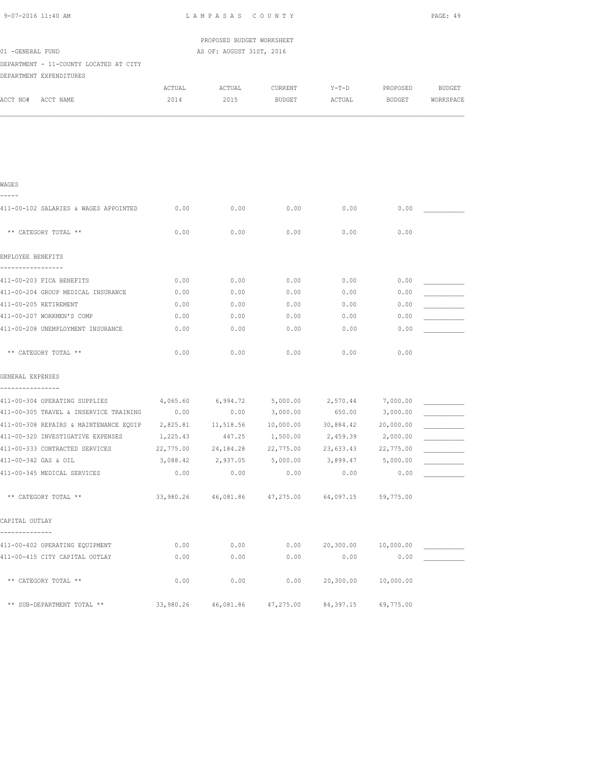| 9-07-2016 11:40 AM                                                                |           | LAMPASAS COUNTY           |                                                      |           |           | PAGE: 49  |
|-----------------------------------------------------------------------------------|-----------|---------------------------|------------------------------------------------------|-----------|-----------|-----------|
|                                                                                   |           | PROPOSED BUDGET WORKSHEET |                                                      |           |           |           |
| 01 -GENERAL FUND                                                                  |           | AS OF: AUGUST 31ST, 2016  |                                                      |           |           |           |
| DEPARTMENT - 11-COUNTY LOCATED AT CITY                                            |           |                           |                                                      |           |           |           |
| DEPARTMENT EXPENDITURES                                                           |           |                           |                                                      |           |           |           |
|                                                                                   | ACTUAL    | ACTUAL                    | CURRENT                                              | Y-T-D     | PROPOSED  | BUDGET    |
| ACCT NO#<br>ACCT NAME                                                             | 2014      | 2015                      | BUDGET                                               | ACTUAL    | BUDGET    | WORKSPACE |
|                                                                                   |           |                           |                                                      |           |           |           |
|                                                                                   |           |                           |                                                      |           |           |           |
|                                                                                   |           |                           |                                                      |           |           |           |
|                                                                                   |           |                           |                                                      |           |           |           |
|                                                                                   |           |                           |                                                      |           |           |           |
| WAGES<br>-----                                                                    |           |                           |                                                      |           |           |           |
|                                                                                   |           |                           |                                                      |           |           |           |
| 411-00-102 SALARIES & WAGES APPOINTED                                             | 0.00      | 0.00                      | 0.00                                                 | 0.00      | 0.00      |           |
| ** CATEGORY TOTAL **                                                              | 0.00      | 0.00                      | 0.00                                                 | 0.00      | 0.00      |           |
|                                                                                   |           |                           |                                                      |           |           |           |
| EMPLOYEE BENEFITS                                                                 |           |                           |                                                      |           |           |           |
| -----------------                                                                 |           |                           |                                                      |           |           |           |
| 411-00-203 FICA BENEFITS                                                          | 0.00      | 0.00                      | 0.00                                                 | 0.00      | 0.00      |           |
| 411-00-204 GROUP MEDICAL INSURANCE                                                | 0.00      | 0.00                      | 0.00                                                 | 0.00      | 0.00      |           |
| 411-00-205 RETIREMENT                                                             | 0.00      | 0.00                      | 0.00                                                 | 0.00      | 0.00      |           |
| 411-00-207 WORKMEN'S COMP                                                         | 0.00      | 0.00                      | 0.00                                                 | 0.00      | 0.00      |           |
| 411-00-208 UNEMPLOYMENT INSURANCE                                                 | 0.00      | 0.00                      | 0.00                                                 | 0.00      | 0.00      |           |
| ** CATEGORY TOTAL **                                                              | 0.00      | 0.00                      | 0.00                                                 | 0.00      | 0.00      |           |
|                                                                                   |           |                           |                                                      |           |           |           |
| GENERAL EXPENSES                                                                  |           |                           |                                                      |           |           |           |
|                                                                                   |           |                           |                                                      |           |           |           |
| 411-00-304 OPERATING SUPPLIES                                                     | 4,065.60  |                           | 6,994.72 5,000.00                                    | 2,570.44  | 7,000.00  |           |
| 411-00-305 TRAVEL & INSERVICE TRAINING                                            | 0.00      | 0.00                      | 3,000.00                                             | 650.00    | 3,000.00  |           |
| 411-00-308 REPAIRS & MAINTENANCE EQUIP  2,825.81  11,518.56  10,000.00  30,884.42 |           |                           |                                                      |           | 20,000.00 |           |
| 411-00-320 INVESTIGATIVE EXPENSES                                                 |           |                           | $1,225.43$ $447.25$ $1,500.00$ $2,459.39$ $2,000.00$ |           |           |           |
| 411-00-333 CONTRACTED SERVICES                                                    | 22,775.00 | 24,184.28                 | 22,775.00                                            | 23,633.43 | 22,775.00 |           |
| 411-00-342 GAS & OIL                                                              | 3,088.42  | 2,937.05                  | 5,000.00                                             | 3,899.47  | 5,000.00  |           |
| 411-00-345 MEDICAL SERVICES                                                       | 0.00      | 0.00                      | 0.00                                                 | 0.00      | 0.00      |           |
| ** CATEGORY TOTAL **                                                              |           | 33,980.26 46,081.86       | 47,275.00                                            | 64,097.15 | 59,775.00 |           |
| CAPITAL OUTLAY                                                                    |           |                           |                                                      |           |           |           |
| -------------                                                                     |           |                           |                                                      |           |           |           |
| 411-00-402 OPERATING EQUIPMENT                                                    | 0.00      | 0.00                      | 0.00                                                 | 20,300.00 | 10,000.00 |           |
| 411-00-415 CITY CAPITAL OUTLAY                                                    | 0.00      | 0.00                      | 0.00                                                 | 0.00      | 0.00      |           |
| ** CATEGORY TOTAL **                                                              | 0.00      | 0.00                      | 0.00                                                 | 20,300.00 | 10,000.00 |           |
|                                                                                   |           |                           |                                                      |           |           |           |
| ** SUB-DEPARTMENT TOTAL **                                                        | 33,980.26 | 46,081.86                 | 47,275.00                                            | 84,397.15 | 69,775.00 |           |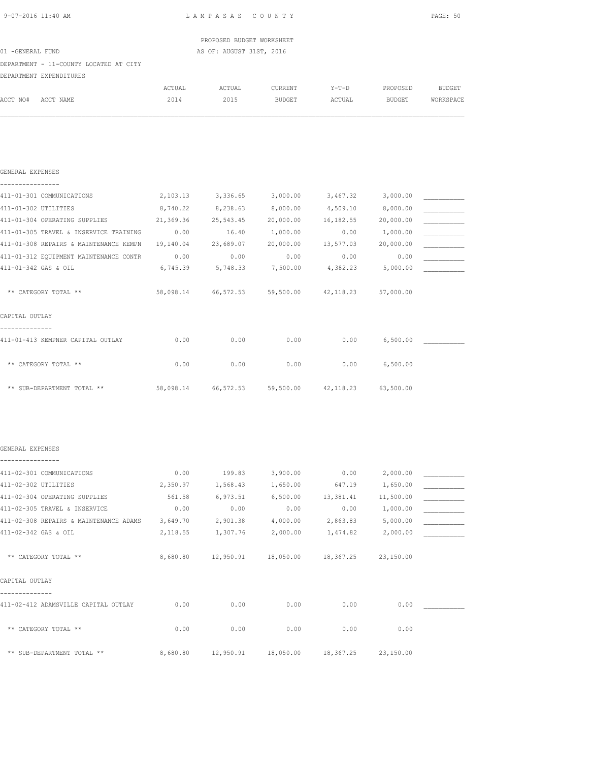| 9-07-2016 11:40 AM                                                           |           | LAMPASAS COUNTY            |                                                   |                     |               | PAGE: 50      |
|------------------------------------------------------------------------------|-----------|----------------------------|---------------------------------------------------|---------------------|---------------|---------------|
|                                                                              |           | PROPOSED BUDGET WORKSHEET  |                                                   |                     |               |               |
| 01 -GENERAL FUND                                                             |           | AS OF: AUGUST 31ST, 2016   |                                                   |                     |               |               |
| DEPARTMENT - 11-COUNTY LOCATED AT CITY                                       |           |                            |                                                   |                     |               |               |
| DEPARTMENT EXPENDITURES                                                      |           |                            |                                                   |                     |               |               |
|                                                                              | ACTUAL    | ACTUAL                     | CURRENT                                           | $Y-T-D$             | PROPOSED      | <b>BUDGET</b> |
| ACCT NO# ACCT NAME                                                           | 2014      | 2015                       | BUDGET                                            | ACTUAL              | <b>BUDGET</b> | WORKSPACE     |
|                                                                              |           |                            |                                                   |                     |               |               |
| GENERAL EXPENSES                                                             |           |                            |                                                   |                     |               |               |
| ----------------<br>411-01-301 COMMUNICATIONS                                | 2,103.13  |                            | 3,336.65 3,000.00                                 | 3,467.32            | 3,000.00      |               |
| 411-01-302 UTILITIES                                                         | 8,740.22  | 8,238.63                   | 8,000.00                                          | 4,509.10            | 8,000.00      |               |
| 411-01-304 OPERATING SUPPLIES                                                | 21,369.36 | 25,543.45                  | 20,000.00                                         | 16,182.55           | 20,000.00     |               |
| 411-01-305 TRAVEL & INSERVICE TRAINING                                       | 0.00      | 16.40                      | 1,000.00                                          | 0.00                | 1,000.00      |               |
| 411-01-308 REPAIRS & MAINTENANCE KEMPN                                       |           | 19,140.04 23,689.07        | 20,000.00                                         | 13,577.03 20,000.00 |               |               |
| 411-01-312 EQUIPMENT MAINTENANCE CONTR                                       | 0.00      | 0.00                       | 0.00                                              | 0.00                | 0.00          |               |
| 411-01-342 GAS & OIL                                                         |           | 6,745.39 5,748.33 7,500.00 |                                                   | 4,382.23 5,000.00   |               |               |
| ** CATEGORY TOTAL **                                                         |           |                            | 58,098.14 66,572.53 59,500.00 42,118.23 57,000.00 |                     |               |               |
| CAPITAL OUTLAY                                                               |           |                            |                                                   |                     |               |               |
| ------------<br>411-01-413 KEMPNER CAPITAL OUTLAY                            | 0.00      | 0.00                       | 0.00                                              | 0.00                | 6,500.00      |               |
| ** CATEGORY TOTAL **                                                         | 0.00      | 0.00                       | 0.00                                              | 0.00                | 6,500.00      |               |
| ** SUB-DEPARTMENT TOTAL ** 58,098.14 66,572.53 59,500.00 42,118.23 63,500.00 |           |                            |                                                   |                     |               |               |
|                                                                              |           |                            |                                                   |                     |               |               |
| GENERAL EXPENSES<br>----------------                                         |           |                            |                                                   |                     |               |               |
| 411-02-301 COMMUNICATIONS                                                    | 0.00      | 199.83                     | 3,900.00                                          | 0.00                | 2,000.00      |               |
| 411-02-302 UTILITIES                                                         | 2,350.97  | 1,568.43                   | 1,650.00                                          | 647.19              | 1,650.00      |               |
| 411-02-304 OPERATING SUPPLIES                                                | 561.58    | 6,973.51                   | 6,500.00                                          | 13,381.41           | 11,500.00     |               |
| 411-02-305 TRAVEL & INSERVICE                                                | 0.00      | 0.00                       | 0.00                                              | 0.00                | 1,000.00      |               |
| 411-02-308 REPAIRS & MAINTENANCE ADAMS                                       | 3,649.70  | 2,901.38                   | 4,000.00                                          | 2,863.83            | 5,000.00      |               |
| 411-02-342 GAS & OIL                                                         | 2,118.55  | 1,307.76                   | 2,000.00                                          | 1,474.82            | 2,000.00      |               |
| ** CATEGORY TOTAL **                                                         |           |                            | 8,680.80    12,950.91    18,050.00    18,367.25   |                     | 23,150.00     |               |
| CAPITAL OUTLAY<br>--------------                                             |           |                            |                                                   |                     |               |               |
| 411-02-412 ADAMSVILLE CAPITAL OUTLAY                                         | 0.00      | 0.00                       | 0.00                                              | 0.00                | 0.00          |               |
| ** CATEGORY TOTAL **                                                         | 0.00      | 0.00                       | 0.00                                              | 0.00                | 0.00          |               |

\*\* SUB-DEPARTMENT TOTAL \*\* 8,680.80 12,950.91 18,050.00 18,367.25 23,150.00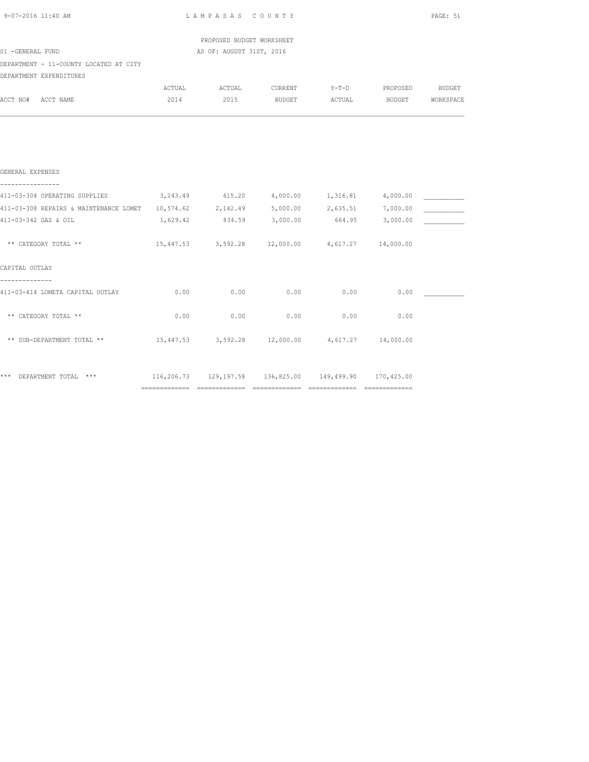| 9-07-2016 11:40 AM                                                           | LAMPASAS COUNTY | PAGE: 51                                                  |                 |        |                         |        |
|------------------------------------------------------------------------------|-----------------|-----------------------------------------------------------|-----------------|--------|-------------------------|--------|
|                                                                              |                 | PROPOSED BUDGET WORKSHEET                                 |                 |        |                         |        |
| 01 -GENERAL FUND                                                             |                 | AS OF: AUGUST 31ST, 2016                                  |                 |        |                         |        |
| DEPARTMENT - 11-COUNTY LOCATED AT CITY                                       |                 |                                                           |                 |        |                         |        |
| DEPARTMENT EXPENDITURES                                                      |                 |                                                           |                 |        |                         |        |
|                                                                              | ACTUAL          |                                                           | ACTUAL CURRENT  |        | Y-T-D PROPOSED          | BUDGET |
| ACCT NO# ACCT NAME                                                           | 2014            | 2015 BUDGET                                               |                 |        | ACTUAL BUDGET WORKSPACE |        |
|                                                                              |                 |                                                           |                 |        |                         |        |
| GENERAL EXPENSES                                                             |                 |                                                           |                 |        |                         |        |
| 411-03-304 OPERATING SUPPLIES 3, 243.49 615.20 4, 000.00 1, 316.81 4, 000.00 |                 |                                                           |                 |        |                         |        |
| 411-03-308 REPAIRS & MAINTENANCE LOMET 10,574.62 2,142.49 5,000.00 2,635.51  |                 |                                                           |                 |        | 7,000.00                |        |
| 411-03-342 GAS & OIL                                                         | 1,629.42        |                                                           | 834.59 3,000.00 | 664.95 | 3,000.00                |        |
| ** CATEGORY TOTAL **                                                         |                 | $15,447.53$ $3,592.28$ $12,000.00$ $4,617.27$ $14,000.00$ |                 |        |                         |        |
| CAPITAL OUTLAY                                                               |                 |                                                           |                 |        |                         |        |
| 411-03-414 LOMETA CAPITAL OUTLAY                                             | 0.00            | 0.00                                                      | 0.00            | 0.00   | 0.00                    |        |
| ** CATEGORY TOTAL **                                                         | 0.00            | 0.00                                                      | 0.00            | 0.00   | 0.00                    |        |
| ** SUB-DEPARTMENT TOTAL **                                                   |                 | $15,447.53$ $3,592.28$ $12,000.00$ $4,617.27$ $14,000.00$ |                 |        |                         |        |
| *** DEPARTMENT TOTAL ***                                                     |                 | 116,206.73 129,197.58 136,825.00 149,499.90 170,425.00    |                 |        |                         |        |
|                                                                              |                 |                                                           |                 |        |                         |        |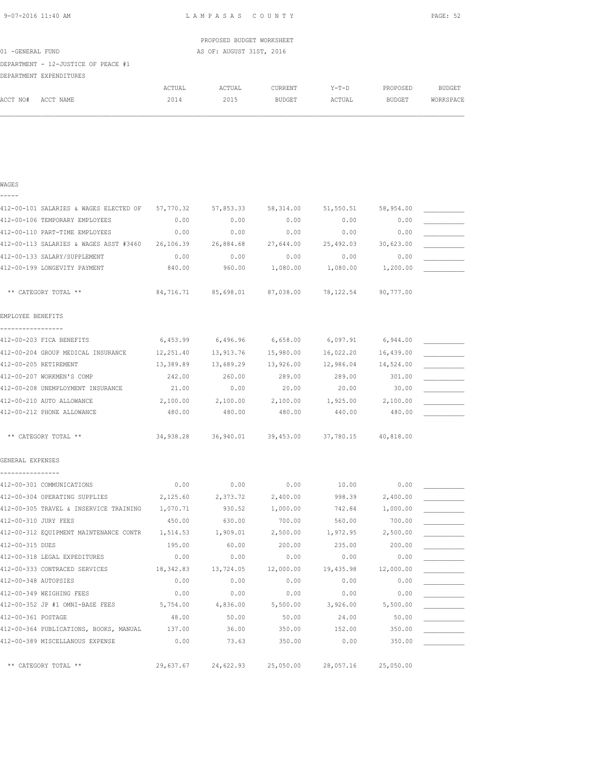| 9-07-2016 11:40 AM |  |
|--------------------|--|
|                    |  |

WAGES

L A M P A S A S C O U N T Y PAGE: 52

|                  |                                     |        | PROPOSED BUDGET WORKSHEET |               |         |          |           |
|------------------|-------------------------------------|--------|---------------------------|---------------|---------|----------|-----------|
| 01 -GENERAL FUND |                                     |        | AS OF: AUGUST 31ST, 2016  |               |         |          |           |
|                  | DEPARTMENT - 12-JUSTICE OF PEACE #1 |        |                           |               |         |          |           |
|                  | DEPARTMENT EXPENDITURES             |        |                           |               |         |          |           |
|                  |                                     | ACTUAL | ACTUAL                    | CURRENT       | $Y-T-D$ | PROPOSED | BUDGET    |
| ACCT NO#         | ACCT NAME                           | 2014   | 2015                      | <b>BUDGET</b> | ACTUAL  | BUDGET   | WORKSPACE |
|                  |                                     |        |                           |               |         |          |           |
|                  |                                     |        |                           |               |         |          |           |

| 412-00-101 SALARIES & WAGES ELECTED OF 57,770.32 |           | 57,853.33           | 58,314.00 | 51,550.51                     | 58,954.00 |  |
|--------------------------------------------------|-----------|---------------------|-----------|-------------------------------|-----------|--|
| 412-00-106 TEMPORARY EMPLOYEES                   | 0.00      | 0.00                | 0.00      | 0.00                          | 0.00      |  |
| 412-00-110 PART-TIME EMPLOYEES                   | 0.00      | 0.00                | 0.00      | 0.00                          | 0.00      |  |
| 412-00-113 SALARIES & WAGES ASST #3460 26,106.39 |           | 26,884.68           | 27,644.00 | 25,492.03                     | 30,623.00 |  |
| 412-00-133 SALARY/SUPPLEMENT                     | 0.00      | 0.00                | 0.00      | 0.00                          | 0.00      |  |
| 412-00-199 LONGEVITY PAYMENT                     | 840.00    | 960.00              | 1,080.00  | 1,080.00                      | 1,200.00  |  |
|                                                  |           |                     |           |                               |           |  |
| ** CATEGORY TOTAL **                             |           | 84,716.71 85,698.01 | 87,038.00 | 78,122.54                     | 90,777.00 |  |
| EMPLOYEE BENEFITS                                |           |                     |           |                               |           |  |
| -----------------<br>412-00-203 FICA BENEFITS    | 6,453.99  | 6,496.96            | 6,658.00  | 6,097.91                      | 6,944.00  |  |
| 412-00-204 GROUP MEDICAL INSURANCE               | 12,251.40 | 13,913.76           | 15,980.00 | 16,022.20                     | 16,439.00 |  |
| 412-00-205 RETIREMENT                            | 13,389.89 | 13,689.29           | 13,926.00 | 12,986.04                     | 14,524.00 |  |
| 412-00-207 WORKMEN'S COMP                        | 242.00    | 260.00              | 289.00    | 289.00                        | 301.00    |  |
| 412-00-208 UNEMPLOYMENT INSURANCE                | 21.00     | 0.00                | 20.00     | 20.00                         | 30.00     |  |
| 412-00-210 AUTO ALLOWANCE                        | 2,100.00  | 2,100.00            | 2,100.00  | 1,925.00                      | 2,100.00  |  |
| 412-00-212 PHONE ALLOWANCE                       | 480.00    | 480.00              | 480.00    | 440.00                        | 480.00    |  |
|                                                  |           |                     |           |                               |           |  |
| ** CATEGORY TOTAL **                             |           |                     |           |                               |           |  |
| GENERAL EXPENSES                                 |           |                     |           |                               |           |  |
|                                                  |           |                     |           |                               |           |  |
| 412-00-301 COMMUNICATIONS                        | 0.00      | 0.00                | 0.00      | 10.00                         | 0.00      |  |
| 412-00-304 OPERATING SUPPLIES                    | 2,125.60  | 2,373.72            | 2,400.00  | 998.39                        | 2,400.00  |  |
| 412-00-305 TRAVEL & INSERVICE TRAINING 1,070.71  |           | 930.52              | 1,000.00  | 742.84                        | 1,000.00  |  |
| 412-00-310 JURY FEES                             | 450.00    | 630.00              | 700.00    | 560.00                        | 700.00    |  |
| 412-00-312 EQUIPMENT MAINTENANCE CONTR           | 1,514.53  | 1,909.01            | 2,500.00  | 1,972.95                      | 2,500.00  |  |
| 412-00-315 DUES                                  | 195.00    | 60.00               | 200.00    | 235.00                        | 200.00    |  |
| 412-00-318 LEGAL EXPEDITURES                     | 0.00      | 0.00                | 0.00      | 0.00                          | 0.00      |  |
| 412-00-333 CONTRACED SERVICES                    | 18,342.83 | 13,724.05           | 12,000.00 | 19,435.98                     | 12,000.00 |  |
| 412-00-348 AUTOPSIES                             | 0.00      | 0.00                | 0.00      | 0.00                          | 0.00      |  |
| 412-00-349 WEIGHING FEES                         | 0.00      | 0.00                | 0.00      | 0.00                          | 0.00      |  |
| 412-00-352 JP #1 OMNI-BASE FEES 5,754.00         |           | 4,836.00            | 5,500.00  | 3,926.00                      | 5,500.00  |  |
| 412-00-361 POSTAGE                               | 48.00     | 50.00               | 50.00     | 24.00                         | 50.00     |  |
| 412-00-364 PUBLICATIONS, BOOKS, MANUAL           | 137.00    | 36.00               | 350.00    | 152.00                        | 350.00    |  |
| 412-00-389 MISCELLANOUS EXPENSE                  | 0.00      | 73.63               | 350.00    | 0.00                          | 350.00    |  |
| ** CATEGORY TOTAL **                             |           | 29,637.67 24,622.93 |           | 25,050.00 28,057.16 25,050.00 |           |  |
|                                                  |           |                     |           |                               |           |  |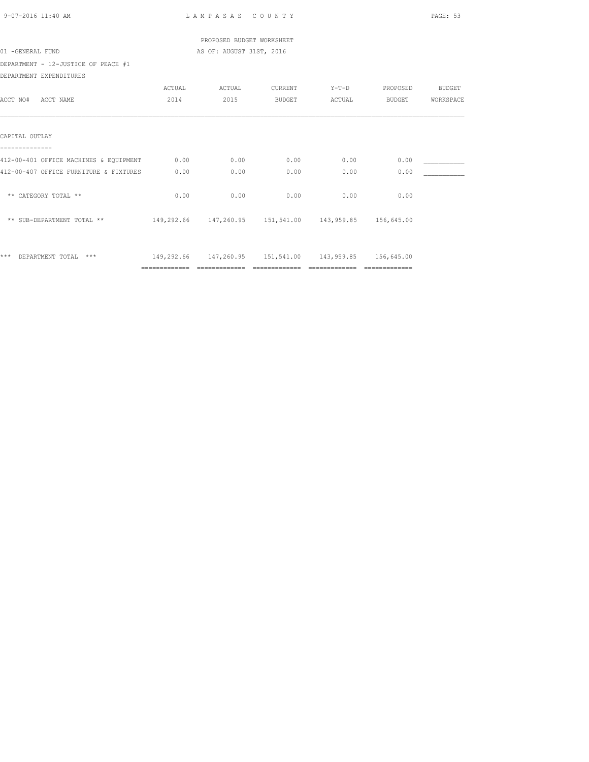| 9-07-2016 11:40 AM                     |                                  | LAMPASAS COUNTY           |                |                                                        |                | PAGE: 53  |
|----------------------------------------|----------------------------------|---------------------------|----------------|--------------------------------------------------------|----------------|-----------|
|                                        |                                  | PROPOSED BUDGET WORKSHEET |                |                                                        |                |           |
| 01 -GENERAL FUND                       |                                  | AS OF: AUGUST 31ST, 2016  |                |                                                        |                |           |
| DEPARTMENT - 12-JUSTICE OF PEACE #1    |                                  |                           |                |                                                        |                |           |
| DEPARTMENT EXPENDITURES                |                                  |                           |                |                                                        |                |           |
|                                        | ACTUAL                           | ACTUAL                    | CURRENT        |                                                        | Y-T-D PROPOSED | BUDGET    |
| ACCT NO# ACCT NAME                     | 2014                             | 2015                      | BUDGET         |                                                        | ACTUAL BUDGET  | WORKSPACE |
|                                        |                                  |                           |                |                                                        |                |           |
| CAPITAL OUTLAY                         |                                  |                           |                |                                                        |                |           |
| 412-00-401 OFFICE MACHINES & EQUIPMENT |                                  | 0.00                      | 0.00           | 0.00                                                   | 0.00           |           |
|                                        | 0.00                             |                           |                |                                                        |                |           |
| 412-00-407 OFFICE FURNITURE & FIXTURES | 0.00                             | 0.00                      | 0.00           | 0.00                                                   | 0.00           |           |
| ** CATEGORY TOTAL **                   | 0.00                             | 0.00                      | 0.00           | 0.00                                                   | 0.00           |           |
| ** SUB-DEPARTMENT TOTAL **             |                                  |                           |                | 149,292.66 147,260.95 151,541.00 143,959.85 156,645.00 |                |           |
|                                        |                                  |                           |                |                                                        |                |           |
| *** DEPARTMENT TOTAL ***               |                                  |                           |                | 149,292.66 147,260.95 151,541.00 143,959.85 156,645.00 |                |           |
|                                        | ================================ |                           | ============== | =================================                      |                |           |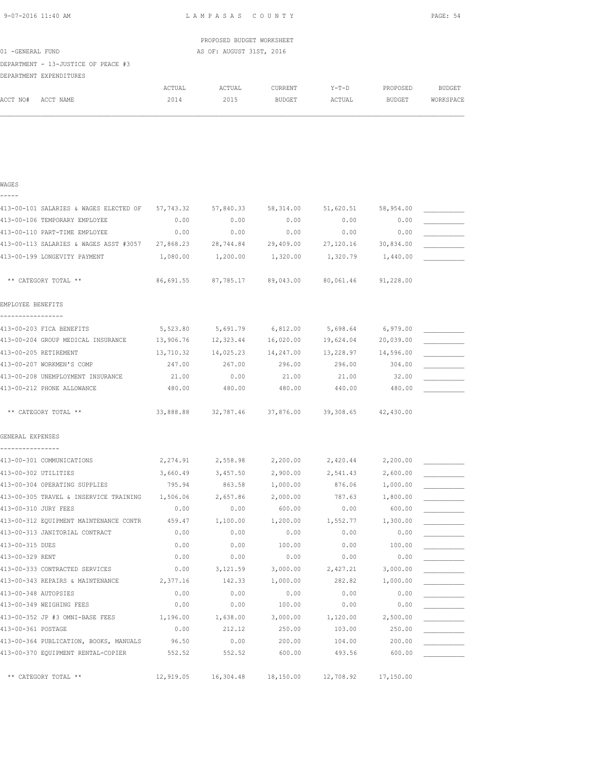| 9-07-2016 11:40 AM |  |
|--------------------|--|
|                    |  |

WAGES

L A M P A S A S C O U N T Y PAGE: 54

|                                     |        | PROPOSED BUDGET WORKSHEET |                |         |          |           |
|-------------------------------------|--------|---------------------------|----------------|---------|----------|-----------|
| 01 -GENERAL FUND                    |        | AS OF: AUGUST 31ST, 2016  |                |         |          |           |
| DEPARTMENT - 13-JUSTICE OF PEACE #3 |        |                           |                |         |          |           |
| DEPARTMENT EXPENDITURES             |        |                           |                |         |          |           |
|                                     | ACTUAL | ACTUAL                    | <b>CURRENT</b> | $Y-T-D$ | PROPOSED | BUDGET    |
| ACCT NO#<br>ACCT NAME               | 2014   | 2015                      | BUDGET         | ACTUAL  | BUDGET   | WORKSPACE |
|                                     |        |                           |                |         |          |           |

| -----                                  |           |           |                     |           |           |  |
|----------------------------------------|-----------|-----------|---------------------|-----------|-----------|--|
| 413-00-101 SALARIES & WAGES ELECTED OF | 57,743.32 | 57,840.33 | 58,314.00           | 51,620.51 | 58,954.00 |  |
| 413-00-106 TEMPORARY EMPLOYEE          | 0.00      | 0.00      | 0.00                | 0.00      | 0.00      |  |
| 413-00-110 PART-TIME EMPLOYEE          | 0.00      | 0.00      | 0.00                | 0.00      | 0.00      |  |
| 413-00-113 SALARIES & WAGES ASST #3057 | 27,868.23 | 28,744.84 | 29,409.00           | 27,120.16 | 30,834.00 |  |
| 413-00-199 LONGEVITY PAYMENT           | 1,080.00  | 1,200.00  | 1,320.00            | 1,320.79  | 1,440.00  |  |
| ** CATEGORY TOTAL **                   | 86,691.55 |           | 87,785.17 89,043.00 | 80,061.46 | 91,228.00 |  |
| EMPLOYEE BENEFITS                      |           |           |                     |           |           |  |
| 413-00-203 FICA BENEFITS               | 5,523.80  | 5,691.79  | 6,812.00            | 5,698.64  | 6,979.00  |  |
| 413-00-204 GROUP MEDICAL INSURANCE     | 13,906.76 | 12,323.44 | 16,020.00           | 19,624.04 | 20,039.00 |  |
| 413-00-205 RETIREMENT                  | 13,710.32 | 14,025.23 | 14,247.00           | 13,228.97 | 14,596.00 |  |
| 413-00-207 WORKMEN'S COMP              | 247.00    | 267.00    | 296.00              | 296.00    | 304.00    |  |
| 413-00-208 UNEMPLOYMENT INSURANCE      | 21.00     | 0.00      | 21.00               | 21.00     | 32.00     |  |
| 413-00-212 PHONE ALLOWANCE             | 480.00    | 480.00    | 480.00              | 440.00    | 480.00    |  |
| ** CATEGORY TOTAL **                   | 33,888.88 | 32,787.46 | 37,876.00           | 39,308.65 | 42,430.00 |  |
| GENERAL EXPENSES                       |           |           |                     |           |           |  |
| ----------------                       |           |           |                     |           |           |  |
| 413-00-301 COMMUNICATIONS              | 2,274.91  | 2,558.98  | 2,200.00            | 2,420.44  | 2,200.00  |  |
| 413-00-302 UTILITIES                   | 3,660.49  | 3,457.50  | 2,900.00            | 2,541.43  | 2,600.00  |  |
| 413-00-304 OPERATING SUPPLIES          | 795.94    | 863.58    | 1,000.00            | 876.06    | 1,000.00  |  |
| 413-00-305 TRAVEL & INSERVICE TRAINING | 1,506.06  | 2,657.86  | 2,000.00            | 787.63    | 1,800.00  |  |
| 413-00-310 JURY FEES                   | 0.00      | 0.00      | 600.00              | 0.00      | 600.00    |  |
| 413-00-312 EQUIPMENT MAINTENANCE CONTR | 459.47    | 1,100.00  | 1,200.00            | 1,552.77  | 1,300.00  |  |
| 413-00-313 JANITORIAL CONTRACT         | 0.00      | 0.00      | 0.00                | 0.00      | 0.00      |  |
| 413-00-315 DUES                        | 0.00      | 0.00      | 100.00              | 0.00      | 100.00    |  |
| 413-00-329 RENT                        | 0.00      | 0.00      | 0.00                | 0.00      | 0.00      |  |
| 413-00-333 CONTRACTED SERVICES         | 0.00      | 3,121.59  | 3,000.00            | 2,427.21  | 3,000.00  |  |
| 413-00-343 REPAIRS & MAINTENANCE       | 2,377.16  | 142.33    | 1,000.00            | 282.82    | 1,000.00  |  |
| 413-00-348 AUTOPSIES                   | 0.00      | 0.00      | 0.00                | 0.00      | 0.00      |  |
| 413-00-349 WEIGHING FEES               | 0.00      | 0.00      | 100.00              | 0.00      | 0.00      |  |
| 413-00-352 JP #3 OMNI-BASE FEES        | 1,196.00  | 1,638.00  | 3,000.00            | 1,120.00  | 2,500.00  |  |
| 413-00-361 POSTAGE                     | 0.00      | 212.12    | 250.00              | 103.00    | 250.00    |  |
| 413-00-364 PUBLICATION, BOOKS, MANUALS | 96.50     | 0.00      | 200.00              | 104.00    | 200.00    |  |
| 413-00-370 EQUIPMENT RENTAL-COPIER     | 552.52    | 552.52    | 600.00              | 493.56    | 600.00    |  |
| ** CATEGORY TOTAL **                   | 12,919.05 | 16,304.48 | 18,150.00           | 12,708.92 | 17,150.00 |  |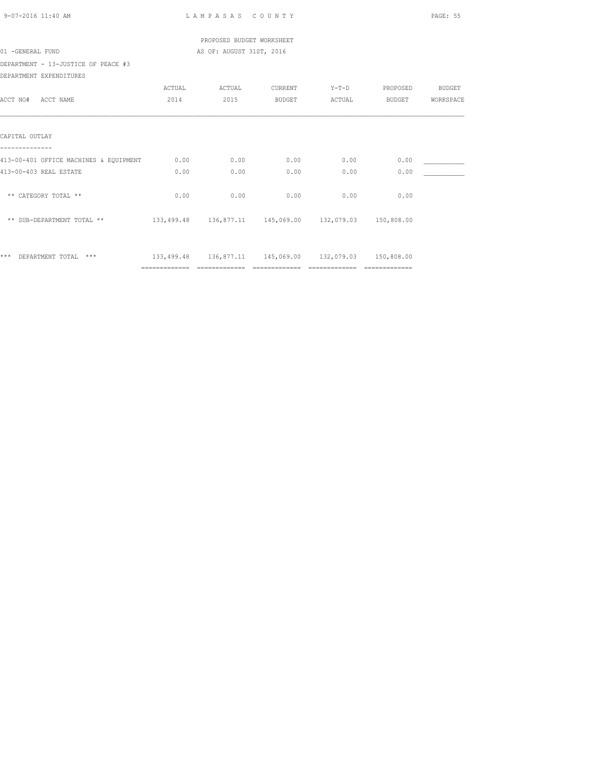| 9-07-2016 11:40 AM                     |                                  | LAMPASAS COUNTY           |                |                                                        |                       | PAGE: 55  |
|----------------------------------------|----------------------------------|---------------------------|----------------|--------------------------------------------------------|-----------------------|-----------|
|                                        |                                  | PROPOSED BUDGET WORKSHEET |                |                                                        |                       |           |
| 01 -GENERAL FUND                       |                                  | AS OF: AUGUST 31ST, 2016  |                |                                                        |                       |           |
| DEPARTMENT - 13-JUSTICE OF PEACE #3    |                                  |                           |                |                                                        |                       |           |
| DEPARTMENT EXPENDITURES                |                                  |                           |                |                                                        |                       |           |
|                                        | ACTUAL                           | ACTUAL                    | CURRENT        |                                                        | Y-T-D PROPOSED BUDGET |           |
| ACCT NO# ACCT NAME                     | 2014                             | 2015                      | BUDGET         |                                                        | ACTUAL BUDGET         | WORKSPACE |
|                                        |                                  |                           |                |                                                        |                       |           |
| CAPITAL OUTLAY                         |                                  |                           |                |                                                        |                       |           |
|                                        |                                  |                           |                |                                                        |                       |           |
| 413-00-401 OFFICE MACHINES & EQUIPMENT | 0.00                             | 0.00                      | 0.00           | 0.00                                                   | 0.00                  |           |
| 413-00-403 REAL ESTATE                 | 0.00                             | 0.00                      | 0.00           | 0.00                                                   | 0.00                  |           |
| ** CATEGORY TOTAL **                   | 0.00                             | 0.00                      | 0.00           | 0.00                                                   | 0.00                  |           |
| ** SUB-DEPARTMENT TOTAL **             |                                  |                           |                | 133,499.48 136,877.11 145,069.00 132,079.03 150,808.00 |                       |           |
| *** DEPARTMENT TOTAL ***               |                                  |                           |                | 133,499.48 136,877.11 145,069.00 132,079.03 150,808.00 |                       |           |
|                                        | ================================ |                           | ============== | ==============                                         | $=$ ==============    |           |
|                                        |                                  |                           |                |                                                        |                       |           |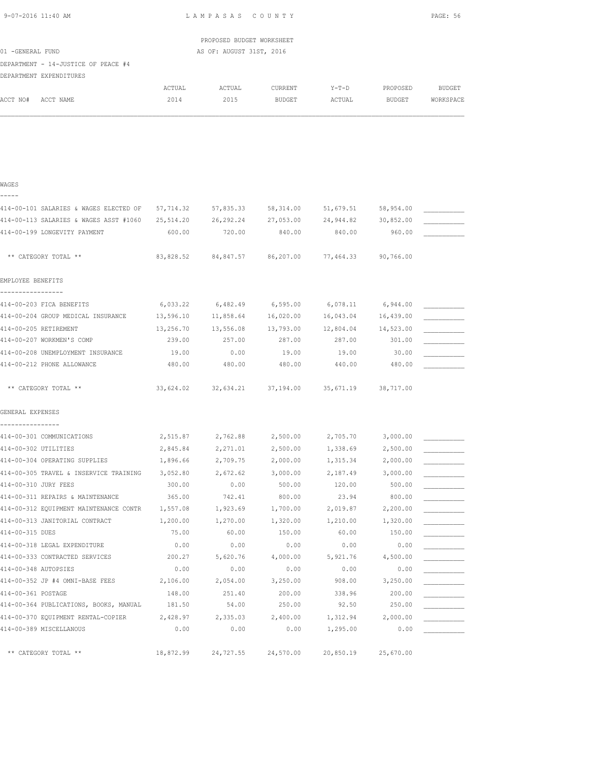|                                                                |                    | PROPOSED BUDGET WORKSHEET |                    |                    |                    |               |
|----------------------------------------------------------------|--------------------|---------------------------|--------------------|--------------------|--------------------|---------------|
| 01 -GENERAL FUND                                               |                    | AS OF: AUGUST 31ST, 2016  |                    |                    |                    |               |
| DEPARTMENT - 14-JUSTICE OF PEACE #4                            |                    |                           |                    |                    |                    |               |
| DEPARTMENT EXPENDITURES                                        |                    |                           |                    |                    |                    |               |
|                                                                | $\verb ACTUAL $    | ACTUAL                    | CURRENT            | $Y-T-D$            | PROPOSED           | <b>BUDGET</b> |
| ACCT NO#<br>ACCT NAME                                          | 2014               | 2015                      | <b>BUDGET</b>      | ACTUAL             | <b>BUDGET</b>      | WORKSPACE     |
|                                                                |                    |                           |                    |                    |                    |               |
|                                                                |                    |                           |                    |                    |                    |               |
|                                                                |                    |                           |                    |                    |                    |               |
|                                                                |                    |                           |                    |                    |                    |               |
|                                                                |                    |                           |                    |                    |                    |               |
| WAGES                                                          |                    |                           |                    |                    |                    |               |
| $- - - - -$                                                    |                    |                           |                    |                    |                    |               |
| 414-00-101 SALARIES & WAGES ELECTED OF                         | 57,714.32          | 57,835.33                 | 58,314.00          | 51,679.51          | 58,954.00          |               |
| 414-00-113 SALARIES & WAGES ASST #1060                         | 25, 514.20         | 26,292.24                 | 27,053.00          | 24,944.82          | 30,852.00          |               |
| 414-00-199 LONGEVITY PAYMENT                                   | 600.00             | 720.00                    | 840.00             | 840.00             | 960.00             |               |
|                                                                |                    |                           |                    |                    |                    |               |
| ** CATEGORY TOTAL **                                           | 83,828.52          | 84,847.57                 | 86,207.00          | 77,464.33          | 90,766.00          |               |
| EMPLOYEE BENEFITS                                              |                    |                           |                    |                    |                    |               |
|                                                                |                    |                           |                    |                    |                    |               |
| 414-00-203 FICA BENEFITS                                       | 6,033.22           | 6,482.49                  | 6,595.00           | 6,078.11           | 6,944.00           |               |
| 414-00-204 GROUP MEDICAL INSURANCE                             | 13,596.10          | 11,858.64                 | 16,020.00          | 16,043.04          | 16,439.00          |               |
| 414-00-205 RETIREMENT                                          | 13,256.70          | 13,556.08                 | 13,793.00          | 12,804.04          | 14,523.00          |               |
| 414-00-207 WORKMEN'S COMP                                      | 239.00             | 257.00                    | 287.00             | 287.00             | 301.00             |               |
| 414-00-208 UNEMPLOYMENT INSURANCE                              | 19.00              | 0.00                      | 19.00              | 19.00              | 30.00              |               |
| 414-00-212 PHONE ALLOWANCE                                     | 480.00             | 480.00                    | 480.00             | 440.00             | 480.00             |               |
|                                                                |                    |                           |                    |                    |                    |               |
| ** CATEGORY TOTAL **                                           | 33,624.02          | 32,634.21                 | 37,194.00          | 35,671.19          | 38,717.00          |               |
|                                                                |                    |                           |                    |                    |                    |               |
| GENERAL EXPENSES                                               |                    |                           |                    |                    |                    |               |
| ----------------                                               |                    |                           |                    |                    |                    |               |
| 414-00-301 COMMUNICATIONS                                      | 2,515.87           | 2,762.88                  | 2,500.00           | 2,705.70           | 3,000.00           |               |
| 414-00-302 UTILITIES                                           | 2,845.84           | 2,271.01                  | 2,500.00           | 1,338.69           | 2,500.00           |               |
| 414-00-304 OPERATING SUPPLIES                                  | 1,896.66           | 2,709.75                  | 2,000.00           | 1,315.34           | 2,000.00           |               |
| 414-00-305 TRAVEL & INSERVICE TRAINING<br>414-00-310 JURY FEES | 3,052.80<br>300.00 | 2,672.62<br>0.00          | 3,000.00<br>500.00 | 2,187.49<br>120.00 | 3,000.00<br>500.00 |               |
| 414-00-311 REPAIRS & MAINTENANCE                               | 365.00             | 742.41                    | 800.00             | 23.94              | 800.00             |               |
| 414-00-312 EQUIPMENT MAINTENANCE CONTR                         | 1,557.08           | 1,923.69                  | 1,700.00           | 2,019.87           | 2,200.00           |               |
|                                                                |                    |                           |                    |                    |                    |               |

414-00-313 JANITORIAL CONTRACT  $1,200.00$   $1,270.00$   $1,320.00$   $1,210.00$   $1,320.00$   $1,320.00$ 414-00-315 DUES 75.00 60.00 150.00 60.00 150.00 \_\_\_\_\_\_\_\_\_\_\_ 414-00-318 LEGAL EXPENDITURE 0.00 0.00 0.00 0.00 0.00 \_\_\_\_\_\_\_\_\_\_\_ 414-00-333 CONTRACTED SERVICES  $200.27$  5,620.76  $4,000.00$  5,921.76  $4,500.00$   $\overline{\phantom{1.136}$  4,500.00  $\overline{\phantom{1.146}$  4.500.00  $\phantom{1.146}$ 414-00-348 AUTOPSIES 0.00 0.00 0.00 0.00 0.00 \_\_\_\_\_\_\_\_\_\_\_ 414-00-352 JP #4 OMNI-BASE FEES 2,106.00 2,054.00 3,250.00 414-00-361 POSTAGE 148.00 251.40 200.00 338.96 200.00 414-00-364 PUBLICATIONS, BOOKS, MANUAL 181.50 54.00 250.00 92.50 250.00 414-00-370 EQUIPMENT RENTAL-COPIER 2,428.97 2,335.03 2,400.00 1,312.94 2,000.00 \_\_\_\_\_\_\_\_ 414-00-389 MISCELLANOUS 0.00 0.00 0.00 1,295.00 0.00 \_\_\_\_\_\_\_\_\_\_\_ \*\* CATEGORY TOTAL \*\* 18,872.99 24,727.55 24,570.00 20,850.19 25,670.00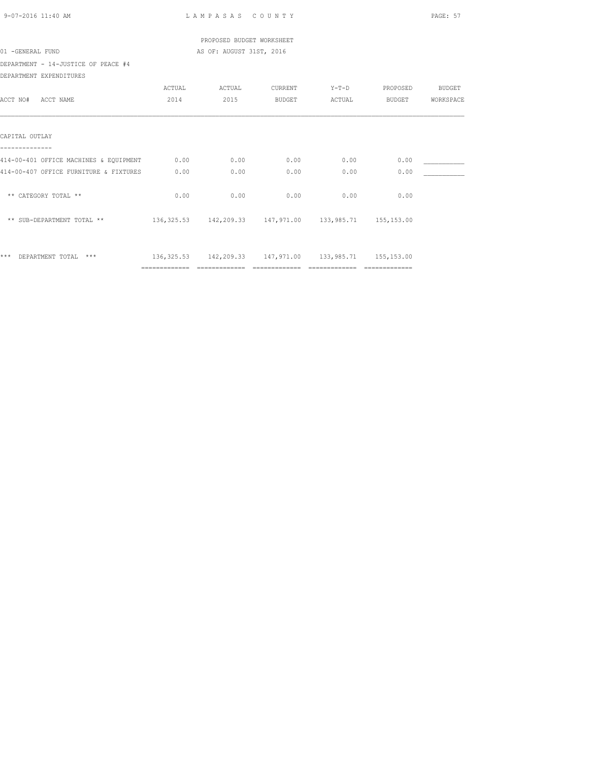| 9-07-2016 11:40 AM                     |                                  | LAMPASAS COUNTY           |                    |                                                             |                    | PAGE: 57      |  |
|----------------------------------------|----------------------------------|---------------------------|--------------------|-------------------------------------------------------------|--------------------|---------------|--|
|                                        |                                  | PROPOSED BUDGET WORKSHEET |                    |                                                             |                    |               |  |
| 01 -GENERAL FUND                       |                                  | AS OF: AUGUST 31ST, 2016  |                    |                                                             |                    |               |  |
| DEPARTMENT - 14-JUSTICE OF PEACE #4    |                                  |                           |                    |                                                             |                    |               |  |
| DEPARTMENT EXPENDITURES                |                                  |                           |                    |                                                             |                    |               |  |
|                                        | ACTUAL                           | ACTUAL                    | CURRENT            |                                                             | Y-T-D PROPOSED     | <b>BUDGET</b> |  |
| ACCT NO# ACCT NAME                     | 2014                             | 2015                      | BUDGET             |                                                             | ACTUAL BUDGET      | WORKSPACE     |  |
|                                        |                                  |                           |                    |                                                             |                    |               |  |
| CAPITAL OUTLAY                         |                                  |                           |                    |                                                             |                    |               |  |
|                                        |                                  |                           |                    |                                                             |                    |               |  |
| 414-00-401 OFFICE MACHINES & EQUIPMENT | 0.00                             | 0.00                      | 0.00               | 0.00                                                        | 0.00               |               |  |
| 414-00-407 OFFICE FURNITURE & FIXTURES | 0.00                             | 0.00                      | 0.00               | 0.00                                                        | 0.00               |               |  |
| ** CATEGORY TOTAL **                   | 0.00                             | 0.00                      | 0.00               | 0.00                                                        | 0.00               |               |  |
| ** SUB-DEPARTMENT TOTAL **             |                                  |                           |                    | 136, 325.53 142, 209.33 147, 971.00 133, 985.71 155, 153.00 |                    |               |  |
| *** DEPARTMENT TOTAL ***               |                                  |                           |                    | 136, 325.53 142, 209.33 147, 971.00 133, 985.71 155, 153.00 |                    |               |  |
|                                        | ================================ |                           | $=$ ============== | ==============                                              | $=$ ============== |               |  |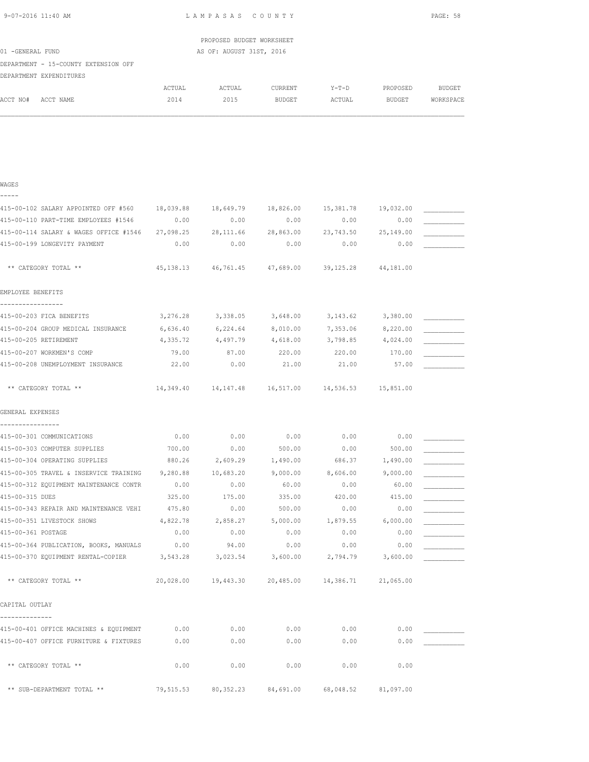| 9-07-2016 11:40 AM |                                                                 |               | LAMPASAS COUNTY           |                |                     |               | PAGE: 58      |
|--------------------|-----------------------------------------------------------------|---------------|---------------------------|----------------|---------------------|---------------|---------------|
|                    |                                                                 |               | PROPOSED BUDGET WORKSHEET |                |                     |               |               |
| 01 -GENERAL FUND   |                                                                 |               | AS OF: AUGUST 31ST, 2016  |                |                     |               |               |
|                    | DEPARTMENT - 15-COUNTY EXTENSION OFF<br>DEPARTMENT EXPENDITURES |               |                           |                |                     |               |               |
|                    |                                                                 | <b>ACTUAL</b> | ACTUAL                    | <b>CURRENT</b> | $Y-T-D$             | PROPOSED      | <b>BUDGET</b> |
| ACCT NO#           | ACCT NAME                                                       | 2014          | 2015                      | <b>BUDGET</b>  | ACTUAL              | <b>BUDGET</b> | WORKSPACE     |
|                    |                                                                 |               |                           |                |                     |               |               |
| WAGES<br>-----     |                                                                 |               |                           |                |                     |               |               |
|                    | 415-00-102 SALARY APPOINTED OFF #560                            | 18,039.88     | 18,649.79 18,826.00       |                | 15,381.78 19,032.00 |               |               |
|                    | 415-00-110 PART-TIME EMPLOYEES #1546                            | 0.00          | 0.00                      | 0.00           | 0.00                | 0.00          |               |
|                    | 415-00-114 SALARY & WAGES OFFICE #1546                          | 27,098.25     | 28, 111.66                | 28,863.00      | 23,743.50           | 25,149.00     |               |

| 415-00-110 PART-TIME EMPLOYEES #1546                     | 0.00      | 0.00                                                  | 0.00      | 0.00      | 0.00      |  |
|----------------------------------------------------------|-----------|-------------------------------------------------------|-----------|-----------|-----------|--|
| 415-00-114 SALARY & WAGES OFFICE #1546                   | 27,098.25 | 28, 111.66                                            | 28,863.00 | 23,743.50 | 25,149.00 |  |
| 415-00-199 LONGEVITY PAYMENT                             | 0.00      | 0.00                                                  | 0.00      | 0.00      | 0.00      |  |
|                                                          |           |                                                       |           |           |           |  |
| ** CATEGORY TOTAL **                                     | 45,138.13 | 46,761.45                                             | 47,689.00 | 39,125.28 | 44,181.00 |  |
| EMPLOYEE BENEFITS                                        |           |                                                       |           |           |           |  |
| -----------------                                        |           |                                                       |           |           |           |  |
| 415-00-203 FICA BENEFITS                                 | 3,276.28  | 3,338.05                                              | 3,648.00  | 3, 143.62 | 3,380.00  |  |
| 415-00-204 GROUP MEDICAL INSURANCE                       | 6,636.40  | 6,224.64                                              | 8,010.00  | 7,353.06  | 8,220.00  |  |
| 415-00-205 RETIREMENT                                    | 4,335.72  | 4,497.79                                              | 4,618.00  | 3,798.85  | 4,024.00  |  |
| 415-00-207 WORKMEN'S COMP                                | 79.00     | 87.00                                                 | 220.00    | 220.00    | 170.00    |  |
| 415-00-208 UNEMPLOYMENT INSURANCE                        | 22.00     | 0.00                                                  | 21.00     | 21.00     | 57.00     |  |
| ** CATEGORY TOTAL **                                     |           | 14,349.40  14,147.48  16,517.00  14,536.53  15,851.00 |           |           |           |  |
| GENERAL EXPENSES                                         |           |                                                       |           |           |           |  |
| ----------------                                         |           |                                                       |           |           |           |  |
| 415-00-301 COMMUNICATIONS                                | 0.00      | 0.00                                                  | 0.00      | 0.00      | 0.00      |  |
| 415-00-303 COMPUTER SUPPLIES                             | 700.00    | 0.00                                                  | 500.00    | 0.00      | 500.00    |  |
| 415-00-304 OPERATING SUPPLIES                            | 880.26    | 2,609.29                                              | 1,490.00  | 686.37    | 1,490.00  |  |
| 415-00-305 TRAVEL & INSERVICE TRAINING                   | 9,280.88  | 10,683.20                                             | 9,000.00  | 8,606.00  | 9,000.00  |  |
| 415-00-312 EQUIPMENT MAINTENANCE CONTR                   | 0.00      | 0.00                                                  | 60.00     | 0.00      | 60.00     |  |
| 415-00-315 DUES                                          | 325.00    | 175.00                                                | 335.00    | 420.00    | 415.00    |  |
| 415-00-343 REPAIR AND MAINTENANCE VEHI                   | 475.80    | 0.00                                                  | 500.00    | 0.00      | 0.00      |  |
| 415-00-351 LIVESTOCK SHOWS                               | 4,822.78  | 2,858.27                                              | 5,000.00  | 1,879.55  | 6,000.00  |  |
| 415-00-361 POSTAGE                                       | 0.00      | 0.00                                                  | 0.00      | 0.00      | 0.00      |  |
| 415-00-364 PUBLICATION, BOOKS, MANUALS                   | 0.00      | 94.00                                                 | 0.00      | 0.00      | 0.00      |  |
| 415-00-370 EQUIPMENT RENTAL-COPIER                       | 3,543.28  | 3,023.54                                              | 3,600.00  | 2,794.79  | 3,600.00  |  |
| ** CATEGORY TOTAL **                                     | 20,028.00 | 19,443.30 20,485.00 14,386.71 21,065.00               |           |           |           |  |
| CAPITAL OUTLAY                                           |           |                                                       |           |           |           |  |
| --------------<br>415-00-401 OFFICE MACHINES & EQUIPMENT | 0.00      | 0.00                                                  | 0.00      | 0.00      | 0.00      |  |
| 415-00-407 OFFICE FURNITURE & FIXTURES                   | 0.00      | 0.00                                                  | 0.00      | 0.00      | 0.00      |  |
| ** CATEGORY TOTAL **                                     | 0.00      | 0.00                                                  | 0.00      | 0.00      | 0.00      |  |
|                                                          |           |                                                       |           |           |           |  |
| ** SUB-DEPARTMENT TOTAL **                               | 79,515.53 | 80, 352.23                                            | 84,691.00 | 68,048.52 | 81,097.00 |  |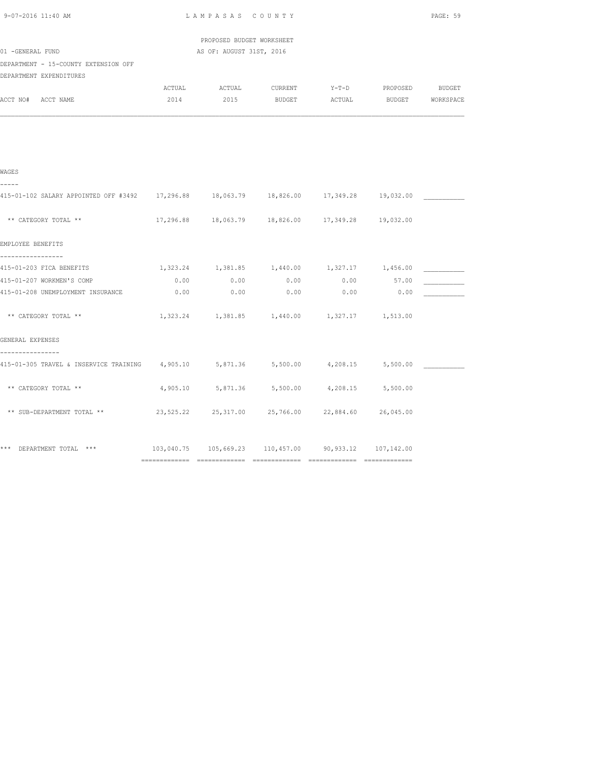| LAMPASAS COUNTY |              |                       |                                                                               |      | PAGE: 59                                                                                                                                                                                                                                                                                                                                                                                                                                                                                                                                                                                                                  |  |
|-----------------|--------------|-----------------------|-------------------------------------------------------------------------------|------|---------------------------------------------------------------------------------------------------------------------------------------------------------------------------------------------------------------------------------------------------------------------------------------------------------------------------------------------------------------------------------------------------------------------------------------------------------------------------------------------------------------------------------------------------------------------------------------------------------------------------|--|
|                 |              |                       |                                                                               |      |                                                                                                                                                                                                                                                                                                                                                                                                                                                                                                                                                                                                                           |  |
|                 |              |                       |                                                                               |      |                                                                                                                                                                                                                                                                                                                                                                                                                                                                                                                                                                                                                           |  |
|                 |              |                       |                                                                               |      |                                                                                                                                                                                                                                                                                                                                                                                                                                                                                                                                                                                                                           |  |
| ACTUAL          |              |                       |                                                                               |      |                                                                                                                                                                                                                                                                                                                                                                                                                                                                                                                                                                                                                           |  |
| 2014            |              |                       |                                                                               |      |                                                                                                                                                                                                                                                                                                                                                                                                                                                                                                                                                                                                                           |  |
|                 |              |                       |                                                                               |      |                                                                                                                                                                                                                                                                                                                                                                                                                                                                                                                                                                                                                           |  |
|                 |              |                       |                                                                               |      |                                                                                                                                                                                                                                                                                                                                                                                                                                                                                                                                                                                                                           |  |
|                 |              |                       |                                                                               |      |                                                                                                                                                                                                                                                                                                                                                                                                                                                                                                                                                                                                                           |  |
|                 |              |                       |                                                                               |      |                                                                                                                                                                                                                                                                                                                                                                                                                                                                                                                                                                                                                           |  |
|                 |              |                       |                                                                               |      |                                                                                                                                                                                                                                                                                                                                                                                                                                                                                                                                                                                                                           |  |
|                 |              |                       |                                                                               |      |                                                                                                                                                                                                                                                                                                                                                                                                                                                                                                                                                                                                                           |  |
|                 |              |                       |                                                                               |      |                                                                                                                                                                                                                                                                                                                                                                                                                                                                                                                                                                                                                           |  |
|                 |              |                       |                                                                               |      |                                                                                                                                                                                                                                                                                                                                                                                                                                                                                                                                                                                                                           |  |
|                 |              |                       |                                                                               |      |                                                                                                                                                                                                                                                                                                                                                                                                                                                                                                                                                                                                                           |  |
|                 |              |                       |                                                                               |      |                                                                                                                                                                                                                                                                                                                                                                                                                                                                                                                                                                                                                           |  |
|                 |              |                       |                                                                               |      |                                                                                                                                                                                                                                                                                                                                                                                                                                                                                                                                                                                                                           |  |
|                 |              |                       |                                                                               |      |                                                                                                                                                                                                                                                                                                                                                                                                                                                                                                                                                                                                                           |  |
|                 |              |                       |                                                                               |      |                                                                                                                                                                                                                                                                                                                                                                                                                                                                                                                                                                                                                           |  |
|                 |              |                       |                                                                               |      |                                                                                                                                                                                                                                                                                                                                                                                                                                                                                                                                                                                                                           |  |
|                 |              |                       |                                                                               |      |                                                                                                                                                                                                                                                                                                                                                                                                                                                                                                                                                                                                                           |  |
|                 |              |                       |                                                                               |      |                                                                                                                                                                                                                                                                                                                                                                                                                                                                                                                                                                                                                           |  |
|                 |              |                       |                                                                               |      |                                                                                                                                                                                                                                                                                                                                                                                                                                                                                                                                                                                                                           |  |
|                 | 0.00<br>0.00 | <b>ACTUAL</b><br>0.00 | PROPOSED BUDGET WORKSHEET<br>AS OF: AUGUST 31ST, 2016<br>0.00<br>0.00<br>0.00 | 0.00 | CURRENT Y-T-D PROPOSED BUDGET<br>2015 BUDGET ACTUAL BUDGET WORKSPACE<br>415-01-102 SALARY APPOINTED OFF #3492 17,296.88 18,063.79 18,826.00 17,349.28 19,032.00<br>17, 296.88 18, 063.79 18, 826.00 17, 349.28 19, 032.00<br>$1,323.24$ $1,381.85$ $1,440.00$ $1,327.17$ $1,456.00$<br>$0.00$ 57.00<br>0.00<br>1,323.24 1,381.85 1,440.00 1,327.17 1,513.00<br>415-01-305 TRAVEL & INSERVICE TRAINING $4,905.10$ 5,871.36  5,500.00  4,208.15  5,500.00<br>4,905.10 5,871.36 5,500.00 4,208.15 5,500.00<br>23,525.22 25,317.00 25,766.00 22,884.60 26,045.00<br>103,040.75  105,669.23  110,457.00  90,933.12  107,142.00 |  |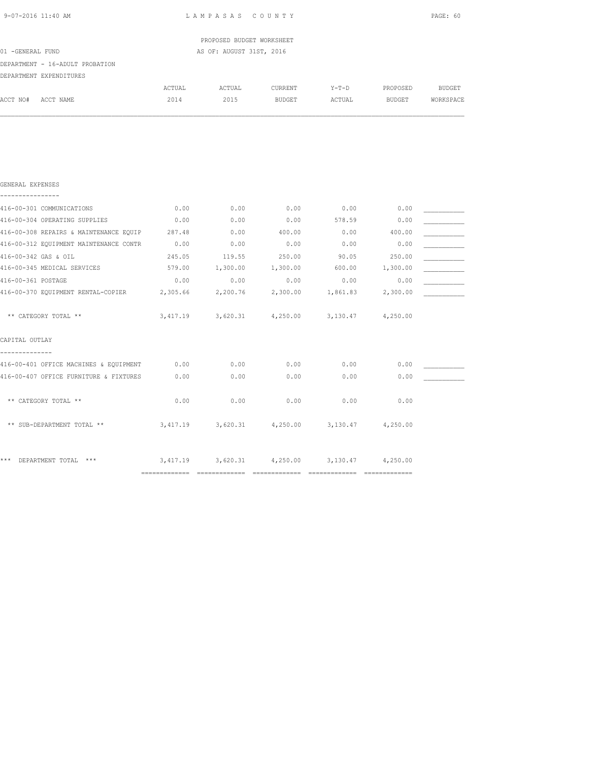|                                        |          | PROPOSED BUDGET WORKSHEET                              |               |                   |          |           |
|----------------------------------------|----------|--------------------------------------------------------|---------------|-------------------|----------|-----------|
| 01 -GENERAL FUND                       |          | AS OF: AUGUST 31ST, 2016                               |               |                   |          |           |
| DEPARTMENT - 16-ADULT PROBATION        |          |                                                        |               |                   |          |           |
| DEPARTMENT EXPENDITURES                |          |                                                        |               |                   |          |           |
|                                        | ACTUAL   | ACTUAL                                                 | CURRENT       | $Y-T-D$           | PROPOSED | BUDGET    |
| ACCT NO#<br>ACCT NAME                  | 2014     | 2015                                                   | <b>BUDGET</b> | ACTUAL            | BUDGET   | WORKSPACE |
|                                        |          |                                                        |               |                   |          |           |
| GENERAL EXPENSES<br>---------          |          |                                                        |               |                   |          |           |
| 416-00-301 COMMUNICATIONS              | 0.00     | 0.00                                                   | 0.00          | 0.00              | 0.00     |           |
| 416-00-304 OPERATING SUPPLIES          | 0.00     | 0.00                                                   | 0.00          | 578.59            | 0.00     |           |
| 416-00-308 REPAIRS & MAINTENANCE EQUIP | 287.48   | 0.00                                                   | 400.00        | 0.00              | 400.00   |           |
| 416-00-312 EQUIPMENT MAINTENANCE CONTR | 0.00     | 0.00                                                   | 0.00          | 0.00              | 0.00     |           |
| 416-00-342 GAS & OIL                   | 245.05   | 119.55                                                 | 250.00        | 90.05             | 250.00   |           |
| 416-00-345 MEDICAL SERVICES            |          | 579.00 1,300.00 1,300.00                               |               | 600.00 1,300.00   |          |           |
| 416-00-361 POSTAGE                     | 0.00     | 0.00                                                   | 0.00          | 0.00              | 0.00     |           |
| 416-00-370 EQUIPMENT RENTAL-COPIER     | 2,305.66 | 2,200.76                                               |               | 2,300.00 1,861.83 | 2,300.00 |           |
| ** CATEGORY TOTAL **                   |          | 3,417.19 3,620.31 4,250.00 3,130.47 4,250.00           |               |                   |          |           |
| CAPITAL OUTLAY                         |          |                                                        |               |                   |          |           |
| 416-00-401 OFFICE MACHINES & EQUIPMENT | 0.00     | 0.00                                                   | 0.00          | 0.00              | 0.00     |           |
| 416-00-407 OFFICE FURNITURE & FIXTURES | 0.00     | 0.00                                                   | 0.00          | 0.00              | 0.00     |           |
| ** CATEGORY TOTAL **                   | 0.00     | 0.00                                                   | 0.00          | 0.00              | 0.00     |           |
| ** SUB-DEPARTMENT TOTAL **             |          | $3,417.19$ $3,620.31$ $4,250.00$ $3,130.47$ $4,250.00$ |               |                   |          |           |

\*\*\* DEPARTMENT TOTAL \*\*\* 3,417.19 3,620.31 4,250.00 3,130.47 4,250.00 ============= ============= ============= ============= =============

9-07-2016 11:40 AM L A M P A S A S C O U N T Y PAGE: 60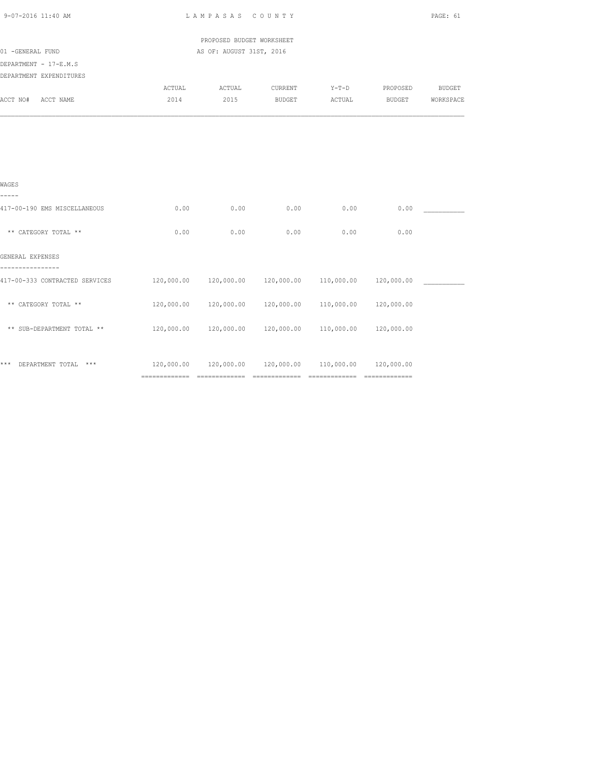| 9-07-2016 11:40 AM             | LAMPASAS COUNTY                                                  |                                                                  |               |                |               |               |  |
|--------------------------------|------------------------------------------------------------------|------------------------------------------------------------------|---------------|----------------|---------------|---------------|--|
|                                |                                                                  | PROPOSED BUDGET WORKSHEET                                        |               |                |               |               |  |
| 01 -GENERAL FUND               |                                                                  | AS OF: AUGUST 31ST, 2016                                         |               |                |               |               |  |
| DEPARTMENT - 17-E.M.S          |                                                                  |                                                                  |               |                |               |               |  |
| DEPARTMENT EXPENDITURES        |                                                                  |                                                                  |               |                |               |               |  |
|                                | ACTUAL                                                           | ACTUAL CURRENT                                                   |               | Y-T-D PROPOSED |               | <b>BUDGET</b> |  |
| ACCT NO# ACCT NAME             | 2014                                                             | 2015                                                             | <b>BUDGET</b> | ACTUAL         | <b>BUDGET</b> | WORKSPACE     |  |
|                                |                                                                  |                                                                  |               |                |               |               |  |
|                                |                                                                  |                                                                  |               |                |               |               |  |
| WAGES<br>-----                 |                                                                  |                                                                  |               |                |               |               |  |
| 417-00-190 EMS MISCELLANEOUS   | 0.00                                                             | 0.00                                                             | 0.00          | 0.00           | 0.00          |               |  |
| ** CATEGORY TOTAL **           | 0.00                                                             | 0.00                                                             | 0.00          | 0.00           | 0.00          |               |  |
| GENERAL EXPENSES               |                                                                  |                                                                  |               |                |               |               |  |
| 417-00-333 CONTRACTED SERVICES |                                                                  | $120,000.00$ $120,000.00$ $120,000.00$ $110,000.00$ $120,000.00$ |               |                |               |               |  |
| ** CATEGORY TOTAL **           |                                                                  | 120,000.00  120,000.00  120,000.00  110,000.00  120,000.00       |               |                |               |               |  |
| ** SUB-DEPARTMENT TOTAL **     |                                                                  | $120,000.00$ $120,000.00$ $120,000.00$ $110,000.00$ $120,000.00$ |               |                |               |               |  |
| *** DEPARTMENT TOTAL ***       | $120,000.00$ $120,000.00$ $120,000.00$ $110,000.00$ $120,000.00$ |                                                                  |               |                |               |               |  |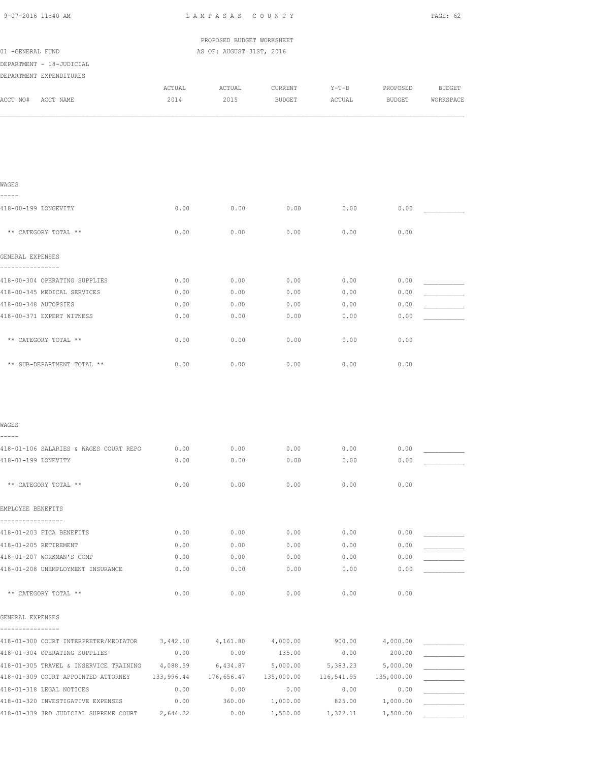| 9-07-2016 11:40 AM                                                 | LAMPASAS COUNTY |                           |                   |            |            | PAGE: 62      |  |
|--------------------------------------------------------------------|-----------------|---------------------------|-------------------|------------|------------|---------------|--|
|                                                                    |                 | PROPOSED BUDGET WORKSHEET |                   |            |            |               |  |
| 01 -GENERAL FUND                                                   |                 | AS OF: AUGUST 31ST, 2016  |                   |            |            |               |  |
| DEPARTMENT - 18-JUDICIAL                                           |                 |                           |                   |            |            |               |  |
| DEPARTMENT EXPENDITURES                                            |                 |                           |                   |            |            |               |  |
|                                                                    | ACTUAL          | ACTUAL                    | CURRENT           | $Y-T-D$    | PROPOSED   | <b>BUDGET</b> |  |
| ACCT NO# ACCT NAME                                                 | 2014            | 2015                      | BUDGET            | ACTUAL     | BUDGET     | WORKSPACE     |  |
|                                                                    |                 |                           |                   |            |            |               |  |
|                                                                    |                 |                           |                   |            |            |               |  |
|                                                                    |                 |                           |                   |            |            |               |  |
| WAGES<br>-----                                                     |                 |                           |                   |            |            |               |  |
| 418-00-199 LONGEVITY                                               | 0.00            | 0.00                      | 0.00              | 0.00       | 0.00       |               |  |
| ** CATEGORY TOTAL **                                               | 0.00            | 0.00                      | 0.00              | 0.00       | 0.00       |               |  |
| GENERAL EXPENSES                                                   |                 |                           |                   |            |            |               |  |
| ----------------<br>418-00-304 OPERATING SUPPLIES                  | 0.00            | 0.00                      | 0.00              | 0.00       | 0.00       |               |  |
| 418-00-345 MEDICAL SERVICES                                        | 0.00            | 0.00                      | 0.00              | 0.00       | 0.00       |               |  |
| 418-00-348 AUTOPSIES                                               | 0.00            | 0.00                      | 0.00              | 0.00       | 0.00       |               |  |
| 418-00-371 EXPERT WITNESS                                          | 0.00            | 0.00                      | 0.00              | 0.00       | 0.00       |               |  |
| ** CATEGORY TOTAL **                                               | 0.00            | 0.00                      | 0.00              | 0.00       | 0.00       |               |  |
| ** SUB-DEPARTMENT TOTAL **                                         | 0.00            | 0.00                      | 0.00              | 0.00       | 0.00       |               |  |
|                                                                    |                 |                           |                   |            |            |               |  |
| WAGES                                                              |                 |                           |                   |            |            |               |  |
| -----                                                              |                 |                           |                   |            |            |               |  |
| 418-01-106 SALARIES & WAGES COURT REPO                             | 0.00            | 0.00                      | 0.00              | 0.00       | 0.00       |               |  |
| 418-01-199 LONEVITY                                                | 0.00            | 0.00                      | 0.00              | 0.00       | 0.00       |               |  |
| ** CATEGORY TOTAL **                                               | 0.00            | 0.00                      | 0.00              | 0.00       | 0.00       |               |  |
| EMPLOYEE BENEFITS                                                  |                 |                           |                   |            |            |               |  |
| -----------------<br>418-01-203 FICA BENEFITS                      | 0.00            | 0.00                      | 0.00              | 0.00       | 0.00       |               |  |
| 418-01-205 RETIREMENT                                              | 0.00            | 0.00                      | 0.00              | 0.00       | 0.00       |               |  |
| 418-01-207 WORKMAN'S COMP                                          | 0.00            | 0.00                      | 0.00              | 0.00       | 0.00       |               |  |
| 418-01-208 UNEMPLOYMENT INSURANCE                                  | 0.00            | 0.00                      | 0.00              | 0.00       | 0.00       |               |  |
| ** CATEGORY TOTAL **                                               | 0.00            | 0.00                      | 0.00              | 0.00       | 0.00       |               |  |
| GENERAL EXPENSES                                                   |                 |                           |                   |            |            |               |  |
| ----------------<br>418-01-300 COURT INTERPRETER/MEDIATOR 3,442.10 |                 |                           | 4,161.80 4,000.00 | 900.00     | 4,000.00   |               |  |
| 418-01-304 OPERATING SUPPLIES                                      | 0.00            | 0.00                      | 135.00            | 0.00       | 200.00     |               |  |
| 418-01-305 TRAVEL & INSERVICE TRAINING                             | 4,088.59        | 6,434.87                  | 5,000.00          | 5,383.23   | 5,000.00   |               |  |
| 418-01-309 COURT APPOINTED ATTORNEY                                | 133,996.44      | 176,656.47                | 135,000.00        | 116,541.95 | 135,000.00 |               |  |
| 418-01-318 LEGAL NOTICES                                           | 0.00            | 0.00                      | 0.00              | 0.00       | 0.00       |               |  |
| 418-01-320 INVESTIGATIVE EXPENSES                                  | 0.00            | 360.00                    | 1,000.00          | 825.00     | 1,000.00   |               |  |
| 418-01-339 3RD JUDICIAL SUPREME COURT                              | 2,644.22        | 0.00                      | 1,500.00          | 1,322.11   | 1,500.00   |               |  |
|                                                                    |                 |                           |                   |            |            |               |  |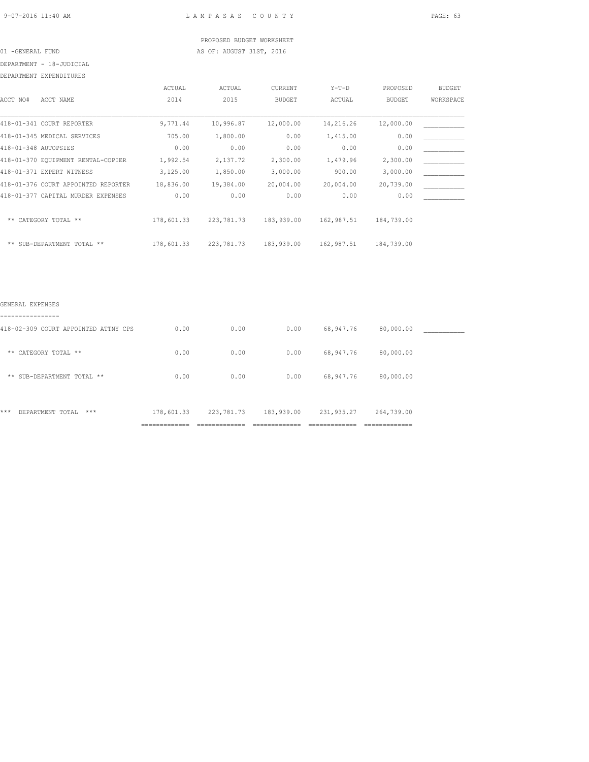# PROPOSED BUDGET WORKSHEET 01 -GENERAL FUND **AS OF: AUGUST 31ST, 2016**

## DEPARTMENT - 18-JUDICIAL

DEPARTMENT EXPENDITURES

|                      |                                     | ACTUAL     | ACTUAL       | CURRENT       | $Y-T-D$    | PROPOSED      | <b>BUDGET</b> |
|----------------------|-------------------------------------|------------|--------------|---------------|------------|---------------|---------------|
| ACCT NO#             | ACCT NAME                           | 2014       | 2015         | <b>BUDGET</b> | ACTUAL     | <b>BUDGET</b> | WORKSPACE     |
|                      | 418-01-341 COURT REPORTER           | 9,771.44   | 10,996.87    | 12,000.00     | 14,216.26  | 12,000.00     |               |
|                      | 418-01-345 MEDICAL SERVICES         | 705.00     | 1,800.00     | 0.00          | 1,415.00   | 0.00          |               |
| 418-01-348 AUTOPSIES |                                     | 0.00       | 0.00         | 0.00          | 0.00       | 0.00          |               |
|                      | 418-01-370 EOUIPMENT RENTAL-COPIER  | 1,992.54   | 2,137.72     | 2,300.00      | 1,479.96   | 2,300.00      |               |
|                      | 418-01-371 EXPERT WITNESS           | 3,125.00   | 1,850.00     | 3,000.00      | 900.00     | 3,000.00      |               |
|                      | 418-01-376 COURT APPOINTED REPORTER | 18,836.00  | 19,384.00    | 20,004.00     | 20,004.00  | 20,739.00     |               |
|                      | 418-01-377 CAPITAL MURDER EXPENSES  | 0.00       | 0.00         | 0.00          | 0.00       | 0.00          |               |
| $***$                | CATEGORY TOTAL **                   | 178,601.33 | 223, 781. 73 | 183,939.00    | 162,987.51 | 184,739.00    |               |
|                      | ** SUB-DEPARTMENT TOTAL **          | 178,601.33 | 223,781.73   | 183,939.00    | 162,987.51 | 184,739.00    |               |

### GENERAL EXPENSES

| ------------                         |                                        |                                |                                 |                                 |                                |  |
|--------------------------------------|----------------------------------------|--------------------------------|---------------------------------|---------------------------------|--------------------------------|--|
| 418-02-309 COURT APPOINTED ATTNY CPS | 0.00                                   | 0.00                           | 0.00                            | 68,947.76                       | 80,000.00                      |  |
| ** CATEGORY TOTAL **                 | 0.00                                   | 0.00                           | 0.00                            | 68,947.76                       | 80,000.00                      |  |
| ** SUB-DEPARTMENT TOTAL **           | 0.00                                   | 0.00                           | 0.00                            | 68,947.76                       | 80,000.00                      |  |
| ***<br>DEPARTMENT TOTAL<br>$***$     | 178,601.33                             | 223, 781. 73                   | 183,939.00                      | 231,935.27                      | 264,739.00                     |  |
|                                      | ---------------------<br>------------- | _____________<br>------------- | ______________<br>------------- | --------------<br>------------- | _____________<br>------------- |  |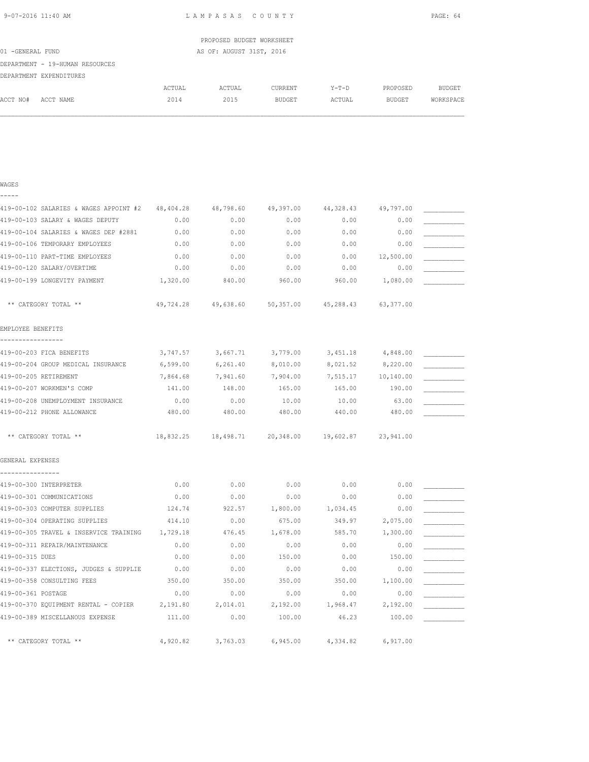| 9-07-2016 11:40 AM |  |
|--------------------|--|
|                    |  |

WAGES

L A M P A S A S C O U N T Y PAGE: 64

|                                 |        | PROPOSED BUDGET WORKSHEET |         |        |          |           |
|---------------------------------|--------|---------------------------|---------|--------|----------|-----------|
| 01 -GENERAL FUND                |        | AS OF: AUGUST 31ST, 2016  |         |        |          |           |
| DEPARTMENT - 19-HUMAN RESOURCES |        |                           |         |        |          |           |
| DEPARTMENT EXPENDITURES         |        |                           |         |        |          |           |
|                                 | ACTUAL | ACTUAL                    | CURRENT | Y-T-D  | PROPOSED | BUDGET    |
| ACCT NO#<br>ACCT NAME           | 2014   | 2015                      | BUDGET  | ACTUAL | BUDGET   | WORKSPACE |
|                                 |        |                           |         |        |          |           |

| -----                                            |          |                                                       |           |                    |           |  |
|--------------------------------------------------|----------|-------------------------------------------------------|-----------|--------------------|-----------|--|
| 419-00-102 SALARIES & WAGES APPOINT #2 48,404.28 |          | 48,798.60                                             | 49,397.00 | 44,328.43          | 49,797.00 |  |
| 419-00-103 SALARY & WAGES DEPUTY                 | 0.00     | 0.00                                                  | 0.00      | 0.00               | 0.00      |  |
| 419-00-104 SALARIES & WAGES DEP #2881            | 0.00     | 0.00                                                  | 0.00      | 0.00               | 0.00      |  |
| 419-00-106 TEMPORARY EMPLOYEES                   | 0.00     | 0.00                                                  | 0.00      | 0.00               | 0.00      |  |
| 419-00-110 PART-TIME EMPLOYEES                   | 0.00     | 0.00                                                  | 0.00      | 0.00               | 12,500.00 |  |
| 419-00-120 SALARY/OVERTIME                       | 0.00     | 0.00                                                  | 0.00      | 0.00               | 0.00      |  |
| 419-00-199 LONGEVITY PAYMENT                     | 1,320.00 | 840.00                                                | 960.00    | 960.00             | 1,080.00  |  |
| ** CATEGORY TOTAL **                             |          | 49,724.28  49,638.60  50,357.00  45,288.43  63,377.00 |           |                    |           |  |
| EMPLOYEE BENEFITS                                |          |                                                       |           |                    |           |  |
| -----------------<br>419-00-203 FICA BENEFITS    |          | 3,747.57 3,667.71 3,779.00                            |           | 3,451.18 4,848.00  |           |  |
| 419-00-204 GROUP MEDICAL INSURANCE 6,599.00      |          | 6, 261.40                                             | 8,010.00  | 8,021.52 8,220.00  |           |  |
| 419-00-205 RETIREMENT                            | 7,864.68 | 7,941.60                                              | 7,904.00  | 7,515.17 10,140.00 |           |  |
| 419-00-207 WORKMEN'S COMP                        | 141.00   | 148.00                                                | 165.00    | 165.00             | 190.00    |  |
| 419-00-208 UNEMPLOYMENT INSURANCE                | 0.00     | 0.00                                                  | 10.00     | 10.00              | 63.00     |  |
| 419-00-212 PHONE ALLOWANCE                       | 480.00   | 480.00                                                | 480.00    | 440.00             | 480.00    |  |
| ** CATEGORY TOTAL **                             |          | 18,832.25 18,498.71 20,348.00 19,602.87 23,941.00     |           |                    |           |  |
| GENERAL EXPENSES                                 |          |                                                       |           |                    |           |  |
| ----------------<br>419-00-300 INTERPRETER       | 0.00     | 0.00                                                  | 0.00      | 0.00               | 0.00      |  |
| 419-00-301 COMMUNICATIONS                        | 0.00     | 0.00                                                  | 0.00      | 0.00               | 0.00      |  |
| 419-00-303 COMPUTER SUPPLIES                     | 124.74   | 922.57                                                | 1,800.00  | 1,034.45           | 0.00      |  |
| 419-00-304 OPERATING SUPPLIES                    | 414.10   | 0.00                                                  | 675.00    | 349.97             | 2,075.00  |  |
| 419-00-305 TRAVEL & INSERVICE TRAINING 1,729.18  |          | 476.45                                                | 1,678.00  | 585.70             | 1,300.00  |  |
| 419-00-311 REPAIR/MAINTENANCE                    | 0.00     | 0.00                                                  | 0.00      | 0.00               | 0.00      |  |
| 419-00-315 DUES                                  | 0.00     | 0.00                                                  | 150.00    | 0.00               | 150.00    |  |
| 419-00-337 ELECTIONS, JUDGES & SUPPLIE           | 0.00     | 0.00                                                  | 0.00      | 0.00               | 0.00      |  |
| 419-00-358 CONSULTING FEES                       | 350.00   | 350.00                                                | 350.00    | 350.00             | 1,100.00  |  |
| 419-00-361 POSTAGE                               | 0.00     | 0.00                                                  | 0.00      | 0.00               | 0.00      |  |
| 419-00-370 EQUIPMENT RENTAL - COPIER 2,191.80    |          | 2,014.01                                              | 2,192.00  | 1,968.47           | 2,192.00  |  |
| 419-00-389 MISCELLANOUS EXPENSE                  | 111.00   | 0.00                                                  | 100.00    | 46.23              | 100.00    |  |
| ** CATEGORY TOTAL **                             | 4,920.82 | 3,763.03                                              | 6,945.00  | 4,334.82           | 6,917.00  |  |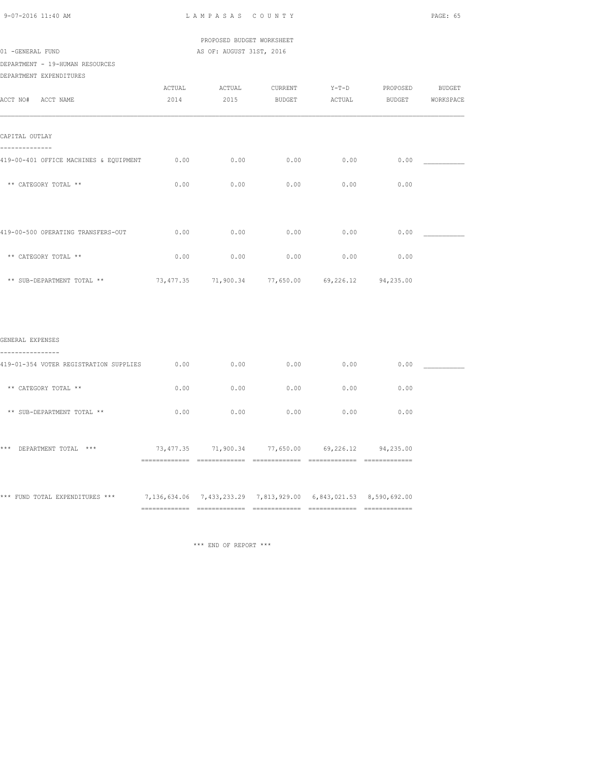PROPOSED BUDGET WORKSHEET 01 -GENERAL FUND AS OF: AUGUST 31ST, 2016

DEPARTMENT - 19-HUMAN RESOURCES

| DEPARTMENT EXPENDITURES |
|-------------------------|
|                         |

|                                        | ACTUAL | ACTUAL | CURRENT                                           | $Y-T-D$ | PROPOSED      | <b>BUDGET</b> |
|----------------------------------------|--------|--------|---------------------------------------------------|---------|---------------|---------------|
| ACCT NO#<br>ACCT NAME                  | 2014   | 2015   | <b>BUDGET</b>                                     | ACTUAL  | <b>BUDGET</b> | WORKSPACE     |
| CAPITAL OUTLAY                         |        |        |                                                   |         |               |               |
| 419-00-401 OFFICE MACHINES & EQUIPMENT | 0.00   | 0.00   | 0.00                                              | 0.00    | 0.00          |               |
| ** CATEGORY TOTAL **                   | 0.00   | 0.00   | 0.00                                              | 0.00    | 0.00          |               |
|                                        |        |        |                                                   |         |               |               |
| 419-00-500 OPERATING TRANSFERS-OUT     | 0.00   | 0.00   | 0.00                                              | 0.00    | 0.00          |               |
| ** CATEGORY TOTAL **                   | 0.00   | 0.00   | 0.00                                              | 0.00    | 0.00          |               |
| ** SUB-DEPARTMENT TOTAL **             |        |        | 73,477.35 71,900.34 77,650.00 69,226.12 94,235.00 |         |               |               |
|                                        |        |        |                                                   |         |               |               |
|                                        |        |        |                                                   |         |               |               |
| GENERAL EXPENSES<br>-----              |        |        |                                                   |         |               |               |
| 419-01-354 VOTER REGISTRATION SUPPLIES | 0.00   | 0.00   | 0.00                                              | 0.00    | 0.00          |               |

| ** CATEGORY TOTAL **             | 0.00                        | 0.00                                                        | 0.00                       | 0.00                                             | 0.00                        |  |
|----------------------------------|-----------------------------|-------------------------------------------------------------|----------------------------|--------------------------------------------------|-----------------------------|--|
| ** SUB-DEPARTMENT TOTAL **       | 0.00                        | 0.00                                                        | 0.00                       | 0.00                                             | 0.00                        |  |
| ***<br>$***$<br>DEPARTMENT TOTAL | 73,477.35<br>============== | 71,900.34<br>______________<br>-------------                | 77,650.00<br>------------- | 69,226.12<br>------------------<br>------------- | 94,235.00<br>============== |  |
| *** FUND TOTAL EXPENDITURES ***  |                             | 7, 136, 634.06 7, 433, 233.29 7, 813, 929.00 6, 843, 021.53 |                            |                                                  | 8,590,692.00                |  |

\*\*\* END OF REPORT \*\*\*

============= ============= ============= ============= =============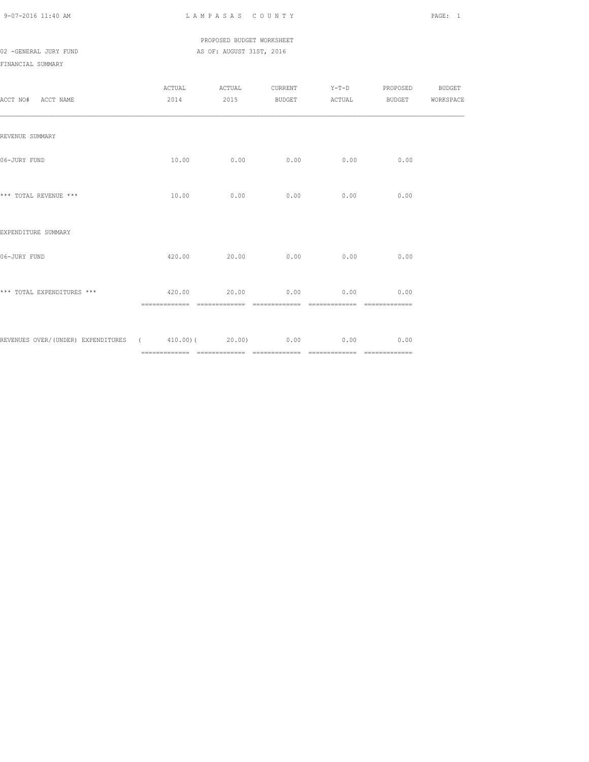PROPOSED BUDGET WORKSHEET 02 -GENERAL JURY FUND **AS OF: AUGUST 31ST, 2016** 

## FINANCIAL SUMMARY

| ACCT NO# ACCT NAME                                      |                     | ACTUAL ACTUAL<br>2014 2015 |      | CURRENT Y-T-D<br>BUDGET ACTUAL BUDGET WORKSPACE | PROPOSED BUDGET |  |
|---------------------------------------------------------|---------------------|----------------------------|------|-------------------------------------------------|-----------------|--|
| REVENUE SUMMARY                                         |                     |                            |      |                                                 |                 |  |
| 06-JURY FUND                                            |                     | $10.00$ 0.00               | 0.00 | 0.00                                            | 0.00            |  |
| *** TOTAL REVENUE ***                                   |                     | $10.00$ 0.00               | 0.00 | 0.00                                            | 0.00            |  |
| EXPENDITURE SUMMARY                                     |                     |                            |      |                                                 |                 |  |
| 06-JURY FUND                                            |                     | 420.00 20.00               | 0.00 | 0.00                                            | 0.00            |  |
| *** TOTAL EXPENDITURES ***                              | $420.00$ 20.00 0.00 |                            |      | $0.00$ 0.00                                     |                 |  |
| REVENUES OVER/(UNDER) EXPENDITURES (410.00)(20.00) 0.00 |                     |                            |      | 0.00                                            | 0.00            |  |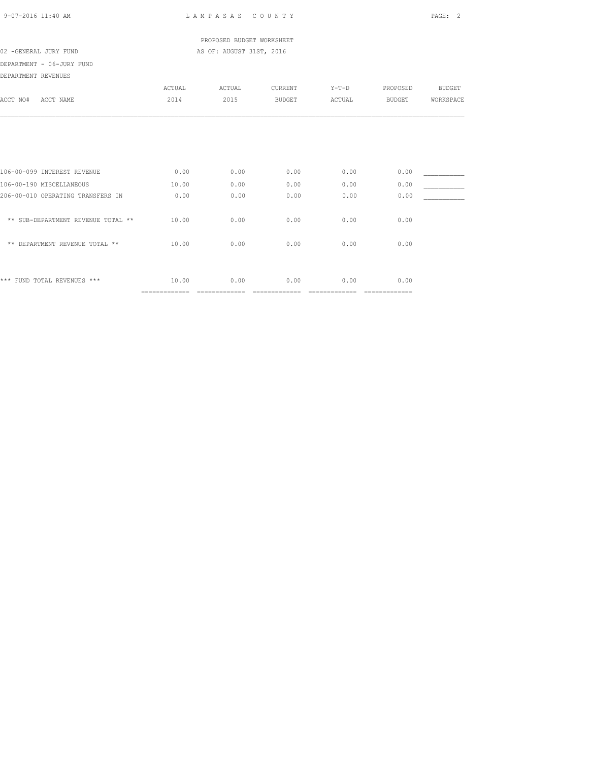|  | $9 - 07 - 2016$ 11:40 AM |  |
|--|--------------------------|--|
|  |                          |  |

L A M P A S A S C O U N T Y PAGE: 2

 PROPOSED BUDGET WORKSHEET 02 -GENERAL JURY FUND **AS OF: AUGUST 31ST, 2016** 

DEPARTMENT - 06-JURY FUND

| DEPARTMENT REVENUES |  |
|---------------------|--|

| ACCT NO#<br>ACCT NAME              | ACTUAL<br>2014 | ACTUAL<br>2015 | CURRENT<br><b>BUDGET</b> | $Y-T-D$<br>ACTUAL | PROPOSED<br><b>BUDGET</b> | <b>BUDGET</b><br>WORKSPACE |
|------------------------------------|----------------|----------------|--------------------------|-------------------|---------------------------|----------------------------|
|                                    |                |                |                          |                   |                           |                            |
| 106-00-099 INTEREST REVENUE        | 0.00           | 0.00           | 0.00                     | 0.00              | 0.00                      |                            |
| 106-00-190 MISCELLANEOUS           | 10.00          | 0.00           | 0.00                     | 0.00              | 0.00                      |                            |
| 206-00-010 OPERATING TRANSFERS IN  | 0.00           | 0.00           | 0.00                     | 0.00              | 0.00                      |                            |
| ** SUB-DEPARTMENT REVENUE TOTAL ** | 10.00          | 0.00           | 0.00                     | 0.00              | 0.00                      |                            |
| ** DEPARTMENT REVENUE TOTAL **     | 10.00          | 0.00           | 0.00                     | 0.00              | 0.00                      |                            |
| *** FUND TOTAL REVENUES ***        | 10.00          | 0.00           | 0.00                     | 0.00              | 0.00                      |                            |
|                                    | =============  |                |                          |                   | =============             |                            |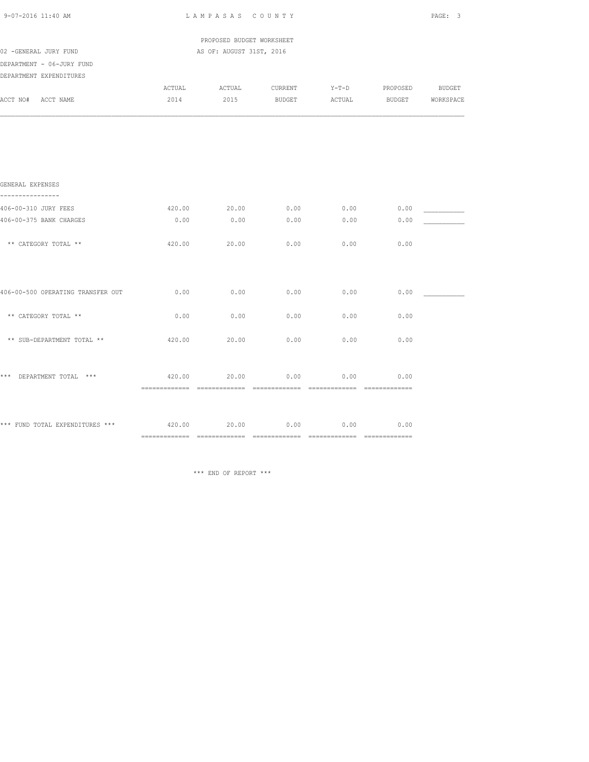| 9-07-2016 11:40 AM                                   |                | LAMPASAS COUNTY                                       |                   |                   |          | PAGE: 3                           |
|------------------------------------------------------|----------------|-------------------------------------------------------|-------------------|-------------------|----------|-----------------------------------|
| 02 -GENERAL JURY FUND                                |                | PROPOSED BUDGET WORKSHEET<br>AS OF: AUGUST 31ST, 2016 |                   |                   |          |                                   |
| DEPARTMENT - 06-JURY FUND<br>DEPARTMENT EXPENDITURES |                |                                                       |                   |                   |          |                                   |
| ACCT NO# ACCT NAME                                   | ACTUAL<br>2014 | ACTUAL<br>2015                                        | CURRENT<br>BUDGET | $Y-T-D$<br>ACTUAL | PROPOSED | <b>BUDGET</b><br>BUDGET WORKSPACE |
|                                                      |                |                                                       |                   |                   |          |                                   |
|                                                      |                |                                                       |                   |                   |          |                                   |
|                                                      |                |                                                       |                   |                   |          |                                   |
|                                                      |                |                                                       |                   |                   |          |                                   |
| GENERAL EXPENSES                                     |                |                                                       |                   |                   |          |                                   |
| 406-00-310 JURY FEES                                 | 420.00         | 20.00                                                 | 0.00              | 0.00              | 0.00     |                                   |
| 406-00-375 BANK CHARGES                              | 0.00           | 0.00                                                  | 0.00              | 0.00              | 0.00     |                                   |
| ** CATEGORY TOTAL **                                 | 420.00         | 20.00                                                 | 0.00              | 0.00              | 0.00     |                                   |
|                                                      |                |                                                       |                   |                   |          |                                   |
| 406-00-500 OPERATING TRANSFER OUT                    | 0.00           | 0.00                                                  | 0.00              | 0.00              | 0.00     |                                   |
|                                                      |                |                                                       |                   |                   |          |                                   |
| ** CATEGORY TOTAL **                                 | 0.00           | 0.00                                                  | 0.00              | 0.00              | 0.00     |                                   |
| ** SUB-DEPARTMENT TOTAL **                           | 420.00         | 20.00                                                 | 0.00              | 0.00              | 0.00     |                                   |
|                                                      |                |                                                       |                   |                   |          |                                   |
| *** DEPARTMENT TOTAL ***                             | 420.00         | 20.00                                                 | 0.00              | 0.00              | 0.00     |                                   |
|                                                      |                |                                                       |                   |                   |          |                                   |
| *** FUND TOTAL EXPENDITURES *** 420.00 20.00         |                |                                                       | 0.00              | 0.00              | 0.00     |                                   |
|                                                      |                |                                                       |                   |                   |          |                                   |

\*\*\* END OF REPORT \*\*\*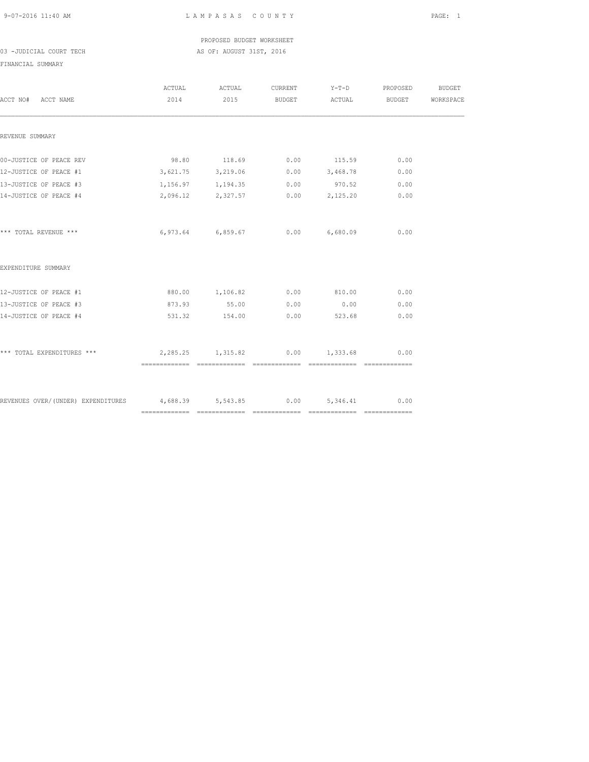PROPOSED BUDGET WORKSHEET 03 -JUDICIAL COURT TECH AS OF: AUGUST 31ST, 2016

### FINANCIAL SUMMARY

| ACCT NO# ACCT NAME                                                      | ACTUAL ACTUAL     | CURRENT Y-T-D PROPOSED                         | 2014 2015 BUDGET ACTUAL BUDGET WORKSPACE | BUDGET |
|-------------------------------------------------------------------------|-------------------|------------------------------------------------|------------------------------------------|--------|
| REVENUE SUMMARY                                                         |                   |                                                |                                          |        |
| 00-JUSTICE OF PEACE REV                                                 |                   | 98.80 118.69 0.00 115.59                       | 0.00                                     |        |
| 12-JUSTICE OF PEACE #1                                                  |                   | $3,621.75$ $3,219.06$ $0.00$ $3,468.78$ $0.00$ |                                          |        |
| 13-JUSTICE OF PEACE #3                                                  |                   | $1,156.97$ $1,194.35$ 0.00 970.52 0.00         |                                          |        |
| 14-JUSTICE OF PEACE #4                                                  | 2,096.12 2,327.57 | $0.00$ 2,125.20                                | 0.00                                     |        |
| *** TOTAL REVENUE ***                                                   | 6,973.64 6,859.67 | $0.00$ 6,680.09 0.00                           |                                          |        |
| EXPENDITURE SUMMARY                                                     |                   |                                                |                                          |        |
| 12-JUSTICE OF PEACE #1                                                  |                   | 880.00  1,106.82  0.00  810.00  0.00           |                                          |        |
| 13-JUSTICE OF PEACE #3                                                  | 873.93 55.00 0.00 | 0.00                                           | 0.00                                     |        |
| 14-JUSTICE OF PEACE #4                                                  | 531.32 154.00     | $0.00$ 523.68                                  | 0.00                                     |        |
| *** TOTAL EXPENDITURES ***                                              | 2,285.25 1,315.82 | $0.00$ 1,333.68                                | 0.00                                     |        |
|                                                                         |                   |                                                |                                          |        |
| REVENUES OVER/(UNDER) EXPENDITURES 4,688.39 5,543.85 0.00 5,346.41 0.00 |                   |                                                |                                          |        |
|                                                                         |                   |                                                |                                          |        |
|                                                                         |                   |                                                |                                          |        |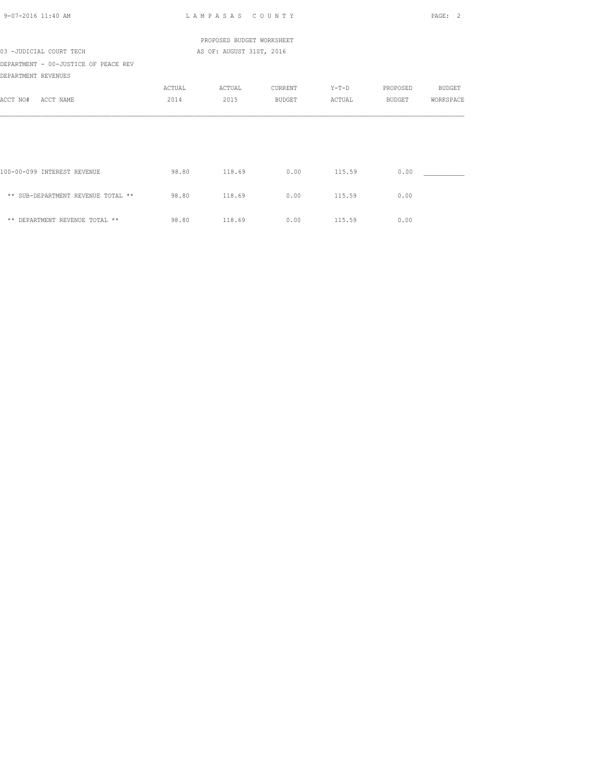| $9 - 07 - 2016$ 11:40 AM                                    |        | LAMPASAS COUNTY           |         |         |          | PAGE: 2       |
|-------------------------------------------------------------|--------|---------------------------|---------|---------|----------|---------------|
|                                                             |        | PROPOSED BUDGET WORKSHEET |         |         |          |               |
| 03 -JUDICIAL COURT TECH                                     |        | AS OF: AUGUST 31ST, 2016  |         |         |          |               |
| DEPARTMENT - 00-JUSTICE OF PEACE REV<br>DEPARTMENT REVENUES |        |                           |         |         |          |               |
|                                                             | ACTUAL | ACTUAL                    | CURRENT | $Y-T-D$ | PROPOSED | <b>BUDGET</b> |
| ACCT NO#<br>ACCT NAME                                       | 2014   | 2015                      | BUDGET  | ACTUAL  | BUDGET   | WORKSPACE     |
|                                                             |        |                           |         |         |          |               |
|                                                             |        |                           |         |         |          |               |
| 100-00-099 INTEREST REVENUE                                 | 98.80  | 118.69                    | 0.00    | 115.59  | 0.00     |               |
| ** SUB-DEPARTMENT REVENUE TOTAL **                          | 98.80  | 118.69                    | 0.00    | 115.59  | 0.00     |               |
| ** DEPARTMENT REVENUE TOTAL **                              | 98.80  | 118.69                    | 0.00    | 115.59  | 0.00     |               |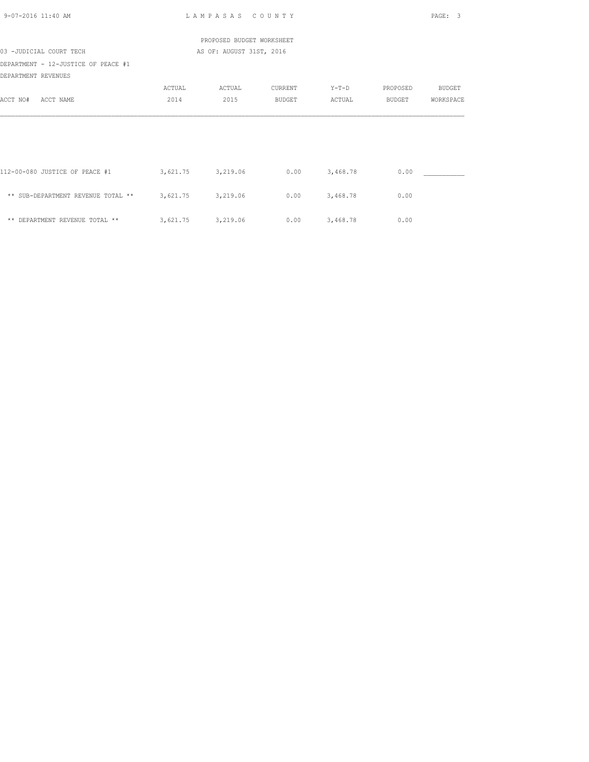| 9-07-2016 11:40 AM                                         |          | LAMPASAS COUNTY           |               |          |               | PAGE: 3       |
|------------------------------------------------------------|----------|---------------------------|---------------|----------|---------------|---------------|
|                                                            |          | PROPOSED BUDGET WORKSHEET |               |          |               |               |
| 03 -JUDICIAL COURT TECH                                    |          | AS OF: AUGUST 31ST, 2016  |               |          |               |               |
| DEPARTMENT - 12-JUSTICE OF PEACE #1<br>DEPARTMENT REVENUES |          |                           |               |          |               |               |
|                                                            | ACTUAL   | ACTUAL                    | CURRENT       | $Y-T-D$  | PROPOSED      | <b>BUDGET</b> |
| ACCT NO#<br>ACCT NAME                                      | 2014     | 2015                      | <b>BUDGET</b> | ACTUAL   | <b>BUDGET</b> | WORKSPACE     |
|                                                            |          |                           |               |          |               |               |
|                                                            |          |                           |               |          |               |               |
| 112-00-080 JUSTICE OF PEACE #1                             | 3,621.75 | 3,219.06                  | 0.00          | 3,468.78 | 0.00          |               |
| ** SUB-DEPARTMENT REVENUE TOTAL **                         | 3,621.75 | 3,219.06                  | 0.00          | 3,468.78 | 0.00          |               |
| ** DEPARTMENT REVENUE TOTAL **                             | 3,621.75 | 3,219.06                  | 0.00          | 3,468.78 | 0.00          |               |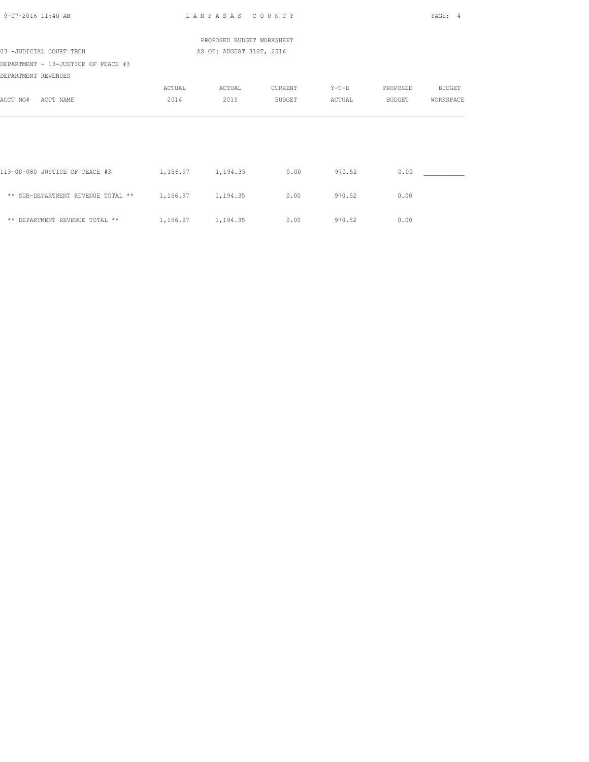| 9-07-2016 11:40 AM                                   |                     | LAMPASAS COUNTY           |               |        |          | PAGE: 4       |
|------------------------------------------------------|---------------------|---------------------------|---------------|--------|----------|---------------|
|                                                      |                     | PROPOSED BUDGET WORKSHEET |               |        |          |               |
| 03 -JUDICIAL COURT TECH                              |                     | AS OF: AUGUST 31ST, 2016  |               |        |          |               |
| DEPARTMENT - 13-JUSTICE OF PEACE #3                  |                     |                           |               |        |          |               |
| DEPARTMENT REVENUES                                  |                     |                           |               |        |          |               |
|                                                      | ACTUAL              | ACTUAL                    | CURRENT       | Y-T-D  | PROPOSED | <b>BUDGET</b> |
| ACCT NO#<br>ACCT NAME                                | 2014                | 2015                      | <b>BUDGET</b> | ACTUAL | BUDGET   | WORKSPACE     |
|                                                      |                     |                           |               |        |          |               |
|                                                      |                     |                           |               |        |          |               |
| 113-00-080 JUSTICE OF PEACE #3                       | 1, 156.97 1, 194.35 |                           | 0.00          | 970.52 | 0.00     |               |
| ** SUB-DEPARTMENT REVENUE TOTAL ** 1,156.97 1,194.35 |                     |                           | 0.00          | 970.52 | 0.00     |               |
| ** DEPARTMENT REVENUE TOTAL **                       | 1,156.97 1,194.35   |                           | 0.00          | 970.52 | 0.00     |               |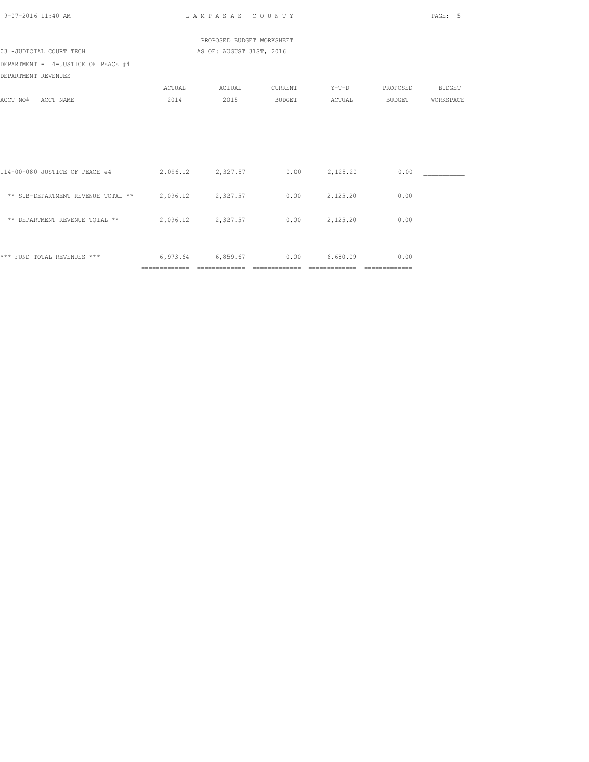| 9-07-2016 11:40 AM                                                     |        | LAMPASAS COUNTY            |         |          |          | PAGE: 5       |
|------------------------------------------------------------------------|--------|----------------------------|---------|----------|----------|---------------|
|                                                                        |        | PROPOSED BUDGET WORKSHEET  |         |          |          |               |
| 03 -JUDICIAL COURT TECH                                                |        | AS OF: AUGUST 31ST, 2016   |         |          |          |               |
| DEPARTMENT - 14-JUSTICE OF PEACE #4                                    |        |                            |         |          |          |               |
| DEPARTMENT REVENUES                                                    |        |                            |         |          |          |               |
|                                                                        | ACTUAL | ACTUAL                     | CURRENT | $Y-T-D$  | PROPOSED | <b>BUDGET</b> |
| ACCT NO#<br>ACCT NAME                                                  | 2014   | 2015                       | BUDGET  | ACTUAL   | BUDGET   | WORKSPACE     |
|                                                                        |        |                            |         |          |          |               |
|                                                                        |        |                            |         |          |          |               |
|                                                                        |        |                            |         |          |          |               |
| 114-00-080 JUSTICE OF PEACE e4 2,096.12 2,327.57 0.00 2,125.20         |        |                            |         |          | 0.00     |               |
| ** SUB-DEPARTMENT REVENUE TOTAL ** 2,096.12 2,327.57 0.00 2,125.20     |        |                            |         |          | 0.00     |               |
|                                                                        |        |                            |         |          |          |               |
| ** DEPARTMENT REVENUE TOTAL ** $2,096.12$ $2,327.57$ $0.00$ $2,125.20$ |        |                            |         |          | 0.00     |               |
|                                                                        |        |                            |         |          |          |               |
| *** FUND TOTAL REVENUES ***                                            |        | $6,973.64$ $6,859.67$ 0.00 |         | 6,680.09 | 0.00     |               |
|                                                                        |        |                            |         |          |          |               |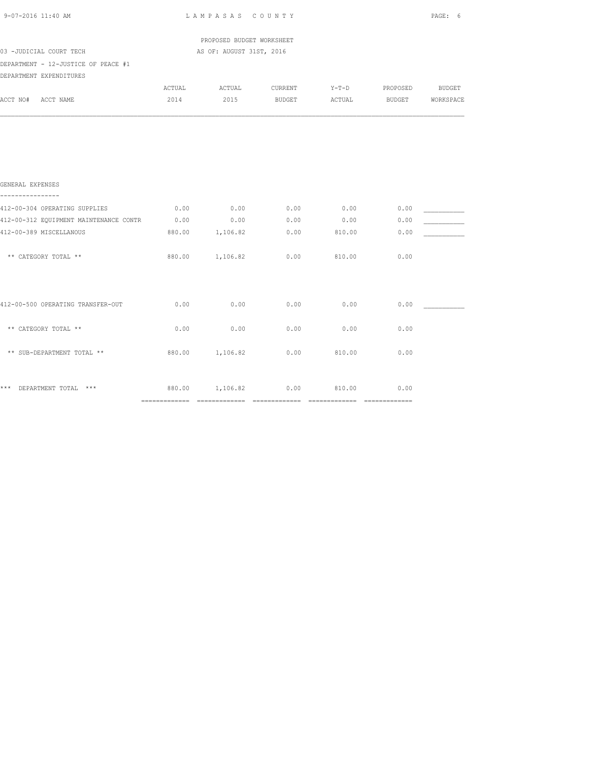| 9-07-2016 11:40 AM                                         |        | LAMPASAS COUNTY           |         |        |                       | PAGE: 6   |
|------------------------------------------------------------|--------|---------------------------|---------|--------|-----------------------|-----------|
|                                                            |        | PROPOSED BUDGET WORKSHEET |         |        |                       |           |
| 03 -JUDICIAL COURT TECH                                    |        | AS OF: AUGUST 31ST, 2016  |         |        |                       |           |
| DEPARTMENT - 12-JUSTICE OF PEACE #1                        |        |                           |         |        |                       |           |
| DEPARTMENT EXPENDITURES                                    |        |                           |         |        |                       |           |
|                                                            | ACTUAL | ACTUAL                    | CURRENT |        | Y-T-D PROPOSED BUDGET |           |
| ACCT NO# ACCT NAME                                         | 2014   | 2015 BUDGET               |         |        | ACTUAL BUDGET         | WORKSPACE |
| GENERAL EXPENSES                                           |        |                           |         |        |                       |           |
|                                                            |        |                           |         |        |                       |           |
| 412-00-304 OPERATING SUPPLIES                              | 0.00   | 0.00                      | 0.00    | 0.00   | 0.00                  |           |
| 412-00-312 EQUIPMENT MAINTENANCE CONTR 0.00 0.00 0.00 0.00 |        |                           |         | 0.00   | 0.00                  |           |
| 412-00-389 MISCELLANOUS                                    |        | 880.00 1,106.82           | 0.00    | 810.00 | 0.00                  |           |
| ** CATEGORY TOTAL **                                       |        | 880.00 1,106.82           | 0.00    | 810.00 | 0.00                  |           |
| 412-00-500 OPERATING TRANSFER-OUT                          | 0.00   | 0.00                      | 0.00    | 0.00   | 0.00                  |           |
| ** CATEGORY TOTAL **                                       | 0.00   | 0.00                      | 0.00    | 0.00   | 0.00                  |           |
| ** SUB-DEPARTMENT TOTAL **                                 |        | 880.00 1,106.82           | 0.00    | 810.00 | 0.00                  |           |
| *** DEPARTMENT TOTAL ***                                   |        | 880.00 1,106.82 0.00      |         | 810.00 | 0.00                  |           |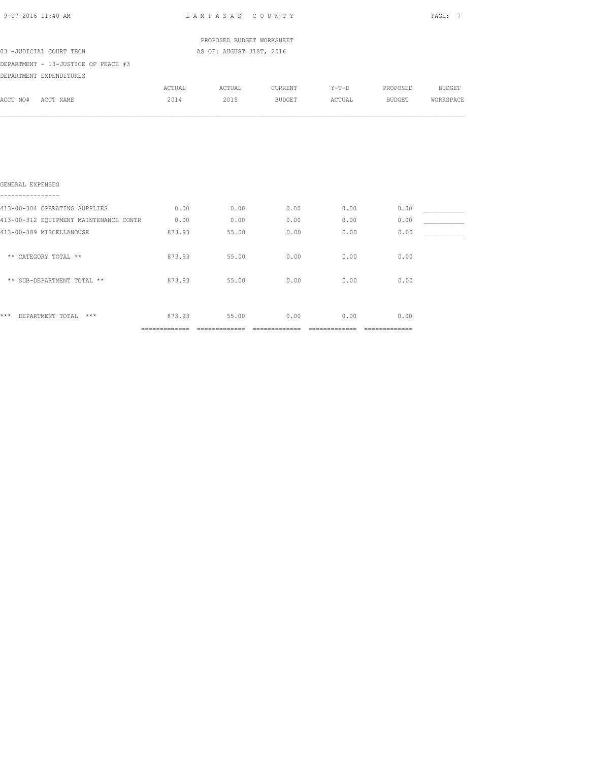|        |                                            |                  |                                                                                            |      | PAGE: 7                                   |
|--------|--------------------------------------------|------------------|--------------------------------------------------------------------------------------------|------|-------------------------------------------|
|        |                                            |                  |                                                                                            |      |                                           |
|        |                                            |                  |                                                                                            |      |                                           |
|        |                                            |                  |                                                                                            |      |                                           |
|        |                                            |                  |                                                                                            |      |                                           |
| ACTUAL |                                            |                  |                                                                                            |      |                                           |
| 2014   | 2015                                       | BUDGET           |                                                                                            |      | WORKSPACE                                 |
|        |                                            |                  |                                                                                            |      |                                           |
|        | 0.00                                       |                  | 0.00                                                                                       | 0.00 |                                           |
|        | 0.00                                       | 0.00             | 0.00                                                                                       | 0.00 |                                           |
| 873.93 | 55.00                                      | 0.00             | 0.00                                                                                       | 0.00 |                                           |
|        | 55.00                                      | 0.00             | 0.00                                                                                       | 0.00 |                                           |
|        | 55.00                                      | 0.00             | 0.00                                                                                       | 0.00 |                                           |
|        |                                            |                  |                                                                                            |      |                                           |
|        | 413-00-304 OPERATING SUPPLIES 0.00<br>0.00 | 873.93<br>873.93 | LAMPASAS COUNTY<br>PROPOSED BUDGET WORKSHEET<br>AS OF: AUGUST 31ST, 2016<br>ACTUAL CURRENT | 0.00 | Y-T-D PROPOSED BUDGET<br>ACTUAL<br>BUDGET |

\*\*\* DEPARTMENT TOTAL \*\*\* 873.93 55.00 0.00 0.00 0.00 ============= ============= ============= ============= =============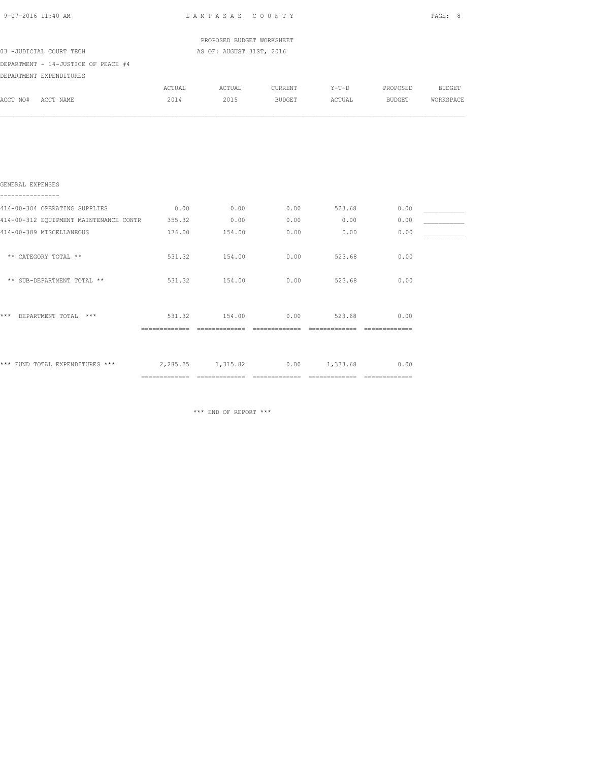| 9-07-2016 11:40 AM                                                     |        | LAMPASAS COUNTY           |                |               |                | PAGE: 8   |  |  |
|------------------------------------------------------------------------|--------|---------------------------|----------------|---------------|----------------|-----------|--|--|
|                                                                        |        | PROPOSED BUDGET WORKSHEET |                |               |                |           |  |  |
| 03 -JUDICIAL COURT TECH<br>AS OF: AUGUST 31ST, 2016                    |        |                           |                |               |                |           |  |  |
| DEPARTMENT - 14-JUSTICE OF PEACE #4                                    |        |                           |                |               |                |           |  |  |
| DEPARTMENT EXPENDITURES                                                |        |                           |                |               |                |           |  |  |
|                                                                        | ACTUAL |                           | ACTUAL CURRENT |               | Y-T-D PROPOSED | BUDGET    |  |  |
| ACCT NO# ACCT NAME                                                     | 2014   |                           | 2015 BUDGET    |               | ACTUAL BUDGET  | WORKSPACE |  |  |
|                                                                        |        |                           |                |               |                |           |  |  |
| GENERAL EXPENSES                                                       |        |                           |                |               |                |           |  |  |
| 414-00-304 OPERATING SUPPLIES                                          | 0.00   | 0.00                      |                | $0.00$ 523.68 | 0.00           |           |  |  |
| 414-00-312 EQUIPMENT MAINTENANCE CONTR 355.32                          |        | 0.00                      | 0.00           | 0.00          | 0.00           |           |  |  |
| 414-00-389 MISCELLANEOUS                                               |        | 176.00 154.00             | 0.00           | 0.00          | 0.00           |           |  |  |
| ** CATEGORY TOTAL **                                                   |        | 531.32 154.00             | 0.00           | 523.68        | 0.00           |           |  |  |
| ** SUB-DEPARTMENT TOTAL **                                             | 531.32 | 154.00                    | 0.00           | 523.68        | 0.00           |           |  |  |
| *** DEPARTMENT TOTAL ***                                               |        | 531.32 154.00             | 0.00           | 523.68        | 0.00           |           |  |  |
| *** FUND TOTAL EXPENDITURES *** $2,285.25$ 1,315.82 0.00 1,333.68 0.00 |        |                           |                |               |                |           |  |  |

\*\*\* END OF REPORT \*\*\*

============= ============= ============= ============= =============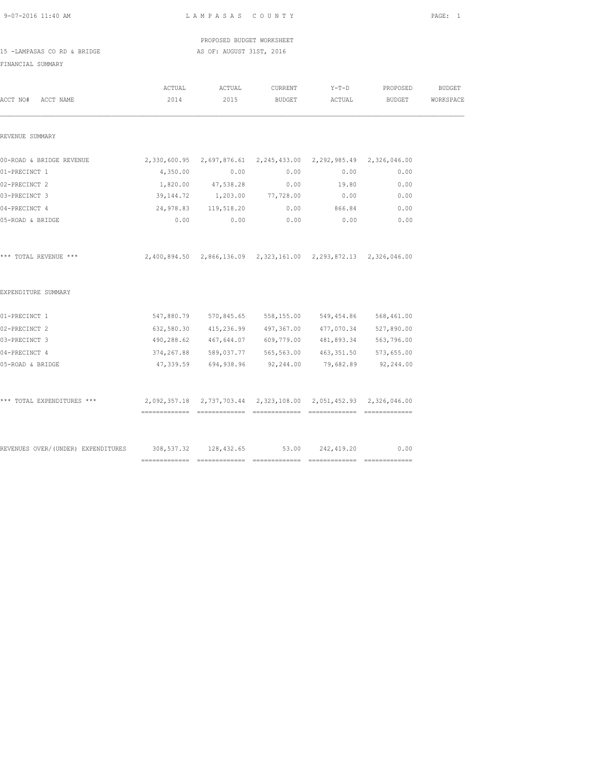|  | $9 - 07 - 2016$ 11:40 AM |  |
|--|--------------------------|--|
|  |                          |  |

L A M P A S A S C O U N T Y PAGE: 1

 PROPOSED BUDGET WORKSHEET 15 -LAMPASAS CO RD & BRIDGE AS OF: AUGUST 31ST, 2016

| ACCT NO#<br>ACCT NAME                                                     | ACTUAL<br>2014                                                       | ACTUAL<br>2015                                         | CURRENT<br>BUDGET | $Y-T-D$<br>ACTUAL | PROPOSED<br>BUDGET | <b>BUDGET</b><br>WORKSPACE |
|---------------------------------------------------------------------------|----------------------------------------------------------------------|--------------------------------------------------------|-------------------|-------------------|--------------------|----------------------------|
| REVENUE SUMMARY                                                           |                                                                      |                                                        |                   |                   |                    |                            |
|                                                                           |                                                                      |                                                        |                   |                   |                    |                            |
| 00-ROAD & BRIDGE REVENUE                                                  | 2,330,600.95  2,697,876.61  2,245,433.00  2,292,985.49  2,326,046.00 |                                                        |                   |                   |                    |                            |
| 01-PRECINCT 1                                                             | 4,350.00                                                             | 0.00                                                   | 0.00              | 0.00              | 0.00               |                            |
| 02-PRECINCT 2                                                             |                                                                      | 1,820.00 47,538.28                                     | 0.00              | 19.80             | 0.00               |                            |
| 03-PRECINCT 3                                                             | 39,144.72                                                            | 1,203.00 77,728.00                                     |                   | 0.00              | 0.00               |                            |
| 04-PRECINCT 4                                                             |                                                                      | 24,978.83 119,518.20                                   | 0.00              | 866.84            | 0.00               |                            |
| 05-ROAD & BRIDGE                                                          | 0.00                                                                 | 0.00                                                   | 0.00              | 0.00              | 0.00               |                            |
| *** TOTAL REVENUE ***                                                     | 2,400,894.50 2,866,136.09 2,323,161.00 2,293,872.13 2,326,046.00     |                                                        |                   |                   |                    |                            |
| EXPENDITURE SUMMARY                                                       |                                                                      |                                                        |                   |                   |                    |                            |
| 01-PRECINCT 1                                                             |                                                                      | 547,880.79 570,845.65 558,155.00 549,454.86 568,461.00 |                   |                   |                    |                            |
| 02-PRECINCT 2                                                             |                                                                      | 632,580.30 415,236.99 497,367.00 477,070.34            |                   |                   | 527,890.00         |                            |
| 03-PRECINCT 3                                                             |                                                                      | 490,288.62  467,644.07  609,779.00  481,893.34         |                   |                   | 563,796.00         |                            |
| 04-PRECINCT 4                                                             |                                                                      | 374,267.88 589,037.77 565,563.00 463,351.50 573,655.00 |                   |                   |                    |                            |
| 05-ROAD & BRIDGE                                                          |                                                                      | 47,339.59 694,938.96                                   | 92,244.00         | 79,682.89         | 92,244.00          |                            |
| *** TOTAL EXPENDITURES ***                                                | 2,092,357.18 2,737,703.44 2,323,108.00 2,051,452.93 2,326,046.00     |                                                        |                   |                   |                    |                            |
| REVENUES OVER/(UNDER) EXPENDITURES 308,537.32 128,432.65 53.00 242,419.20 |                                                                      |                                                        |                   |                   | 0.00               |                            |
|                                                                           |                                                                      |                                                        |                   |                   |                    |                            |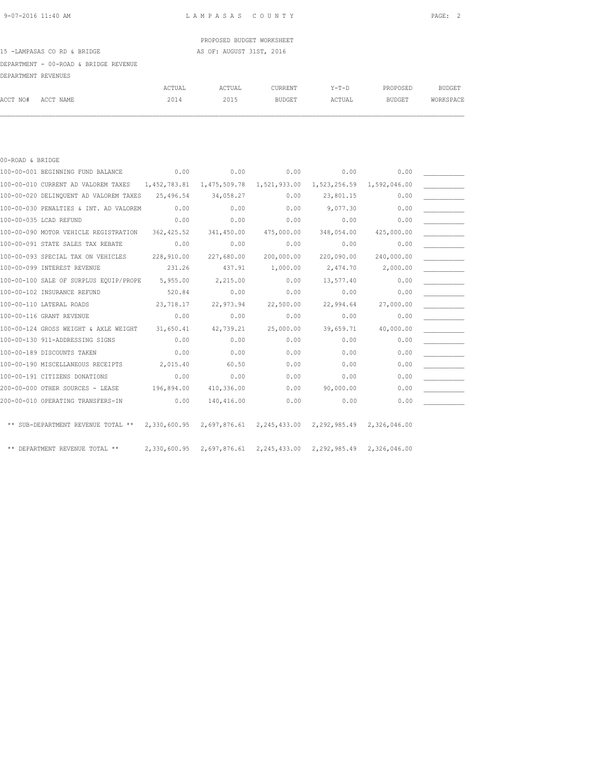## PROPOSED BUDGET WORKSHEET

### 15 -LAMPASAS CO RD & BRIDGE AS OF: AUGUST 31ST, 2016

DEPARTMENT - 00-ROAD & BRIDGE REVENUE

| DEPARTMENT REVENUES |           |        |              |               |             |               |               |
|---------------------|-----------|--------|--------------|---------------|-------------|---------------|---------------|
|                     |           | ACTUAL | <b>CTUAL</b> | CURRENT       | $Y - T - D$ | PROPOSED      | <b>BUDGET</b> |
| ACCT NO#            | ACCT NAME | 2014   | 2015         | <b>BUDGET</b> | ACTUAL      | <b>BUDGET</b> | WORKSPACE     |

| 00-ROAD & BRIDGE |                                                                                                     |             |                                                                  |            |                           |            |  |
|------------------|-----------------------------------------------------------------------------------------------------|-------------|------------------------------------------------------------------|------------|---------------------------|------------|--|
|                  | 100-00-001 BEGINNING FUND BALANCE                                                                   | 0.00        | 0.00                                                             | 0.00       | 0.00                      | 0.00       |  |
|                  | 100-00-010 CURRENT AD VALOREM TAXES 1,452,783.81                                                    |             | 1,475,509.78 1,521,933.00                                        |            | 1,523,256.59 1,592,046.00 |            |  |
|                  | 100-00-020 DELINQUENT AD VALOREM TAXES                                                              | 25,496.54   | 34,058.27                                                        | 0.00       | 23,801.15                 | 0.00       |  |
|                  | 100-00-030 PENALTIES & INT. AD VALOREM                                                              | 0.00        | 0.00                                                             | 0.00       | 9,077.30                  | 0.00       |  |
|                  | 100-00-035 LCAD REFUND                                                                              | 0.00        | 0.00                                                             | 0.00       | 0.00                      | 0.00       |  |
|                  | 100-00-090 MOTOR VEHICLE REGISTRATION                                                               | 362, 425.52 | 341,450.00                                                       | 475,000.00 | 348,054.00                | 425,000.00 |  |
|                  | 100-00-091 STATE SALES TAX REBATE                                                                   | 0.00        | 0.00                                                             | 0.00       | 0.00                      | 0.00       |  |
|                  | 100-00-093 SPECIAL TAX ON VEHICLES                                                                  | 228,910.00  | 227,680.00                                                       | 200,000.00 | 220,090.00                | 240,000.00 |  |
|                  | 100-00-099 INTEREST REVENUE                                                                         | 231.26      | 437.91                                                           | 1,000.00   | 2,474.70                  | 2,000.00   |  |
|                  | 100-00-100 SALE OF SURPLUS EQUIP/PROPE                                                              | 5,955.00    | 2,215.00                                                         | 0.00       | 13,577.40                 | 0.00       |  |
|                  | 100-00-102 INSURANCE REFUND                                                                         | 520.84      | 0.00                                                             | 0.00       | 0.00                      | 0.00       |  |
|                  | 100-00-110 LATERAL ROADS                                                                            | 23,718.17   | 22,973.94                                                        | 22,500.00  | 22,994.64                 | 27,000.00  |  |
|                  | 100-00-116 GRANT REVENUE                                                                            | 0.00        | 0.00                                                             | 0.00       | 0.00                      | 0.00       |  |
|                  | 100-00-124 GROSS WEIGHT & AXLE WEIGHT                                                               | 31,650.41   | 42,739.21                                                        | 25,000.00  | 39,659.71                 | 40,000.00  |  |
|                  | 100-00-130 911-ADDRESSING SIGNS                                                                     | 0.00        | 0.00                                                             | 0.00       | 0.00                      | 0.00       |  |
|                  | 100-00-189 DISCOUNTS TAKEN                                                                          | 0.00        | 0.00                                                             | 0.00       | 0.00                      | 0.00       |  |
|                  | 100-00-190 MISCELLANEOUS RECEIPTS                                                                   | 2,015.40    | 60.50                                                            | 0.00       | 0.00                      | 0.00       |  |
|                  | 100-00-191 CITIZENS DONATIONS                                                                       | 0.00        | 0.00                                                             | 0.00       | 0.00                      | 0.00       |  |
|                  | 200-00-000 OTHER SOURCES - LEASE                                                                    | 196,894.00  | 410,336.00                                                       | 0.00       | 90,000.00                 | 0.00       |  |
|                  | 200-00-010 OPERATING TRANSFERS-IN                                                                   | 0.00        | 140,416.00                                                       | 0.00       | 0.00                      | 0.00       |  |
|                  |                                                                                                     |             |                                                                  |            |                           |            |  |
|                  | ** SUB-DEPARTMENT REVENUE TOTAL ** 2,330,600.95 2,697,876.61 2,245,433.00 2,292,985.49 2,326,046.00 |             |                                                                  |            |                           |            |  |
|                  |                                                                                                     |             |                                                                  |            |                           |            |  |
|                  | ** DEPARTMENT REVENUE TOTAL **                                                                      |             | 2,330,600.95 2,697,876.61 2,245,433.00 2,292,985.49 2,326,046.00 |            |                           |            |  |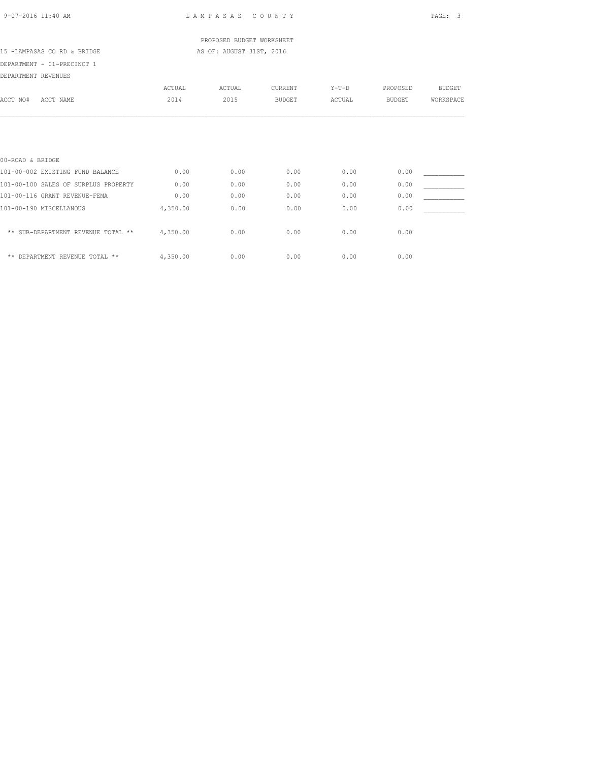### PROPOSED BUDGET WORKSHEET 15 -LAMPASAS CO RD & BRIDGE AS OF: AUGUST 31ST, 2016

DEPARTMENT - 01-PRECINCT 1

| DEPARTMENT REVENUES |
|---------------------|
|                     |

|                                      | ACTUAL   | ACTUAL | CURRENT       | $Y-T-D$ | PROPOSED      | <b>BUDGET</b> |
|--------------------------------------|----------|--------|---------------|---------|---------------|---------------|
| ACCT NO#<br>ACCT NAME                | 2014     | 2015   | <b>BUDGET</b> | ACTUAL  | <b>BUDGET</b> | WORKSPACE     |
|                                      |          |        |               |         |               |               |
|                                      |          |        |               |         |               |               |
|                                      |          |        |               |         |               |               |
| 00-ROAD & BRIDGE                     |          |        |               |         |               |               |
| 101-00-002 EXISTING FUND BALANCE     | 0.00     | 0.00   | 0.00          | 0.00    | 0.00          |               |
| 101-00-100 SALES OF SURPLUS PROPERTY | 0.00     | 0.00   | 0.00          | 0.00    | 0.00          |               |
| 101-00-116 GRANT REVENUE-FEMA        | 0.00     | 0.00   | 0.00          | 0.00    | 0.00          |               |
| 101-00-190 MISCELLANOUS              | 4,350.00 | 0.00   | 0.00          | 0.00    | 0.00          |               |
| ** SUB-DEPARTMENT REVENUE TOTAL **   | 4,350.00 | 0.00   | 0.00          | 0.00    | 0.00          |               |
| ** DEPARTMENT REVENUE TOTAL **       | 4,350.00 | 0.00   | 0.00          | 0.00    | 0.00          |               |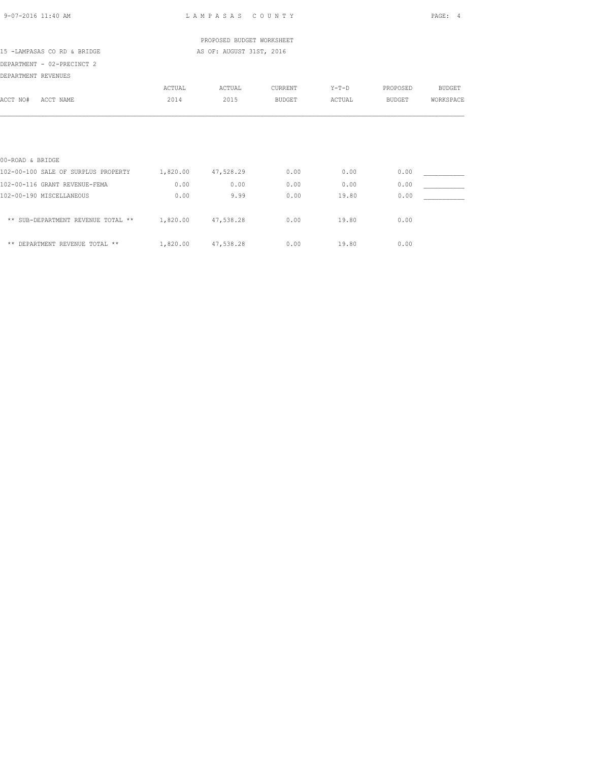|  | $9 - 07 - 2016$ 11:40 AM |  |
|--|--------------------------|--|
|  |                          |  |

L A M P A S A S C O U N T Y PAGE: 4

 PROPOSED BUDGET WORKSHEET 15 -LAMPASAS CO RD & BRIDGE AS OF: AUGUST 31ST, 2016

DEPARTMENT - 02-PRECINCT 2

DEPARTMENT REVENUES

| DEPARTMENT REVENUES                 |          |           |               |         |               |               |
|-------------------------------------|----------|-----------|---------------|---------|---------------|---------------|
|                                     | ACTUAL   | ACTUAL    | CURRENT       | $Y-T-D$ | PROPOSED      | <b>BUDGET</b> |
| ACCT NO#<br>ACCT NAME               | 2014     | 2015      | <b>BUDGET</b> | ACTUAL  | <b>BUDGET</b> | WORKSPACE     |
|                                     |          |           |               |         |               |               |
|                                     |          |           |               |         |               |               |
| 00-ROAD & BRIDGE                    |          |           |               |         |               |               |
| 102-00-100 SALE OF SURPLUS PROPERTY | 1,820.00 | 47,528.29 | 0.00          | 0.00    | 0.00          |               |
| 102-00-116 GRANT REVENUE-FEMA       | 0.00     | 0.00      | 0.00          | 0.00    | 0.00          |               |
| 102-00-190 MISCELLANEOUS            | 0.00     | 9.99      | 0.00          | 19.80   | 0.00          |               |
| ** SUB-DEPARTMENT REVENUE TOTAL **  | 1,820.00 | 47,538.28 | 0.00          | 19.80   | 0.00          |               |
| ** DEPARTMENT REVENUE TOTAL **      | 1,820.00 | 47,538.28 | 0.00          | 19.80   | 0.00          |               |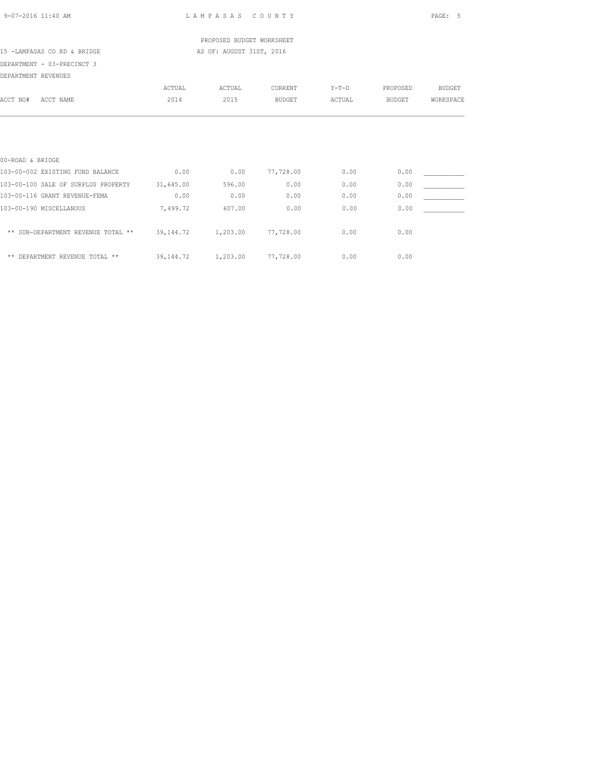|  | 9-07-2016 11:40 AM |  |
|--|--------------------|--|
|  |                    |  |

LAM PASAS COUNTY PAGE: 5

 PROPOSED BUDGET WORKSHEET 15 -LAMPASAS CO RD & BRIDGE AS OF: AUGUST 31ST, 2016

# DEPARTMENT - 03-PRECINCT 3

| DEPARTMENT REVENUES                  |             |          |               |         |          |               |
|--------------------------------------|-------------|----------|---------------|---------|----------|---------------|
|                                      | ACTUAL      | ACTUAL   | CURRENT       | $Y-T-D$ | PROPOSED | <b>BUDGET</b> |
| ACCT NO#<br>ACCT NAME                | 2014        | 2015     | <b>BUDGET</b> | ACTUAL  | BUDGET   | WORKSPACE     |
|                                      |             |          |               |         |          |               |
| 00-ROAD & BRIDGE                     |             |          |               |         |          |               |
| 103-00-002 EXISTING FUND BALANCE     | 0.00        | 0.00     | 77,728.00     | 0.00    | 0.00     |               |
| 103-00-100 SALE OF SURPLUS PROPERTY  | 31,645.00   | 596.00   | 0.00          | 0.00    | 0.00     |               |
| 103-00-116 GRANT REVENUE-FEMA        | 0.00        | 0.00     | 0.00          | 0.00    | 0.00     |               |
| 103-00-190 MISCELLANOUS              | 7,499.72    | 607.00   | 0.00          | 0.00    | 0.00     |               |
| ** SUB-DEPARTMENT REVENUE TOTAL **   | 39, 144, 72 | 1,203.00 | 77,728.00     | 0.00    | 0.00     |               |
| DEPARTMENT REVENUE TOTAL **<br>$* *$ | 39, 144, 72 | 1,203.00 | 77,728.00     | 0.00    | 0.00     |               |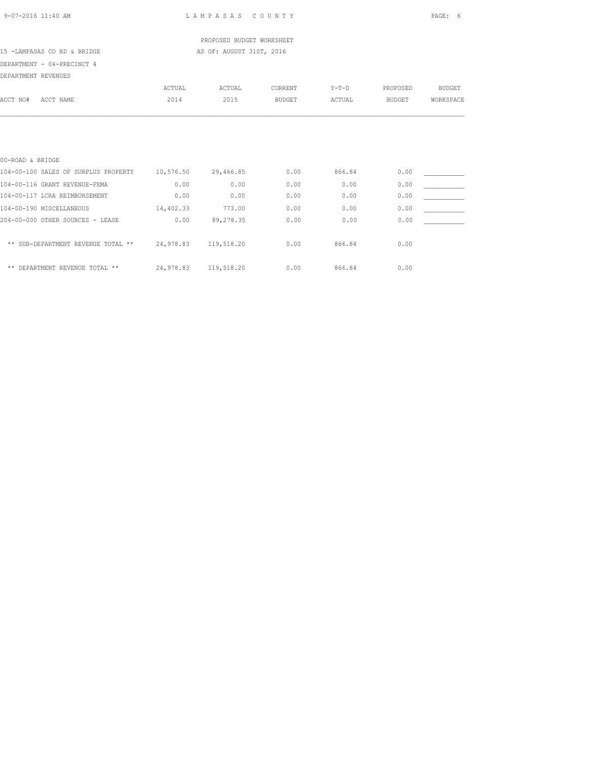### PROPOSED BUDGET WORKSHEET 15 -LAMPASAS CO RD & BRIDGE AS OF: AUGUST 31ST, 2016

## DEPARTMENT - 04-PRECINCT 4

| DEPARTMENT REVENUES      |                                      |           |            |               |         |               |               |
|--------------------------|--------------------------------------|-----------|------------|---------------|---------|---------------|---------------|
|                          |                                      | ACTUAL    | ACTUAL     | CURRENT       | $Y-T-D$ | PROPOSED      | <b>BUDGET</b> |
| ACCT NO#                 | ACCT NAME                            | 2014      | 2015       | <b>BUDGET</b> | ACTUAL  | <b>BUDGET</b> | WORKSPACE     |
|                          |                                      |           |            |               |         |               |               |
| 00-ROAD & BRIDGE         |                                      |           |            |               |         |               |               |
|                          | 104-00-100 SALES OF SURPLUS PROPERTY | 10,576.50 | 29,466.85  | 0.00          | 866.84  | 0.00          |               |
|                          | 104-00-116 GRANT REVENUE-FEMA        | 0.00      | 0.00       | 0.00          | 0.00    | 0.00          |               |
|                          | 104-00-117 LCRA REIMBURSEMENT        | 0.00      | 0.00       | 0.00          | 0.00    | 0.00          |               |
| 104-00-190 MISCELLANEOUS |                                      | 14,402.33 | 773.00     | 0.00          | 0.00    | 0.00          |               |
|                          | 204-00-000 OTHER SOURCES - LEASE     | 0.00      | 89,278.35  | 0.00          | 0.00    | 0.00          |               |
|                          | ** SUB-DEPARTMENT REVENUE TOTAL **   | 24,978.83 | 119,518.20 | 0.00          | 866.84  | 0.00          |               |
|                          | ** DEPARTMENT REVENUE TOTAL **       | 24,978.83 | 119,518.20 | 0.00          | 866.84  | 0.00          |               |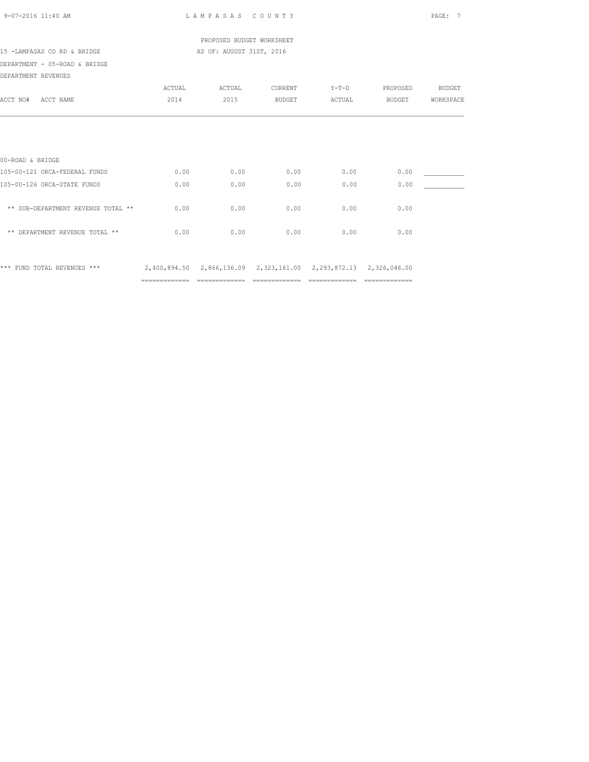| 9-07-2016 11:40 AM                 |                | LAMPASAS COUNTY                                                  |                               |         |          | PAGE: 7       |
|------------------------------------|----------------|------------------------------------------------------------------|-------------------------------|---------|----------|---------------|
|                                    |                | PROPOSED BUDGET WORKSHEET                                        |                               |         |          |               |
| 15 -LAMPASAS CO RD & BRIDGE        |                | AS OF: AUGUST 31ST, 2016                                         |                               |         |          |               |
| DEPARTMENT - 05-ROAD & BRIDGE      |                |                                                                  |                               |         |          |               |
| DEPARTMENT REVENUES                |                |                                                                  |                               |         |          |               |
|                                    | ACTUAL         | ACTUAL                                                           | CURRENT                       | $Y-T-D$ | PROPOSED | <b>BUDGET</b> |
| ACCT NO# ACCT NAME                 | 2014           | 2015                                                             | <b>BUDGET</b>                 | ACTUAL  | BUDGET   | WORKSPACE     |
|                                    |                |                                                                  |                               |         |          |               |
| 00-ROAD & BRIDGE                   |                |                                                                  |                               |         |          |               |
| 105-00-121 ORCA-FEDERAL FUNDS      | 0.00           | 0.00                                                             | 0.00                          | 0.00    | 0.00     |               |
| 105-00-126 ORCA-STATE FUNDS        | 0.00           | 0.00                                                             | 0.00                          | 0.00    | 0.00     |               |
| ** SUB-DEPARTMENT REVENUE TOTAL ** | 0.00           | 0.00                                                             | 0.00                          | 0.00    | 0.00     |               |
| ** DEPARTMENT REVENUE TOTAL **     | 0.00           | 0.00                                                             | 0.00                          | 0.00    | 0.00     |               |
| *** FUND TOTAL REVENUES ***        |                | 2,400,894.50 2,866,136.09 2,323,161.00 2,293,872.13 2,326,046.00 |                               |         |          |               |
|                                    | ============== |                                                                  | ============================= |         |          |               |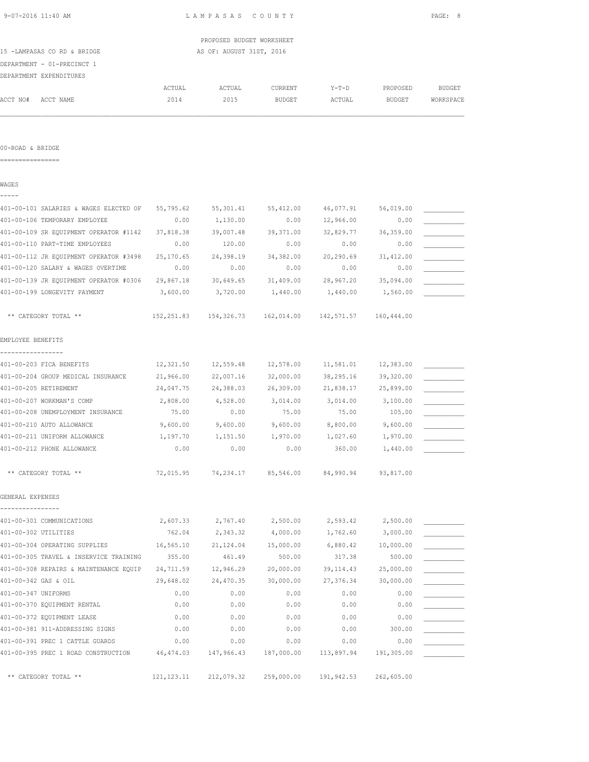|                                        |            | PROPOSED BUDGET WORKSHEET |               |            |               |           |
|----------------------------------------|------------|---------------------------|---------------|------------|---------------|-----------|
| 15 -LAMPASAS CO RD & BRIDGE            |            | AS OF: AUGUST 31ST, 2016  |               |            |               |           |
| DEPARTMENT - 01-PRECINCT 1             |            |                           |               |            |               |           |
| DEPARTMENT EXPENDITURES                |            |                           |               |            |               |           |
|                                        | ACTUAL     | ACTUAL                    | CURRENT       | $Y-T-D$    | PROPOSED      | BUDGET    |
| ACCT NO#<br>ACCT NAME                  | 2014       | 2015                      | <b>BUDGET</b> | ACTUAL     | <b>BUDGET</b> | WORKSPACE |
|                                        |            |                           |               |            |               |           |
| 00-ROAD & BRIDGE<br>================   |            |                           |               |            |               |           |
|                                        |            |                           |               |            |               |           |
| WAGES                                  |            |                           |               |            |               |           |
| 401-00-101 SALARIES & WAGES ELECTED OF | 55,795.62  | 55,301.41                 | 55,412.00     | 46,077.91  | 56,019.00     |           |
| 401-00-106 TEMPORARY EMPLOYEE          | 0.00       | 1,130.00                  | 0.00          | 12,966.00  | 0.00          |           |
| 401-00-109 SR EQUIPMENT OPERATOR #1142 | 37,818.38  | 39,007.48                 | 39, 371.00    | 32,829.77  | 36, 359.00    |           |
| 401-00-110 PART-TIME EMPLOYEES         | 0.00       | 120.00                    | 0.00          | 0.00       | 0.00          |           |
| 401-00-112 JR EQUIPMENT OPERATOR #3498 | 25,170.65  | 24,398.19                 | 34,382.00     | 20,290.69  | 31, 412.00    |           |
| 401-00-120 SALARY & WAGES OVERTIME     | 0.00       | 0.00                      | 0.00          | 0.00       | 0.00          |           |
| 401-00-139 JR EQUIPMENT OPERATOR #0306 | 29,867.18  | 30,649.65                 | 31,409.00     | 28,967.20  | 35,094.00     |           |
| 401-00-199 LONGEVITY PAYMENT           | 3,600.00   | 3,720.00                  | 1,440.00      | 1,440.00   | 1,560.00      |           |
| ** CATEGORY TOTAL **                   | 152,251.83 |                           |               | 142,571.57 | 160,444.00    |           |
| EMPLOYEE BENEFITS                      |            |                           |               |            |               |           |
| 401-00-203 FICA BENEFITS               | 12,321.50  | 12,559.48                 | 12,578.00     | 11,581.01  | 12,383.00     |           |
| 401-00-204 GROUP MEDICAL INSURANCE     | 21,966.00  | 22,007.16                 | 32,000.00     | 38,295.16  | 39,320.00     |           |
| 401-00-205 RETIREMENT                  | 24,047.75  | 24,388.03                 | 26,309.00     | 21,838.17  | 25,899.00     |           |
| 401-00-207 WORKMAN'S COMP              | 2,808.00   | 4,528.00                  | 3,014.00      | 3,014.00   | 3,100.00      |           |
| 401-00-208 UNEMPLOYMENT INSURANCE      | 75.00      | 0.00                      | 75.00         | 75.00      | 105.00        |           |
| 401-00-210 AUTO ALLOWANCE              | 9,600.00   | 9,600.00                  | 9,600.00      | 8,800.00   | 9,600.00      |           |
| 401-00-211 UNIFORM ALLOWANCE           | 1,197.70   | 1,151.50                  | 1,970.00      | 1,027.60   | 1,970.00      |           |
| 401-00-212 PHONE ALLOWANCE             | 0.00       | 0.00                      | 0.00          | 360.00     | 1,440.00      |           |
| ** CATEGORY TOTAL **                   | 72,015.95  | 74,234.17                 | 85,546.00     | 84,990.94  | 93,817.00     |           |
| GENERAL EXPENSES                       |            |                           |               |            |               |           |
| ----------------                       |            |                           |               |            |               |           |
| 401-00-301 COMMUNICATIONS              | 2,607.33   | 2,767.40                  | 2,500.00      | 2,593.42   | 2,500.00      |           |
| 401-00-302 UTILITIES                   | 762.04     | 2,343.32                  | 4,000.00      | 1,762.60   | 3,000.00      |           |
| 401-00-304 OPERATING SUPPLIES          | 16,565.10  | 21,124.04                 | 15,000.00     | 6,880.42   | 10,000.00     |           |
| 401-00-305 TRAVEL & INSERVICE TRAINING | 355.00     | 461.49                    | 500.00        | 317.38     | 500.00        |           |
| 401-00-308 REPAIRS & MAINTENANCE EQUIP | 24,711.59  | 12,946.29                 | 20,000.00     | 39, 114.43 | 25,000.00     |           |
| 401-00-342 GAS & OIL                   | 29,648.02  | 24,470.35                 | 30,000.00     | 27,376.34  | 30,000.00     |           |
| 401-00-347 UNIFORMS                    | 0.00       | 0.00                      | 0.00          | 0.00       | 0.00          |           |
| 401-00-370 EQUIPMENT RENTAL            | 0.00       | 0.00                      | 0.00          | 0.00       | 0.00          |           |
| 401-00-372 EQUIPMENT LEASE             | 0.00       | 0.00                      | 0.00          | 0.00       | 0.00          |           |
| 401-00-381 911-ADDRESSING SIGNS        | 0.00       | 0.00                      | 0.00          | 0.00       | 300.00        |           |

401-00-391 PREC 1 CATTLE GUARDS 0.00 0.00 0.00 0.00 0.00 \_\_\_\_\_\_\_\_\_\_\_ 401-00-395 PREC 1 ROAD CONSTRUCTION 46,474.03 147,966.43 187,000.00 113,897.94 191,305.00 \_\_\_\_\_\_\_\_\_\_\_

\*\* CATEGORY TOTAL \*\* 121,123.11 212,079.32 259,000.00 191,942.53 262,605.00

9-07-2016 11:40 AM L A M P A S A S C O U N T Y PAGE: 8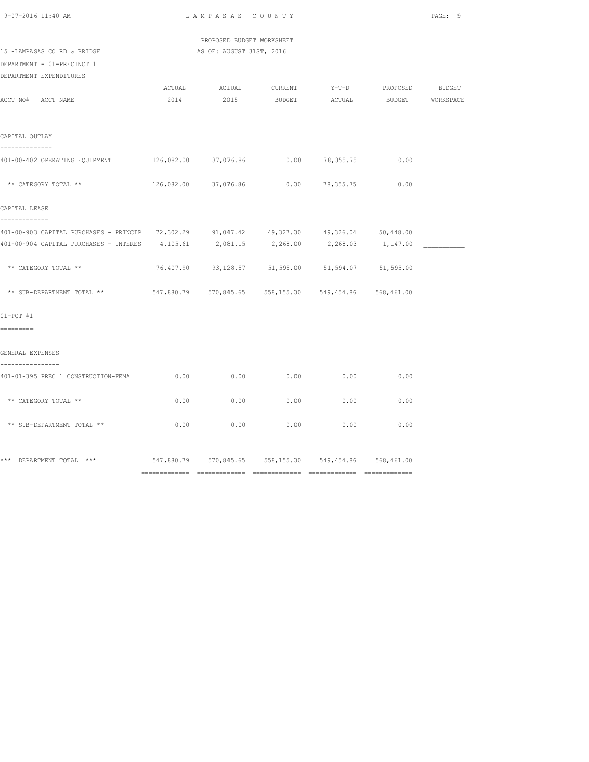| $9 - 07 - 2016$ 11:40 AM |  |
|--------------------------|--|
|                          |  |

 PROPOSED BUDGET WORKSHEET 15 -LAMPASAS CO RD & BRIDGE AS OF: AUGUST 31ST, 2016

DEPARTMENT - 01-PRECINCT 1

DEPARTMENT EXPENDITURES

| DELAKIMENI FYLEMDIIOKE2                                                                                   |        |                                                        |      |                               |      |  |
|-----------------------------------------------------------------------------------------------------------|--------|--------------------------------------------------------|------|-------------------------------|------|--|
|                                                                                                           | ACTUAL | ACTUAL                                                 |      | CURRENT Y-T-D PROPOSED BUDGET |      |  |
| ACCT NO# ACCT NAME                                                                                        |        | 2014 2015 BUDGET ACTUAL BUDGET WORKSPACE               |      |                               |      |  |
|                                                                                                           |        |                                                        |      |                               |      |  |
| CAPITAL OUTLAY<br>--------------                                                                          |        |                                                        |      |                               |      |  |
| 401-00-402 OPERATING EQUIPMENT 126,082.00 37,076.86                                                       |        |                                                        |      | $0.00$ 78,355.75              | 0.00 |  |
| ** CATEGORY TOTAL **                                                                                      |        | $126,082.00$ $37,076.86$ 0.00 78,355.75 0.00           |      |                               |      |  |
| CAPITAL LEASE                                                                                             |        |                                                        |      |                               |      |  |
| -------------<br>401-00-903 CAPITAL PURCHASES - PRINCIP 72,302.29 91,047.42 49,327.00 49,326.04 50,448.00 |        |                                                        |      |                               |      |  |
| $401-00-904$ CAPITAL PURCHASES - INTERES $4,105.61$ $2,081.15$ $2,268.00$ $2,268.03$ $1,147.00$           |        |                                                        |      |                               |      |  |
| ** CATEGORY TOTAL **                                                                                      |        | 76,407.90 93,128.57 51,595.00 51,594.07 51,595.00      |      |                               |      |  |
| ** SUB-DEPARTMENT TOTAL ** 647,880.79 570,845.65 558,155.00 549,454.86 568,461.00                         |        |                                                        |      |                               |      |  |
| $01-PCT$ #1                                                                                               |        |                                                        |      |                               |      |  |
| =========                                                                                                 |        |                                                        |      |                               |      |  |
| GENERAL EXPENSES<br>----------------                                                                      |        |                                                        |      |                               |      |  |
| 401-01-395 PREC 1 CONSTRUCTION-FEMA                                                                       | 0.00   | 0.00                                                   | 0.00 | 0.00                          | 0.00 |  |
| ** CATEGORY TOTAL **                                                                                      | 0.00   | 0.00                                                   | 0.00 | 0.00                          | 0.00 |  |
| ** SUB-DEPARTMENT TOTAL **                                                                                | 0.00   | 0.00                                                   | 0.00 | 0.00                          | 0.00 |  |
|                                                                                                           |        |                                                        |      |                               |      |  |
| *** DEPARTMENT TOTAL ***                                                                                  |        | 547,880.79 570,845.65 558,155.00 549,454.86 568,461.00 |      |                               |      |  |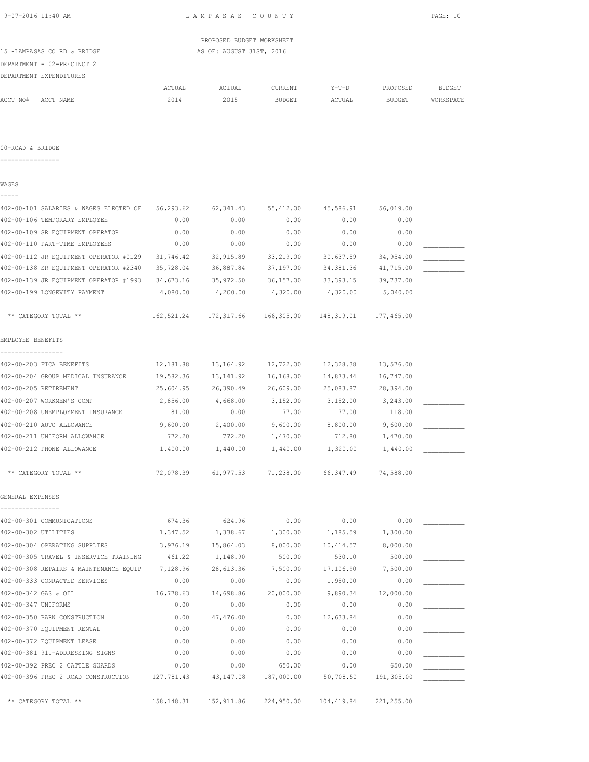|  |  | 9-07-2016 11:40 AM |  |
|--|--|--------------------|--|
|  |  |                    |  |

|                             | PROPOSED BUDGET WORKSHEET |
|-----------------------------|---------------------------|
| 15 -LAMPASAS CO RD & BRIDGE | AS OF: AUGUST 31ST, 2016  |

DEPARTMENT - 02-PRECINCT 2

|          | DEPARTMENT EXPENDITURES |        |        |               |         |               |               |
|----------|-------------------------|--------|--------|---------------|---------|---------------|---------------|
|          |                         | ACTUAL | ACTUAL | CURRENT       | $Y-T-D$ | PROPOSED      | <b>BUDGET</b> |
| ACCT NO# | ACCT NAME               | 2014   | 2015   | <b>BUDGET</b> | ACTUAL  | <b>BUDGET</b> | WORKSPACE     |

00-ROAD & BRIDGE

================

WAGES

-----

| 402-00-101 SALARIES & WAGES ELECTED OF | 56,293.62   | 62, 341.43 | 55, 412.00 | 45,586.91   | 56,019.00  |  |
|----------------------------------------|-------------|------------|------------|-------------|------------|--|
| 402-00-106 TEMPORARY EMPLOYEE          | 0.00        | 0.00       | 0.00       | 0.00        | 0.00       |  |
| 402-00-109 SR EQUIPMENT OPERATOR       | 0.00        | 0.00       | 0.00       | 0.00        | 0.00       |  |
| 402-00-110 PART-TIME EMPLOYEES         | 0.00        | 0.00       | 0.00       | 0.00        | 0.00       |  |
| 402-00-112 JR EQUIPMENT OPERATOR #0129 | 31,746.42   | 32,915.89  | 33,219.00  | 30,637.59   | 34,954.00  |  |
| 402-00-138 SR EQUIPMENT OPERATOR #2340 | 35,728.04   | 36,887.84  | 37,197.00  | 34, 381.36  | 41,715.00  |  |
| 402-00-139 JR EQUIPMENT OPERATOR #1993 | 34,673.16   | 35,972.50  | 36,157.00  | 33, 393. 15 | 39,737.00  |  |
| 402-00-199 LONGEVITY PAYMENT           | 4,080.00    | 4,200.00   | 4,320.00   | 4,320.00    | 5,040.00   |  |
| ** CATEGORY TOTAL **                   | 162,521.24  | 172,317.66 | 166,305.00 | 148,319.01  | 177,465.00 |  |
| EMPLOYEE BENEFITS                      |             |            |            |             |            |  |
| -----------------                      |             |            |            |             |            |  |
| 402-00-203 FICA BENEFITS               | 12,181.88   | 13,164.92  | 12,722.00  | 12,328.38   | 13,576.00  |  |
| 402-00-204 GROUP MEDICAL INSURANCE     | 19,582.36   | 13, 141.92 | 16,168.00  | 14,873.44   | 16,747.00  |  |
| 402-00-205 RETIREMENT                  | 25,604.95   | 26,390.49  | 26,609.00  | 25,083.87   | 28,394.00  |  |
| 402-00-207 WORKMEN'S COMP              | 2,856.00    | 4,668.00   | 3,152.00   | 3,152.00    | 3,243.00   |  |
| 402-00-208 UNEMPLOYMENT INSURANCE      | 81.00       | 0.00       | 77.00      | 77.00       | 118.00     |  |
| 402-00-210 AUTO ALLOWANCE              | 9,600.00    | 2,400.00   | 9,600.00   | 8,800.00    | 9,600.00   |  |
| 402-00-211 UNIFORM ALLOWANCE           | 772.20      | 772.20     | 1,470.00   | 712.80      | 1,470.00   |  |
| 402-00-212 PHONE ALLOWANCE             | 1,400.00    | 1,440.00   | 1,440.00   | 1,320.00    | 1,440.00   |  |
| ** CATEGORY TOTAL **                   | 72,078.39   | 61,977.53  | 71,238.00  | 66,347.49   | 74,588.00  |  |
| GENERAL EXPENSES                       |             |            |            |             |            |  |
|                                        |             |            |            |             |            |  |
| 402-00-301 COMMUNICATIONS              | 674.36      | 624.96     | 0.00       | 0.00        | 0.00       |  |
| 402-00-302 UTILITIES                   | 1,347.52    | 1,338.67   | 1,300.00   | 1,185.59    | 1,300.00   |  |
| 402-00-304 OPERATING SUPPLIES          | 3,976.19    | 15,864.03  | 8,000.00   | 10,414.57   | 8,000.00   |  |
| 402-00-305 TRAVEL & INSERVICE TRAINING | 461.22      | 1,148.90   | 500.00     | 530.10      | 500.00     |  |
| 402-00-308 REPAIRS & MAINTENANCE EQUIP | 7,128.96    | 28,613.36  | 7,500.00   | 17,106.90   | 7,500.00   |  |
| 402-00-333 CONRACTED SERVICES          | 0.00        | 0.00       | 0.00       | 1,950.00    | 0.00       |  |
| 402-00-342 GAS & OIL                   | 16,778.63   | 14,698.86  | 20,000.00  | 9,890.34    | 12,000.00  |  |
| 402-00-347 UNIFORMS                    | 0.00        | 0.00       | 0.00       | 0.00        | 0.00       |  |
| 402-00-350 BARN CONSTRUCTION           | 0.00        | 47,476.00  | 0.00       | 12,633.84   | 0.00       |  |
| 402-00-370 EQUIPMENT RENTAL            | 0.00        | 0.00       | 0.00       | 0.00        | 0.00       |  |
| 402-00-372 EQUIPMENT LEASE             | 0.00        | 0.00       | 0.00       | 0.00        | 0.00       |  |
| 402-00-381 911-ADDRESSING SIGNS        | 0.00        | 0.00       | 0.00       | 0.00        | 0.00       |  |
| 402-00-392 PREC 2 CATTLE GUARDS        | 0.00        | 0.00       | 650.00     | 0.00        | 650.00     |  |
| 402-00-396 PREC 2 ROAD CONSTRUCTION    | 127,781.43  | 43, 147.08 | 187,000.00 | 50,708.50   | 191,305.00 |  |
| ** CATEGORY TOTAL **                   | 158, 148.31 | 152,911.86 | 224,950.00 | 104,419.84  | 221,255.00 |  |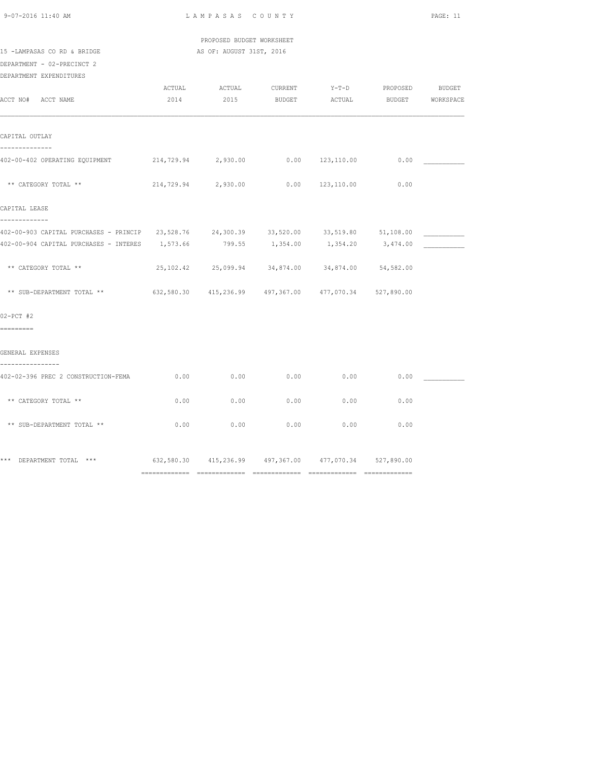| $9 - 07 - 2016$ 11:40 AM |  |
|--------------------------|--|
|                          |  |

 PROPOSED BUDGET WORKSHEET 15 -LAMPASAS CO RD & BRIDGE AS OF: AUGUST 31ST, 2016

# DEPARTMENT - 02-PRECINCT 2

| DEPARTMENT EXPENDITURES                                                                  |        |                                                        |                |                         |                |        |
|------------------------------------------------------------------------------------------|--------|--------------------------------------------------------|----------------|-------------------------|----------------|--------|
|                                                                                          | ACTUAL |                                                        | ACTUAL CURRENT |                         | Y-T-D PROPOSED | BUDGET |
| ACCT NO# ACCT NAME                                                                       | 2014   | 2015 BUDGET                                            |                | ACTUAL BUDGET WORKSPACE |                |        |
|                                                                                          |        |                                                        |                |                         |                |        |
|                                                                                          |        |                                                        |                |                         |                |        |
| CAPITAL OUTLAY                                                                           |        |                                                        |                |                         |                |        |
| --------------                                                                           |        |                                                        |                |                         |                |        |
| 402-00-402 OPERATING EQUIPMENT                                                           |        | 214,729.94 2,930.00 0.00 123,110.00                    |                |                         | 0.00           |        |
|                                                                                          |        |                                                        |                |                         |                |        |
| ** CATEGORY TOTAL **                                                                     |        | 214,729.94 2,930.00                                    |                | $0.00$ $123,110.00$     | 0.00           |        |
|                                                                                          |        |                                                        |                |                         |                |        |
| CAPITAL LEASE                                                                            |        |                                                        |                |                         |                |        |
| -------------                                                                            |        |                                                        |                |                         |                |        |
| 402-00-903 CAPITAL PURCHASES - PRINCIP 23,528.76 24,300.39 33,520.00 33,519.80 51,108.00 |        |                                                        |                |                         |                |        |
| 402-00-904 CAPITAL PURCHASES - INTERES 1,573.66                                          |        | 799.55                                                 | 1,354.00       | 1,354.20                | 3,474.00       |        |
|                                                                                          |        |                                                        |                |                         |                |        |
| ** CATEGORY TOTAL **                                                                     |        | 25, 102.42 25, 099.94 34, 874.00 34, 874.00 54, 582.00 |                |                         |                |        |
|                                                                                          |        |                                                        |                |                         |                |        |
| ** SUB-DEPARTMENT TOTAL **                                                               |        | 632,580.30 415,236.99 497,367.00 477,070.34 527,890.00 |                |                         |                |        |
|                                                                                          |        |                                                        |                |                         |                |        |
| $02-PCT$ #2                                                                              |        |                                                        |                |                         |                |        |
| =========                                                                                |        |                                                        |                |                         |                |        |
|                                                                                          |        |                                                        |                |                         |                |        |
| GENERAL EXPENSES                                                                         |        |                                                        |                |                         |                |        |
| ---------------                                                                          |        |                                                        |                |                         |                |        |
| 402-02-396 PREC 2 CONSTRUCTION-FEMA                                                      | 0.00   | 0.00                                                   | 0.00           | 0.00                    | 0.00           |        |
|                                                                                          |        |                                                        |                |                         |                |        |
| ** CATEGORY TOTAL **                                                                     | 0.00   | 0.00                                                   | 0.00           | 0.00                    | 0.00           |        |
|                                                                                          |        |                                                        |                |                         |                |        |
| ** SUB-DEPARTMENT TOTAL **                                                               | 0.00   | 0.00                                                   | 0.00           | 0.00                    | 0.00           |        |
|                                                                                          |        |                                                        |                |                         |                |        |
|                                                                                          |        |                                                        |                |                         |                |        |
| *** DEPARTMENT TOTAL ***                                                                 |        | 632,580.30 415,236.99 497,367.00 477,070.34 527,890.00 |                |                         |                |        |
|                                                                                          |        |                                                        |                |                         |                |        |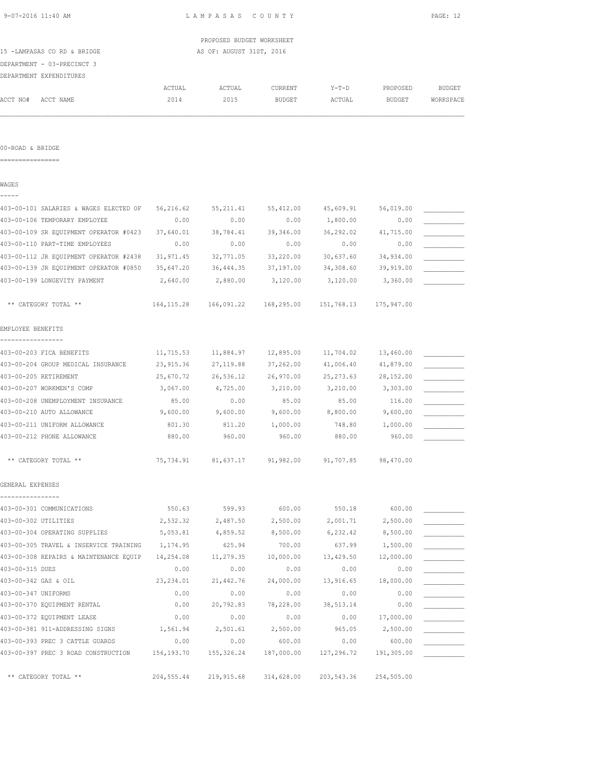|                                        |             | PROPOSED BUDGET WORKSHEET |           |            |            |               |
|----------------------------------------|-------------|---------------------------|-----------|------------|------------|---------------|
| 15 -LAMPASAS CO RD & BRIDGE            |             | AS OF: AUGUST 31ST, 2016  |           |            |            |               |
| DEPARTMENT - 03-PRECINCT 3             |             |                           |           |            |            |               |
| DEPARTMENT EXPENDITURES                |             |                           |           |            |            |               |
|                                        | ACTUAL      | ACTUAL                    | CURRENT   | $Y-T-D$    | PROPOSED   | <b>BUDGET</b> |
| ACCT NO#<br>ACCT NAME                  | 2014        | 2015                      | BUDGET    | ACTUAL     | BUDGET     | WORKSPACE     |
|                                        |             |                           |           |            |            |               |
| 00-ROAD & BRIDGE<br>=================  |             |                           |           |            |            |               |
|                                        |             |                           |           |            |            |               |
| WAGES                                  |             |                           |           |            |            |               |
| 403-00-101 SALARIES & WAGES ELECTED OF | 56,216.62   | 55, 211.41                | 55,412.00 | 45,609.91  | 56,019.00  |               |
| 403-00-106 TEMPORARY EMPLOYEE          | 0.00        | 0.00                      | 0.00      | 1,800.00   | 0.00       |               |
| 403-00-109 SR EQUIPMENT OPERATOR #0423 | 37,640.01   | 38,784.41                 | 39,346.00 | 36,292.02  | 41,715.00  |               |
| 403-00-110 PART-TIME EMPLOYEES         | 0.00        | 0.00                      | 0.00      | 0.00       | 0.00       |               |
| 403-00-112 JR EQUIPMENT OPERATOR #2438 | 31,971.45   | 32,771.05                 | 33,220.00 | 30,637.60  | 34,934.00  |               |
| 403-00-139 JR EQUIPMENT OPERATOR #0850 | 35,647.20   | 36,444.35                 | 37,197.00 | 34,308.60  | 39,919.00  |               |
| 403-00-199 LONGEVITY PAYMENT           | 2,640.00    | 2,880.00                  | 3,120.00  | 3,120.00   | 3,360.00   |               |
| ** CATEGORY TOTAL **                   | 164, 115.28 | 166,091.22 168,295.00     |           | 151,768.13 | 175,947.00 |               |
| EMPLOYEE BENEFITS                      |             |                           |           |            |            |               |
| 403-00-203 FICA BENEFITS               | 11,715.53   | 11,884.97                 | 12,895.00 | 11,704.02  | 13,460.00  |               |
| 403-00-204 GROUP MEDICAL INSURANCE     | 23,915.36   | 27, 119.88                | 37,262.00 | 41,006.40  | 41,879.00  |               |
| 403-00-205 RETIREMENT                  | 25,670.72   | 26,536.12                 | 26,970.00 | 25, 273.63 | 28,152.00  |               |
| 403-00-207 WORKMEN'S COMP              | 3,067.00    | 4,725.00                  | 3,210.00  | 3,210.00   | 3,303.00   |               |
| 403-00-208 UNEMPLOYMENT INSURANCE      | 85.00       | 0.00                      | 85.00     | 85.00      | 116.00     |               |
| 403-00-210 AUTO ALLOWANCE              | 9,600.00    | 9,600.00                  | 9,600.00  | 8,800.00   | 9,600.00   |               |
| 403-00-211 UNIFORM ALLOWANCE           | 801.30      | 811.20                    | 1,000.00  | 748.80     | 1,000.00   |               |
| 403-00-212 PHONE ALLOWANCE             | 880.00      | 960.00                    | 960.00    | 880.00     | 960.00     |               |
|                                        |             |                           |           |            |            |               |
| ** CATEGORY TOTAL **                   | 75,734.91   | 81,637.17                 | 91,982.00 | 91,707.85  | 98,470.00  |               |
| GENERAL EXPENSES                       |             |                           |           |            |            |               |
| 403-00-301 COMMUNICATIONS              | 550.63      | 599.93                    | 600.00    | 550.18     | 600.00     |               |
| 403-00-302 UTILITIES                   | 2,532.32    | 2,487.50                  | 2,500.00  | 2,001.71   | 2,500.00   |               |
| 403-00-304 OPERATING SUPPLIES          | 5,053.81    | 4,859.52                  | 8,500.00  | 6,232.42   | 8,500.00   |               |
| 403-00-305 TRAVEL & INSERVICE TRAINING | 1,174.95    | 625.94                    | 700.00    | 637.99     | 1,500.00   |               |
| 403-00-308 REPAIRS & MAINTENANCE EQUIP | 14,254.08   | 11,279.35                 | 10,000.00 | 13,429.50  | 12,000.00  |               |
| 403-00-315 DUES                        | 0.00        | 0.00                      | 0.00      | 0.00       | 0.00       |               |
| 403-00-342 GAS & OIL                   | 23, 234.01  | 21,442.76                 | 24,000.00 | 13,916.65  | 18,000.00  |               |
| 403-00-347 UNIFORMS                    | 0.00        | 0.00                      | 0.00      | 0.00       | 0.00       |               |
| 403-00-370 EQUIPMENT RENTAL            | 0.00        | 20,792.83                 | 78,228.00 | 38, 513.14 | 0.00       |               |
|                                        |             |                           |           |            |            |               |

403-00-372 EQUIPMENT LEASE 0.00 0.00 0.00 0.00 17,000.00 \_\_\_\_\_\_\_\_\_\_\_ 403-00-381 911-ADDRESSING SIGNS 1,561.94 2,501.61 2,500.00 965.05 2,500.00 \_\_\_\_\_\_\_\_\_\_\_ 403-00-393 PREC 3 CATTLE GUARDS 0.00 0.00 600.00 0.00 600.00 \_\_\_\_\_\_\_\_\_\_\_ 403-00-397 PREC 3 ROAD CONSTRUCTION 156,193.70 155,326.24 187,000.00 127,296.72 191,305.00 \_\_\_\_\_\_\_\_\_\_\_

\*\* CATEGORY TOTAL \*\* 204,555.44 219,915.68 314,628.00 203,543.36 254,505.00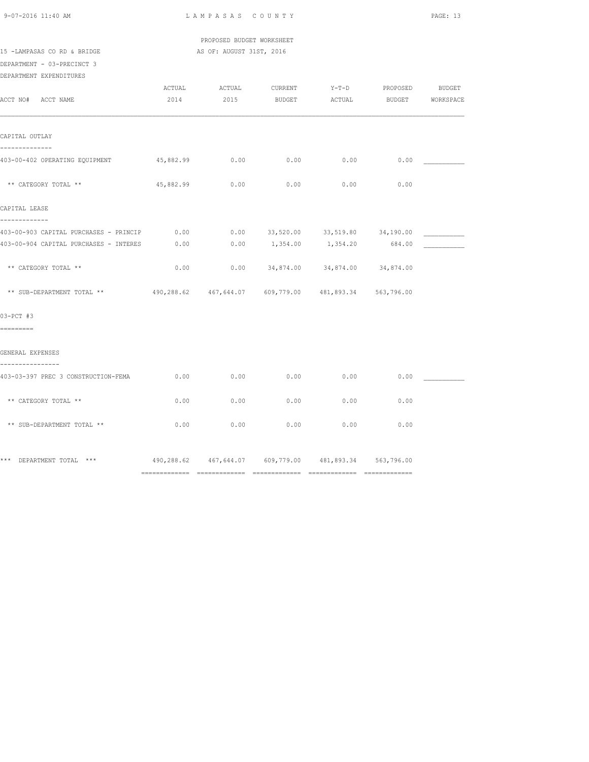PROPOSED BUDGET WORKSHEET

15 -LAMPASAS CO RD & BRIDGE AS OF: AUGUST 31ST, 2016

DEPARTMENT - 03-PRECINCT 3 DEPARTMENT EXPENDITURES

| ACCT NO# ACCT NAME                                                                                   | 2014      | ACTUAL ACTUAL | CURRENT<br>2015 BUDGET ACTUAL BUDGET WORKSPACE                                |      | Y-T-D PROPOSED | <b>BUDGET</b> |
|------------------------------------------------------------------------------------------------------|-----------|---------------|-------------------------------------------------------------------------------|------|----------------|---------------|
| CAPITAL OUTLAY                                                                                       |           |               |                                                                               |      |                |               |
| 403-00-402 OPERATING EQUIPMENT 45,882.99                                                             |           | 0.00          | 0.00                                                                          | 0.00 | 0.00           |               |
| ** CATEGORY TOTAL **                                                                                 | 45,882.99 | 0.00          | 0.00                                                                          | 0.00 | 0.00           |               |
| CAPITAL LEASE                                                                                        |           |               |                                                                               |      |                |               |
| -----------<br>403-00-903 CAPITAL PURCHASES - PRINCIP 0.00<br>403-00-904 CAPITAL PURCHASES - INTERES | 0.00      |               | $0.00$ $33,520.00$ $33,519.80$ $34,190.00$<br>$0.00$ 1,354.00 1,354.20 684.00 |      |                |               |
| ** CATEGORY TOTAL **                                                                                 | 0.00      |               | $0.00$ $34,874.00$ $34,874.00$ $34,874.00$                                    |      |                |               |
| ** SUB-DEPARTMENT TOTAL ** 490,288.62 467,644.07 609,779.00 481,893.34 563,796.00                    |           |               |                                                                               |      |                |               |
| $03-PCT$ #3<br>=========                                                                             |           |               |                                                                               |      |                |               |
| GENERAL EXPENSES                                                                                     |           |               |                                                                               |      |                |               |
| 403-03-397 PREC 3 CONSTRUCTION-FEMA                                                                  | 0.00      | 0.00          | 0.00                                                                          | 0.00 | 0.00           |               |
| ** CATEGORY TOTAL **                                                                                 | 0.00      | 0.00          | 0.00                                                                          | 0.00 | 0.00           |               |
| ** SUB-DEPARTMENT TOTAL **                                                                           | 0.00      | 0.00          | 0.00                                                                          | 0.00 | 0.00           |               |
| *** DEPARTMENT TOTAL *** 			 490,288.62 			461,644.07 			 609,779.00 				481,893.34 				563,796.00   |           |               |                                                                               |      |                |               |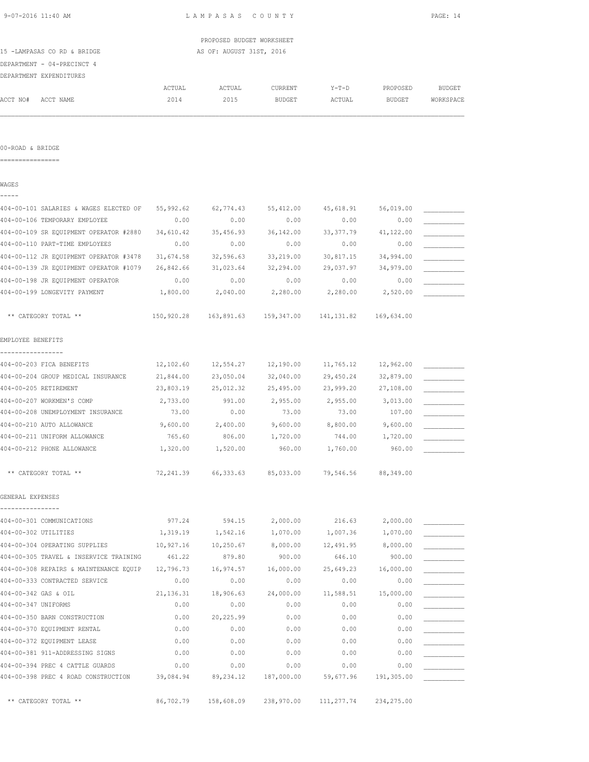| 9-07-2016 11:40 AM                     | LAMPASAS COUNTY          |                                                |               |            |            | PAGE: 14      |  |
|----------------------------------------|--------------------------|------------------------------------------------|---------------|------------|------------|---------------|--|
|                                        |                          | PROPOSED BUDGET WORKSHEET                      |               |            |            |               |  |
| 15 -LAMPASAS CO RD & BRIDGE            | AS OF: AUGUST 31ST, 2016 |                                                |               |            |            |               |  |
| DEPARTMENT - 04-PRECINCT 4             |                          |                                                |               |            |            |               |  |
| DEPARTMENT EXPENDITURES                |                          |                                                |               |            |            |               |  |
|                                        | ACTUAL                   | ACTUAL                                         | CURRENT       | $Y-T-D$    | PROPOSED   | <b>BUDGET</b> |  |
| ACCT NO#<br>ACCT NAME                  | 2014                     | 2015                                           | <b>BUDGET</b> | ACTUAL     | BUDGET     | WORKSPACE     |  |
| 00-ROAD & BRIDGE                       |                          |                                                |               |            |            |               |  |
| WAGES                                  |                          |                                                |               |            |            |               |  |
|                                        |                          |                                                |               |            |            |               |  |
| 404-00-101 SALARIES & WAGES ELECTED OF | 55,992.62                | 62,774.43                                      | 55,412.00     | 45,618.91  | 56,019.00  |               |  |
| 404-00-106 TEMPORARY EMPLOYEE          | 0.00                     | 0.00                                           | 0.00          | 0.00       | 0.00       |               |  |
| 404-00-109 SR EQUIPMENT OPERATOR #2880 | 34,610.42                | 35,456.93                                      | 36,142.00     | 33, 377.79 | 41,122.00  |               |  |
| 404-00-110 PART-TIME EMPLOYEES         | 0.00                     | 0.00                                           | 0.00          | 0.00       | 0.00       |               |  |
| 404-00-112 JR EQUIPMENT OPERATOR #3478 | 31,674.58                | 32,596.63                                      | 33,219.00     | 30,817.15  | 34,994.00  |               |  |
| 404-00-139 JR EQUIPMENT OPERATOR #1079 | 26,842.66                | 31,023.64                                      | 32,294.00     | 29,037.97  | 34,979.00  |               |  |
| 404-00-198 JR EQUIPMENT OPERATOR       | 0.00                     | 0.00                                           | 0.00          | 0.00       | 0.00       |               |  |
| 404-00-199 LONGEVITY PAYMENT           | 1,800.00                 | 2,040.00                                       | 2,280.00      | 2,280.00   | 2,520.00   |               |  |
| ** CATEGORY TOTAL **                   |                          | 150,920.28  163,891.63  159,347.00  141,131.82 |               |            | 169,634.00 |               |  |
| EMPLOYEE BENEFITS                      |                          |                                                |               |            |            |               |  |
| 404-00-203 FICA BENEFITS               | 12,102.60                | 12,554.27                                      | 12,190.00     | 11,765.12  | 12,962.00  |               |  |
| 404-00-204 GROUP MEDICAL INSURANCE     | 21,844.00                | 23,050.04                                      | 32,040.00     | 29,450.24  | 32,879.00  |               |  |
| 404-00-205 RETIREMENT                  | 23,803.19                | 25,012.32                                      | 25,495.00     | 23,999.20  | 27,108.00  |               |  |
| 404-00-207 WORKMEN'S COMP              | 2,733.00                 | 991.00                                         | 2,955.00      | 2,955.00   | 3,013.00   |               |  |
| 404-00-208 UNEMPLOYMENT INSURANCE      | 73.00                    | 0.00                                           | 73.00         | 73.00      | 107.00     |               |  |
| 404-00-210 AUTO ALLOWANCE              | 9,600.00                 | 2,400.00                                       | 9,600.00      | 8,800.00   | 9,600.00   |               |  |
| 404-00-211 UNIFORM ALLOWANCE           | 765.60                   | 806.00                                         | 1,720.00      | 744.00     | 1,720.00   |               |  |
| 404-00-212 PHONE ALLOWANCE             | 1,320.00                 | 1,520.00                                       | 960.00        | 1,760.00   | 960.00     |               |  |
| ** CATEGORY TOTAL **                   | 72,241.39                | 66,333.63                                      | 85,033.00     | 79,546.56  | 88,349.00  |               |  |

GENERAL EXPENSES

| 404-00-301 COMMUNICATIONS              | 977.24     | 594.15     | 2,000.00   | 216.63     | 2,000.00    |  |
|----------------------------------------|------------|------------|------------|------------|-------------|--|
| 404-00-302 UTILITIES                   | 1,319.19   | 1,542.16   | 1,070.00   | 1,007.36   | 1,070.00    |  |
| 404-00-304 OPERATING SUPPLIES          | 10,927.16  | 10,250.67  | 8,000.00   | 12,491.95  | 8,000.00    |  |
| 404-00-305 TRAVEL & INSERVICE TRAINING | 461.22     | 879.80     | 900.00     | 646.10     | 900.00      |  |
| 404-00-308 REPAIRS & MAINTENANCE EQUIP | 12,796.73  | 16,974.57  | 16,000.00  | 25,649.23  | 16,000.00   |  |
| 404-00-333 CONTRACTED SERVICE          | 0.00       | 0.00       | 0.00       | 0.00       | 0.00        |  |
| 404-00-342 GAS & OIL                   | 21, 136.31 | 18,906.63  | 24,000.00  | 11,588.51  | 15,000.00   |  |
| 404-00-347 UNIFORMS                    | 0.00       | 0.00       | 0.00       | 0.00       | 0.00        |  |
| 404-00-350 BARN CONSTRUCTION           | 0.00       | 20,225.99  | 0.00       | 0.00       | 0.00        |  |
| 404-00-370 EQUIPMENT RENTAL            | 0.00       | 0.00       | 0.00       | 0.00       | 0.00        |  |
| 404-00-372 EQUIPMENT LEASE             | 0.00       | 0.00       | 0.00       | 0.00       | 0.00        |  |
| 404-00-381 911-ADDRESSING SIGNS        | 0.00       | 0.00       | 0.00       | 0.00       | 0.00        |  |
| 404-00-394 PREC 4 CATTLE GUARDS        | 0.00       | 0.00       | 0.00       | 0.00       | 0.00        |  |
| 404-00-398 PREC 4 ROAD CONSTRUCTION    | 39,084.94  | 89, 234.12 | 187,000.00 | 59,677.96  | 191,305.00  |  |
|                                        |            |            |            |            |             |  |
| ** CATEGORY TOTAL **                   | 86,702.79  | 158,608.09 | 238,970.00 | 111,277.74 | 234, 275.00 |  |
|                                        |            |            |            |            |             |  |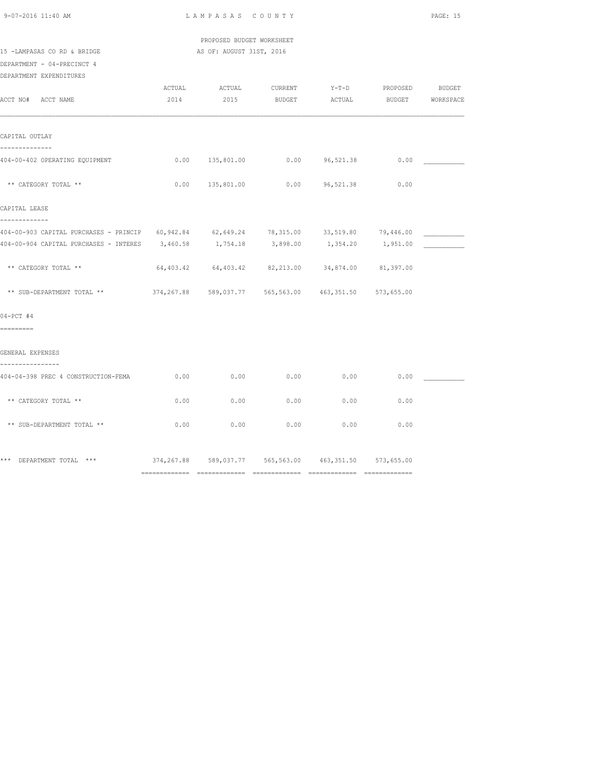| $9 - 07 - 2016$ 11 $\cdot$ 40 AM |  |  |
|----------------------------------|--|--|
|                                  |  |  |

 PROPOSED BUDGET WORKSHEET 15 -LAMPASAS CO RD & BRIDGE AS OF: AUGUST 31ST, 2016

DEPARTMENT - 04-PRECINCT 4

DEPARTMENT EXPENDITURES

| ACCT NO# ACCT NAME                                                                       | 2014 | ACTUAL ACTUAL CURRENT | 2015 BUDGET ACTUAL BUDGET WORKSPACE                         |      | Y-T-D PROPOSED | <b>BUDGET</b> |
|------------------------------------------------------------------------------------------|------|-----------------------|-------------------------------------------------------------|------|----------------|---------------|
|                                                                                          |      |                       |                                                             |      |                |               |
| CAPITAL OUTLAY                                                                           |      |                       |                                                             |      |                |               |
| 404-00-402 OPERATING EQUIPMENT                                                           | 0.00 |                       |                                                             |      | 0.00           |               |
| ** CATEGORY TOTAL **                                                                     | 0.00 |                       |                                                             |      | 0.00           |               |
| CAPITAL LEASE                                                                            |      |                       |                                                             |      |                |               |
| 404-00-903 CAPITAL PURCHASES - PRINCIP 60,942.84 62,649.24 78,315.00 33,519.80 79,446.00 |      |                       |                                                             |      |                |               |
| 404-00-904 CAPITAL PURCHASES - INTERES 3,460.58 1,754.18 3,898.00 1,354.20 1,951.00      |      |                       |                                                             |      |                |               |
| ** CATEGORY TOTAL **                                                                     |      |                       | $64,403.42$ $64,403.42$ $82,213.00$ $34,874.00$ $81,397.00$ |      |                |               |
| ** SUB-DEPARTMENT TOTAL ** 374,267.88 589,037.77 565,563.00 463,351.50                   |      |                       |                                                             |      | 573,655.00     |               |
| $04-PCT$ #4                                                                              |      |                       |                                                             |      |                |               |
| =========                                                                                |      |                       |                                                             |      |                |               |
| GENERAL EXPENSES                                                                         |      |                       |                                                             |      |                |               |
| 404-04-398 PREC 4 CONSTRUCTION-FEMA                                                      | 0.00 | 0.00                  | 0.00                                                        | 0.00 | 0.00           |               |
| ** CATEGORY TOTAL **                                                                     | 0.00 | 0.00                  | 0.00                                                        | 0.00 | 0.00           |               |
| ** SUB-DEPARTMENT TOTAL **                                                               | 0.00 | 0.00                  | 0.00                                                        | 0.00 | 0.00           |               |
|                                                                                          |      |                       |                                                             |      |                |               |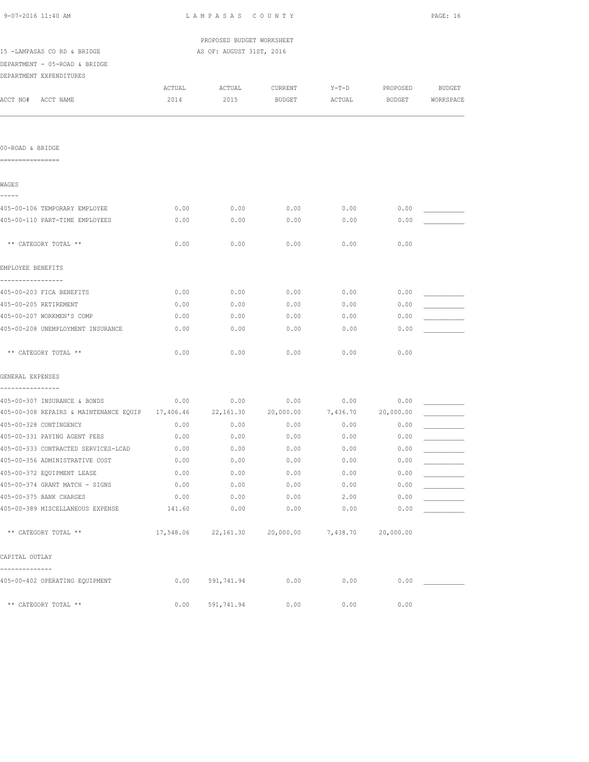| 9-07-2016 11:40 AM                                                            |              | LAMPASAS COUNTY           |                                        |              |              |           |
|-------------------------------------------------------------------------------|--------------|---------------------------|----------------------------------------|--------------|--------------|-----------|
|                                                                               |              | PROPOSED BUDGET WORKSHEET |                                        |              |              |           |
| 15 -LAMPASAS CO RD & BRIDGE                                                   |              | AS OF: AUGUST 31ST, 2016  |                                        |              |              |           |
| DEPARTMENT - 05-ROAD & BRIDGE                                                 |              |                           |                                        |              |              |           |
| DEPARTMENT EXPENDITURES                                                       |              |                           |                                        |              |              |           |
|                                                                               | ACTUAL       | ACTUAL                    | CURRENT                                | $Y-T-D$      | PROPOSED     | BUDGET    |
| ACCT NO# ACCT NAME                                                            | 2014         | 2015                      | BUDGET                                 | ACTUAL       | BUDGET       | WORKSPACE |
|                                                                               |              |                           |                                        |              |              |           |
| 00-ROAD & BRIDGE                                                              |              |                           |                                        |              |              |           |
| ================                                                              |              |                           |                                        |              |              |           |
| WAGES                                                                         |              |                           |                                        |              |              |           |
| -----<br>405-00-106 TEMPORARY EMPLOYEE                                        |              |                           |                                        |              |              |           |
| 405-00-110 PART-TIME EMPLOYEES                                                | 0.00<br>0.00 | 0.00<br>0.00              | 0.00<br>0.00                           | 0.00<br>0.00 | 0.00<br>0.00 |           |
|                                                                               |              |                           |                                        |              |              |           |
| ** CATEGORY TOTAL **                                                          | 0.00         | 0.00                      | 0.00                                   | 0.00         | 0.00         |           |
| EMPLOYEE BENEFITS                                                             |              |                           |                                        |              |              |           |
| -----------------<br>405-00-203 FICA BENEFITS                                 | 0.00         | 0.00                      | 0.00                                   | 0.00         | 0.00         |           |
| 405-00-205 RETIREMENT                                                         | 0.00         | 0.00                      | 0.00                                   | 0.00         | 0.00         |           |
| 405-00-207 WORKMEN'S COMP                                                     | 0.00         | 0.00                      | 0.00                                   | 0.00         | 0.00         |           |
| 405-00-208 UNEMPLOYMENT INSURANCE                                             | 0.00         | 0.00                      | 0.00                                   | 0.00         | 0.00         |           |
| ** CATEGORY TOTAL **                                                          | 0.00         | 0.00                      | 0.00                                   | 0.00         | 0.00         |           |
| GENERAL EXPENSES                                                              |              |                           |                                        |              |              |           |
| ----------------<br>405-00-307 INSURANCE & BONDS                              | 0.00         | 0.00                      | 0.00                                   | 0.00         | 0.00         |           |
| 405-00-308 REPAIRS & MAINTENANCE EQUIP 17,406.46 22,161.30 20,000.00 7,436.70 |              |                           |                                        |              | 20,000.00    |           |
| 405-00-328 CONTINGENCY                                                        | 0.00         | 0.00                      | 0.00                                   | 0.00         | 0.00         |           |
| 405-00-331 PAYING AGENT FEES                                                  | 0.00         | 0.00                      | 0.00                                   | 0.00         | 0.00         |           |
| 405-00-333 CONTRACTED SERVICES-LCAD                                           | 0.00         | 0.00                      | 0.00                                   | 0.00         | 0.00         |           |
| 405-00-356 ADMINISTRATIVE COST                                                | 0.00         | 0.00                      | 0.00                                   | 0.00         | 0.00         |           |
| 405-00-372 EQUIPMENT LEASE                                                    | 0.00         | 0.00                      | 0.00                                   | 0.00         | 0.00         |           |
| 405-00-374 GRANT MATCH - SIGNS                                                | 0.00         | 0.00                      | 0.00                                   | 0.00         | 0.00         |           |
| 405-00-375 BANK CHARGES                                                       | 0.00         | 0.00                      | 0.00                                   | 2.00         | 0.00         |           |
| 405-00-389 MISCELLANEOUS EXPENSE                                              | 141.60       | 0.00                      | 0.00                                   | 0.00         | 0.00         |           |
| ** CATEGORY TOTAL **                                                          |              |                           | 17,548.06 22,161.30 20,000.00 7,438.70 |              | 20,000.00    |           |
| CAPITAL OUTLAY                                                                |              |                           |                                        |              |              |           |
| --------------<br>405-00-402 OPERATING EQUIPMENT                              | 0.00         | 591,741.94                | 0.00                                   | 0.00         | 0.00         |           |
| ** CATEGORY TOTAL **                                                          | 0.00         | 591,741.94                | 0.00                                   | 0.00         | 0.00         |           |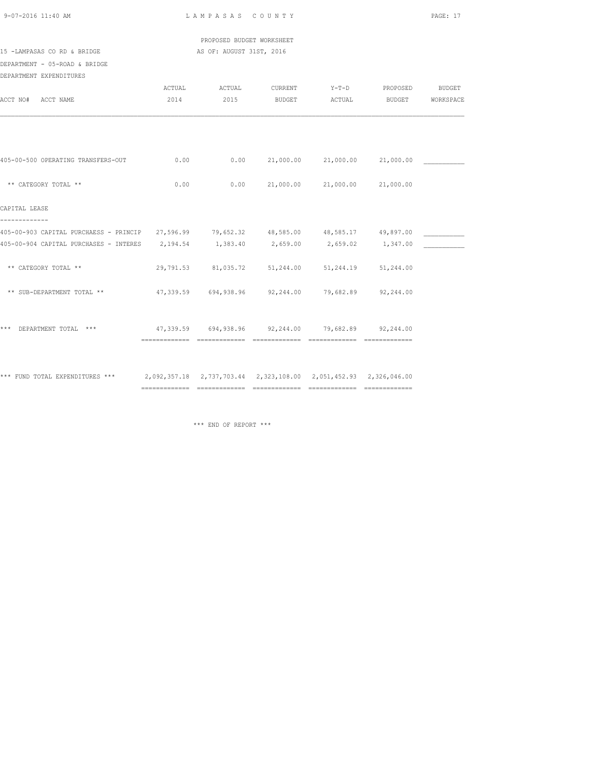|  | 9-07-2016 11:40 AM |  |
|--|--------------------|--|
|  |                    |  |

L A M P A S A S C O U N T Y PAGE: 17

 PROPOSED BUDGET WORKSHEET 15 -LAMPASAS CO RD & BRIDGE AS OF: AUGUST 31ST, 2016

DEPARTMENT - 05-ROAD & BRIDGE

| DEPARTMENT EXPENDITURES                                                                          |        |                                                    |                |                |                         |           |
|--------------------------------------------------------------------------------------------------|--------|----------------------------------------------------|----------------|----------------|-------------------------|-----------|
|                                                                                                  | ACTUAL | ACTUAL                                             | CURRENT        | $Y-T-D$        | PROPOSED                | BUDGET    |
| ACCT NAME<br>ACCT NO#                                                                            | 2014   | 2015                                               | <b>BUDGET</b>  | ACTUAL         | BUDGET                  | WORKSPACE |
|                                                                                                  |        |                                                    |                |                |                         |           |
|                                                                                                  |        |                                                    |                |                |                         |           |
| 405-00-500 OPERATING TRANSFERS-OUT                                                               | 0.00   |                                                    | 0.00 21,000.00 |                | 21,000.00 21,000.00     |           |
| ** CATEGORY TOTAL **                                                                             | 0.00   | 0.00                                               | 21,000.00      |                | 21,000.00 21,000.00     |           |
| CAPITAL LEASE                                                                                    |        |                                                    |                |                |                         |           |
| 405-00-903 CAPITAL PURCHAESS - PRINCIP 27,596.99 79,652.32 48,585.00 48,585.17 49,897.00         |        |                                                    |                |                |                         |           |
| 405-00-904 CAPITAL PURCHASES - INTERES 2,194.54 1,383.40 2,659.00 2,659.02 1,347.00              |        |                                                    |                |                |                         |           |
| ** CATEGORY TOTAL **                                                                             |        | 29,791.53 81,035.72 51,244.00                      |                |                | 51, 244, 19 51, 244, 00 |           |
| ** SUB-DEPARTMENT TOTAL **                                                                       |        | 47,339.59 694,938.96 92,244.00 79,682.89 92,244.00 |                |                |                         |           |
|                                                                                                  |        |                                                    |                |                |                         |           |
| *** DEPARTMENT TOTAL ***                                                                         |        | 47,339.59 694,938.96 92,244.00 79,682.89 92,244.00 |                |                |                         |           |
|                                                                                                  |        |                                                    | ============== | ============== |                         |           |
| *** FUND TOTAL EXPENDITURES *** 2,092,357.18 2,737,703.44 2,323,108.00 2,051,452.93 2,326,046.00 |        |                                                    |                |                |                         |           |
|                                                                                                  |        |                                                    |                |                |                         |           |

\*\*\* END OF REPORT \*\*\*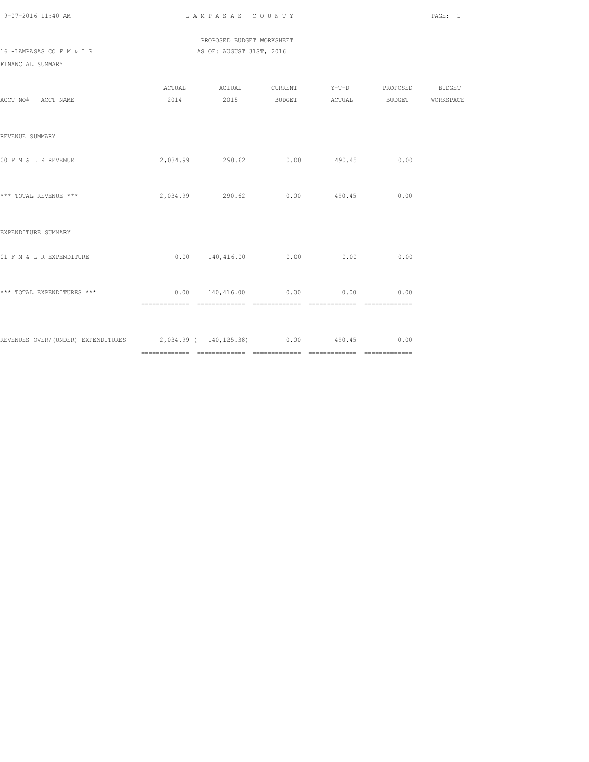### PROPOSED BUDGET WORKSHEET 16 -LAMPASAS CO F M & L R AS OF: AUGUST 31ST, 2016

| ACCT NO# ACCT NAME                                                    |               | ACTUAL ACTUAL CURRENT Y-T-D PROPOSED BUDGET<br>2014 2015 BUDGET ACTUAL BUDGET WORKSPACE |                               |               |      |  |
|-----------------------------------------------------------------------|---------------|-----------------------------------------------------------------------------------------|-------------------------------|---------------|------|--|
| REVENUE SUMMARY                                                       |               |                                                                                         |                               |               |      |  |
| 00 F M & L R REVENUE                                                  |               | 2,034.99 290.62                                                                         |                               | $0.00$ 490.45 | 0.00 |  |
| *** TOTAL REVENUE ***                                                 |               | 2,034.99 290.62 0.00 490.45                                                             |                               |               | 0.00 |  |
| EXPENDITURE SUMMARY                                                   |               |                                                                                         |                               |               |      |  |
| 01 F M & L R EXPENDITURE                                              |               | $0.00 \t 140,416.00 \t 0.00 \t 0.00$                                                    |                               |               | 0.00 |  |
| *** TOTAL EXPENDITURES ***                                            | ============= | $0.00$ 140,416.00 0.00 0.00 0.00                                                        | ============================= |               |      |  |
| REVENUES OVER/(UNDER) EXPENDITURES 2,034.99 ( 140,125.38) 0.00 490.45 |               |                                                                                         |                               |               | 0.00 |  |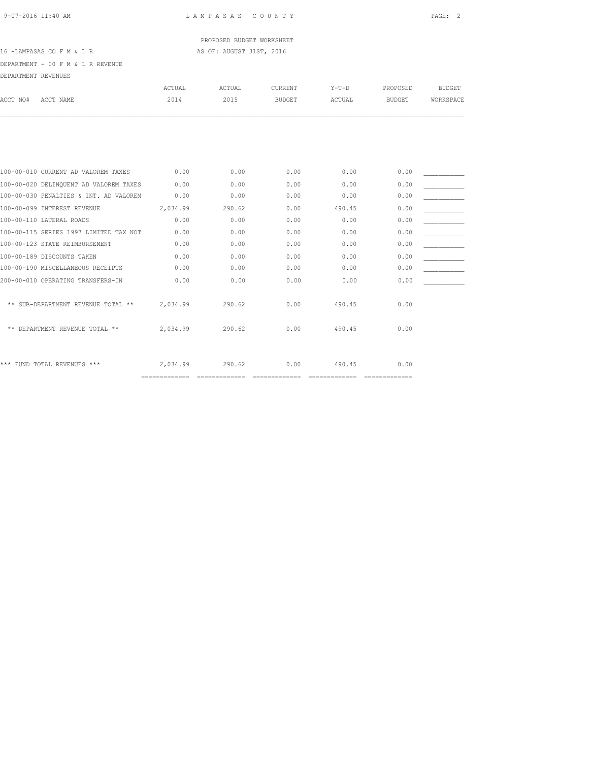# PROPOSED BUDGET WORKSHEET

### 16 -LAMPASAS CO F M & L R AS OF: AUGUST 31ST, 2016

DEPARTMENT - 00 F M & L R REVENUE

| DEPARTMENT REVENUES |                                        |               |        |                |         |               |               |
|---------------------|----------------------------------------|---------------|--------|----------------|---------|---------------|---------------|
|                     |                                        | <b>ACTUAL</b> | ACTUAL | <b>CURRENT</b> | $Y-T-D$ | PROPOSED      | <b>BUDGET</b> |
| ACCT NO#            | ACCT NAME                              | 2014          | 2015   | <b>BUDGET</b>  | ACTUAL  | <b>BUDGET</b> | WORKSPACE     |
|                     |                                        |               |        |                |         |               |               |
|                     |                                        |               |        |                |         |               |               |
|                     | 100-00-010 CURRENT AD VALOREM TAXES    | 0.00          | 0.00   | 0.00           | 0.00    | 0.00          |               |
|                     | 100-00-020 DELINQUENT AD VALOREM TAXES | 0.00          | 0.00   | 0.00           | 0.00    | 0.00          |               |
|                     | 100-00-030 PENALTIES & INT. AD VALOREM | 0.00          | 0.00   | 0.00           | 0.00    | 0.00          |               |
|                     | 100-00-099 INTEREST REVENUE            | 2,034.99      | 290.62 | 0.00           | 490.45  | 0.00          |               |
|                     | 100-00-110 LATERAL ROADS               | 0.00          | 0.00   | 0.00           | 0.00    | 0.00          |               |
|                     | 100-00-115 SERIES 1997 LIMITED TAX NOT | 0.00          | 0.00   | 0.00           | 0.00    | 0.00          |               |
|                     | 100-00-123 STATE REIMBURSEMENT         | 0.00          | 0.00   | 0.00           | 0.00    | 0.00          |               |
|                     | 100-00-189 DISCOUNTS TAKEN             | 0.00          | 0.00   | 0.00           | 0.00    | 0.00          |               |
|                     | 100-00-190 MISCELLANEOUS RECEIPTS      | 0.00          | 0.00   | 0.00           | 0.00    | 0.00          |               |
|                     | 200-00-010 OPERATING TRANSFERS-IN      | 0.00          | 0.00   | 0.00           | 0.00    | 0.00          |               |
|                     | ** SUB-DEPARTMENT REVENUE TOTAL **     | 2,034.99      | 290.62 | 0.00           | 490.45  | 0.00          |               |
|                     | ** DEPARTMENT REVENUE TOTAL **         | 2,034.99      | 290.62 | 0.00           | 490.45  | 0.00          |               |
|                     | *** FUND TOTAL REVENUES ***            | 2,034.99      | 290.62 | 0.00           | 490.45  | 0.00          |               |

============= ============= ============= ============= =============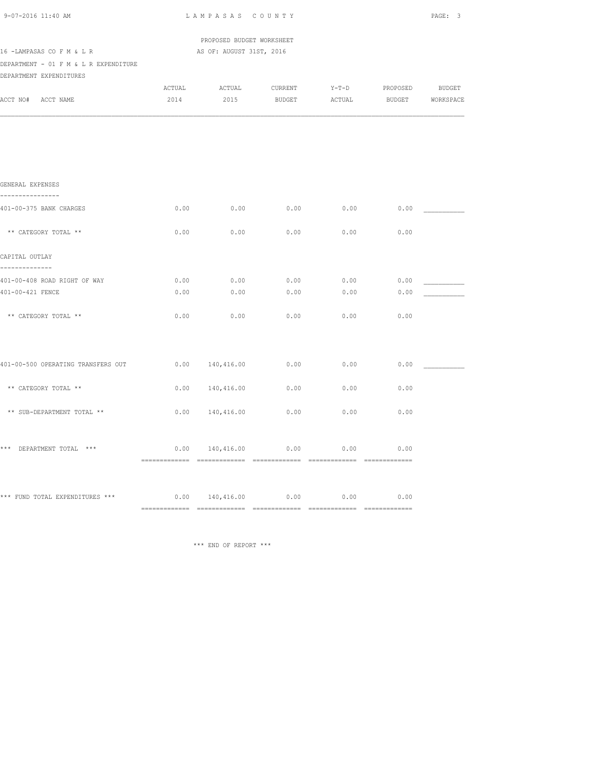| 9-07-2016 11:40 AM                                     | LAMPASAS COUNTY |                                                                                                                                                              |               |        |                  |  |  |
|--------------------------------------------------------|-----------------|--------------------------------------------------------------------------------------------------------------------------------------------------------------|---------------|--------|------------------|--|--|
|                                                        |                 | PROPOSED BUDGET WORKSHEET                                                                                                                                    |               |        |                  |  |  |
| 16 - LAMPASAS CO F M & L R                             |                 | AS OF: AUGUST 31ST, 2016                                                                                                                                     |               |        |                  |  |  |
| DEPARTMENT - 01 F M & L R EXPENDITURE                  |                 |                                                                                                                                                              |               |        |                  |  |  |
| DEPARTMENT EXPENDITURES                                |                 |                                                                                                                                                              |               |        |                  |  |  |
|                                                        |                 | ${\tt ACTUAL} \hspace{2.3cm} {\tt ACTUAL} \hspace{2.3cm} {\tt CURRENT} \hspace{2.3cm} {\tt Y-T-D} \hspace{2.3cm} {\tt PROPOSED} \hspace{2.3cm} {\tt BUDGET}$ |               |        |                  |  |  |
| ACCT NO# ACCT NAME                                     | 2014            | 2015                                                                                                                                                         | <b>BUDGET</b> | ACTUAL | BUDGET WORKSPACE |  |  |
|                                                        |                 |                                                                                                                                                              |               |        |                  |  |  |
|                                                        |                 |                                                                                                                                                              |               |        |                  |  |  |
|                                                        |                 |                                                                                                                                                              |               |        |                  |  |  |
| GENERAL EXPENSES                                       |                 |                                                                                                                                                              |               |        |                  |  |  |
| ----------------<br>401-00-375 BANK CHARGES            | 0.00            | 0.00                                                                                                                                                         | 0.00          | 0.00   | 0.00             |  |  |
| ** CATEGORY TOTAL **                                   | 0.00            | 0.00                                                                                                                                                         | 0.00          | 0.00   | 0.00             |  |  |
|                                                        |                 |                                                                                                                                                              |               |        |                  |  |  |
| CAPITAL OUTLAY<br>--------------                       |                 |                                                                                                                                                              |               |        |                  |  |  |
| 401-00-408 ROAD RIGHT OF WAY                           | 0.00            | 0.00                                                                                                                                                         | 0.00          | 0.00   | 0.00             |  |  |
| 401-00-421 FENCE                                       | 0.00            | 0.00                                                                                                                                                         | 0.00          | 0.00   | 0.00             |  |  |
| ** CATEGORY TOTAL **                                   | 0.00            | 0.00                                                                                                                                                         | 0.00          | 0.00   | 0.00             |  |  |
|                                                        |                 |                                                                                                                                                              |               |        |                  |  |  |
| 401-00-500 OPERATING TRANSFERS OUT                     |                 | 0.00 140,416.00                                                                                                                                              | 0.00          | 0.00   | 0.00             |  |  |
|                                                        |                 |                                                                                                                                                              |               |        |                  |  |  |
| ** CATEGORY TOTAL **                                   |                 | 0.00 140,416.00                                                                                                                                              | 0.00          | 0.00   | 0.00             |  |  |
| ** SUB-DEPARTMENT TOTAL **                             | 0.00            | 140,416.00                                                                                                                                                   | 0.00          | 0.00   | 0.00             |  |  |
|                                                        |                 |                                                                                                                                                              |               |        |                  |  |  |
| *** DEPARTMENT TOTAL ***                               |                 | 0.00 140,416.00                                                                                                                                              | 0.00          | 0.00   | 0.00             |  |  |
|                                                        |                 |                                                                                                                                                              |               |        |                  |  |  |
| *** FUND TOTAL EXPENDITURES *** $0.00$ 140,416.00 0.00 |                 |                                                                                                                                                              |               | 0.00   | 0.00             |  |  |
|                                                        |                 |                                                                                                                                                              |               |        |                  |  |  |

\*\*\* END OF REPORT \*\*\*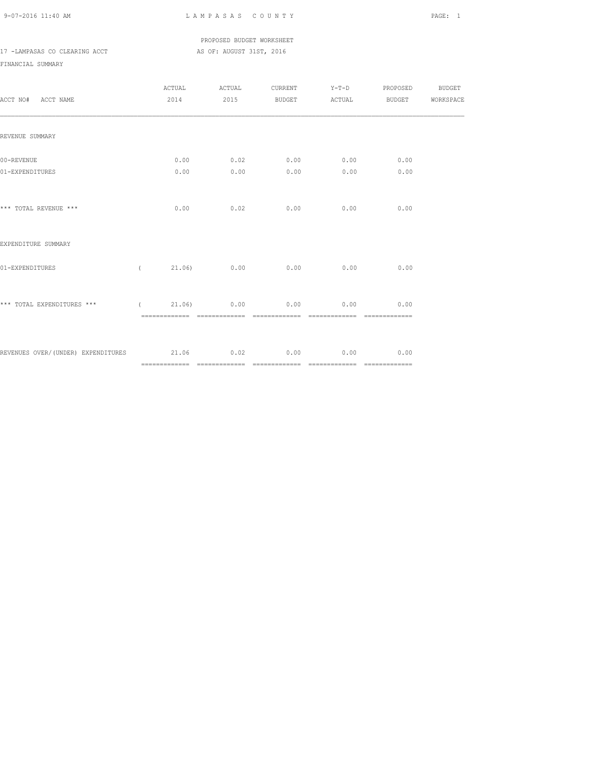### PROPOSED BUDGET WORKSHEET 17 -LAMPASAS CO CLEARING ACCT AS OF: AUGUST 31ST, 2016

| ACCT NO# ACCT NAME                                           | 2014         | ACTUAL ACTUAL |                     |              | CURRENT Y-T-D PROPOSED BUDGET<br>2015 BUDGET ACTUAL BUDGET WORKSPACE |  |
|--------------------------------------------------------------|--------------|---------------|---------------------|--------------|----------------------------------------------------------------------|--|
| REVENUE SUMMARY                                              |              |               |                     |              |                                                                      |  |
| 00-REVENUE<br>01-EXPENDITURES                                | 0.00<br>0.00 | 0.00          | $0.02$ 0.00<br>0.00 | 0.00<br>0.00 | 0.00<br>0.00                                                         |  |
| *** TOTAL REVENUE ***                                        | 0.00         |               | $0.02$ 0.00 0.00    |              | 0.00                                                                 |  |
| EXPENDITURE SUMMARY                                          |              |               |                     |              |                                                                      |  |
| 01-EXPENDITURES                                              | $\sqrt{2}$   |               | 21.06) 0.00 0.00    | 0.00         | 0.00                                                                 |  |
| *** TOTAL EXPENDITURES *** ( 21.06) 0.00 0.00 0.00           |              |               |                     |              | 0.00                                                                 |  |
| REVENUES OVER/(UNDER) EXPENDITURES 21.06 0.02 0.00 0.00 0.00 |              |               |                     |              | 0.00                                                                 |  |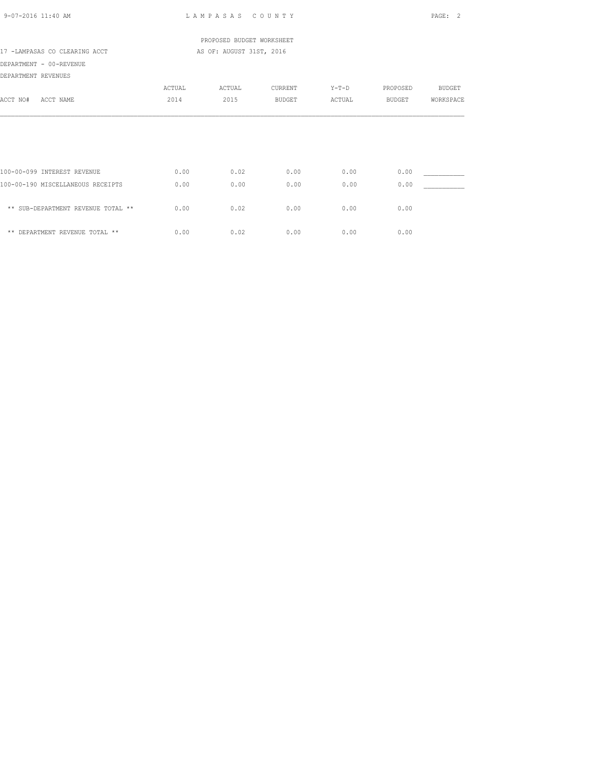| 9-07-2016 11:40 AM                 |        | LAMPASAS COUNTY           |               |         |          | PAGE: 2   |
|------------------------------------|--------|---------------------------|---------------|---------|----------|-----------|
|                                    |        | PROPOSED BUDGET WORKSHEET |               |         |          |           |
| 17 -LAMPASAS CO CLEARING ACCT      |        | AS OF: AUGUST 31ST, 2016  |               |         |          |           |
| DEPARTMENT - 00-REVENUE            |        |                           |               |         |          |           |
| DEPARTMENT REVENUES                |        |                           |               |         |          |           |
|                                    | ACTUAL | ACTUAL                    | CURRENT       | $Y-T-D$ | PROPOSED | BUDGET    |
| ACCT NO#<br>ACCT NAME              | 2014   | 2015                      | <b>BUDGET</b> | ACTUAL  | BUDGET   | WORKSPACE |
|                                    |        |                           |               |         |          |           |
| 100-00-099 INTEREST REVENUE        | 0.00   | 0.02                      | 0.00          | 0.00    | 0.00     |           |
| 100-00-190 MISCELLANEOUS RECEIPTS  | 0.00   | 0.00                      | 0.00          | 0.00    | 0.00     |           |
| ** SUB-DEPARTMENT REVENUE TOTAL ** | 0.00   | 0.02                      | 0.00          | 0.00    | 0.00     |           |
| ** DEPARTMENT REVENUE TOTAL **     | 0.00   | 0.02                      | 0.00          | 0.00    | 0.00     |           |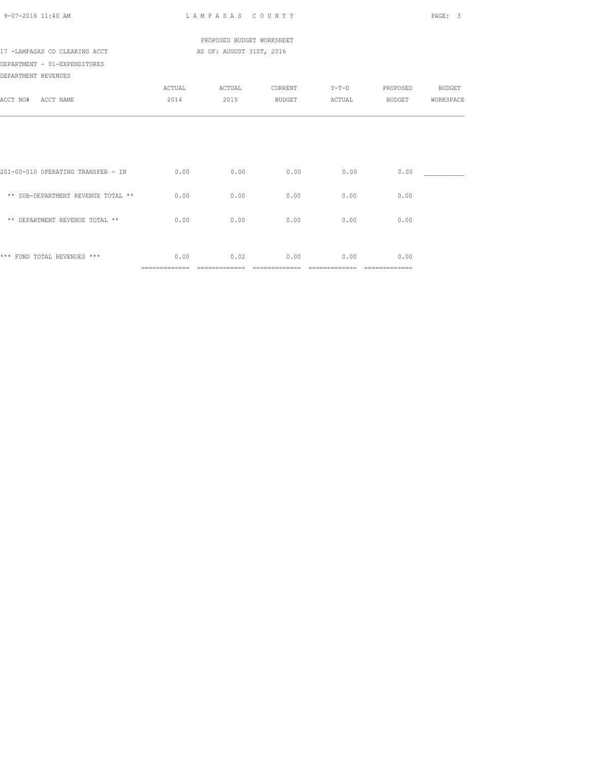| 9-07-2016 11:40 AM                 |                        | LAMPASAS COUNTY           |                       |                           |                        | PAGE:<br>3    |
|------------------------------------|------------------------|---------------------------|-----------------------|---------------------------|------------------------|---------------|
|                                    |                        | PROPOSED BUDGET WORKSHEET |                       |                           |                        |               |
| 17 -LAMPASAS CO CLEARING ACCT      |                        | AS OF: AUGUST 31ST, 2016  |                       |                           |                        |               |
| DEPARTMENT - 01-EXPENDITURES       |                        |                           |                       |                           |                        |               |
| DEPARTMENT REVENUES                |                        |                           |                       |                           |                        |               |
|                                    | ACTUAL                 | ACTUAL                    | CURRENT               | $Y-T-D$                   | PROPOSED               | <b>BUDGET</b> |
| ACCT NO#<br>ACCT NAME              | 2014                   | 2015                      | BUDGET                | ACTUAL                    | BUDGET                 | WORKSPACE     |
|                                    |                        |                           |                       |                           |                        |               |
| 201-00-010 OPERATING TRANSFER - IN | 0.00                   | 0.00                      | 0.00                  | 0.00                      | 0.00                   |               |
| ** SUB-DEPARTMENT REVENUE TOTAL ** | 0.00                   | 0.00                      | 0.00                  | 0.00                      | 0.00                   |               |
| ** DEPARTMENT REVENUE TOTAL **     | 0.00                   | 0.00                      | 0.00                  | 0.00                      | 0.00                   |               |
| *** FUND TOTAL REVENUES ***        | 0.00<br>============== | 0.02<br>=============     | 0.00<br>============= | 0.00<br>$=$ ============= | 0.00<br>============== |               |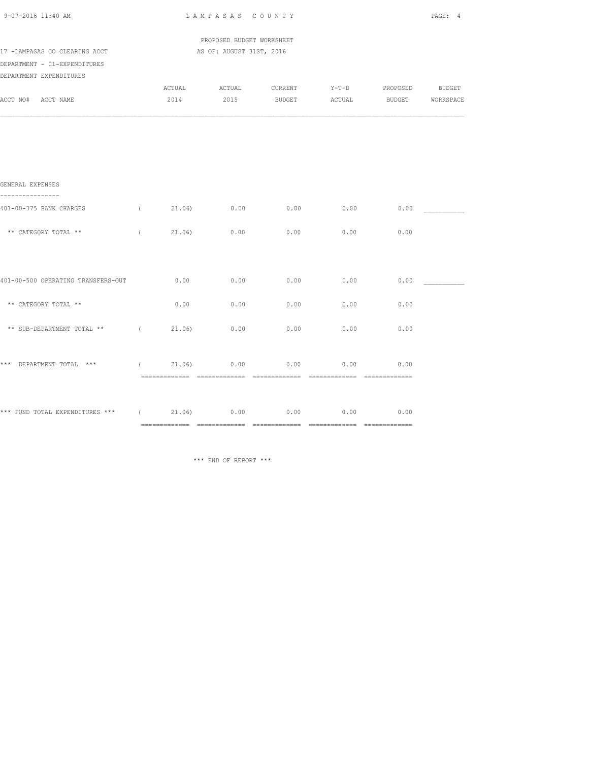| 9-07-2016 11:40 AM                                            |                                                       | PAGE: 4        |      |                                          |               |             |  |
|---------------------------------------------------------------|-------------------------------------------------------|----------------|------|------------------------------------------|---------------|-------------|--|
| 17 -LAMPASAS CO CLEARING ACCT<br>DEPARTMENT - 01-EXPENDITURES | PROPOSED BUDGET WORKSHEET<br>AS OF: AUGUST 31ST, 2016 |                |      |                                          |               |             |  |
| DEPARTMENT EXPENDITURES<br>ACCT NO# ACCT NAME                 |                                                       |                |      | 2014 2015 BUDGET ACTUAL BUDGET WORKSPACE |               |             |  |
|                                                               |                                                       |                |      |                                          |               |             |  |
| GENERAL EXPENSES                                              |                                                       |                |      |                                          |               |             |  |
| 401-00-375 BANK CHARGES                                       | $\sqrt{2}$                                            | 21.06) 0.00    |      | $0.00$ 0.00                              |               | 0.00        |  |
| ** CATEGORY TOTAL **                                          | $\sqrt{2}$                                            | 21.06)         | 0.00 | 0.00                                     | 0.00          | 0.00        |  |
|                                                               |                                                       |                |      |                                          |               |             |  |
| 401-00-500 OPERATING TRANSFERS-OUT                            |                                                       | 0.00           | 0.00 | 0.00                                     | 0.00          | 0.00        |  |
| ** CATEGORY TOTAL **                                          |                                                       | 0.00           | 0.00 | 0.00                                     | 0.00          | 0.00        |  |
| ** SUB-DEPARTMENT TOTAL **                                    | $\sqrt{2}$                                            | 21.06)         | 0.00 | 0.00                                     | 0.00          | 0.00        |  |
| *** DEPARTMENT TOTAL ***                                      |                                                       | $(21.06)$ 0.00 |      |                                          | $0.00$ $0.00$ | 0.00        |  |
| *** FUND TOTAL EXPENDITURES *** $(21.06)$ 0.00 0.00 0.00      |                                                       |                |      |                                          |               | $0.00$ 0.00 |  |
|                                                               |                                                       |                |      |                                          |               |             |  |

\*\*\* END OF REPORT \*\*\*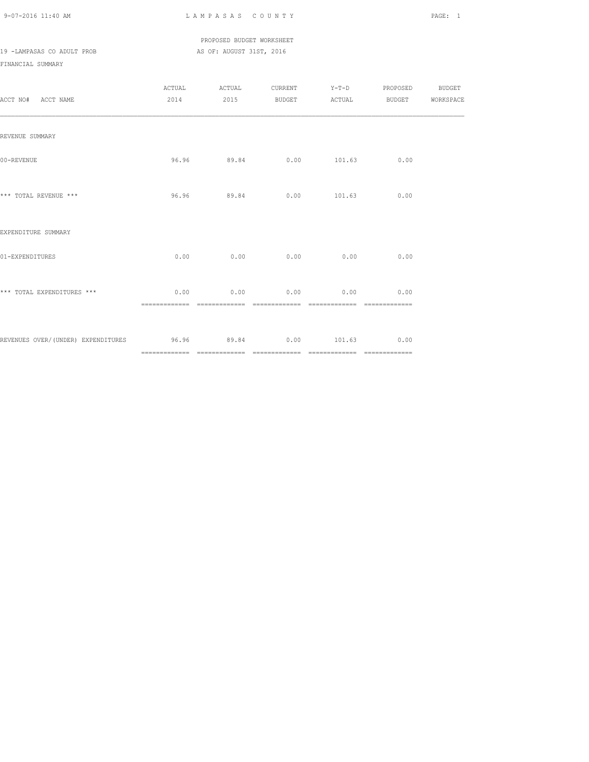### PROPOSED BUDGET WORKSHEET 19 -LAMPASAS CO ADULT PROB AS OF: AUGUST 31ST, 2016

| ACCT NO# ACCT NAME                                         |      |                         |             |                                   | ACTUAL ACTUAL CURRENT Y-T-D PROPOSED BUDGET<br>2014 2015 BUDGET ACTUAL BUDGET WORKSPACE |  |
|------------------------------------------------------------|------|-------------------------|-------------|-----------------------------------|-----------------------------------------------------------------------------------------|--|
| REVENUE SUMMARY                                            |      |                         |             |                                   |                                                                                         |  |
| 00-REVENUE                                                 |      | 96.96 89.84 0.00 101.63 |             |                                   | 0.00                                                                                    |  |
| *** TOTAL REVENUE ***                                      |      | 96.96 89.84             |             | $0.00$ 101.63 0.00                |                                                                                         |  |
| EXPENDITURE SUMMARY                                        |      |                         |             |                                   |                                                                                         |  |
| 01-EXPENDITURES                                            |      | $0.00$ 0.00             |             | $0.00$ 0.00                       | 0.00                                                                                    |  |
| *** TOTAL EXPENDITURES ***                                 | 0.00 |                         | $0.00$ 0.00 | ================================= | $0.00$ 0.00                                                                             |  |
| REVENUES OVER/(UNDER) EXPENDITURES 69.96 89.84 0.00 101.63 |      |                         |             |                                   | 0.00                                                                                    |  |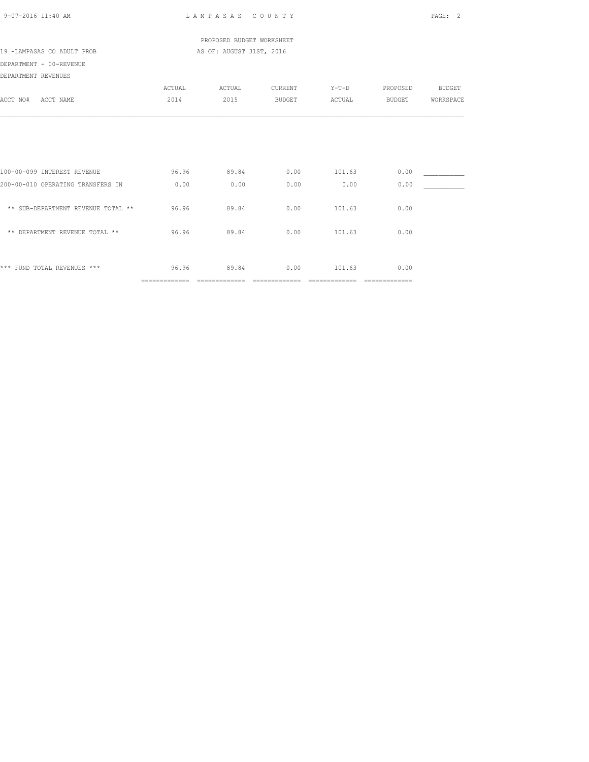|                                    |        | PROPOSED BUDGET WORKSHEET |               |         |          |               |
|------------------------------------|--------|---------------------------|---------------|---------|----------|---------------|
| 19 -LAMPASAS CO ADULT PROB         |        | AS OF: AUGUST 31ST, 2016  |               |         |          |               |
| DEPARTMENT - 00-REVENUE            |        |                           |               |         |          |               |
| DEPARTMENT REVENUES                |        |                           |               |         |          |               |
|                                    | ACTUAL | ACTUAL                    | CURRENT       | $Y-T-D$ | PROPOSED | <b>BUDGET</b> |
| ACCT NO# ACCT NAME                 | 2014   | 2015                      | <b>BUDGET</b> | ACTUAL  | BUDGET   | WORKSPACE     |
|                                    |        |                           |               |         |          |               |
| 100-00-099 INTEREST REVENUE        | 96.96  | 89.84                     | 0.00          | 101.63  | 0.00     |               |
| 200-00-010 OPERATING TRANSFERS IN  | 0.00   | 0.00                      | 0.00          | 0.00    | 0.00     |               |
| ** SUB-DEPARTMENT REVENUE TOTAL ** | 96.96  | 89.84                     | 0.00          | 101.63  | 0.00     |               |
| ** DEPARTMENT REVENUE TOTAL **     | 96.96  | 89.84                     | 0.00          | 101.63  | 0.00     |               |
| *** FUND TOTAL REVENUES ***        |        | 96.96 89.84               | $0.00$ 101.63 |         | 0.00     |               |

============= ============= ============= ============= =============

9-07-2016 11:40 AM L A M P A S A S C O U N T Y PAGE: 2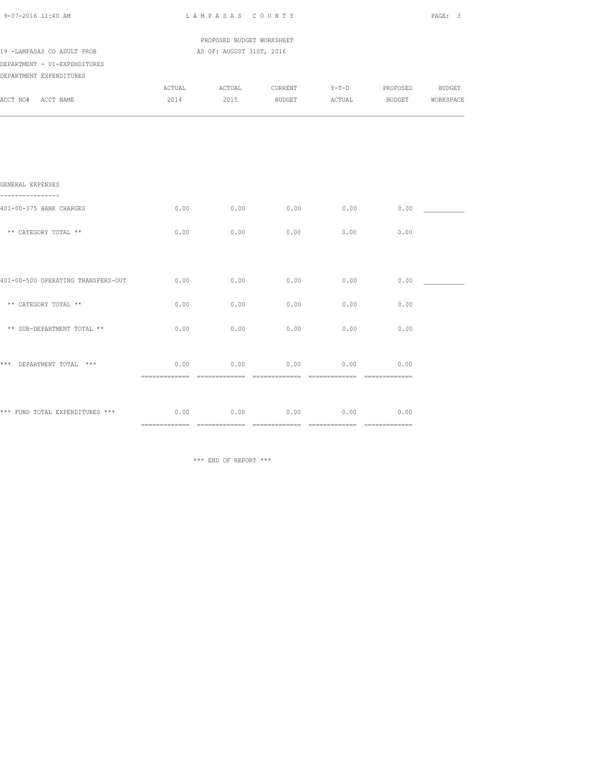| 9-07-2016 11:40 AM                                      | LAMPASAS COUNTY | PAGE: 3                                               |                                                                                                                                                                             |        |                  |  |
|---------------------------------------------------------|-----------------|-------------------------------------------------------|-----------------------------------------------------------------------------------------------------------------------------------------------------------------------------|--------|------------------|--|
| 19 -LAMPASAS CO ADULT PROB                              |                 | PROPOSED BUDGET WORKSHEET<br>AS OF: AUGUST 31ST, 2016 |                                                                                                                                                                             |        |                  |  |
| DEPARTMENT - 01-EXPENDITURES<br>DEPARTMENT EXPENDITURES |                 |                                                       |                                                                                                                                                                             |        |                  |  |
| ACCT NO# ACCT NAME                                      | 2014            |                                                       | ${\tt ACTUAL} \hspace{2.3cm} {\tt ACTUAL} \hspace{2.3cm} {\tt CURRENT} \hspace{2.3cm} {\tt Y-T-D} \hspace{2.3cm} {\tt PROPOSED} \hspace{2.3cm} {\tt BUDGET}$<br>2015 BUDGET | ACTUAL | BUDGET WORKSPACE |  |
|                                                         |                 |                                                       |                                                                                                                                                                             |        |                  |  |
|                                                         |                 |                                                       |                                                                                                                                                                             |        |                  |  |
| GENERAL EXPENSES                                        |                 |                                                       |                                                                                                                                                                             |        |                  |  |
| 401-00-375 BANK CHARGES                                 | 0.00            | 0.00                                                  | $0.00$ 0.00                                                                                                                                                                 |        | 0.00             |  |
| ** CATEGORY TOTAL **                                    | 0.00            | 0.00                                                  | 0.00                                                                                                                                                                        | 0.00   | 0.00             |  |
|                                                         |                 |                                                       |                                                                                                                                                                             |        |                  |  |
| 401-00-500 OPERATING TRANSFERS-OUT                      | 0.00            | 0.00                                                  | 0.00                                                                                                                                                                        | 0.00   | 0.00             |  |
| ** CATEGORY TOTAL **                                    | 0.00            | 0.00                                                  | 0.00                                                                                                                                                                        | 0.00   | 0.00             |  |
| ** SUB-DEPARTMENT TOTAL **                              | 0.00            | 0.00                                                  | 0.00                                                                                                                                                                        | 0.00   | 0.00             |  |
| *** DEPARTMENT TOTAL ***                                | 0.00            | 0.00                                                  | 0.00                                                                                                                                                                        | 0.00   | 0.00             |  |
| *** FUND TOTAL EXPENDITURES *** $0.00$ $0.00$ $0.00$    |                 |                                                       | 0.00                                                                                                                                                                        | 0.00   | 0.00             |  |
|                                                         |                 |                                                       |                                                                                                                                                                             |        |                  |  |

\*\*\* END OF REPORT \*\*\*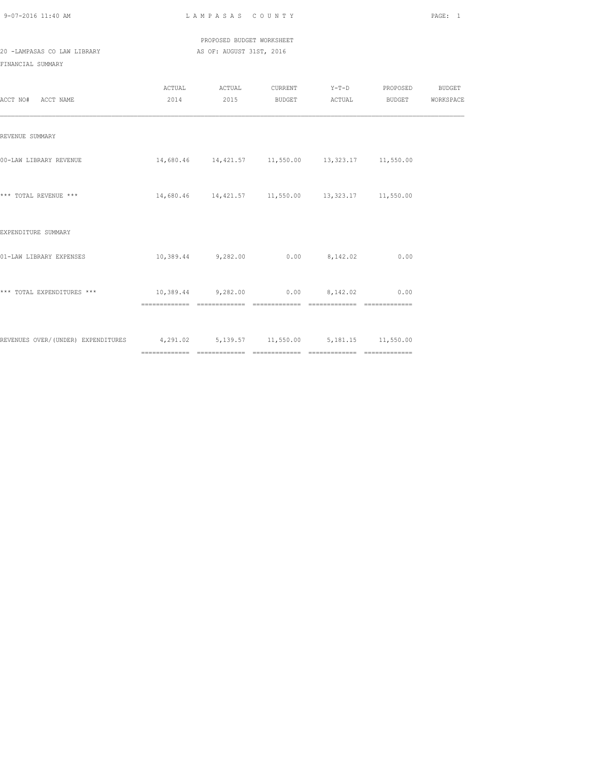PROPOSED BUDGET WORKSHEET 20 -LAMPASAS CO LAW LIBRARY AS OF: AUGUST 31ST, 2016

| ACCT NO# ACCT NAME                                                                | ACTUAL                                  | ACTUAL<br>2014 2015 |                                                       | CURRENT Y-T-D PROPOSED BUDGET<br>BUDGET ACTUAL BUDGET WORKSPACE |  |
|-----------------------------------------------------------------------------------|-----------------------------------------|---------------------|-------------------------------------------------------|-----------------------------------------------------------------|--|
| REVENUE SUMMARY                                                                   |                                         |                     |                                                       |                                                                 |  |
| 00-LAW LIBRARY REVENUE                                                            |                                         |                     | 14,680.46  14,421.57  11,550.00  13,323.17  11,550.00 |                                                                 |  |
| *** TOTAL REVENUE ***                                                             |                                         |                     | 14,680.46  14,421.57  11,550.00  13,323.17  11,550.00 |                                                                 |  |
| EXPENDITURE SUMMARY                                                               |                                         |                     |                                                       |                                                                 |  |
| 01-LAW LIBRARY EXPENSES                                                           |                                         |                     | $10,389.44$ 9,282.00 0.00 8,142.02                    | 0.00                                                            |  |
| *** TOTAL EXPENDITURES ***                                                        | $10,389.44$ 9,282.00 0.00 8,142.02 0.00 |                     |                                                       | ---------------                                                 |  |
| REVENUES OVER/(UNDER) EXPENDITURES 4,291.02 5,139.57 11,550.00 5,181.15 11,550.00 |                                         |                     |                                                       |                                                                 |  |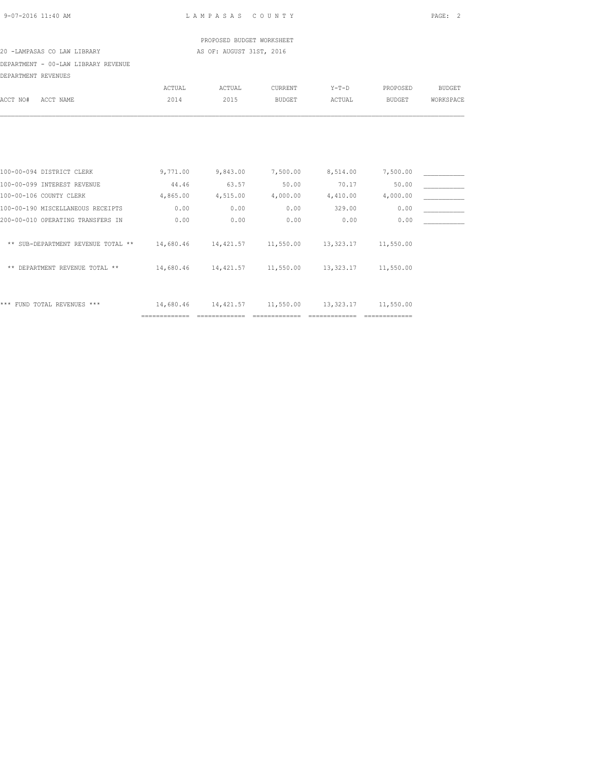| 9-07-2016 11:40 AM |  |  |
|--------------------|--|--|
|                    |  |  |

 PROPOSED BUDGET WORKSHEET 20 -LAMPASAS CO LAW LIBRARY AS OF: AUGUST 31ST, 2016

DEPARTMENT - 00-LAW LIBRARY REVENUE

| DEPARTMENT - 00-LAW LIBRARY REVENUE  |           |           |               |           |               |               |
|--------------------------------------|-----------|-----------|---------------|-----------|---------------|---------------|
| DEPARTMENT REVENUES                  |           |           |               |           |               |               |
|                                      | ACTUAL    | ACTUAL    | CURRENT       | $Y-T-D$   | PROPOSED      | <b>BUDGET</b> |
| ACCT NO#<br>ACCT NAME                | 2014      | 2015      | <b>BUDGET</b> | ACTUAL    | <b>BUDGET</b> | WORKSPACE     |
|                                      |           |           |               |           |               |               |
|                                      |           |           |               |           |               |               |
| 100-00-094 DISTRICT CLERK            | 9,771.00  | 9,843.00  | 7,500.00      | 8,514.00  | 7,500.00      |               |
| 100-00-099 INTEREST REVENUE          | 44.46     | 63.57     | 50.00         | 70.17     | 50.00         |               |
| 100-00-106 COUNTY CLERK              | 4,865.00  | 4,515.00  | 4,000.00      | 4,410.00  | 4,000.00      |               |
| 100-00-190 MISCELLANEOUS RECEIPTS    | 0.00      | 0.00      | 0.00          | 329.00    | 0.00          |               |
| 200-00-010 OPERATING TRANSFERS IN    | 0.00      | 0.00      | 0.00          | 0.00      | 0.00          |               |
| ** SUB-DEPARTMENT REVENUE TOTAL **   | 14,680.46 | 14,421.57 | 11,550.00     | 13,323.17 | 11,550.00     |               |
| DEPARTMENT REVENUE TOTAL **<br>$***$ | 14,680.46 | 14,421.57 | 11,550.00     | 13,323.17 | 11,550.00     |               |
|                                      |           |           |               |           |               |               |
|                                      |           |           |               |           |               |               |

\*\*\* FUND TOTAL REVENUES \*\*\* 14,680.46 14,421.57 11,550.00 13,323.17 11,550.00

============= ============= ============= ============= =============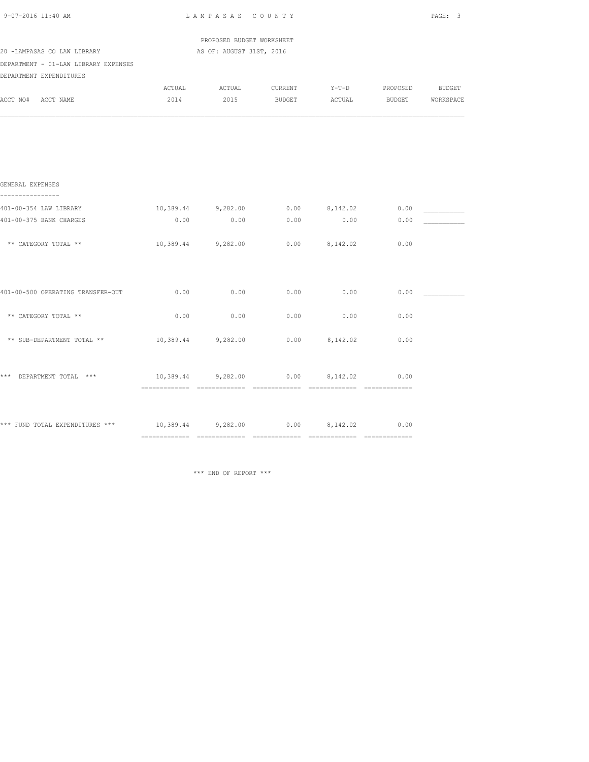| 9-07-2016 11:40 AM                   | LAMPASAS COUNTY                                 |                                                       | PAGE: 3     |      |                                             |  |  |  |
|--------------------------------------|-------------------------------------------------|-------------------------------------------------------|-------------|------|---------------------------------------------|--|--|--|
| 20 -LAMPASAS CO LAW LIBRARY          |                                                 | PROPOSED BUDGET WORKSHEET<br>AS OF: AUGUST 31ST, 2016 |             |      |                                             |  |  |  |
| DEPARTMENT - 01-LAW LIBRARY EXPENSES |                                                 |                                                       |             |      |                                             |  |  |  |
| DEPARTMENT EXPENDITURES              |                                                 |                                                       |             |      |                                             |  |  |  |
|                                      |                                                 |                                                       |             |      | ACTUAL ACTUAL CURRENT Y-T-D PROPOSED BUDGET |  |  |  |
| ACCT NO# ACCT NAME                   | 2014                                            |                                                       |             |      | 2015 BUDGET ACTUAL BUDGET WORKSPACE         |  |  |  |
|                                      |                                                 |                                                       |             |      |                                             |  |  |  |
| GENERAL EXPENSES<br>---------------- |                                                 |                                                       |             |      |                                             |  |  |  |
| 401-00-354 LAW LIBRARY               |                                                 |                                                       |             |      | $10,389.44$ 9,282.00 0.00 8,142.02 0.00     |  |  |  |
| 401-00-375 BANK CHARGES              | 0.00                                            |                                                       | $0.00$ 0.00 | 0.00 | 0.00                                        |  |  |  |
| ** CATEGORY TOTAL **                 |                                                 | $10,389.44$ $9,282.00$ $0.00$ $8,142.02$              |             |      | 0.00                                        |  |  |  |
| 401-00-500 OPERATING TRANSFER-OUT    | 0.00                                            | 0.00                                                  | 0.00        | 0.00 | 0.00                                        |  |  |  |
| ** CATEGORY TOTAL **                 | 0.00                                            | 0.00                                                  | 0.00        | 0.00 | 0.00                                        |  |  |  |
| ** SUB-DEPARTMENT TOTAL **           | $10,389.44$ $9,282.00$ $0.00$ $8,142.02$ $0.00$ |                                                       |             |      |                                             |  |  |  |
| *** DEPARTMENT TOTAL ***             |                                                 | $10,389.44$ 9,282.00 0.00 8,142.02 0.00               |             |      |                                             |  |  |  |
|                                      |                                                 |                                                       |             |      |                                             |  |  |  |

\*\*\* END OF REPORT \*\*\*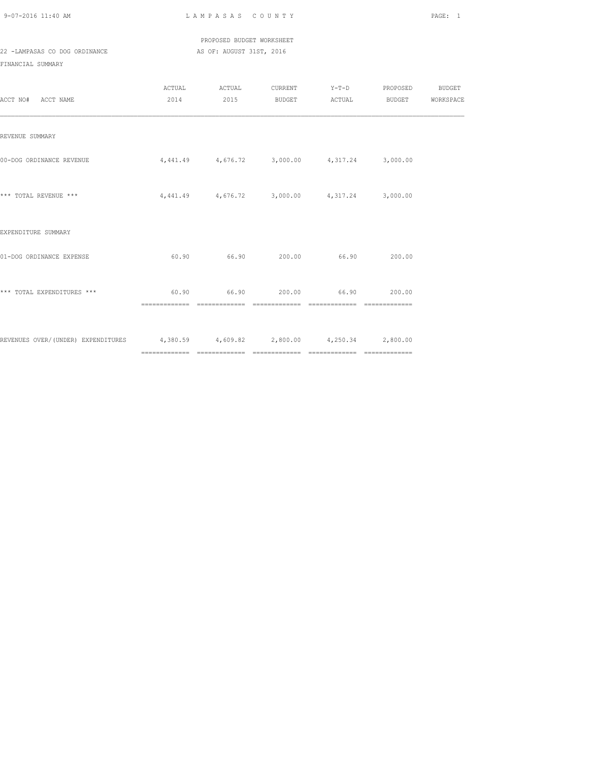PROPOSED BUDGET WORKSHEET 22 -LAMPASAS CO DOG ORDINANCE AS OF: AUGUST 31ST, 2016

| ACCT NO# ACCT NAME                                                              |                                                        | ACTUAL ACTUAL CURRENT Y-T-D PROPOSED BUDGET<br>2014  2015 BUDGET ACTUAL BUDGET WORKSPACE |  |  |
|---------------------------------------------------------------------------------|--------------------------------------------------------|------------------------------------------------------------------------------------------|--|--|
| REVENUE SUMMARY                                                                 |                                                        |                                                                                          |  |  |
| 00-DOG ORDINANCE REVENUE                                                        | $4,441.49$ $4,676.72$ $3,000.00$ $4,317.24$ $3,000.00$ |                                                                                          |  |  |
| *** TOTAL REVENUE ***                                                           |                                                        | $4,441.49$ $4,676.72$ $3,000.00$ $4,317.24$ $3,000.00$                                   |  |  |
| EXPENDITURE SUMMARY                                                             |                                                        |                                                                                          |  |  |
| 01-DOG ORDINANCE EXPENSE                                                        |                                                        | $60.90$ $66.90$ $200.00$ $66.90$ $200.00$                                                |  |  |
| *** TOTAL EXPENDITURES ***                                                      |                                                        | $60.90$ $66.90$ $200.00$ $66.90$ $200.00$                                                |  |  |
| REVENUES OVER/(UNDER) EXPENDITURES 4,380.59 4,609.82 2,800.00 4,250.34 2,800.00 |                                                        |                                                                                          |  |  |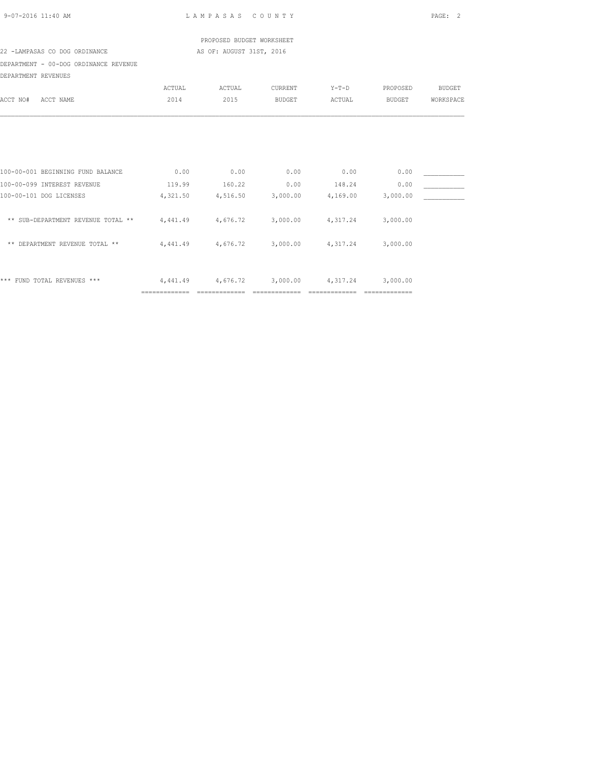|                                                                                | PROPOSED BUDGET WORKSHEET |                                             |                   |                |                   |               |
|--------------------------------------------------------------------------------|---------------------------|---------------------------------------------|-------------------|----------------|-------------------|---------------|
| 22 -LAMPASAS CO DOG ORDINANCE                                                  |                           | AS OF: AUGUST 31ST, 2016                    |                   |                |                   |               |
| DEPARTMENT - 00-DOG ORDINANCE REVENUE                                          |                           |                                             |                   |                |                   |               |
| DEPARTMENT REVENUES                                                            |                           |                                             |                   |                |                   |               |
|                                                                                | ACTUAL                    | ACTUAL                                      | CURRENT           | $Y-T-D$        | PROPOSED          | <b>BUDGET</b> |
| ACCT NO#<br>ACCT NAME                                                          | 2014                      | 2015                                        | <b>BUDGET</b>     | ACTUAL         | BUDGET            | WORKSPACE     |
|                                                                                |                           |                                             |                   |                |                   |               |
| 100-00-001 BEGINNING FUND BALANCE                                              | 0.00                      | 0.00                                        | 0.00              | 0.00           | 0.00              |               |
| 100-00-099 INTEREST REVENUE                                                    | 119.99                    | 160.22                                      | 0.00              | 148.24         | 0.00              |               |
| 100-00-101 DOG LICENSES                                                        | 4,321.50                  |                                             | 4,516.50 3,000.00 |                | 4,169.00 3,000.00 |               |
| ** SUB-DEPARTMENT REVENUE TOTAL ** $4,441.49$ $4,676.72$ $3,000.00$ $4,317.24$ |                           |                                             |                   |                | 3,000.00          |               |
| ** DEPARTMENT REVENUE TOTAL **                                                 |                           | $4,441.49$ $4,676.72$ $3,000.00$ $4,317.24$ |                   |                | 3,000.00          |               |
| *** FUND TOTAL REVENUES ***                                                    | 4,441.49                  | 4,676.72                                    | 3,000.00          | 4,317.24       | 3,000.00          |               |
|                                                                                | ==============            | ==============                              | =============     | ============== | ==============    |               |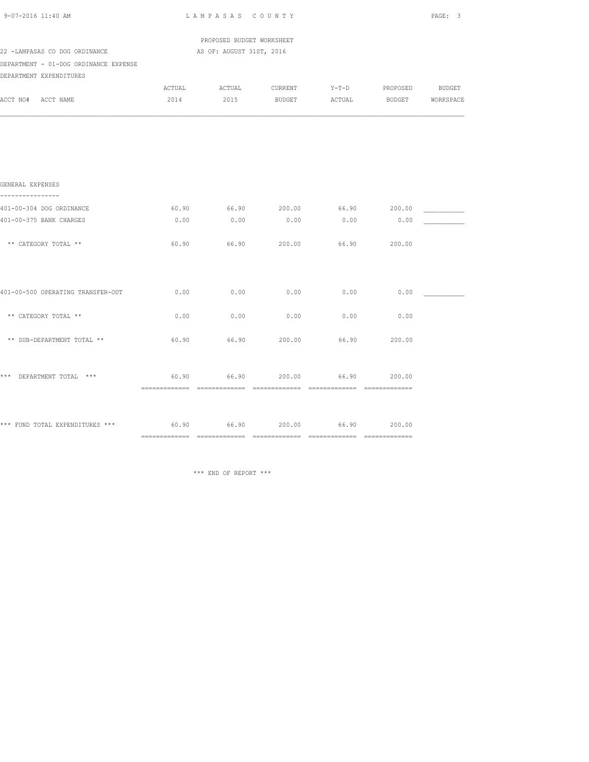| 9-07-2016 11:40 AM                                                    | LAMPASAS COUNTY |                                                       | PAGE: 3 |       |                                                                                    |  |
|-----------------------------------------------------------------------|-----------------|-------------------------------------------------------|---------|-------|------------------------------------------------------------------------------------|--|
| 22 -LAMPASAS CO DOG ORDINANCE                                         |                 | PROPOSED BUDGET WORKSHEET<br>AS OF: AUGUST 31ST, 2016 |         |       |                                                                                    |  |
| DEPARTMENT - 01-DOG ORDINANCE EXPENSE<br>DEPARTMENT EXPENDITURES      |                 |                                                       |         |       |                                                                                    |  |
| ACCT NO# ACCT NAME                                                    | 2014            |                                                       |         |       | ACTUAL ACTUAL CURRENT Y-T-D PROPOSED BUDGET<br>2015 BUDGET ACTUAL BUDGET WORKSPACE |  |
|                                                                       |                 |                                                       |         |       |                                                                                    |  |
| GENERAL EXPENSES<br>----------------                                  |                 |                                                       |         |       |                                                                                    |  |
| 401-00-304 DOG ORDINANCE                                              |                 |                                                       |         |       | $60.90$ $66.90$ $200.00$ $66.90$ $200.00$                                          |  |
| 401-00-375 BANK CHARGES                                               | 0.00            | 0.00                                                  | 0.00    | 0.00  | 0.00                                                                               |  |
| ** CATEGORY TOTAL **                                                  | 60.90           | 66.90                                                 | 200.00  | 66.90 | 200.00                                                                             |  |
| 401-00-500 OPERATING TRANSFER-OUT                                     | 0.00            | 0.00                                                  | 0.00    | 0.00  | 0.00                                                                               |  |
| ** CATEGORY TOTAL **                                                  | 0.00            | 0.00                                                  | 0.00    | 0.00  | 0.00                                                                               |  |
| ** SUB-DEPARTMENT TOTAL **                                            | 60.90           | 66.90                                                 | 200.00  | 66.90 | 200.00                                                                             |  |
| *** DEPARTMENT TOTAL ***                                              | 60.90           | 66.90                                                 | 200.00  | 66.90 | 200.00                                                                             |  |
| *** FUND TOTAL EXPENDITURES *** 60.90 66.90 66.90 200.00 66.90 200.00 |                 |                                                       |         |       |                                                                                    |  |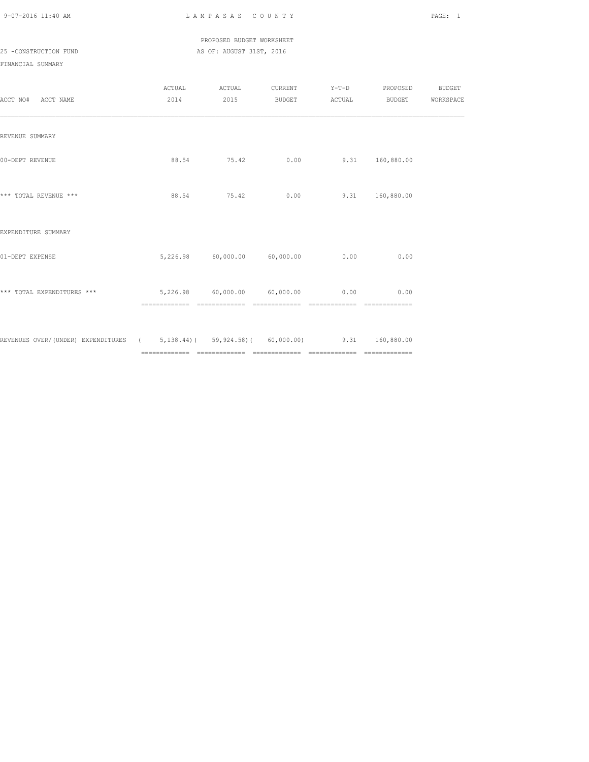PROPOSED BUDGET WORKSHEET

25 -CONSTRUCTION FUND **AS OF: AUGUST 31ST, 2016** 

| ACCT NO# ACCT NAME                                                                  |                                                           | 2014 2015                               |                |                | ACTUAL ACTUAL CURRENT Y-T-D PROPOSED BUDGET<br>BUDGET ACTUAL BUDGET WORKSPACE |  |
|-------------------------------------------------------------------------------------|-----------------------------------------------------------|-----------------------------------------|----------------|----------------|-------------------------------------------------------------------------------|--|
| REVENUE SUMMARY                                                                     |                                                           |                                         |                |                |                                                                               |  |
| 00-DEPT REVENUE                                                                     |                                                           | 88.54 75.42                             | 0.00           |                | 9.31 160,880.00                                                               |  |
| *** TOTAL REVENUE ***                                                               |                                                           | 88.54 75.42                             | 0.00           |                | 9.31 160,880.00                                                               |  |
| EXPENDITURE SUMMARY                                                                 |                                                           |                                         |                |                |                                                                               |  |
| 01-DEPT EXPENSE                                                                     |                                                           | $5,226.98$ $60,000.00$ $60,000.00$ 0.00 |                |                | 0.00                                                                          |  |
| *** TOTAL EXPENDITURES ***                                                          | $5,226.98$ $60,000.00$ $60,000.00$ 0.00<br>============== | ==============                          | ============== | -------------- | 0.00                                                                          |  |
| REVENUES OVER/(UNDER) EXPENDITURES (5,138.44)(59,924.58)(60,000.00) 9.31 160,880.00 |                                                           |                                         |                |                |                                                                               |  |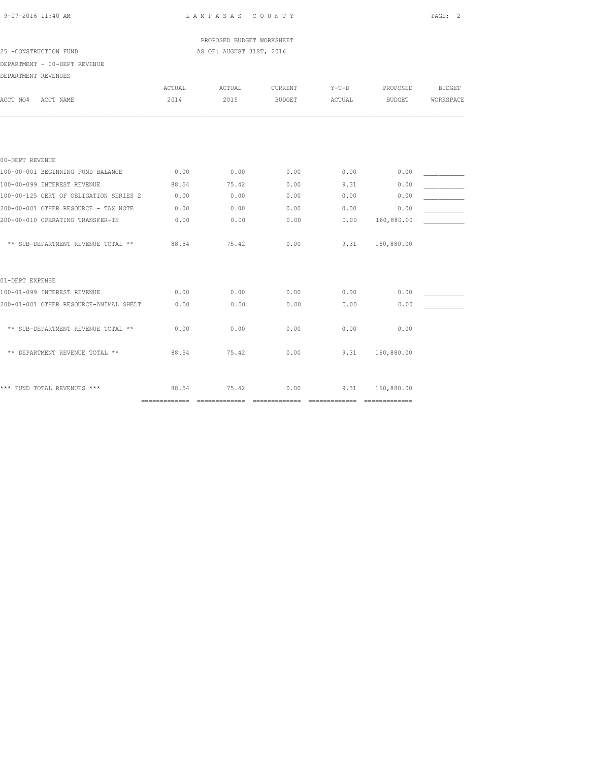PROPOSED BUDGET WORKSHEET 25 -CONSTRUCTION FUND **AS OF: AUGUST 31ST, 2016** 

DEPARTMENT - 00-DEPT REVENUE

| DEPARTMENT REVENUES |
|---------------------|
|                     |

| ACTUAL<br>2014 | ACTUAL<br>2015                                                                                     | CURRENT<br><b>BUDGET</b> | $Y-T-D$<br>ACTUAL | PROPOSED<br><b>BUDGET</b> | <b>BUDGET</b><br>WORKSPACE |
|----------------|----------------------------------------------------------------------------------------------------|--------------------------|-------------------|---------------------------|----------------------------|
|                |                                                                                                    |                          |                   |                           |                            |
|                |                                                                                                    |                          |                   |                           |                            |
| 0.00           | 0.00                                                                                               | 0.00                     | 0.00              | 0.00                      |                            |
| 88.54          | 75.42                                                                                              | 0.00                     | 9.31              | 0.00                      |                            |
| 0.00           | 0.00                                                                                               | 0.00                     | 0.00              | 0.00                      |                            |
| 0.00           | 0.00                                                                                               | 0.00                     | 0.00              | 0.00                      |                            |
| 0.00           | 0.00                                                                                               | 0.00                     | 0.00              | 160,880.00                |                            |
| 88.54          | 75.42                                                                                              | 0.00                     | 9.31              | 160,880.00                |                            |
|                |                                                                                                    |                          |                   |                           |                            |
| 0.00           | 0.00                                                                                               | 0.00                     | 0.00              | 0.00                      |                            |
| 0.00           | 0.00                                                                                               | 0.00                     | 0.00              | 0.00                      |                            |
| 0.00           | 0.00                                                                                               | 0.00                     | 0.00              | 0.00                      |                            |
| 88.54          | 75.42                                                                                              | 0.00                     | 9.31              | 160,880.00                |                            |
| 88.54          | 75.42                                                                                              | 0.00                     | 9.31              | 160,880.00                |                            |
|                | 100-00-125 CERT OF OBLIGATION SERIES 2<br>200-01-001 OTHER RESOURCE-ANIMAL SHELT<br>============== |                          | ==============    | ==============            | =============              |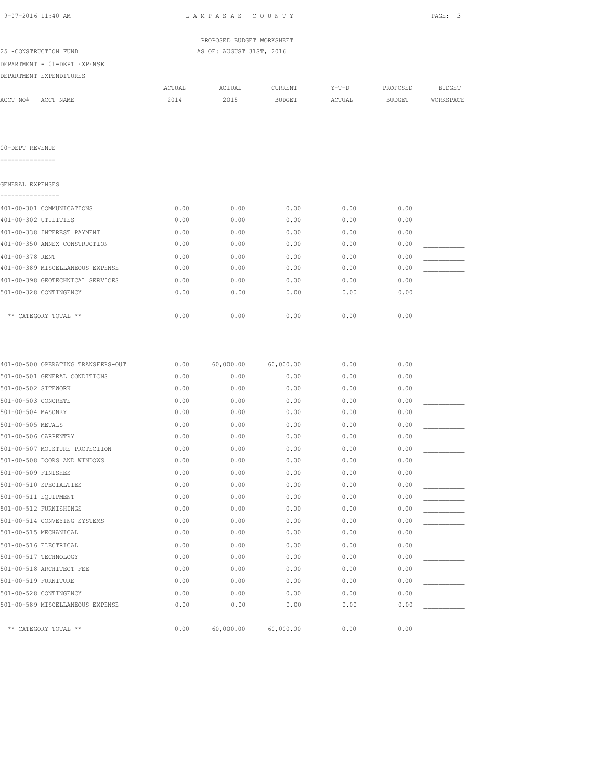| 9-07-2016 11:40 AM                 |        | LAMPASAS COUNTY           |               |         |               | PAGE: 3       |
|------------------------------------|--------|---------------------------|---------------|---------|---------------|---------------|
|                                    |        | PROPOSED BUDGET WORKSHEET |               |         |               |               |
| 25 -CONSTRUCTION FUND              |        | AS OF: AUGUST 31ST, 2016  |               |         |               |               |
| DEPARTMENT - 01-DEPT EXPENSE       |        |                           |               |         |               |               |
| DEPARTMENT EXPENDITURES            |        |                           |               |         |               |               |
|                                    | ACTUAL | ACTUAL                    | CURRENT       | $Y-T-D$ | PROPOSED      | <b>BUDGET</b> |
| ACCT NO#<br>ACCT NAME              | 2014   | 2015                      | <b>BUDGET</b> | ACTUAL  | <b>BUDGET</b> | WORKSPACE     |
| 00-DEPT REVENUE                    |        |                           |               |         |               |               |
| ===============                    |        |                           |               |         |               |               |
| GENERAL EXPENSES                   |        |                           |               |         |               |               |
| ----------------                   |        |                           |               |         |               |               |
| 401-00-301 COMMUNICATIONS          | 0.00   | 0.00                      | 0.00          | 0.00    | 0.00          |               |
| 401-00-302 UTILITIES               | 0.00   | 0.00                      | 0.00          | 0.00    | 0.00          |               |
| 401-00-338 INTEREST PAYMENT        | 0.00   | 0.00                      | 0.00          | 0.00    | 0.00          |               |
| 401-00-350 ANNEX CONSTRUCTION      | 0.00   | 0.00                      | 0.00          | 0.00    | 0.00          |               |
| 401-00-378 RENT                    | 0.00   | 0.00                      | 0.00          | 0.00    | 0.00          |               |
| 401-00-389 MISCELLANEOUS EXPENSE   | 0.00   | 0.00                      | 0.00          | 0.00    | 0.00          |               |
| 401-00-398 GEOTECHNICAL SERVICES   | 0.00   | 0.00                      | 0.00          | 0.00    | 0.00          |               |
| 501-00-328 CONTINGENCY             | 0.00   | 0.00                      | 0.00          | 0.00    | 0.00          |               |
| ** CATEGORY TOTAL **               | 0.00   | 0.00                      | 0.00          | 0.00    | 0.00          |               |
| 401-00-500 OPERATING TRANSFERS-OUT | 0.00   | 60,000.00                 | 60,000.00     | 0.00    | 0.00          |               |
| 501-00-501 GENERAL CONDITIONS      | 0.00   | 0.00                      | 0.00          | 0.00    | 0.00          |               |
| 501-00-502 SITEWORK                | 0.00   | 0.00                      | 0.00          | 0.00    | 0.00          |               |
| 501-00-503 CONCRETE                | 0.00   | 0.00                      | 0.00          | 0.00    | 0.00          |               |
| 501-00-504 MASONRY                 | 0.00   | 0.00                      | 0.00          | 0.00    | 0.00          |               |
| 501-00-505 METALS                  | 0.00   | 0.00                      | 0.00          | 0.00    | 0.00          |               |
| 501-00-506 CARPENTRY               | 0.00   | 0.00                      | 0.00          | 0.00    | 0.00          |               |
| 501-00-507 MOISTURE PROTECTION     | 0.00   | 0.00                      | 0.00          | 0.00    | 0.00          |               |
| 501-00-508 DOORS AND WINDOWS       | 0.00   | 0.00                      | 0.00          | 0.00    | 0.00          |               |
| 501-00-509 FINISHES                | 0.00   | 0.00                      | 0.00          | 0.00    | 0.00          |               |
| 501-00-510 SPECIALTIES             | 0.00   | 0.00                      | 0.00          | 0.00    | 0.00          |               |
| 501-00-511 EQUIPMENT               | 0.00   | 0.00                      | 0.00          | 0.00    | 0.00          |               |
| 501-00-512 FURNISHINGS             | 0.00   | 0.00                      | 0.00          | 0.00    | 0.00          |               |
| 501-00-514 CONVEYING SYSTEMS       | 0.00   | 0.00                      | 0.00          | 0.00    | 0.00          |               |
| 501-00-515 MECHANICAL              | 0.00   | 0.00                      | 0.00          | 0.00    | 0.00          |               |
| 501-00-516 ELECTRICAL              | 0.00   | 0.00                      | 0.00          | 0.00    | 0.00          |               |
| 501-00-517 TECHNOLOGY              | 0.00   | 0.00                      | 0.00          | 0.00    | 0.00          |               |
| 501-00-518 ARCHITECT FEE           | 0.00   | 0.00                      | 0.00          | 0.00    | 0.00          |               |
| 501-00-519 FURNITURE               | 0.00   | 0.00                      | 0.00          | 0.00    | 0.00          |               |

501-00-528 CONTINGENCY 0.00 0.00 0.00 0.00 0.00 \_\_\_\_\_\_\_\_\_\_\_ 501-00-589 MISCELLANEOUS EXPENSE 0.00 0.00 0.00 0.00 0.00 \_\_\_\_\_\_\_\_\_\_\_

\*\* CATEGORY TOTAL \*\* 0.00 60,000.00 60,000.00 0.00 0.00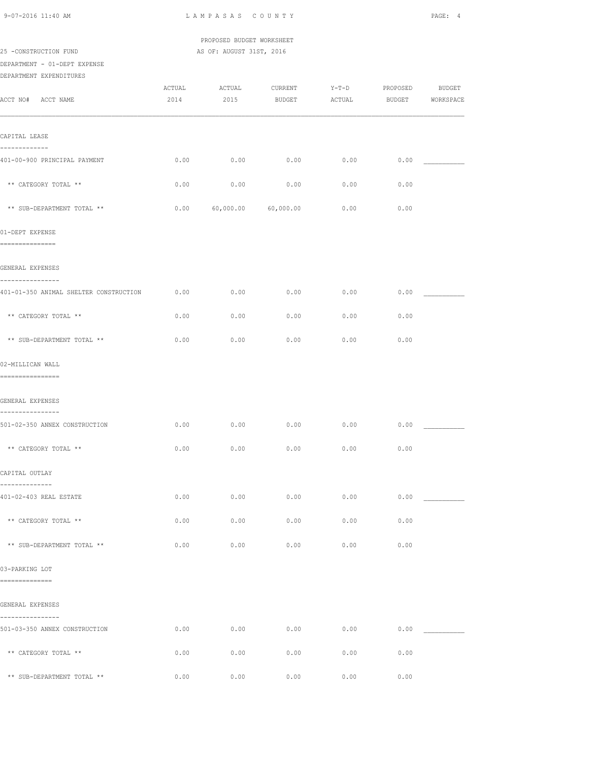|                                                            |                | PROPOSED BUDGET WORKSHEET  |               |                                 |               |                            |
|------------------------------------------------------------|----------------|----------------------------|---------------|---------------------------------|---------------|----------------------------|
| 25 -CONSTRUCTION FUND                                      |                | AS OF: AUGUST 31ST, 2016   |               |                                 |               |                            |
| DEPARTMENT - 01-DEPT EXPENSE<br>DEPARTMENT EXPENDITURES    |                |                            |               |                                 |               |                            |
| ACCT NO# ACCT NAME                                         | ACTUAL<br>2014 | ACTUAL CURRENT<br>2015     | <b>BUDGET</b> | Y-T-D PROPOSED<br><b>ACTUAL</b> | <b>BUDGET</b> | <b>BUDGET</b><br>WORKSPACE |
|                                                            |                |                            |               |                                 |               |                            |
| CAPITAL LEASE                                              |                |                            |               |                                 |               |                            |
| -------------<br>401-00-900 PRINCIPAL PAYMENT              | 0.00           | 0.00                       | 0.00          | 0.00                            | 0.00          |                            |
| ** CATEGORY TOTAL **                                       | 0.00           | 0.00                       | 0.00          | 0.00                            | 0.00          |                            |
| ** SUB-DEPARTMENT TOTAL **                                 |                | $0.00$ 60,000.00 60,000.00 |               | 0.00                            | 0.00          |                            |
| 01-DEPT EXPENSE<br>================                        |                |                            |               |                                 |               |                            |
| GENERAL EXPENSES                                           |                |                            |               |                                 |               |                            |
| ----------------<br>401-01-350 ANIMAL SHELTER CONSTRUCTION | 0.00           | 0.00                       | 0.00          | 0.00                            | 0.00          |                            |
| ** CATEGORY TOTAL **                                       | 0.00           | 0.00                       | 0.00          | 0.00                            | 0.00          |                            |
| ** SUB-DEPARTMENT TOTAL **                                 | 0.00           | 0.00                       | 0.00          | 0.00                            | 0.00          |                            |
| 02-MILLICAN WALL                                           |                |                            |               |                                 |               |                            |
| ================                                           |                |                            |               |                                 |               |                            |
| GENERAL EXPENSES<br>----------------                       |                |                            |               |                                 |               |                            |
| 501-02-350 ANNEX CONSTRUCTION                              | 0.00           | 0.00                       | 0.00          | 0.00                            | 0.00          |                            |
| ** CATEGORY TOTAL **                                       | 0.00           | 0.00                       | 0.00          | 0.00                            | 0.00          |                            |
| CAPITAL OUTLAY<br>--------------                           |                |                            |               |                                 |               |                            |
| 401-02-403 REAL ESTATE                                     | 0.00           | 0.00                       | 0.00          | 0.00                            |               | 0.00                       |
| ** CATEGORY TOTAL **                                       | 0.00           | 0.00                       | 0.00          | 0.00                            | 0.00          |                            |
| ** SUB-DEPARTMENT TOTAL **                                 | 0.00           | 0.00                       | 0.00          | 0.00                            | 0.00          |                            |
| 03-PARKING LOT<br>==============                           |                |                            |               |                                 |               |                            |
| GENERAL EXPENSES                                           |                |                            |               |                                 |               |                            |
| ----------------<br>501-03-350 ANNEX CONSTRUCTION          | 0.00           | 0.00                       | 0.00          | 0.00                            | 0.00          |                            |
| ** CATEGORY TOTAL **                                       | 0.00           | 0.00                       | 0.00          | 0.00                            | 0.00          |                            |
| ** SUB-DEPARTMENT TOTAL **                                 | 0.00           | 0.00                       | 0.00          | 0.00                            | 0.00          |                            |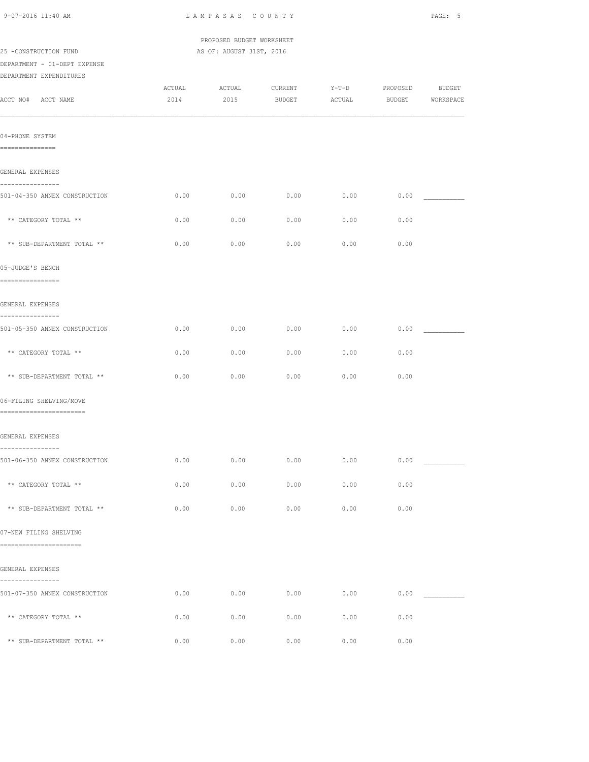| 9-07-2016 11:40 AM                                                               | LAMPASAS COUNTY           |                          |                   |                   |          |                            |  |
|----------------------------------------------------------------------------------|---------------------------|--------------------------|-------------------|-------------------|----------|----------------------------|--|
|                                                                                  | PROPOSED BUDGET WORKSHEET |                          |                   |                   |          |                            |  |
| 25 -CONSTRUCTION FUND<br>DEPARTMENT - 01-DEPT EXPENSE<br>DEPARTMENT EXPENDITURES |                           | AS OF: AUGUST 31ST, 2016 |                   |                   |          |                            |  |
| ACCT NO# ACCT NAME                                                               | ACTUAL<br>2014            | ACTUAL<br>2015           | CURRENT<br>BUDGET | $Y-T-D$<br>ACTUAL | PROPOSED | BUDGET<br>BUDGET WORKSPACE |  |
| 04-PHONE SYSTEM<br>===============                                               |                           |                          |                   |                   |          |                            |  |
| GENERAL EXPENSES                                                                 |                           |                          |                   |                   |          |                            |  |
| ----------------<br>501-04-350 ANNEX CONSTRUCTION                                | 0.00                      | 0.00                     | 0.00              | 0.00              | 0.00     |                            |  |
| ** CATEGORY TOTAL **                                                             | 0.00                      | 0.00                     | 0.00              | 0.00              | 0.00     |                            |  |
| ** SUB-DEPARTMENT TOTAL **                                                       | 0.00                      | 0.00                     | 0.00              | 0.00              | 0.00     |                            |  |
| 05-JUDGE'S BENCH<br>================                                             |                           |                          |                   |                   |          |                            |  |
| GENERAL EXPENSES                                                                 |                           |                          |                   |                   |          |                            |  |
| ----------------<br>501-05-350 ANNEX CONSTRUCTION                                | 0.00                      | 0.00                     | 0.00              | 0.00              | 0.00     |                            |  |
| ** CATEGORY TOTAL **                                                             | 0.00                      | 0.00                     | 0.00              | 0.00              | 0.00     |                            |  |
| ** SUB-DEPARTMENT TOTAL **                                                       | 0.00                      | 0.00                     | 0.00              | 0.00              | 0.00     |                            |  |
| 06-FILING SHELVING/MOVE<br>=========================                             |                           |                          |                   |                   |          |                            |  |
| GENERAL EXPENSES                                                                 |                           |                          |                   |                   |          |                            |  |
| ----------------<br>501-06-350 ANNEX CONSTRUCTION                                | 0.00                      | 0.00                     | 0.00              | 0.00              | 0.00     |                            |  |
| ** CATEGORY TOTAL **                                                             | 0.00                      | 0.00                     | 0.00              | 0.00              | 0.00     |                            |  |
| ** SUB-DEPARTMENT TOTAL **                                                       | 0.00                      | 0.00                     | 0.00              | 0.00              | 0.00     |                            |  |
| 07-NEW FILING SHELVING<br>========================                               |                           |                          |                   |                   |          |                            |  |
| GENERAL EXPENSES                                                                 |                           |                          |                   |                   |          |                            |  |
| ----------------<br>501-07-350 ANNEX CONSTRUCTION                                | 0.00                      | 0.00                     | 0.00              | 0.00              |          | 0.00                       |  |
| ** CATEGORY TOTAL **                                                             | 0.00                      | 0.00                     | 0.00              | 0.00              | 0.00     |                            |  |
| ** SUB-DEPARTMENT TOTAL **                                                       | 0.00                      | 0.00                     | 0.00              | 0.00              | 0.00     |                            |  |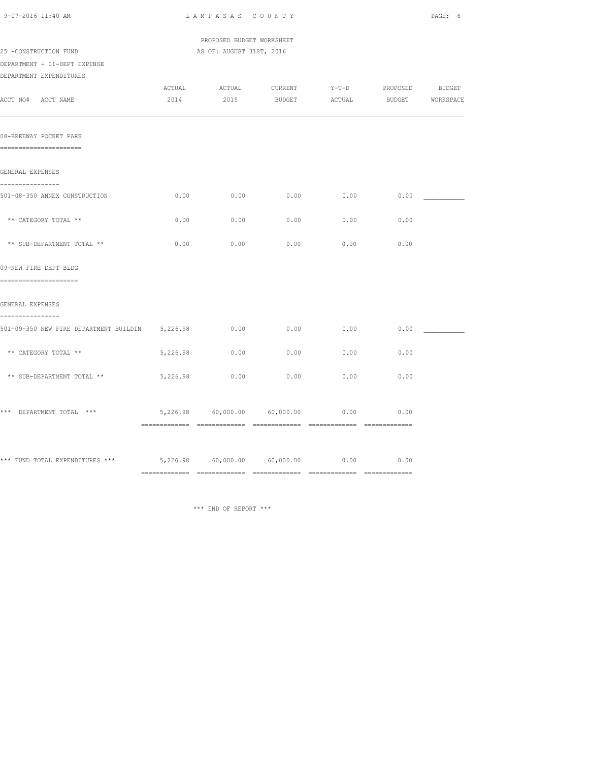| 9-07-2016 11:40 AM                                                               | LAMPASAS COUNTY           |                          | PAGE: 6                      |                   |                 |                  |
|----------------------------------------------------------------------------------|---------------------------|--------------------------|------------------------------|-------------------|-----------------|------------------|
|                                                                                  | PROPOSED BUDGET WORKSHEET |                          |                              |                   |                 |                  |
| 25 -CONSTRUCTION FUND<br>DEPARTMENT - 01-DEPT EXPENSE<br>DEPARTMENT EXPENDITURES |                           | AS OF: AUGUST 31ST, 2016 |                              |                   |                 |                  |
| ACCT NO# ACCT NAME                                                               | ACTUAL<br>2014            | ACTUAL<br>2015           | CURRENT<br><b>BUDGET</b>     | $Y-T-D$<br>ACTUAL | PROPOSED BUDGET | BUDGET WORKSPACE |
| 08-BREEWAY POCKET PARK<br>======================                                 |                           |                          |                              |                   |                 |                  |
| GENERAL EXPENSES                                                                 |                           |                          |                              |                   |                 |                  |
| ----------------<br>501-08-350 ANNEX CONSTRUCTION                                | 0.00                      | 0.00                     | 0.00                         | 0.00              | 0.00            |                  |
| ** CATEGORY TOTAL **                                                             | 0.00                      | 0.00                     | 0.00                         | 0.00              | 0.00            |                  |
| ** SUB-DEPARTMENT TOTAL **                                                       | 0.00                      | 0.00                     | 0.00                         | 0.00              | 0.00            |                  |
| 09-NEW FIRE DEPT BLDG<br>======================                                  |                           |                          |                              |                   |                 |                  |
| GENERAL EXPENSES<br>----------------                                             |                           |                          |                              |                   |                 |                  |
| 501-09-350 NEW FIRE DEPARTMENT BUILDIN 5,226.98                                  |                           | 0.00                     | 0.00                         | 0.00              | 0.00            |                  |
| ** CATEGORY TOTAL **                                                             | 5,226.98                  | 0.00                     | 0.00                         | 0.00              | 0.00            |                  |
| ** SUB-DEPARTMENT TOTAL **                                                       | 5,226.98                  | 0.00                     | 0.00                         | 0.00              | 0.00            |                  |
| *** DEPARTMENT TOTAL ***                                                         |                           |                          | 5,226.98 60,000.00 60,000.00 | 0.00              | 0.00            |                  |
| *** FUND TOTAL EXPENDITURES *** $5,226.98$ 60,000.00 60,000.00 0.00 0.00 0.00    |                           |                          |                              |                   |                 |                  |
|                                                                                  |                           |                          |                              |                   |                 |                  |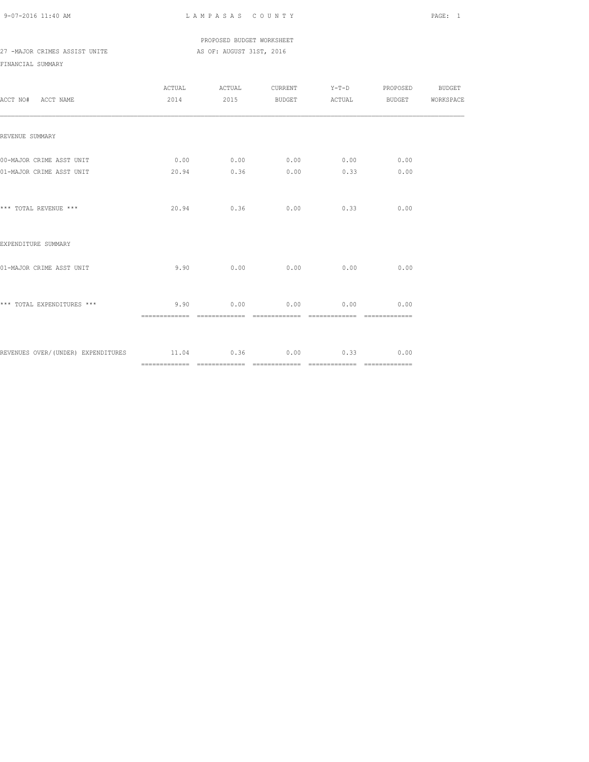PROPOSED BUDGET WORKSHEET 27 -MAJOR CRIMES ASSIST UNITE AS OF: AUGUST 31ST, 2016

| ACCT NO# ACCT NAME                                      |      | ACTUAL ACTUAL CURRENT Y-T-D PROPOSED BUDGET<br>2014 2015 BUDGET ACTUAL BUDGET WORKSPACE |                             |      |  |
|---------------------------------------------------------|------|-----------------------------------------------------------------------------------------|-----------------------------|------|--|
| REVENUE SUMMARY                                         |      |                                                                                         |                             |      |  |
| 00-MAJOR CRIME ASST UNIT                                |      | $0.00$ $0.00$ $0.00$ $0.00$ $0.00$                                                      |                             | 0.00 |  |
| 01-MAJOR CRIME ASST UNIT                                |      | 20.94 0.36                                                                              | $0.00$ $0.33$               | 0.00 |  |
| *** TOTAL REVENUE ***                                   |      | $20.94$ 0.36 0.00 0.33                                                                  |                             | 0.00 |  |
| EXPENDITURE SUMMARY                                     |      |                                                                                         |                             |      |  |
| 01-MAJOR CRIME ASST UNIT                                | 9.90 |                                                                                         | $0.00$ $0.00$ $0.00$ $0.00$ | 0.00 |  |
| *** TOTAL EXPENDITURES ***                              | 9.90 |                                                                                         | $0.00$ $0.00$ $0.00$ $0.00$ | 0.00 |  |
| REVENUES OVER/(UNDER) EXPENDITURES 11.04 0.36 0.00 0.33 |      |                                                                                         |                             | 0.00 |  |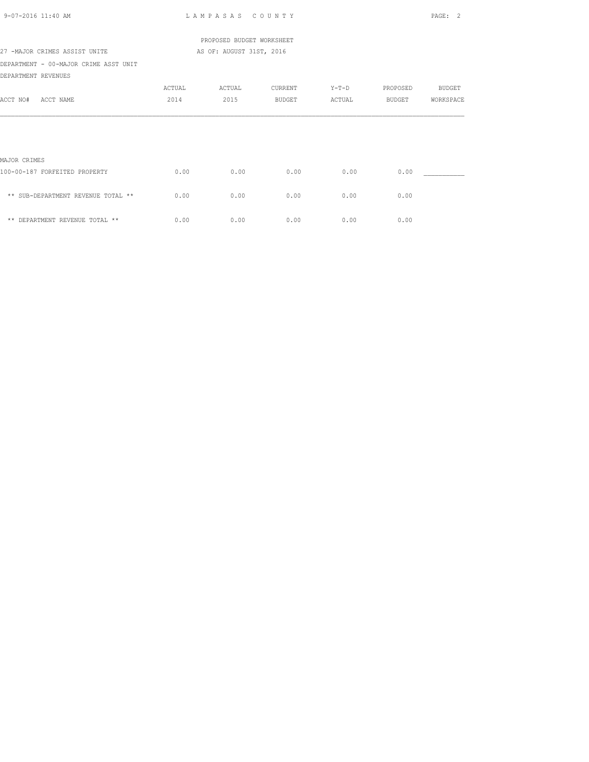| $9 - 07 - 2016$ 11:40 AM                                     |        | LAMPASAS COUNTY           |               |        |          | PAGE: 2       |
|--------------------------------------------------------------|--------|---------------------------|---------------|--------|----------|---------------|
|                                                              |        | PROPOSED BUDGET WORKSHEET |               |        |          |               |
| 27 -MAJOR CRIMES ASSIST UNITE                                |        | AS OF: AUGUST 31ST, 2016  |               |        |          |               |
| DEPARTMENT - 00-MAJOR CRIME ASST UNIT<br>DEPARTMENT REVENUES |        |                           |               |        |          |               |
|                                                              | ACTUAL | ACTUAL                    | CURRENT       | Y-T-D  | PROPOSED | <b>BUDGET</b> |
| ACCT NO#<br>ACCT NAME                                        | 2014   | 2015                      | <b>BUDGET</b> | ACTUAL | BUDGET   | WORKSPACE     |
|                                                              |        |                           |               |        |          |               |
| MAJOR CRIMES                                                 |        |                           |               |        |          |               |
| 100-00-187 FORFEITED PROPERTY                                | 0.00   | 0.00                      | 0.00          | 0.00   | 0.00     |               |
| ** SUB-DEPARTMENT REVENUE TOTAL **                           | 0.00   | 0.00                      | 0.00          | 0.00   | 0.00     |               |
| ** DEPARTMENT REVENUE TOTAL **                               | 0.00   | 0.00                      | 0.00          | 0.00   | 0.00     |               |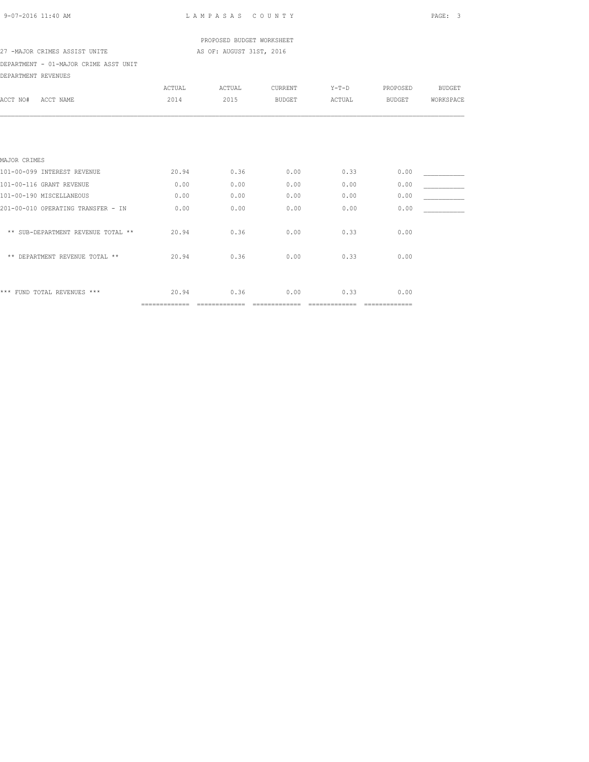| 9-07-2016 11:40 AM |  |  |
|--------------------|--|--|
|                    |  |  |

L A M P A S A S C O U N T Y PAGE: 3

 PROPOSED BUDGET WORKSHEET 27 -MAJOR CRIMES ASSIST UNITE AS OF: AUGUST 31ST, 2016

DEPARTMENT - 01-MAJOR CRIME ASST UNIT

| DEPARTMENT REVENUES                |               |        |               |                |               |               |
|------------------------------------|---------------|--------|---------------|----------------|---------------|---------------|
|                                    | ACTUAL        | ACTUAL | CURRENT       | $Y-T-D$        | PROPOSED      | <b>BUDGET</b> |
| ACCT NAME<br>ACCT NO#              | 2014          | 2015   | <b>BUDGET</b> | ACTUAL         | <b>BUDGET</b> | WORKSPACE     |
|                                    |               |        |               |                |               |               |
|                                    |               |        |               |                |               |               |
|                                    |               |        |               |                |               |               |
| MAJOR CRIMES                       |               |        |               |                |               |               |
| 101-00-099 INTEREST REVENUE        | 20.94         | 0.36   | 0.00          | 0.33           | 0.00          |               |
| 101-00-116 GRANT REVENUE           | 0.00          | 0.00   | 0.00          | 0.00           | 0.00          |               |
| 101-00-190 MISCELLANEOUS           | 0.00          | 0.00   | 0.00          | 0.00           | 0.00          |               |
| 201-00-010 OPERATING TRANSFER - IN | 0.00          | 0.00   | 0.00          | 0.00           | 0.00          |               |
| ** SUB-DEPARTMENT REVENUE TOTAL ** | 20.94         | 0.36   | 0.00          | 0.33           | 0.00          |               |
| ** DEPARTMENT REVENUE TOTAL **     | 20.94         | 0.36   | 0.00          | 0.33           | 0.00          |               |
| *** FUND TOTAL REVENUES ***        | 20.94         | 0.36   | 0.00          | 0.33           | 0.00          |               |
|                                    | ============= |        |               | ============== | ============= |               |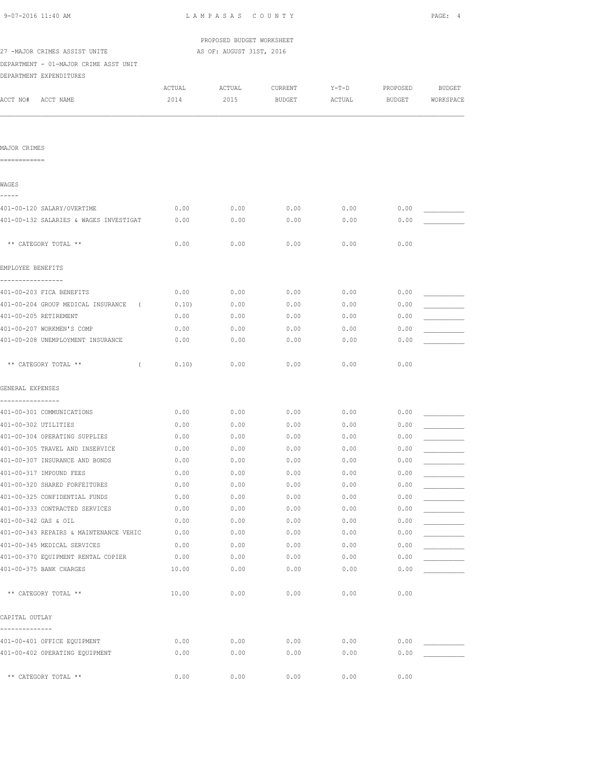| 9-07-2016 11:40 AM                            | LAMPASAS COUNTY           |                          |               |         |               |               |
|-----------------------------------------------|---------------------------|--------------------------|---------------|---------|---------------|---------------|
|                                               | PROPOSED BUDGET WORKSHEET |                          |               |         |               |               |
| 27 -MAJOR CRIMES ASSIST UNITE                 |                           | AS OF: AUGUST 31ST, 2016 |               |         |               |               |
| DEPARTMENT - 01-MAJOR CRIME ASST UNIT         |                           |                          |               |         |               |               |
| DEPARTMENT EXPENDITURES                       |                           |                          |               |         |               |               |
|                                               | ACTUAL                    | ACTUAL                   | CURRENT       | $Y-T-D$ | PROPOSED      | <b>BUDGET</b> |
| ACCT NO#<br>ACCT NAME                         | 2014                      | 2015                     | <b>BUDGET</b> | ACTUAL  | <b>BUDGET</b> | WORKSPACE     |
|                                               |                           |                          |               |         |               |               |
| MAJOR CRIMES<br>============                  |                           |                          |               |         |               |               |
|                                               |                           |                          |               |         |               |               |
| WAGES<br>-----                                |                           |                          |               |         |               |               |
| 401-00-120 SALARY/OVERTIME                    | 0.00                      | 0.00                     | 0.00          | 0.00    | 0.00          |               |
| 401-00-132 SALARIES & WAGES INVESTIGAT        | 0.00                      | 0.00                     | 0.00          | 0.00    | 0.00          |               |
| ** CATEGORY TOTAL **                          | 0.00                      | 0.00                     | 0.00          | 0.00    | 0.00          |               |
|                                               |                           |                          |               |         |               |               |
| EMPLOYEE BENEFITS                             |                           |                          |               |         |               |               |
| -----------------<br>401-00-203 FICA BENEFITS | 0.00                      | 0.00                     | 0.00          | 0.00    | 0.00          |               |
| 401-00-204 GROUP MEDICAL INSURANCE (          | 0.10)                     | 0.00                     | 0.00          | 0.00    | 0.00          |               |
| 401-00-205 RETIREMENT                         | 0.00                      | 0.00                     | 0.00          | 0.00    | 0.00          |               |
| 401-00-207 WORKMEN'S COMP                     | 0.00                      | 0.00                     | 0.00          | 0.00    | 0.00          |               |
| 401-00-208 UNEMPLOYMENT INSURANCE             | 0.00                      | 0.00                     | 0.00          | 0.00    | 0.00          |               |
| ** CATEGORY TOTAL **<br>$\left($              | 0.10)                     | 0.00                     | 0.00          | 0.00    | 0.00          |               |
| GENERAL EXPENSES                              |                           |                          |               |         |               |               |
| ----------------<br>401-00-301 COMMUNICATIONS | 0.00                      | 0.00                     | 0.00          | 0.00    | 0.00          |               |
| 401-00-302 UTILITIES                          | 0.00                      | 0.00                     | 0.00          | 0.00    | 0.00          |               |
| 401-00-304 OPERATING SUPPLIES                 | 0.00                      | 0.00                     | 0.00          | 0.00    | 0.00          |               |
| 401-00-305 TRAVEL AND INSERVICE               | 0.00                      | 0.00                     | 0.00          | 0.00    | 0.00          |               |
| 401-00-307 INSURANCE AND BONDS                | 0.00                      | 0.00                     | 0.00          | 0.00    | 0.00          |               |
| 401-00-317 IMPOUND FEES                       | 0.00                      | 0.00                     | 0.00          | 0.00    | 0.00          |               |
| 401-00-320 SHARED FORFEITURES                 | 0.00                      | 0.00                     | 0.00          | 0.00    | 0.00          |               |
| 401-00-325 CONFIDENTIAL FUNDS                 | 0.00                      | 0.00                     | 0.00          | 0.00    | 0.00          |               |
| 401-00-333 CONTRACTED SERVICES                | 0.00                      | 0.00                     | 0.00          | 0.00    | 0.00          |               |
| 401-00-342 GAS & OIL                          | 0.00                      | 0.00                     | 0.00          | 0.00    | 0.00          |               |
| 401-00-343 REPAIRS & MAINTENANCE VEHIC        | 0.00                      | 0.00                     | 0.00          | 0.00    | 0.00          |               |
| 401-00-345 MEDICAL SERVICES                   | 0.00                      | 0.00                     | 0.00          | 0.00    | 0.00          |               |
| 401-00-370 EQUIPMENT RENTAL COPIER            | 0.00                      | 0.00                     | 0.00          | 0.00    | 0.00          |               |
| 401-00-375 BANK CHARGES                       | 10.00                     | 0.00                     | 0.00          | 0.00    | 0.00          |               |
| ** CATEGORY TOTAL **                          | 10.00                     | 0.00                     | 0.00          | 0.00    | 0.00          |               |
| CAPITAL OUTLAY                                |                           |                          |               |         |               |               |
| -------------<br>401-00-401 OFFICE EQUIPMENT  | 0.00                      | 0.00                     | 0.00          | 0.00    | 0.00          |               |
| 401-00-402 OPERATING EQUIPMENT                | 0.00                      | 0.00                     | 0.00          | 0.00    | 0.00          |               |
|                                               |                           |                          |               |         |               |               |
| ** CATEGORY TOTAL **                          | 0.00                      | 0.00                     | 0.00          | 0.00    | 0.00          |               |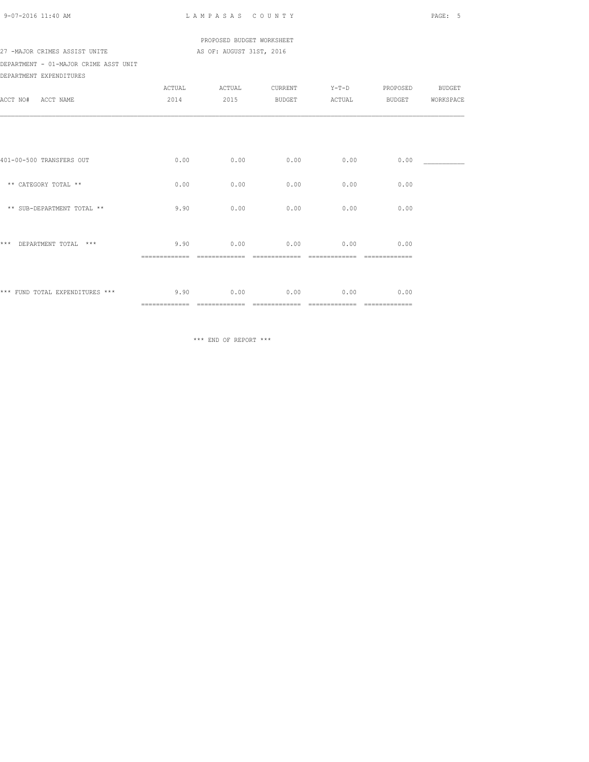|  | 9-07-2016 11:40 AM |  |
|--|--------------------|--|
|  |                    |  |

LAM PASAS COUNTY PAGE: 5

 PROPOSED BUDGET WORKSHEET 27 -MAJOR CRIMES ASSIST UNITE AS OF: AUGUST 31ST, 2016

DEPARTMENT - 01-MAJOR CRIME ASST UNIT DEPARTMENT EXPENDITURES

|                                 | ACTUAL         | ACTUAL        | CURRENT        | $Y-T-D$       | PROPOSED           | BUDGET    |
|---------------------------------|----------------|---------------|----------------|---------------|--------------------|-----------|
| ACCT NO#<br>ACCT NAME           | 2014           | 2015          | BUDGET         | ACTUAL        | BUDGET             | WORKSPACE |
|                                 |                |               |                |               |                    |           |
|                                 |                |               |                |               |                    |           |
|                                 |                |               |                |               |                    |           |
|                                 |                |               |                |               |                    |           |
| 401-00-500 TRANSFERS OUT        | 0.00           | 0.00          | 0.00           | 0.00          | 0.00               |           |
|                                 |                |               |                |               |                    |           |
| ** CATEGORY TOTAL **            | 0.00           | 0.00          | 0.00           | 0.00          | 0.00               |           |
|                                 |                |               |                |               |                    |           |
| ** SUB-DEPARTMENT TOTAL **      | 9.90           | 0.00          | 0.00           | 0.00          | 0.00               |           |
|                                 |                |               |                |               |                    |           |
| ***<br>DEPARTMENT TOTAL ***     | 9.90           | 0.00          | 0.00           | 0.00          | 0.00               |           |
|                                 | =============  |               |                |               | =======            |           |
|                                 |                |               |                |               |                    |           |
|                                 |                |               |                |               |                    |           |
| *** FUND TOTAL EXPENDITURES *** | 9.90           | 0.00          | 0.00           | 0.00          | 0.00               |           |
|                                 | ============== | ============= | ============== | ============= | $=$ ============== |           |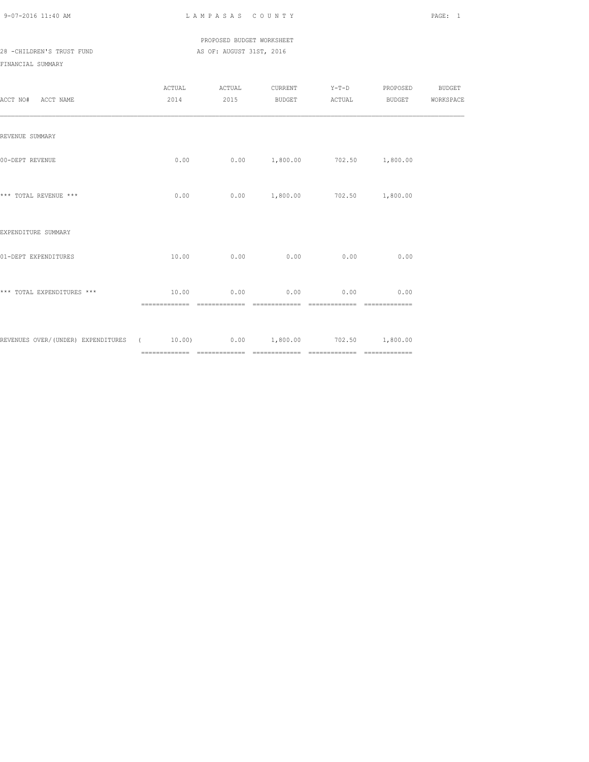## PROPOSED BUDGET WORKSHEET 28 -CHILDREN'S TRUST FUND AS OF: AUGUST 31ST, 2016

| ACCT NO# ACCT NAME                                                         | ACTUAL<br>2014          | ACTUAL CURRENT Y-T-D PROPOSED BUDGET<br>2015 |                                       |                                 | BUDGET ACTUAL BUDGET WORKSPACE |  |
|----------------------------------------------------------------------------|-------------------------|----------------------------------------------|---------------------------------------|---------------------------------|--------------------------------|--|
| REVENUE SUMMARY                                                            |                         |                                              |                                       |                                 |                                |  |
| 00-DEPT REVENUE                                                            | 0.00                    |                                              |                                       | $0.00$ 1,800.00 702.50 1,800.00 |                                |  |
| *** TOTAL REVENUE ***                                                      | 0.00                    |                                              |                                       | $0.00$ 1,800.00 702.50 1,800.00 |                                |  |
| EXPENDITURE SUMMARY                                                        |                         |                                              |                                       |                                 |                                |  |
| 01-DEPT EXPENDITURES                                                       | 10.00                   | 0.00                                         | 0.00                                  | 0.00                            | 0.00                           |  |
| *** TOTAL EXPENDITURES ***                                                 | 10.00<br>-------------- | 0.00                                         | 0.00<br>-------------- -------------- | 0.00<br>--------------          | 0.00<br>--------------         |  |
| REVENUES OVER/(UNDER) EXPENDITURES (6 10.00) 0.00 1,800.00 702.50 1,800.00 |                         |                                              |                                       |                                 |                                |  |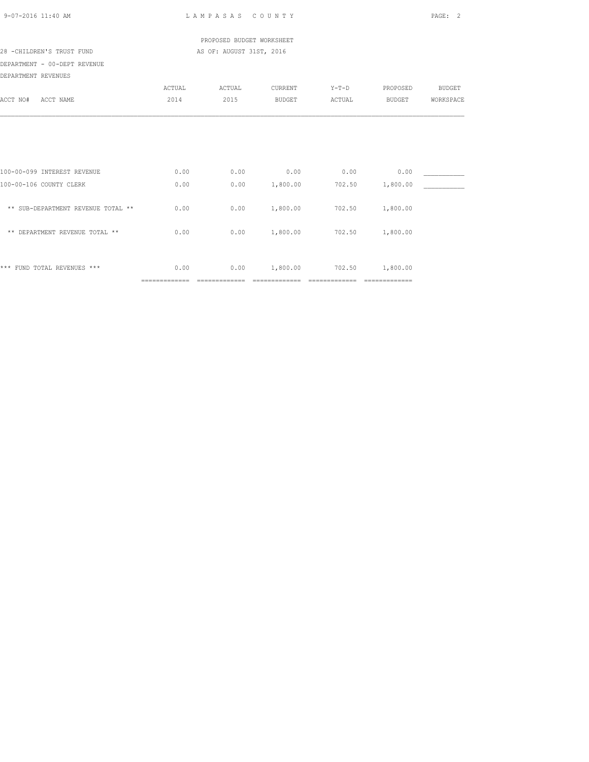| 9-07-2016 11:40 AM                                     |                        | LAMPASAS COUNTY           |                            |                          |                            | PAGE:<br>$\mathcal{L}$ |
|--------------------------------------------------------|------------------------|---------------------------|----------------------------|--------------------------|----------------------------|------------------------|
|                                                        |                        | PROPOSED BUDGET WORKSHEET |                            |                          |                            |                        |
| 28 -CHILDREN'S TRUST FUND                              |                        | AS OF: AUGUST 31ST, 2016  |                            |                          |                            |                        |
| DEPARTMENT - 00-DEPT REVENUE                           |                        |                           |                            |                          |                            |                        |
| DEPARTMENT REVENUES                                    |                        |                           |                            |                          |                            |                        |
|                                                        | ACTUAL                 | ACTUAL                    | CURRENT                    | $Y-T-D$                  | PROPOSED                   | <b>BUDGET</b>          |
| ACCT NO#<br>ACCT NAME                                  | 2014                   | 2015                      | <b>BUDGET</b>              | ACTUAL                   | BUDGET                     | WORKSPACE              |
| 100-00-099 INTEREST REVENUE<br>100-00-106 COUNTY CLERK | 0.00<br>0.00           | 0.00<br>0.00              | 0.00<br>1,800.00           | 0.00<br>702.50           | 0.00<br>1,800.00           |                        |
| ** SUB-DEPARTMENT REVENUE TOTAL **                     | 0.00                   | 0.00                      | 1,800.00                   | 702.50                   | 1,800.00                   |                        |
| ** DEPARTMENT REVENUE TOTAL **                         | 0.00                   | 0.00                      | 1,800.00                   | 702.50                   | 1,800.00                   |                        |
| *** FUND TOTAL REVENUES ***                            | 0.00<br>============== | 0.00<br>==============    | 1,800.00<br>============== | 702.50<br>============== | 1,800.00<br>============== |                        |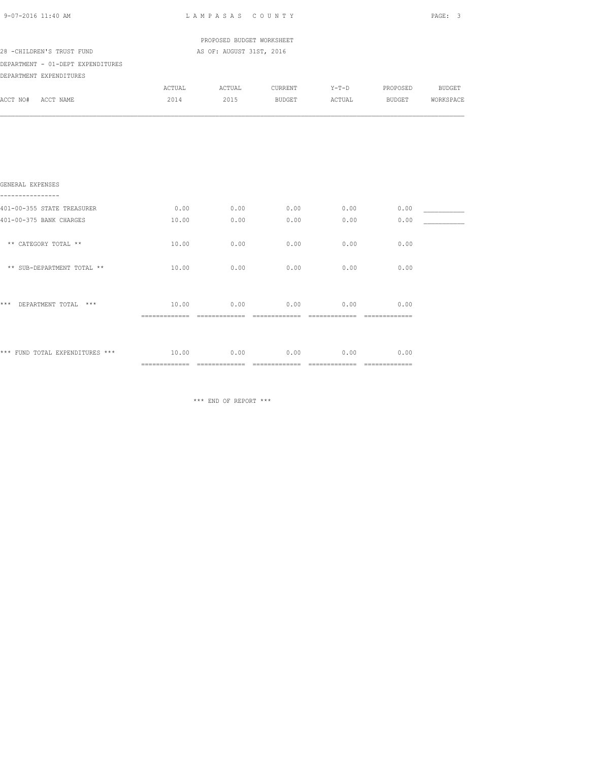| 9-07-2016 11:40 AM                           | LAMPASAS COUNTY | PAGE: 3                   |                                     |      |                |        |
|----------------------------------------------|-----------------|---------------------------|-------------------------------------|------|----------------|--------|
|                                              |                 | PROPOSED BUDGET WORKSHEET |                                     |      |                |        |
| 28 -CHILDREN'S TRUST FUND                    |                 | AS OF: AUGUST 31ST, 2016  |                                     |      |                |        |
| DEPARTMENT - 01-DEPT EXPENDITURES            |                 |                           |                                     |      |                |        |
| DEPARTMENT EXPENDITURES                      |                 |                           |                                     |      |                |        |
|                                              | ACTUAL          |                           | ACTUAL CURRENT                      |      | Y-T-D PROPOSED | BUDGET |
| ACCT NO# ACCT NAME                           | 2014            |                           | 2015 BUDGET ACTUAL BUDGET WORKSPACE |      |                |        |
|                                              |                 |                           |                                     |      |                |        |
| GENERAL EXPENSES                             |                 |                           |                                     |      |                |        |
| 401-00-355 STATE TREASURER                   | 0.00            | 0.00                      | 0.00                                | 0.00 | 0.00           |        |
| 401-00-375 BANK CHARGES                      | 10.00           | 0.00                      | 0.00                                | 0.00 | 0.00           |        |
| ** CATEGORY TOTAL **                         | 10.00           | 0.00                      | 0.00                                | 0.00 | 0.00           |        |
| ** SUB-DEPARTMENT TOTAL **                   | 10.00           | 0.00                      | 0.00                                | 0.00 | 0.00           |        |
| *** DEPARTMENT TOTAL ***                     | 10.00           | 0.00                      | 0.00                                | 0.00 | 0.00           |        |
| *** FUND TOTAL EXPENDITURES *** $10.00$ 0.00 |                 |                           | 0.00                                | 0.00 | 0.00           |        |
|                                              |                 |                           |                                     |      |                |        |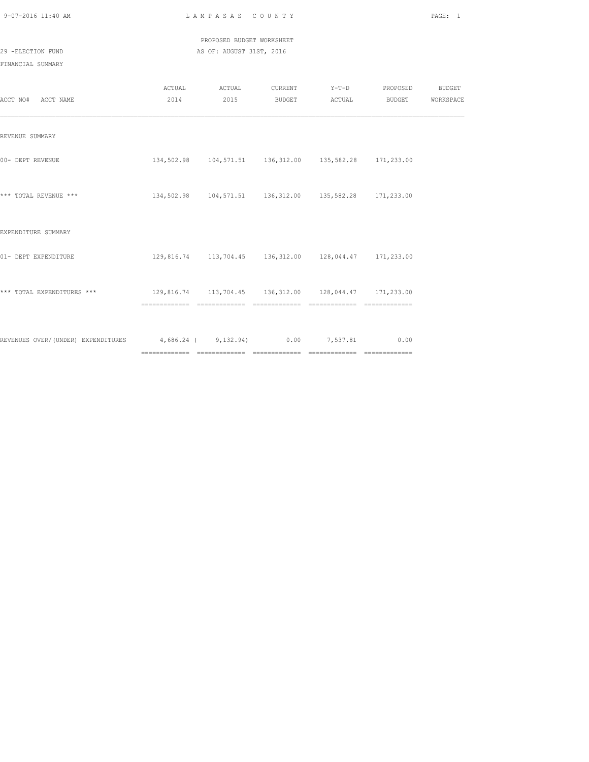| 9-07-2016 11:40 AM |  |
|--------------------|--|
|                    |  |

L A M P A S A S C O U N T Y PAGE: 1

PROPOSED BUDGET WORKSHEET

|                                                                           |                                                            |  | ACTUAL ACTUAL CURRENT Y-T-D PROPOSED BUDGET |  |
|---------------------------------------------------------------------------|------------------------------------------------------------|--|---------------------------------------------|--|
| ACCT NO# ACCT NAME                                                        |                                                            |  | 2014 2015 BUDGET ACTUAL BUDGET WORKSPACE    |  |
|                                                                           |                                                            |  |                                             |  |
|                                                                           |                                                            |  |                                             |  |
| REVENUE SUMMARY                                                           |                                                            |  |                                             |  |
|                                                                           |                                                            |  |                                             |  |
| 00- DEPT REVENUE                                                          | 134,502.98  104,571.51  136,312.00  135,582.28  171,233.00 |  |                                             |  |
|                                                                           |                                                            |  |                                             |  |
| *** TOTAL REVENUE ***                                                     | 134,502.98  104,571.51  136,312.00  135,582.28  171,233.00 |  |                                             |  |
|                                                                           |                                                            |  |                                             |  |
|                                                                           |                                                            |  |                                             |  |
| EXPENDITURE SUMMARY                                                       |                                                            |  |                                             |  |
|                                                                           |                                                            |  |                                             |  |
| 01- DEPT EXPENDITURE                                                      | 129,816.74  113,704.45  136,312.00  128,044.47  171,233.00 |  |                                             |  |
|                                                                           |                                                            |  |                                             |  |
|                                                                           |                                                            |  |                                             |  |
|                                                                           |                                                            |  |                                             |  |
|                                                                           |                                                            |  | --------------                              |  |
|                                                                           |                                                            |  |                                             |  |
|                                                                           |                                                            |  |                                             |  |
| REVENUES OVER/(UNDER) EXPENDITURES 4,686.24 (9,132.94) 0.00 7,537.81 0.00 |                                                            |  |                                             |  |
|                                                                           |                                                            |  |                                             |  |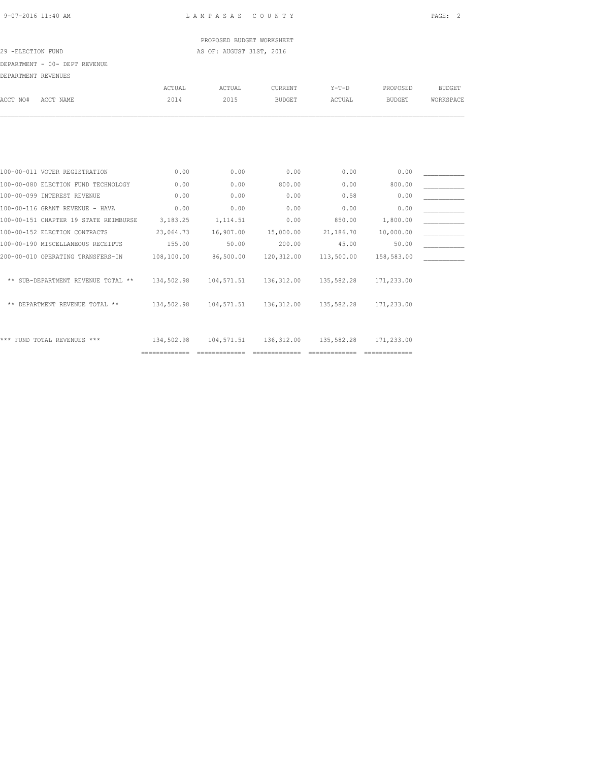## PROPOSED BUDGET WORKSHEET 29 -ELECTION FUND **AS OF: AUGUST 31ST, 2016**

DEPARTMENT - 00- DEPT REVENUE

| DEFARIMENI REVENUES                   |      |                |               |                |               |                |               |
|---------------------------------------|------|----------------|---------------|----------------|---------------|----------------|---------------|
|                                       |      | ACTUAL         | ACTUAL        | <b>CURRENT</b> | $Y-T-D$       | PROPOSED       | <b>BUDGET</b> |
| ACCT NO#<br>ACCT NAME                 | 2014 | 2015           | <b>BUDGET</b> | ACTUAL         | <b>BUDGET</b> | WORKSPACE      |               |
|                                       |      |                |               |                |               |                |               |
|                                       |      |                |               |                |               |                |               |
|                                       |      |                |               |                |               |                |               |
| 100-00-011 VOTER REGISTRATION         |      | 0.00           | 0.00          | 0.00           | 0.00          | 0.00           |               |
| 100-00-080 ELECTION FUND TECHNOLOGY   |      | 0.00           | 0.00          | 800.00         | 0.00          | 800.00         |               |
| 100-00-099 INTEREST REVENUE           |      | 0.00           | 0.00          | 0.00           | 0.58          | 0.00           |               |
| 100-00-116 GRANT REVENUE - HAVA       |      | 0.00           | 0.00          | 0.00           | 0.00          | 0.00           |               |
| 100-00-151 CHAPTER 19 STATE REIMBURSE |      | 3,183.25       | 1,114.51      | 0.00           | 850.00        | 1,800.00       |               |
| 100-00-152 ELECTION CONTRACTS         |      | 23,064.73      | 16,907.00     | 15,000.00      | 21,186.70     | 10,000.00      |               |
| 100-00-190 MISCELLANEOUS RECEIPTS     |      | 155.00         | 50.00         | 200.00         | 45.00         | 50.00          |               |
| 200-00-010 OPERATING TRANSFERS-IN     |      | 108,100.00     | 86,500.00     | 120,312.00     | 113,500.00    | 158,583.00     |               |
| ** SUB-DEPARTMENT REVENUE TOTAL **    |      | 134,502.98     | 104,571.51    | 136, 312.00    | 135,582.28    | 171,233.00     |               |
| ** DEPARTMENT REVENUE TOTAL **        |      | 134,502.98     | 104,571.51    | 136,312.00     | 135,582.28    | 171,233.00     |               |
| *** FUND TOTAL REVENUES ***           |      | 134,502.98     | 104,571.51    | 136,312.00     | 135,582.28    | 171,233.00     |               |
|                                       |      | ============== |               | -------------- |               | -------------- |               |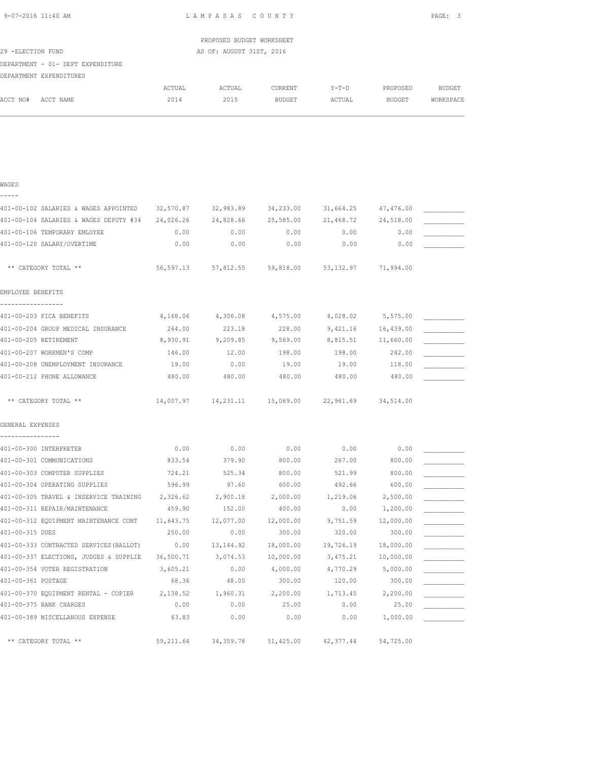| 29 -ELECTION FUND                                         |           | PROPOSED BUDGET WORKSHEET<br>AS OF: AUGUST 31ST, 2016 |                                                       |           |           |               |
|-----------------------------------------------------------|-----------|-------------------------------------------------------|-------------------------------------------------------|-----------|-----------|---------------|
|                                                           |           |                                                       |                                                       |           |           |               |
| DEPARTMENT - 01- DEPT EXPENDITURE                         |           |                                                       |                                                       |           |           |               |
| DEPARTMENT EXPENDITURES                                   |           |                                                       |                                                       |           |           |               |
|                                                           | ACTUAL    | ACTUAL                                                | CURRENT                                               | $Y-T-D$   | PROPOSED  | <b>BUDGET</b> |
| ACCT NO#<br>ACCT NAME                                     | 2014      | 2015                                                  | BUDGET                                                | ACTUAL    | BUDGET    | WORKSPACE     |
|                                                           |           |                                                       |                                                       |           |           |               |
|                                                           |           |                                                       |                                                       |           |           |               |
|                                                           |           |                                                       |                                                       |           |           |               |
|                                                           |           |                                                       |                                                       |           |           |               |
| WAGES                                                     |           |                                                       |                                                       |           |           |               |
|                                                           |           |                                                       |                                                       |           |           |               |
| 401-00-102 SALARIES & WAGES APPOINTED 32,570.87 32,983.89 |           |                                                       | 34,233.00                                             | 31,664.25 | 47,476.00 |               |
| 401-00-104 SALARIES & WAGES DEPUTY #34 24,026.26          |           | 24,828.66                                             | 25,585.00                                             | 21,468.72 | 24,518.00 |               |
| 401-00-106 TEMPORARY EMLOYEE                              | 0.00      | 0.00                                                  | 0.00                                                  | 0.00      | 0.00      |               |
| 401-00-120 SALARY/OVERTIME                                | 0.00      | 0.00                                                  | 0.00                                                  | 0.00      | 0.00      |               |
|                                                           |           |                                                       |                                                       |           |           |               |
| ** CATEGORY TOTAL **                                      |           |                                                       | 56,597.13 57,812.55 59,818.00 53,132.97 71,994.00     |           |           |               |
|                                                           |           |                                                       |                                                       |           |           |               |
| EMPLOYEE BENEFITS                                         |           |                                                       |                                                       |           |           |               |
| -----------------                                         |           |                                                       |                                                       |           |           |               |
| 401-00-203 FICA BENEFITS                                  |           |                                                       | 4, 168.06 4, 306.08 4, 575.00 4, 028.02 5, 575.00     |           |           |               |
| 401-00-204 GROUP MEDICAL INSURANCE                        | 264.00    | 223.18                                                | 228.00                                                | 9,421.16  | 16,439.00 |               |
| 401-00-205 RETIREMENT                                     | 8,930.91  | 9,209.85                                              | 9,569.00                                              | 8,815.51  | 11,660.00 |               |
| 401-00-207 WORKMEN'S COMP                                 | 146.00    | 12.00                                                 | 198.00                                                | 198.00    | 242.00    |               |
| 401-00-208 UNEMPLOYMENT INSURANCE                         | 19.00     | 0.00                                                  | 19.00                                                 | 19.00     | 118.00    |               |
| 401-00-212 PHONE ALLOWANCE                                | 480.00    | 480.00                                                | 480.00                                                | 480.00    | 480.00    |               |
| ** CATEGORY TOTAL **                                      |           |                                                       | 14,007.97  14,231.11  15,069.00  22,961.69  34,514.00 |           |           |               |
|                                                           |           |                                                       |                                                       |           |           |               |
| GENERAL EXPENSES<br>----------------                      |           |                                                       |                                                       |           |           |               |
| 401-00-300 INTERPRETER                                    | 0.00      | 0.00                                                  | 0.00                                                  | 0.00      | 0.00      |               |
| 401-00-301 COMMUNICATIONS                                 | 833.54    | 379.90                                                | 800.00                                                | 267.00    | 800.00    |               |
| 401-00-303 COMPUTER SUPPLIES                              | 724.21    | 525.34                                                | 800.00                                                | 521.99    | 800.00    |               |
| 401-00-304 OPERATING SUPPLIES                             | 596.99    | 97.60                                                 | 600.00                                                | 492.66    | 600.00    |               |
| 401-00-305 TRAVEL & INSERVICE TRAINING                    | 2,326.62  | 2,900.18                                              | 2,000.00                                              | 1,219.06  | 2,500.00  |               |
| 401-00-311 REPAIR/MAINTENANCE                             | 459.90    | 152.00                                                | 400.00                                                | 0.00      | 1,200.00  |               |
| 401-00-312 EQUIPMENT MAINTENANCE CONT                     | 11,643.75 | 12,077.00                                             | 12,000.00                                             | 9,751.59  | 12,000.00 |               |
| 401-00-315 DUES                                           | 250.00    | 0.00                                                  | 300.00                                                | 320.00    | 300.00    |               |
| 401-00-333 CONTRACTED SERVICES (BALLOT)                   | 0.00      | 13, 144.92                                            | 18,000.00                                             | 19,726.19 | 18,000.00 |               |
| 401-00-337 ELECTIONS, JUDGES & SUPPLIE                    | 36,500.71 | 3,074.53                                              | 10,000.00                                             | 3,475.21  | 10,000.00 |               |
| 401-00-354 VOTER REGISTRATION                             | 3,605.21  | 0.00                                                  | 4,000.00                                              | 4,770.29  | 5,000.00  |               |
| 401-00-361 POSTAGE                                        | 68.36     | 48.00                                                 | 300.00                                                | 120.00    | 300.00    |               |
| 401-00-370 EQUIPMENT RENTAL - COPIER                      | 2,138.52  | 1,960.31                                              | 2,200.00                                              | 1,713.45  | 2,200.00  |               |
| 401-00-375 BANK CHARGES                                   | 0.00      | 0.00                                                  | 25.00                                                 | 0.00      | 25.00     |               |
| 401-00-389 MISCELLANOUS EXPENSE                           | 63.83     | 0.00                                                  | 0.00                                                  | 0.00      | 1,000.00  |               |
|                                                           |           |                                                       |                                                       |           |           |               |

\*\* CATEGORY TOTAL \*\* 59,211.64 34,359.78 51,425.00 42,377.44 54,725.00

9-07-2016 11:40 AM L A M P A S A S C O U N T Y PAGE: 3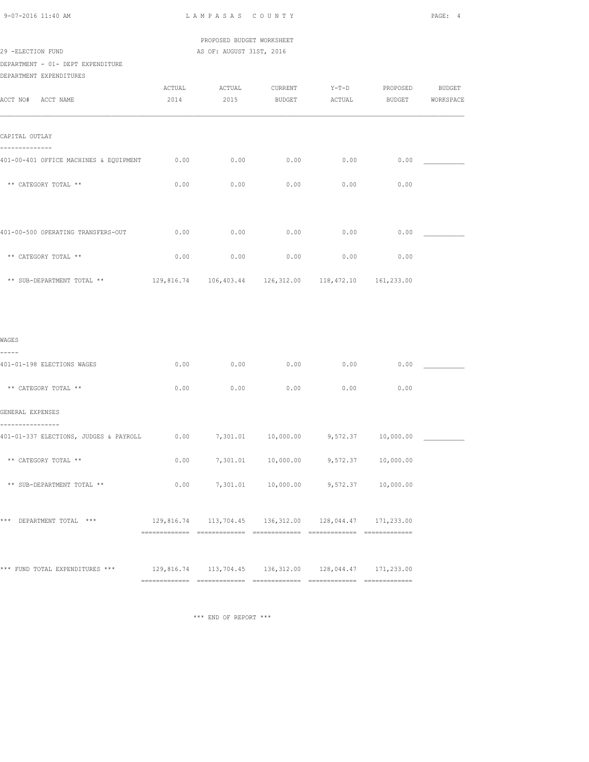|  | $9 - 07 - 2016$ 11:40 AM |  |
|--|--------------------------|--|
|  |                          |  |

L A M P A S A S C O U N T Y PAGE: 4

 PROPOSED BUDGET WORKSHEET 29 -ELECTION FUND AS OF: AUGUST 31ST, 2016

DEPARTMENT - 01- DEPT EXPENDITURE

DEPARTMENT EXPENDITURES

| ACCT NO# ACCT NAME                                        | ACTUAL<br>2014 | ACTUAL<br>2015 | CURRENT<br><b>BUDGET</b>                                   | $Y-T-D$<br>ACTUAL | PROPOSED<br><b>BUDGET</b> | BUDGET<br>WORKSPACE |
|-----------------------------------------------------------|----------------|----------------|------------------------------------------------------------|-------------------|---------------------------|---------------------|
| CAPITAL OUTLAY                                            |                |                |                                                            |                   |                           |                     |
| --------------<br>401-00-401 OFFICE MACHINES & EQUIPMENT  | 0.00           | 0.00           | 0.00                                                       | 0.00              | 0.00                      |                     |
| ** CATEGORY TOTAL **                                      | 0.00           | 0.00           | 0.00                                                       | 0.00              | 0.00                      |                     |
| 401-00-500 OPERATING TRANSFERS-OUT                        | 0.00           | 0.00           | 0.00                                                       | 0.00              | 0.00                      |                     |
| ** CATEGORY TOTAL **                                      | 0.00           | 0.00           | 0.00                                                       | 0.00              | 0.00                      |                     |
| ** SUB-DEPARTMENT TOTAL **                                |                |                | 129,816.74  106,403.44  126,312.00  118,472.10  161,233.00 |                   |                           |                     |
|                                                           |                |                |                                                            |                   |                           |                     |
| WAGES<br>-----                                            |                |                |                                                            |                   |                           |                     |
| 401-01-198 ELECTIONS WAGES                                | 0.00           | 0.00           | 0.00                                                       | 0.00              | 0.00                      |                     |
| ** CATEGORY TOTAL **                                      | 0.00           | 0.00           | 0.00                                                       | 0.00              | 0.00                      |                     |
| GENERAL EXPENSES                                          |                |                |                                                            |                   |                           |                     |
| _______________<br>401-01-337 ELECTIONS, JUDGES & PAYROLL |                |                | $0.00$ $7,301.01$ $10,000.00$ $9,572.37$ $10,000.00$       |                   |                           |                     |
| ** CATEGORY TOTAL **                                      | 0.00           | 7,301.01       | 10,000.00                                                  | 9,572.37          | 10,000.00                 |                     |
| ** SUB-DEPARTMENT TOTAL **                                | 0.00           |                | 7,301.01  10,000.00  9,572.37  10,000.00                   |                   |                           |                     |
| *** DEPARTMENT TOTAL ***                                  |                |                | 129,816.74  113,704.45  136,312.00  128,044.47  171,233.00 |                   |                           |                     |
| *** FUND TOTAL EXPENDITURES ***                           |                |                | 129,816.74 113,704.45 136,312.00 128,044.47 171,233.00     |                   |                           |                     |
|                                                           |                |                |                                                            |                   |                           |                     |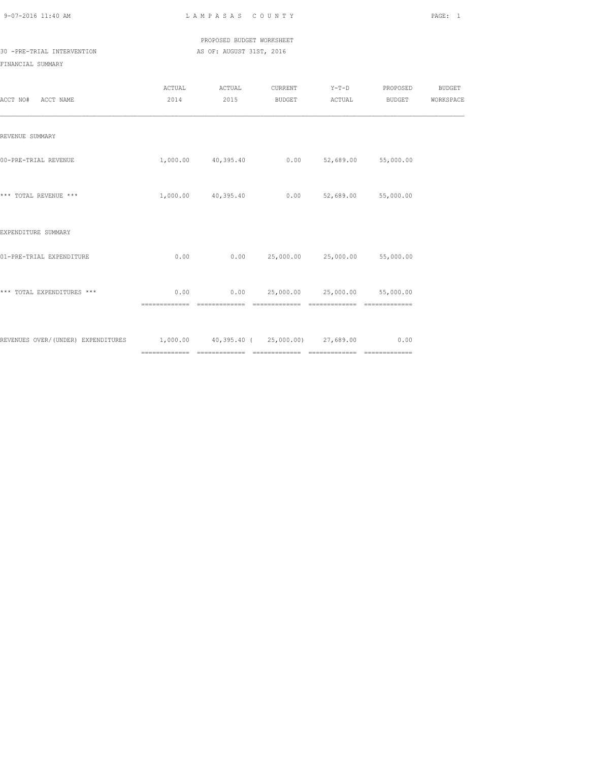PROPOSED BUDGET WORKSHEET 30 -PRE-TRIAL INTERVENTION **AS OF: AUGUST 31ST, 2016** 

| ACCT NO# ACCT NAME                                                          |                        | ACTUAL ACTUAL<br>2014 2015                      |                                      | BUDGET ACTUAL                  | CURRENT Y-T-D PROPOSED<br>BUDGET | <b>BUDGET</b><br>WORKSPACE |
|-----------------------------------------------------------------------------|------------------------|-------------------------------------------------|--------------------------------------|--------------------------------|----------------------------------|----------------------------|
| REVENUE SUMMARY                                                             |                        |                                                 |                                      |                                |                                  |                            |
| 00-PRE-TRIAL REVENUE                                                        |                        | 1,000.00  40,395.40  0.00  52,689.00  55,000.00 |                                      |                                |                                  |                            |
| *** TOTAL REVENUE ***                                                       |                        | 1,000.00 40,395.40                              |                                      | $0.00$ $52,689.00$ $55,000.00$ |                                  |                            |
| EXPENDITURE SUMMARY                                                         |                        |                                                 |                                      |                                |                                  |                            |
| 01-PRE-TRIAL EXPENDITURE                                                    | 0.00                   |                                                 | $0.00$ 25,000.00 25,000.00 55,000.00 |                                |                                  |                            |
| *** TOTAL EXPENDITURES ***                                                  | 0.00<br>============== |                                                 | $0.00$ 25,000.00 25,000.00 55,000.00 |                                | --------------                   |                            |
| REVENUES OVER/(UNDER) EXPENDITURES 1,000.00 40,395.40 (25,000.00) 27,689.00 |                        |                                                 |                                      |                                | 0.00                             |                            |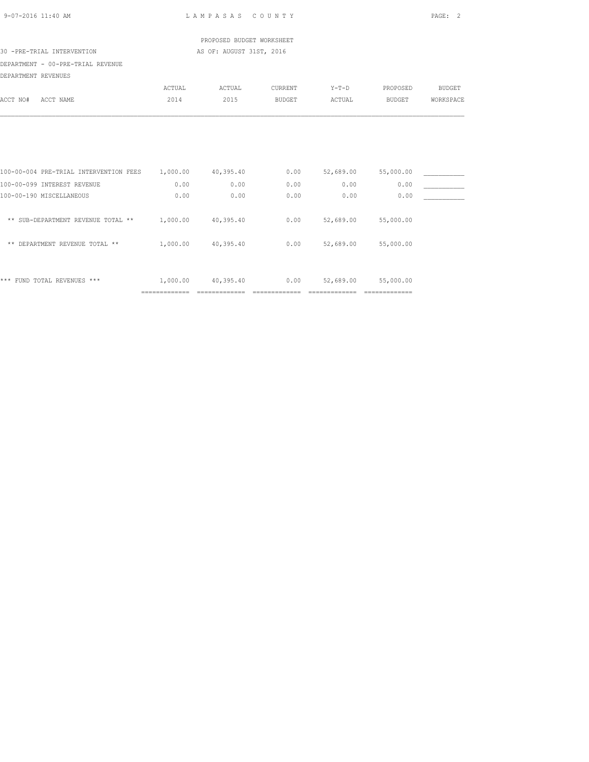| 9-07-2016 11:40 AM                     |                           | LAMPASAS COUNTY           |                        |                            |                             | PAGE: 2       |
|----------------------------------------|---------------------------|---------------------------|------------------------|----------------------------|-----------------------------|---------------|
|                                        |                           | PROPOSED BUDGET WORKSHEET |                        |                            |                             |               |
| 30 -PRE-TRIAL INTERVENTION             |                           | AS OF: AUGUST 31ST, 2016  |                        |                            |                             |               |
| DEPARTMENT - 00-PRE-TRIAL REVENUE      |                           |                           |                        |                            |                             |               |
| DEPARTMENT REVENUES                    |                           |                           |                        |                            |                             |               |
|                                        | ACTUAL                    | ACTUAL                    | CURRENT                | $Y-T-D$                    | PROPOSED                    | <b>BUDGET</b> |
| ACCT NO#<br>ACCT NAME                  | 2014                      | 2015                      | BUDGET                 | ACTUAL                     | <b>BUDGET</b>               | WORKSPACE     |
| 100-00-004 PRE-TRIAL INTERVENTION FEES | 1,000.00                  | 40,395.40                 |                        | $0.00$ $52,689.00$         | 55,000.00                   |               |
| 100-00-099 INTEREST REVENUE            | 0.00                      | 0.00                      | 0.00                   | 0.00                       | 0.00                        |               |
| 100-00-190 MISCELLANEOUS               | 0.00                      | 0.00                      | 0.00                   | 0.00                       | 0.00                        |               |
| ** SUB-DEPARTMENT REVENUE TOTAL **     | 1,000.00 40,395.40        |                           | 0.00                   | 52,689.00                  | 55,000.00                   |               |
| ** DEPARTMENT REVENUE TOTAL **         | 1,000.00 40,395.40        |                           | 0.00                   | 52,689.00                  | 55,000.00                   |               |
| *** FUND TOTAL REVENUES ***            | 1,000.00<br>============= | 40,395.40                 | 0.00<br>============== | 52,689.00<br>============= | 55,000.00<br>============== |               |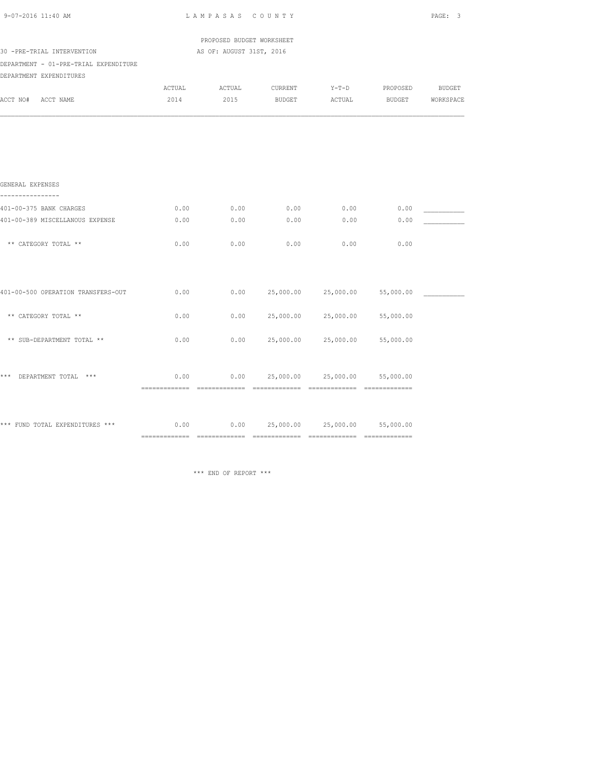| 9-07-2016 11:40 AM                    | LAMPASAS COUNTY |                                                   | PAGE: 3   |                                      |                               |           |
|---------------------------------------|-----------------|---------------------------------------------------|-----------|--------------------------------------|-------------------------------|-----------|
|                                       |                 | PROPOSED BUDGET WORKSHEET                         |           |                                      |                               |           |
| 30 -PRE-TRIAL INTERVENTION            |                 | AS OF: AUGUST 31ST, 2016                          |           |                                      |                               |           |
| DEPARTMENT - 01-PRE-TRIAL EXPENDITURE |                 |                                                   |           |                                      |                               |           |
| DEPARTMENT EXPENDITURES               |                 |                                                   |           |                                      |                               |           |
|                                       | ACTUAL          | ACTUAL                                            |           |                                      | CURRENT Y-T-D PROPOSED BUDGET |           |
| ACCT NO#<br>ACCT NAME                 | 2014            | 2015                                              | BUDGET    | ACTUAL                               | <b>BUDGET</b>                 | WORKSPACE |
|                                       |                 |                                                   |           |                                      |                               |           |
| GENERAL EXPENSES<br>--------------    |                 |                                                   |           |                                      |                               |           |
| 401-00-375 BANK CHARGES               | 0.00            | 0.00                                              | 0.00      | 0.00                                 | 0.00                          |           |
| 401-00-389 MISCELLANOUS EXPENSE       | 0.00            | 0.00                                              | 0.00      | 0.00                                 | 0.00                          |           |
|                                       |                 |                                                   |           |                                      |                               |           |
| ** CATEGORY TOTAL **                  | 0.00            | 0.00                                              | 0.00      | 0.00                                 | 0.00                          |           |
| 401-00-500 OPERATION TRANSFERS-OUT    | 0.00            |                                                   |           | $0.00$ 25,000.00 25,000.00           | 55,000.00                     |           |
|                                       |                 |                                                   |           |                                      |                               |           |
| ** CATEGORY TOTAL **                  | 0.00            | 0.00                                              | 25,000.00 | 25,000.00                            | 55,000.00                     |           |
| ** SUB-DEPARTMENT TOTAL **            | 0.00            | 0.00                                              | 25,000.00 | 25,000.00                            | 55,000.00                     |           |
| *** DEPARTMENT TOTAL ***              | 0.00            |                                                   |           | $0.00$ 25,000.00 25,000.00 55,000.00 |                               |           |
|                                       |                 |                                                   |           |                                      |                               |           |
| *** FUND TOTAL EXPENDITURES ***       |                 | $0.00$ $0.00$ $25,000.00$ $25,000.00$ $55,000.00$ |           |                                      |                               |           |
|                                       |                 |                                                   |           |                                      |                               |           |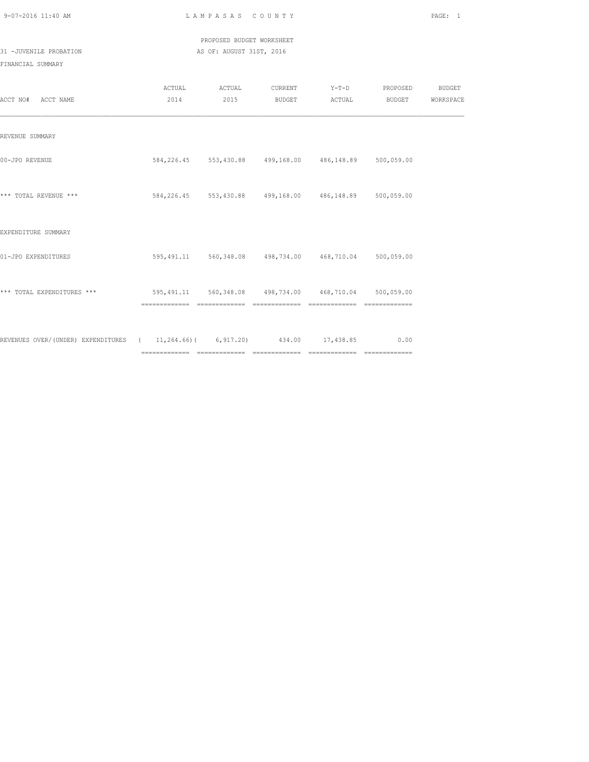|  | 9-07-2016 11:40 AM |  |
|--|--------------------|--|
|  |                    |  |

L A M P A S A S C O U N T Y PAGE: 1

 PROPOSED BUDGET WORKSHEET 31 -JUVENILE PROBATION AS OF: AUGUST 31ST, 2016

| ACCT NO# ACCT NAME                                                                | ACTUAL ACTUAL<br>2014 2015 |                                                             | CURRENT Y-T-D PROPOSED<br>BUDGET ACTUAL BUDGET WORKSPACE | <b>BUDGET</b> |
|-----------------------------------------------------------------------------------|----------------------------|-------------------------------------------------------------|----------------------------------------------------------|---------------|
| REVENUE SUMMARY                                                                   |                            |                                                             |                                                          |               |
| 00-JPO REVENUE                                                                    |                            | 584, 226.45 553, 430.88 499, 168.00 486, 148.89 500, 059.00 |                                                          |               |
| *** TOTAL REVENUE ***                                                             |                            | 584,226.45 553,430.88 499,168.00 486,148.89 500,059.00      |                                                          |               |
| EXPENDITURE SUMMARY                                                               |                            |                                                             |                                                          |               |
| 01-JPO EXPENDITURES                                                               |                            | 595,491.11 560,348.08 498,734.00 468,710.04 500,059.00      |                                                          |               |
| *** TOTAL EXPENDITURES *** 695,491.11 560,348.08 498,734.00 468,710.04 500,059.00 |                            |                                                             | ________________                                         |               |
| REVENUES OVER/(UNDER) EXPENDITURES (11,264.66)(6,917.20) 434.00 17,438.85 0.00    |                            |                                                             |                                                          |               |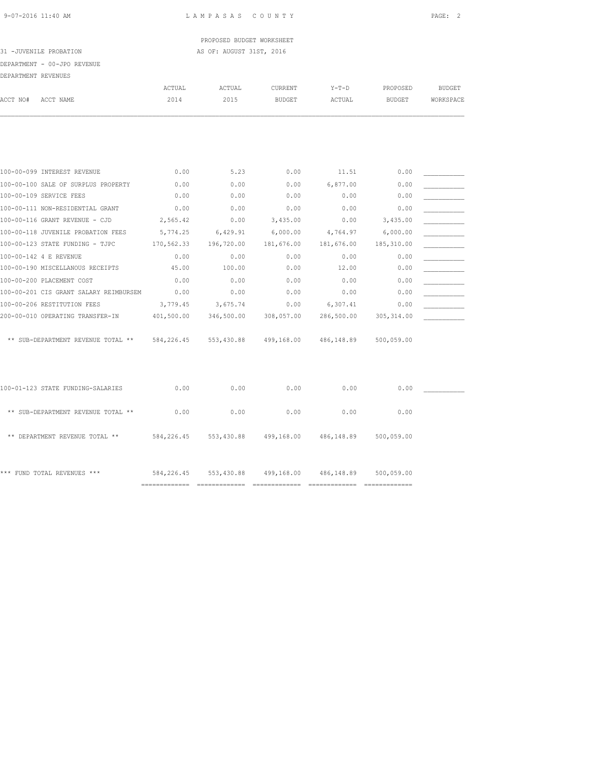## PROPOSED BUDGET WORKSHEET 31 -JUVENILE PROBATION AS OF: AUGUST 31ST, 2016

# DEPARTMENT - 00-JPO REVENUE

|                     | DEPARTMENT - UU-JPO KEVENUE         |        |        |         |          |               |           |
|---------------------|-------------------------------------|--------|--------|---------|----------|---------------|-----------|
| DEPARTMENT REVENUES |                                     |        |        |         |          |               |           |
|                     |                                     | ACTUAL | ACTUAL | CURRENT | $Y-T-D$  | PROPOSED      | BUDGET    |
| ACCT NO#            | ACCT NAME                           | 2014   | 2015   | BUDGET  | ACTUAL   | <b>BUDGET</b> | WORKSPACE |
|                     |                                     |        |        |         |          |               |           |
|                     |                                     |        |        |         |          |               |           |
|                     |                                     |        |        |         |          |               |           |
|                     | 100-00-099 INTEREST REVENUE         | 0.00   | 5.23   | 0.00    | 11.51    | 0.00          |           |
|                     | 100-00-100 SALE OF SURPLUS PROPERTY | 0.00   | 0.00   | 0.00    | 6,877.00 | 0.00          |           |

| 100 00 100 0NUL OL OONLIOO INOLINII    | .          | $\circ\cdot\circ\circ$ | $\circ \cdot \circ \circ$ |            | $\circ \cdot \circ \circ$ |  |
|----------------------------------------|------------|------------------------|---------------------------|------------|---------------------------|--|
| 100-00-109 SERVICE FEES                | 0.00       | 0.00                   | 0.00                      | 0.00       | 0.00                      |  |
| 100-00-111 NON-RESIDENTIAL GRANT       | 0.00       | 0.00                   | 0.00                      | 0.00       | 0.00                      |  |
| 100-00-116 GRANT REVENUE - CJD         | 2,565.42   | 0.00                   | 3,435.00                  | 0.00       | 3,435.00                  |  |
| 100-00-118 JUVENILE PROBATION FEES     | 5,774.25   | 6,429.91               | 6,000.00                  | 4,764.97   | 6,000.00                  |  |
| 100-00-123 STATE FUNDING - TJPC        | 170,562.33 | 196,720.00             | 181,676.00                | 181,676.00 | 185,310.00                |  |
| 100-00-142 4 E REVENUE                 | 0.00       | 0.00                   | 0.00                      | 0.00       | 0.00                      |  |
| 100-00-190 MISCELLANOUS RECEIPTS       | 45.00      | 100.00                 | 0.00                      | 12.00      | 0.00                      |  |
| 100-00-200 PLACEMENT COST              | 0.00       | 0.00                   | 0.00                      | 0.00       | 0.00                      |  |
| 100-00-201 CIS GRANT SALARY REIMBURSEM | 0.00       | 0.00                   | 0.00                      | 0.00       | 0.00                      |  |
| 100-00-206 RESTITUTION FEES            | 3,779.45   | 3,675.74               | 0.00                      | 6,307.41   | 0.00                      |  |
| 200-00-010 OPERATING TRANSFER-IN       | 401,500.00 | 346,500.00             | 308,057.00                | 286,500.00 | 305, 314.00               |  |
|                                        |            |                        |                           |            |                           |  |
| ** SUB-DEPARTMENT REVENUE TOTAL **     | 584,226.45 | 553,430.88             | 499,168.00                | 486,148.89 | 500,059.00                |  |

|                                    | ------------------<br>------------- | ------------------- | _____________ | ----------------- | _______________<br>----------- |  |
|------------------------------------|-------------------------------------|---------------------|---------------|-------------------|--------------------------------|--|
| *** FUND TOTAL REVENUES ***        | 584,226.45                          | 553,430.88          | 499,168.00    | 486,148.89        | 500,059.00                     |  |
| ** DEPARTMENT REVENUE TOTAL **     | 584,226.45                          | 553,430.88          | 499,168.00    | 486, 148, 89      | 500,059.00                     |  |
| ** SUB-DEPARTMENT REVENUE TOTAL ** | 0.00                                | 0.00                | 0.00          | 0.00              | 0.00                           |  |
| 100-01-123 STATE FUNDING-SALARIES  | 0.00                                | 0.00                | 0.00          | 0.00              | 0.00                           |  |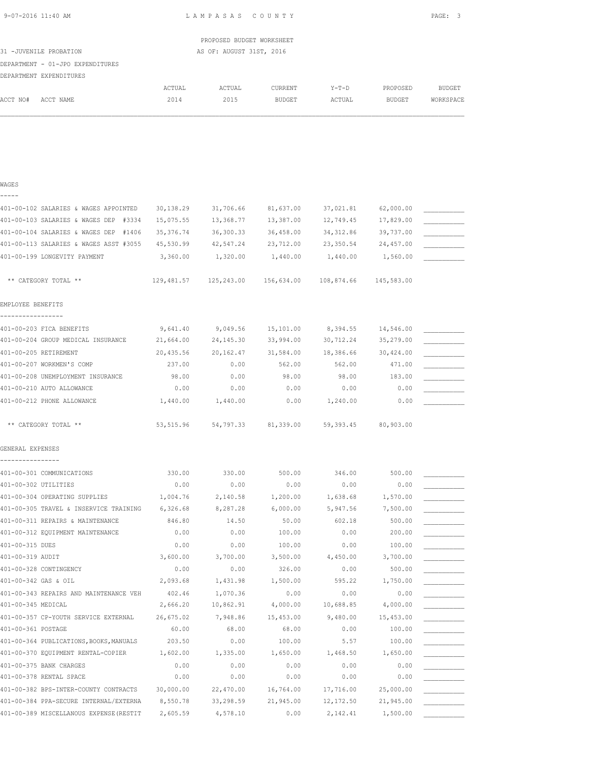| 9-07-2016 11:40 AM |  |
|--------------------|--|
|                    |  |

L A M P A S A S C O U N T Y RGE: 3

|                                  |        | PROPOSED BUDGET WORKSHEET |         |        |          |           |
|----------------------------------|--------|---------------------------|---------|--------|----------|-----------|
| 31 -JUVENILE PROBATION           |        | AS OF: AUGUST 31ST, 2016  |         |        |          |           |
| DEPARTMENT - 01-JPO EXPENDITURES |        |                           |         |        |          |           |
| DEPARTMENT EXPENDITURES          |        |                           |         |        |          |           |
|                                  | ACTUAL | ACTUAL                    | CURRENT | Y-T-D  | PROPOSED | BUDGET    |
| ACCT NO#<br>ACCT NAME            | 2014   | 2015                      | BUDGET  | ACTUAL | BUDGET   | WORKSPACE |
|                                  |        |                           |         |        |          |           |
|                                  |        |                           |         |        |          |           |
|                                  |        |                           |         |        |          |           |
|                                  |        |                           |         |        |          |           |
|                                  |        |                           |         |        |          |           |

### WAGES -----

| 401-00-102 SALARIES & WAGES APPOINTED   | 30,138.29  | 31,706.66                          | 81,637.00           | 37,021.81  | 62,000.00  |  |
|-----------------------------------------|------------|------------------------------------|---------------------|------------|------------|--|
| 401-00-103 SALARIES & WAGES DEP #3334   | 15,075.55  | 13,368.77                          | 13,387.00           | 12,749.45  | 17,829.00  |  |
| 401-00-104 SALARIES & WAGES DEP #1406   | 35, 376.74 | 36,300.33                          | 36,458.00           | 34, 312.86 | 39,737.00  |  |
| 401-00-113 SALARIES & WAGES ASST #3055  | 45,530.99  | 42,547.24                          | 23,712.00           | 23,350.54  | 24,457.00  |  |
| 401-00-199 LONGEVITY PAYMENT            | 3,360.00   | 1,320.00                           | 1,440.00            | 1,440.00   | 1,560.00   |  |
|                                         |            |                                    |                     |            |            |  |
| ** CATEGORY TOTAL **                    | 129,481.57 | 125,243.00  156,634.00  108,874.66 |                     |            | 145,583.00 |  |
|                                         |            |                                    |                     |            |            |  |
| EMPLOYEE BENEFITS<br>-----------------  |            |                                    |                     |            |            |  |
|                                         |            |                                    |                     |            |            |  |
| 401-00-203 FICA BENEFITS                | 9,641.40   | 9,049.56                           | 15,101.00           | 8,394.55   | 14,546.00  |  |
| 401-00-204 GROUP MEDICAL INSURANCE      | 21,664.00  | 24, 145.30                         | 33,994.00           | 30,712.24  | 35,279.00  |  |
| 401-00-205 RETIREMENT                   | 20,435.56  | 20,162.47                          | 31,584.00           | 18,386.66  | 30,424.00  |  |
| 401-00-207 WORKMEN'S COMP               | 237.00     | 0.00                               | 562.00              | 562.00     | 471.00     |  |
| 401-00-208 UNEMPLOYMENT INSURANCE       | 98.00      | 0.00                               | 98.00               | 98.00      | 183.00     |  |
| 401-00-210 AUTO ALLOWANCE               | 0.00       | 0.00                               | 0.00                | 0.00       | 0.00       |  |
| 401-00-212 PHONE ALLOWANCE              | 1,440.00   | 1,440.00                           | 0.00                | 1,240.00   | 0.00       |  |
|                                         |            |                                    |                     |            |            |  |
| ** CATEGORY TOTAL **                    | 53,515.96  |                                    | 54,797.33 81,339.00 | 59,393.45  | 80,903.00  |  |
| GENERAL EXPENSES                        |            |                                    |                     |            |            |  |
|                                         |            |                                    |                     |            |            |  |
| 401-00-301 COMMUNICATIONS               | 330.00     | 330.00                             | 500.00              | 346.00     | 500.00     |  |
| 401-00-302 UTILITIES                    | 0.00       | 0.00                               | 0.00                | 0.00       | 0.00       |  |
| 401-00-304 OPERATING SUPPLIES           | 1,004.76   | 2,140.58                           | 1,200.00            | 1,638.68   | 1,570.00   |  |
| 401-00-305 TRAVEL & INSERVICE TRAINING  | 6,326.68   | 8,287.28                           | 6,000.00            | 5,947.56   | 7,500.00   |  |
| 401-00-311 REPAIRS & MAINTENANCE        | 846.80     | 14.50                              | 50.00               | 602.18     | 500.00     |  |
| 401-00-312 EQUIPMENT MAINTENANCE        | 0.00       | 0.00                               | 100.00              | 0.00       | 200.00     |  |
| 401-00-315 DUES                         | 0.00       | 0.00                               | 100.00              | 0.00       | 100.00     |  |
| 401-00-319 AUDIT                        | 3,600.00   | 3,700.00                           | 3,500.00            | 4,450.00   | 3,700.00   |  |
| 401-00-328 CONTINGENCY                  | 0.00       | 0.00                               | 326.00              | 0.00       | 500.00     |  |
| 401-00-342 GAS & OIL                    | 2,093.68   | 1,431.98                           | 1,500.00            | 595.22     | 1,750.00   |  |
| 401-00-343 REPAIRS AND MAINTENANCE VEH  | 402.46     | 1,070.36                           | 0.00                | 0.00       | 0.00       |  |
| 401-00-345 MEDICAL                      | 2,666.20   | 10,862.91                          | 4,000.00            | 10,688.85  | 4,000.00   |  |
| 401-00-357 CP-YOUTH SERVICE EXTERNAL    | 26,675.02  | 7,948.86                           | 15,453.00           | 9,480.00   | 15,453.00  |  |
| 401-00-361 POSTAGE                      | 60.00      | 68.00                              | 68.00               | 0.00       | 100.00     |  |
| 401-00-364 PUBLICATIONS, BOOKS, MANUALS | 203.50     | 0.00                               | 100.00              | 5.57       | 100.00     |  |
| 401-00-370 EQUIPMENT RENTAL-COPIER      | 1,602.00   | 1,335.00                           | 1,650.00            | 1,468.50   | 1,650.00   |  |
| 401-00-375 BANK CHARGES                 | 0.00       | 0.00                               | 0.00                | 0.00       | 0.00       |  |
| 401-00-378 RENTAL SPACE                 | 0.00       | 0.00                               | 0.00                | 0.00       | 0.00       |  |
| 401-00-382 BPS-INTER-COUNTY CONTRACTS   | 30,000.00  | 22,470.00                          | 16,764.00           | 17,716.00  | 25,000.00  |  |
|                                         |            |                                    |                     |            |            |  |

401-00-384 PPA-SECURE INTERNAL/EXTERNA 8,550.78 33,298.59 21,945.00 12,172.50 21,945.00 \_\_\_\_\_\_\_\_\_\_\_ 401-00-389 MISCELLANOUS EXPENSE(RESTIT 2,605.59 4,578.10 0.00 2,142.41 1,500.00 \_\_\_\_\_\_\_\_\_\_\_\_\_\_\_\_\_\_\_\_\_\_\_\_\_\_\_\_\_\_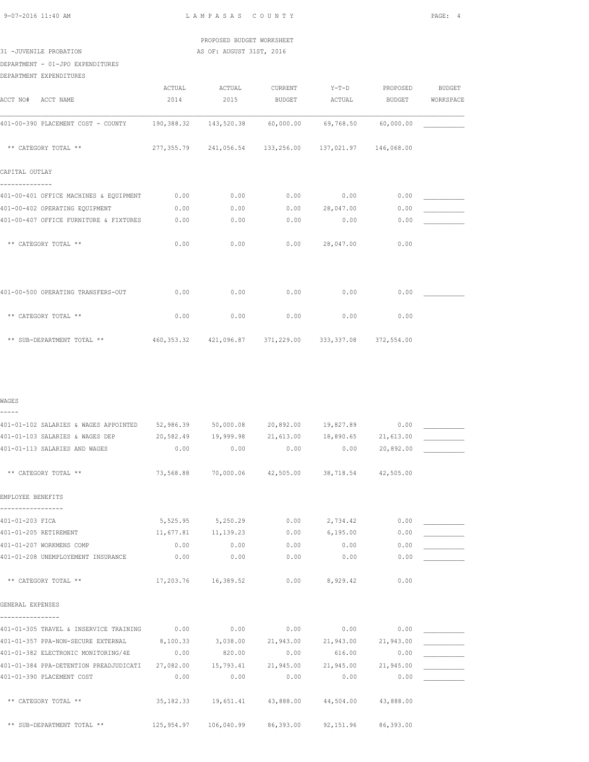## PROPOSED BUDGET WORKSHEET 31 -JUVENILE PROBATION AS OF: AUGUST 31ST, 2016

DEPARTMENT - 01-JPO EXPENDITURES

| DEPARTMENT EXPENDITURES                |            |                      |                                                        |           |            |               |
|----------------------------------------|------------|----------------------|--------------------------------------------------------|-----------|------------|---------------|
|                                        | ACTUAL     | ACTUAL               | CURRENT                                                | $Y-T-D$   | PROPOSED   | <b>BUDGET</b> |
| ACCT NO# ACCT NAME                     | 2014       | 2015                 | <b>BUDGET</b>                                          | ACTUAL    | BUDGET     | WORKSPACE     |
| 401-00-390 PLACEMENT COST - COUNTY     | 190,388.32 | 143,520.38 60,000.00 |                                                        | 69,768.50 | 60,000.00  |               |
| ** CATEGORY TOTAL **                   |            |                      | 277,355.79 241,056.54 133,256.00 137,021.97 146,068.00 |           |            |               |
| CAPITAL OUTLAY                         |            |                      |                                                        |           |            |               |
| 401-00-401 OFFICE MACHINES & EQUIPMENT | 0.00       | 0.00                 | 0.00                                                   | 0.00      | 0.00       |               |
| 401-00-402 OPERATING EQUIPMENT         | 0.00       | 0.00                 | 0.00                                                   | 28,047.00 | 0.00       |               |
| 401-00-407 OFFICE FURNITURE & FIXTURES | 0.00       | 0.00                 | 0.00                                                   | 0.00      | 0.00       |               |
| ** CATEGORY TOTAL **                   | 0.00       | 0.00                 | 0.00                                                   | 28,047.00 | 0.00       |               |
|                                        |            |                      |                                                        |           |            |               |
| 401-00-500 OPERATING TRANSFERS-OUT     | 0.00       | 0.00                 | 0.00                                                   | 0.00      | 0.00       |               |
| ** CATEGORY TOTAL **                   | 0.00       | 0.00                 | 0.00                                                   | 0.00      | 0.00       |               |
| ** SUB-DEPARTMENT TOTAL **             |            |                      | 460,353.32 421,096.87 371,229.00 333,337.08            |           | 372,554.00 |               |

### WAGES -----

| 401-01-102 SALARIES & WAGES APPOINTED 52,986.39 50,000.08 20,892.00 19,827.89            |      |                                                       |      |                   | 0.00 |  |
|------------------------------------------------------------------------------------------|------|-------------------------------------------------------|------|-------------------|------|--|
| 401-01-103 SALARIES & WAGES DEP 20,582.49 19,999.98 21,613.00 18,890.65 21,613.00        |      |                                                       |      |                   |      |  |
| 401-01-113 SALARIES AND WAGES                                                            | 0.00 | $0.00$ 0.00                                           |      | 0.00 20,892.00    |      |  |
|                                                                                          |      |                                                       |      |                   |      |  |
| ** CATEGORY TOTAL **                                                                     |      | 73,568.88 70,000.06 42,505.00 38,718.54 42,505.00     |      |                   |      |  |
|                                                                                          |      |                                                       |      |                   |      |  |
| EMPLOYEE BENEFITS                                                                        |      |                                                       |      |                   |      |  |
|                                                                                          |      |                                                       |      |                   |      |  |
| 401-01-203 FICA                                                                          |      | 5,525.95 5,250.29                                     | 0.00 | 2,734.42          | 0.00 |  |
| 401-01-205 RETIREMENT                                                                    |      | 11,677.81 11,139.23                                   | 0.00 | 6,195.00          | 0.00 |  |
| 401-01-207 WORKMENS COMP                                                                 | 0.00 | 0.00                                                  | 0.00 | 0.00              | 0.00 |  |
| 401-01-208 UNEMPLOYEMENT INSURANCE                                                       | 0.00 | 0.00                                                  | 0.00 | 0.00              | 0.00 |  |
|                                                                                          |      |                                                       |      |                   |      |  |
| ** CATEGORY TOTAL **                                                                     |      | 17,203.76 16,389.52                                   |      | $0.00$ $8,929.42$ | 0.00 |  |
|                                                                                          |      |                                                       |      |                   |      |  |
| GENERAL EXPENSES                                                                         |      |                                                       |      |                   |      |  |
|                                                                                          |      |                                                       |      |                   |      |  |
| 401-01-305 TRAVEL & INSERVICE TRAINING 0.00                                              |      | 0.00                                                  | 0.00 | 0.00              | 0.00 |  |
| 401-01-357 PPA-NON-SECURE EXTERNAL 8,100.33                                              |      | 3,038.00 21,943.00 21,943.00 21,943.00                |      |                   |      |  |
| 401-01-382 ELECTRONIC MONITORING/4E 0.00                                                 |      | 820.00                                                | 0.00 | 616.00            | 0.00 |  |
| 401-01-384 PPA-DETENTION PREADJUDICATI 27,082.00 15,793.41 21,945.00 21,945.00 21,945.00 |      |                                                       |      |                   |      |  |
| 401-01-390 PLACEMENT COST                                                                | 0.00 | 0.00                                                  | 0.00 | 0.00              | 0.00 |  |
|                                                                                          |      |                                                       |      |                   |      |  |
| ** CATEGORY TOTAL **                                                                     |      | 35,182.33  19,651.41  43,888.00  44,504.00  43,888.00 |      |                   |      |  |
|                                                                                          |      |                                                       |      |                   |      |  |
| ** SUB-DEPARTMENT TOTAL ** 125,954.97 106,040.99 86,393.00 92,151.96 86,393.00           |      |                                                       |      |                   |      |  |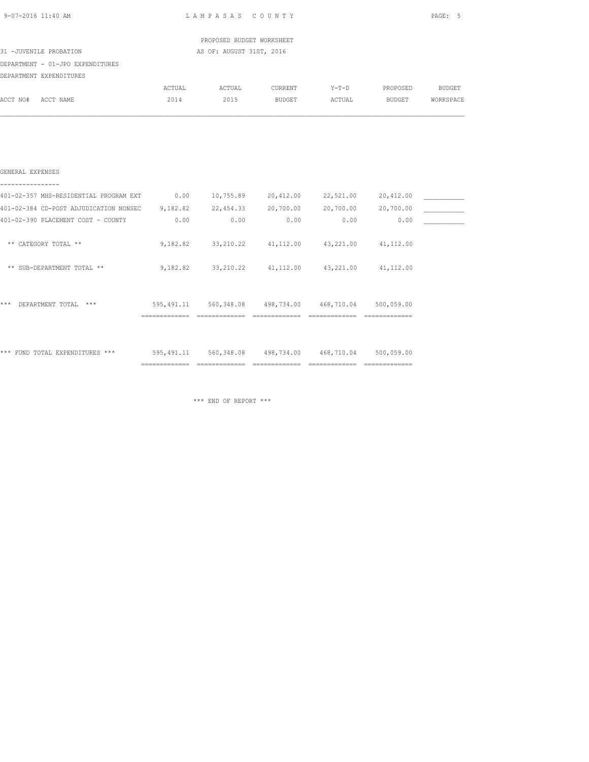| 9-07-2016 11:40 AM                     |                        | LAMPASAS COUNTY           |               |                     |           | PAGE:<br>-5   |
|----------------------------------------|------------------------|---------------------------|---------------|---------------------|-----------|---------------|
|                                        |                        | PROPOSED BUDGET WORKSHEET |               |                     |           |               |
| 31 -JUVENILE PROBATION                 |                        | AS OF: AUGUST 31ST, 2016  |               |                     |           |               |
| DEPARTMENT - 01-JPO EXPENDITURES       |                        |                           |               |                     |           |               |
| DEPARTMENT EXPENDITURES                |                        |                           |               |                     |           |               |
|                                        | ACTUAL                 | ACTUAL                    | CURRENT       | $Y-T-D$             | PROPOSED  | <b>BUDGET</b> |
| ACCT NO#<br>ACCT NAME                  | 2014                   | 2015                      | <b>BUDGET</b> | ACTUAL              | BUDGET    | WORKSPACE     |
|                                        |                        |                           |               |                     |           |               |
|                                        |                        |                           |               |                     |           |               |
|                                        |                        |                           |               |                     |           |               |
| GENERAL EXPENSES                       |                        |                           |               |                     |           |               |
| 401-02-357 MHS-RESIDENTIAL PROGRAM EXT | 0.00                   | 10,755.89                 |               | 20,412.00 22,521.00 | 20,412.00 |               |
| 401-02-384 CD-POST ADJUDICATION NONSEC | 9, 182, 82 22, 454, 33 |                           |               | 20,700.00 20,700.00 | 20,700.00 |               |
| 401-02-390 PLACEMENT COST - COUNTY     | 0.00                   | 0.00                      | 0.00          | 0.00                | 0.00      |               |
| ** CATEGORY TOTAL **                   | 9,182.82               | 33,210.22                 | 41,112.00     | 43,221.00           | 41,112.00 |               |
|                                        |                        |                           |               |                     |           |               |

| **    | SUB-DEPARTMENT TOTAL **     | 9,182.82                                       | 33, 210.22                                        | 41, 112.00                                      | 43,221.00                                       | 41, 112.00                                     |  |
|-------|-----------------------------|------------------------------------------------|---------------------------------------------------|-------------------------------------------------|-------------------------------------------------|------------------------------------------------|--|
|       |                             |                                                |                                                   |                                                 |                                                 |                                                |  |
| ***   | DEPARTMENT TOTAL<br>***     | 595, 491.11<br>______________<br>------------- | 560,348.08<br>------------------<br>------------- | 498,734.00<br>________________<br>------------- | 468,710.04<br>----------------<br>------------- | 500,059.00<br>_______________<br>------------- |  |
|       |                             |                                                |                                                   |                                                 |                                                 |                                                |  |
|       |                             |                                                |                                                   |                                                 |                                                 |                                                |  |
| * * * | FUND TOTAL EXPENDITURES *** | 595, 491.11                                    | 560, 348.08                                       | 498,734.00                                      | 468,710.04                                      | 500,059.00                                     |  |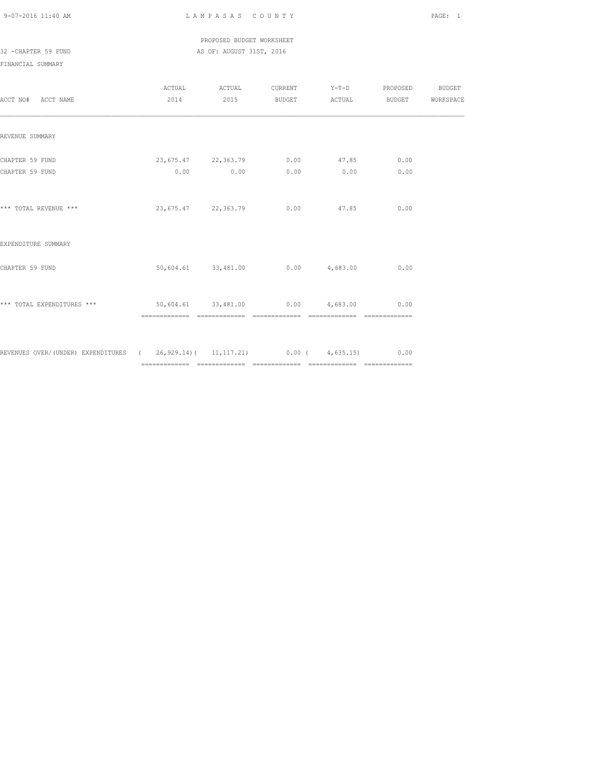## PROPOSED BUDGET WORKSHEET 32 -CHAPTER 59 FUND AS OF: AUGUST 31ST, 2016

| ACCT NO# ACCT NAME                                                             | ACTUAL<br>2014                                   | ACTUAL<br>2015      |                                         | CURRENT Y-T-D<br>BUDGET ACTUAL | PROPOSED<br><b>BUDGET</b> | BUDGET<br>WORKSPACE |
|--------------------------------------------------------------------------------|--------------------------------------------------|---------------------|-----------------------------------------|--------------------------------|---------------------------|---------------------|
| REVENUE SUMMARY                                                                |                                                  |                     |                                         |                                |                           |                     |
| CHAPTER 59 FUND<br>CHAPTER 59 FUND                                             | 23,675.47 22,363.79 0.00 47.85                   | $0.00$ 0.00         |                                         | $0.00$ 0.00                    | 0.00<br>0.00              |                     |
| *** TOTAL REVENUE ***                                                          |                                                  | 23,675.47 22,363.79 |                                         | $0.00$ 47.85                   | 0.00                      |                     |
| EXPENDITURE SUMMARY                                                            |                                                  |                     |                                         |                                |                           |                     |
| CHAPTER 59 FUND                                                                |                                                  |                     | $50,604.61$ $33,481.00$ 0.00 $4,683.00$ |                                | 0.00                      |                     |
| *** TOTAL EXPENDITURES ***                                                     | $50,604.61$ $33,481.00$ $0.00$ $4,683.00$ $0.00$ |                     |                                         | ============================   |                           |                     |
| REVENUES OVER/(UNDER) EXPENDITURES (26,929.14)(11,117.21) 0.00 (4,635.15) 0.00 |                                                  |                     |                                         |                                |                           |                     |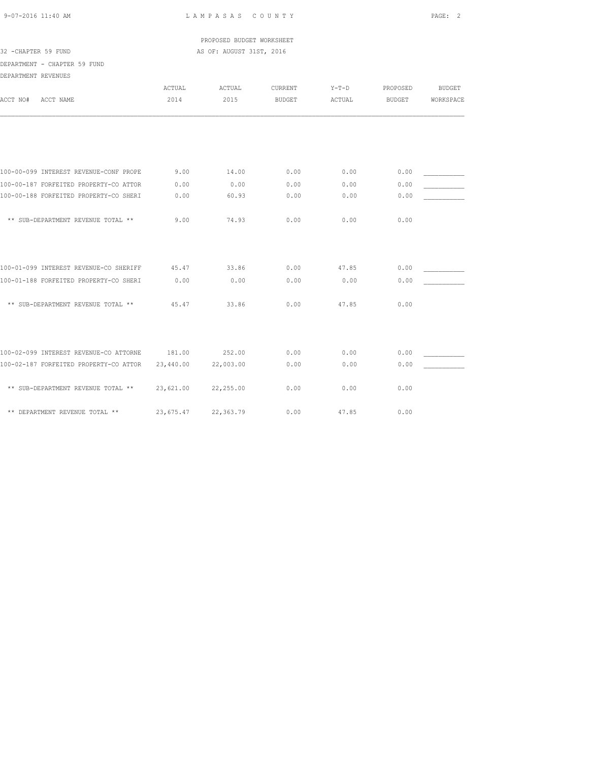PROPOSED BUDGET WORKSHEET 32 -CHAPTER 59 FUND AS OF: AUGUST 31ST, 2016

DEPARTMENT - CHAPTER 59 FUND

| ACCT NAME<br>ACCT NO#                  | ACTUAL<br>2014 | ACTUAL<br>2015 | CURRENT<br><b>BUDGET</b> | $Y-T-D$<br>ACTUAL | PROPOSED<br><b>BUDGET</b> | <b>BUDGET</b><br>WORKSPACE |
|----------------------------------------|----------------|----------------|--------------------------|-------------------|---------------------------|----------------------------|
|                                        |                |                |                          |                   |                           |                            |
|                                        |                |                |                          |                   |                           |                            |
| 100-00-099 INTEREST REVENUE-CONF PROPE | 9.00           | 14.00          | 0.00                     | 0.00              | 0.00                      |                            |
| 100-00-187 FORFEITED PROPERTY-CO ATTOR | 0.00           | 0.00           | 0.00                     | 0.00              | 0.00                      |                            |
| 100-00-188 FORFEITED PROPERTY-CO SHERI | 0.00           | 60.93          | 0.00                     | 0.00              | 0.00                      |                            |
| ** SUB-DEPARTMENT REVENUE TOTAL **     | 9.00           | 74.93          | 0.00                     | 0.00              | 0.00                      |                            |
|                                        |                |                |                          |                   |                           |                            |
| 100-01-099 INTEREST REVENUE-CO SHERIFF | 45.47          | 33.86          | 0.00                     | 47.85             | 0.00                      |                            |
| 100-01-188 FORFEITED PROPERTY-CO SHERI | 0.00           | 0.00           | 0.00                     | 0.00              | 0.00                      |                            |
| ** SUB-DEPARTMENT REVENUE TOTAL **     | 45.47          | 33.86          | 0.00                     | 47.85             | 0.00                      |                            |
|                                        |                |                |                          |                   |                           |                            |
| 100-02-099 INTEREST REVENUE-CO ATTORNE | 181.00         | 252.00         | 0.00                     | 0.00              | 0.00                      |                            |
| 100-02-187 FORFEITED PROPERTY-CO ATTOR | 23,440.00      | 22,003.00      | 0.00                     | 0.00              | 0.00                      |                            |
| ** SUB-DEPARTMENT REVENUE TOTAL **     | 23,621.00      | 22,255.00      | 0.00                     | 0.00              | 0.00                      |                            |
| ** DEPARTMENT REVENUE TOTAL **         | 23,675.47      | 22,363.79      | 0.00                     | 47.85             | 0.00                      |                            |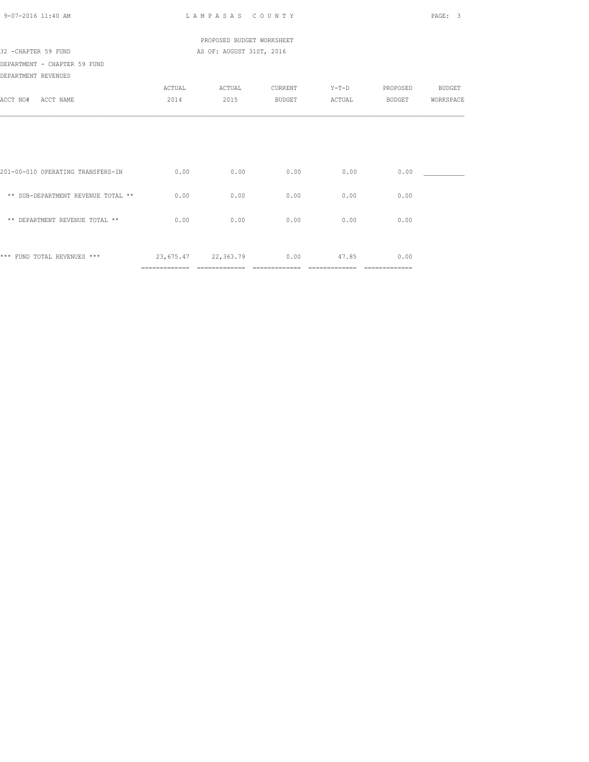| 9-07-2016 11:40 AM                 |        | LAMPASAS COUNTY           |         |         |          | PAGE:<br>3    |
|------------------------------------|--------|---------------------------|---------|---------|----------|---------------|
|                                    |        | PROPOSED BUDGET WORKSHEET |         |         |          |               |
| 32 -CHAPTER 59 FUND                |        | AS OF: AUGUST 31ST, 2016  |         |         |          |               |
| DEPARTMENT - CHAPTER 59 FUND       |        |                           |         |         |          |               |
| DEPARTMENT REVENUES                |        |                           |         |         |          |               |
|                                    | ACTUAL | ACTUAL                    | CURRENT | $Y-T-D$ | PROPOSED | <b>BUDGET</b> |
| ACCT NO#<br>ACCT NAME              | 2014   | 2015                      | BUDGET  | ACTUAL  | BUDGET   | WORKSPACE     |
|                                    |        |                           |         |         |          |               |
|                                    |        |                           |         |         |          |               |
| 201-00-010 OPERATING TRANSFERS-IN  | 0.00   | 0.00                      | 0.00    | 0.00    | 0.00     |               |
| ** SUB-DEPARTMENT REVENUE TOTAL ** | 0.00   | 0.00                      | 0.00    | 0.00    | 0.00     |               |
| ** DEPARTMENT REVENUE TOTAL **     | 0.00   | 0.00                      | 0.00    | 0.00    | 0.00     |               |
|                                    |        |                           |         |         |          |               |
| *** FUND TOTAL REVENUES ***        |        | 23,675.47 22,363.79 0.00  |         | 47.85   | 0.00     |               |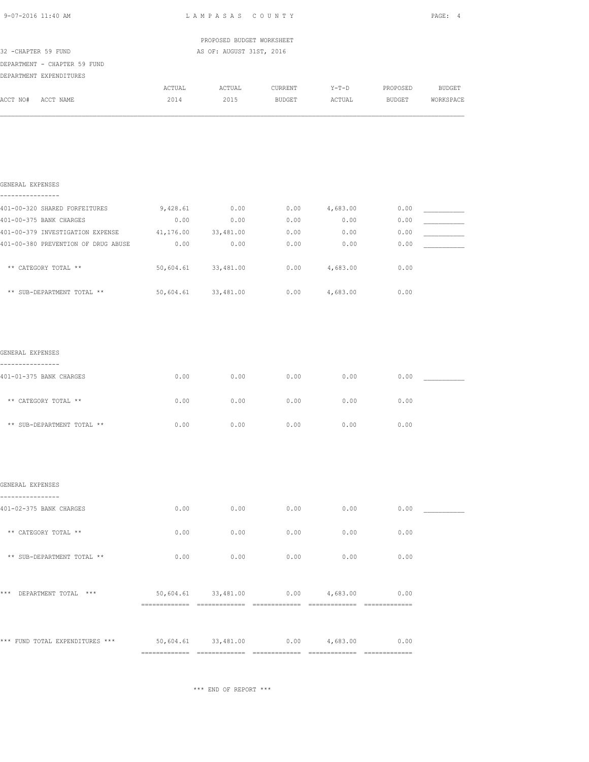| 9-07-2016 11:40 AM                      | LAMPASAS COUNTY                                  | PAGE: 4                   |         |                 |               |               |
|-----------------------------------------|--------------------------------------------------|---------------------------|---------|-----------------|---------------|---------------|
|                                         |                                                  | PROPOSED BUDGET WORKSHEET |         |                 |               |               |
| 32 - CHAPTER 59 FUND                    |                                                  | AS OF: AUGUST 31ST, 2016  |         |                 |               |               |
| DEPARTMENT - CHAPTER 59 FUND            |                                                  |                           |         |                 |               |               |
| DEPARTMENT EXPENDITURES                 | ACTUAL                                           | ACTUAL                    | CURRENT | $Y-T-D$         | PROPOSED      | <b>BUDGET</b> |
| ACCT NO# ACCT NAME                      | 2014                                             | 2015                      | BUDGET  | ACTUAL          | <b>BUDGET</b> | WORKSPACE     |
|                                         |                                                  |                           |         |                 |               |               |
| GENERAL EXPENSES<br>----------------    |                                                  |                           |         |                 |               |               |
| 401-00-320 SHARED FORFEITURES           |                                                  | 9,428.61 0.00             |         | $0.00$ 4,683.00 | 0.00          |               |
| 401-00-375 BANK CHARGES                 | 0.00                                             | 0.00                      | 0.00    | 0.00            | 0.00          |               |
| 401-00-379 INVESTIGATION EXPENSE        | 41,176.00 33,481.00                              |                           | 0.00    | 0.00            | 0.00          |               |
| 401-00-380 PREVENTION OF DRUG ABUSE     | 0.00                                             | 0.00                      | 0.00    | 0.00            | 0.00          |               |
| ** CATEGORY TOTAL **                    |                                                  | 50,604.61 33,481.00       | 0.00    | 4,683.00        | 0.00          |               |
| ** SUB-DEPARTMENT TOTAL **              | 50,604.61 33,481.00                              |                           |         | $0.00$ 4,683.00 | 0.00          |               |
| GENERAL EXPENSES                        |                                                  |                           |         |                 |               |               |
| .                                       |                                                  |                           |         |                 |               |               |
| 401-01-375 BANK CHARGES                 | 0.00                                             | 0.00                      | 0.00    | 0.00            | 0.00          |               |
| ** CATEGORY TOTAL **                    | 0.00                                             | 0.00                      | 0.00    | 0.00            | 0.00          |               |
| ** SUB-DEPARTMENT TOTAL **              | 0.00                                             | 0.00                      | 0.00    | 0.00            | 0.00          |               |
|                                         |                                                  |                           |         |                 |               |               |
| GENERAL EXPENSES                        |                                                  |                           |         |                 |               |               |
| ------------<br>401-02-375 BANK CHARGES | 0.00                                             | 0.00                      | 0.00    | 0.00            | 0.00          |               |
| ** CATEGORY TOTAL **                    | 0.00                                             | 0.00                      | 0.00    | 0.00            | 0.00          |               |
| ** SUB-DEPARTMENT TOTAL **              | 0.00                                             | 0.00                      | 0.00    | 0.00            | 0.00          |               |
| *** DEPARTMENT TOTAL ***                | $50,604.61$ $33,481.00$ $0.00$ $4,683.00$ $0.00$ |                           |         |                 |               |               |
|                                         |                                                  |                           |         |                 |               |               |
| *** FUND TOTAL EXPENDITURES ***         | $50,604.61$ $33,481.00$ $0.00$ $4,683.00$        |                           |         |                 | 0.00          |               |
|                                         |                                                  |                           |         |                 |               |               |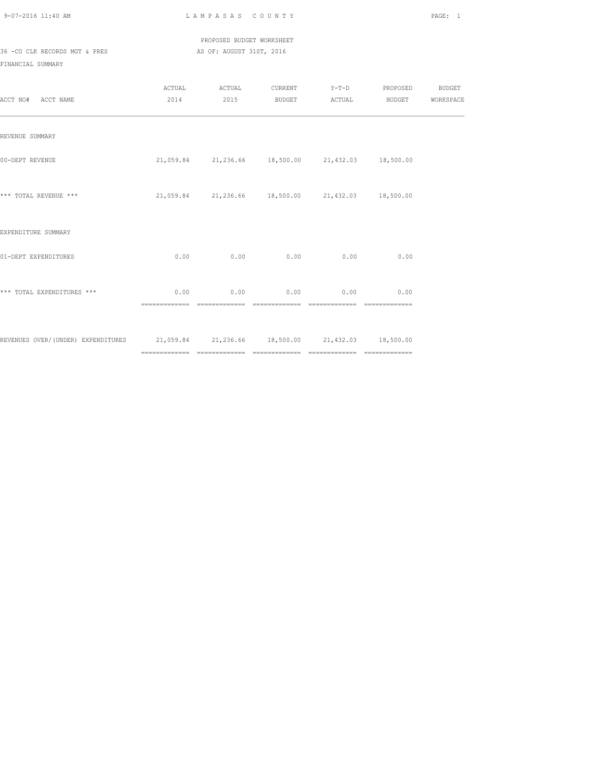PROPOSED BUDGET WORKSHEET 36 -CO CLK RECORDS MGT & PRES AS OF: AUGUST 31ST, 2016

| ACCT NO# ACCT NAME                                                                   |                        | ACTUAL ACTUAL<br>2014 2015                        |      |                                    | CURRENT Y-T-D PROPOSED BUDGET<br>BUDGET ACTUAL BUDGET WORKSPACE |  |
|--------------------------------------------------------------------------------------|------------------------|---------------------------------------------------|------|------------------------------------|-----------------------------------------------------------------|--|
| REVENUE SUMMARY                                                                      |                        |                                                   |      |                                    |                                                                 |  |
| 00-DEPT REVENUE                                                                      |                        | 21,059.84 21,236.66 18,500.00 21,432.03 18,500.00 |      |                                    |                                                                 |  |
| *** TOTAL REVENUE ***                                                                |                        | 21,059.84 21,236.66 18,500.00 21,432.03 18,500.00 |      |                                    |                                                                 |  |
| EXPENDITURE SUMMARY                                                                  |                        |                                                   |      |                                    |                                                                 |  |
| 01-DEPT EXPENDITURES                                                                 | 0.00                   | 0.00                                              | 0.00 | 0.00                               | 0.00                                                            |  |
| *** TOTAL EXPENDITURES ***                                                           | 0.00<br>============== |                                                   |      | $0.00$ $0.00$ $0.00$ $0.00$ $0.00$ |                                                                 |  |
| REVENUES OVER/(UNDER) EXPENDITURES 21,059.84 21,236.66 18,500.00 21,432.03 18,500.00 |                        |                                                   |      |                                    |                                                                 |  |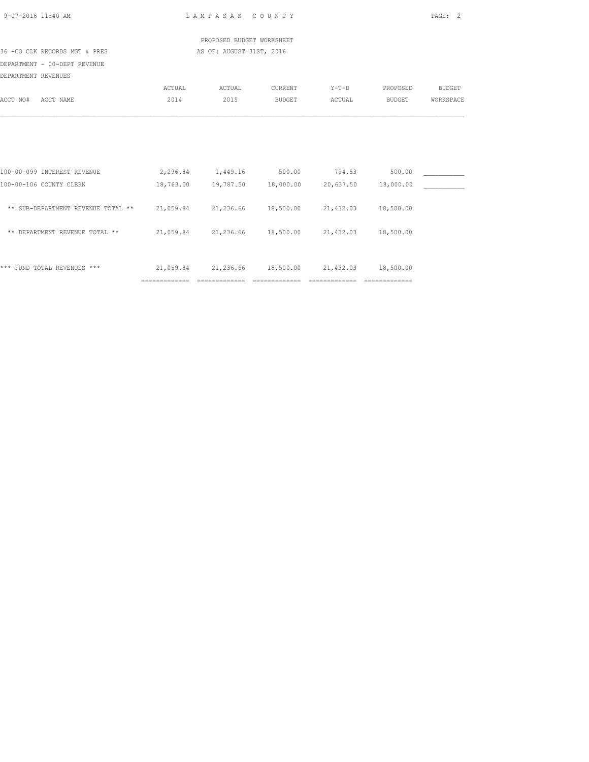| 9-07-2016 11:40 AM  |                                                                                      |                                                   | LAMPASAS COUNTY                                             |               |                |                | PAGE: 2       |
|---------------------|--------------------------------------------------------------------------------------|---------------------------------------------------|-------------------------------------------------------------|---------------|----------------|----------------|---------------|
|                     |                                                                                      |                                                   | PROPOSED BUDGET WORKSHEET                                   |               |                |                |               |
|                     | 36 -CO CLK RECORDS MGT & PRES                                                        |                                                   | AS OF: AUGUST 31ST, 2016                                    |               |                |                |               |
|                     | DEPARTMENT - 00-DEPT REVENUE                                                         |                                                   |                                                             |               |                |                |               |
| DEPARTMENT REVENUES |                                                                                      |                                                   |                                                             |               |                |                |               |
|                     |                                                                                      | ACTUAL                                            | ACTUAL                                                      | CURRENT       |                | Y-T-D PROPOSED | <b>BUDGET</b> |
| ACCT NO# ACCT NAME  |                                                                                      | 2014                                              | 2015                                                        | <b>BUDGET</b> | ACTUAL         | BUDGET         | WORKSPACE     |
|                     |                                                                                      |                                                   |                                                             |               |                |                |               |
|                     |                                                                                      |                                                   |                                                             |               |                |                |               |
|                     | 100-00-099 INTEREST REVENUE                                                          |                                                   | 2,296.84 1,449.16 500.00 794.53                             |               |                | 500.00         |               |
|                     | 100-00-106 COUNTY CLERK                                                              |                                                   | 18,763.00  19,787.50  18,000.00  20,637.50                  |               |                | 18,000.00      |               |
|                     | ** SUB-DEPARTMENT REVENUE TOTAL ** 21,059.84 21,236.66 18,500.00 21,432.03 18,500.00 |                                                   |                                                             |               |                |                |               |
|                     | ** DEPARTMENT REVENUE TOTAL **                                                       | 21,059.84 21,236.66 18,500.00 21,432.03 18,500.00 |                                                             |               |                |                |               |
|                     | *** FUND TOTAL REVENUES ***                                                          |                                                   | $21,059.84$ $21,236.66$ $18,500.00$ $21,432.03$ $18,500.00$ |               |                |                |               |
|                     |                                                                                      | ==============                                    | =============                                               | ============= | -------------- | ============== |               |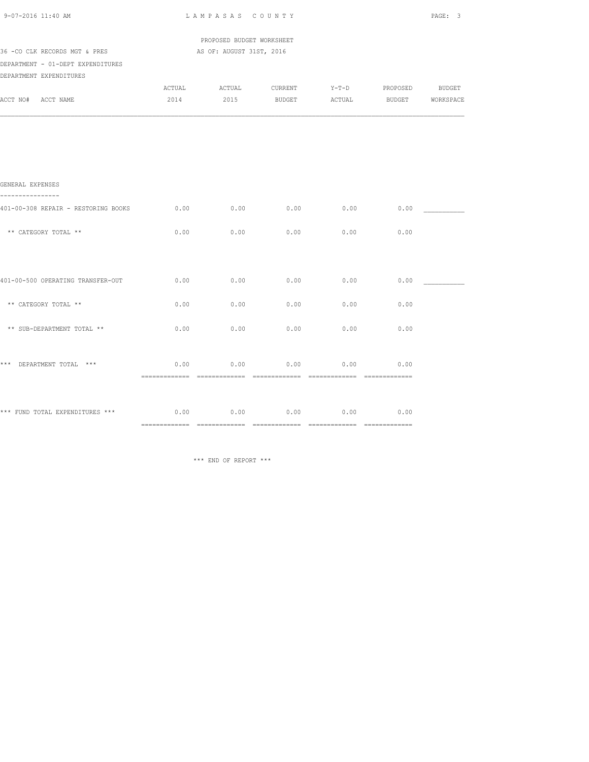| 9-07-2016 11:40 AM                                                 | LAMPASAS COUNTY                                       |      |                                     |      |      |  |
|--------------------------------------------------------------------|-------------------------------------------------------|------|-------------------------------------|------|------|--|
| 36 -CO CLK RECORDS MGT & PRES<br>DEPARTMENT - 01-DEPT EXPENDITURES | PROPOSED BUDGET WORKSHEET<br>AS OF: AUGUST 31ST, 2016 |      |                                     |      |      |  |
| DEPARTMENT EXPENDITURES<br>ACCT NO# ACCT NAME                      | 2014                                                  |      | 2015 BUDGET ACTUAL BUDGET WORKSPACE |      |      |  |
|                                                                    |                                                       |      |                                     |      |      |  |
|                                                                    |                                                       |      |                                     |      |      |  |
| GENERAL EXPENSES                                                   |                                                       |      |                                     |      |      |  |
| 401-00-308 REPAIR - RESTORING BOOKS                                | 0.00                                                  | 0.00 | $0.00$ 0.00                         |      | 0.00 |  |
| ** CATEGORY TOTAL **                                               | 0.00                                                  | 0.00 | 0.00                                | 0.00 | 0.00 |  |
|                                                                    |                                                       |      |                                     |      |      |  |
| 401-00-500 OPERATING TRANSFER-OUT                                  | 0.00                                                  | 0.00 | 0.00                                | 0.00 | 0.00 |  |
| ** CATEGORY TOTAL **                                               | 0.00                                                  | 0.00 | 0.00                                | 0.00 | 0.00 |  |
| ** SUB-DEPARTMENT TOTAL **                                         | 0.00                                                  | 0.00 | 0.00                                | 0.00 | 0.00 |  |
| *** DEPARTMENT TOTAL ***                                           | 0.00                                                  | 0.00 | 0.00                                | 0.00 | 0.00 |  |
| *** FUND TOTAL EXPENDITURES *** $0.00$ 0.00 0.00                   |                                                       |      | 0.00                                | 0.00 | 0.00 |  |
|                                                                    |                                                       |      |                                     |      |      |  |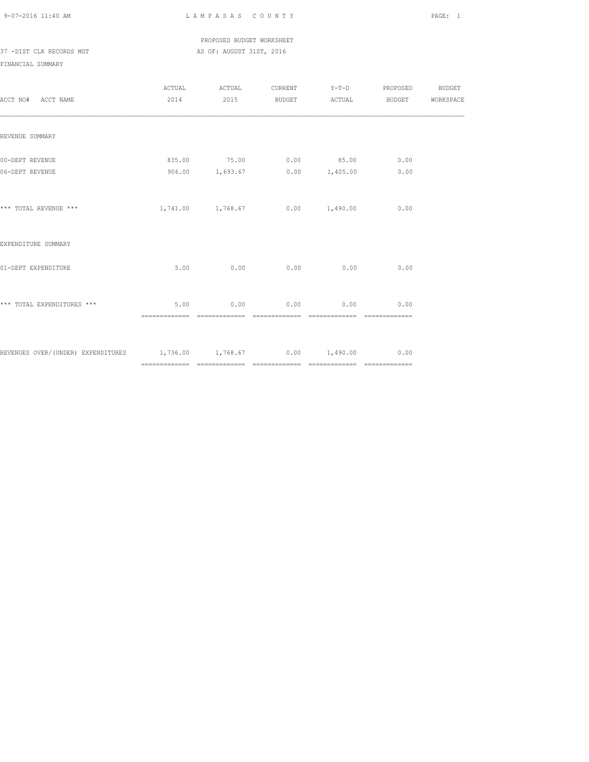PROPOSED BUDGET WORKSHEET 37 -DIST CLK RECORDS MGT AS OF: AUGUST 31ST, 2016

| ACCT NO# ACCT NAME                                                            |      | ACTUAL ACTUAL<br>2014 2015 BUDGET ACTUAL BUDGET WORKSPACE     |                             | CURRENT Y-T-D PROPOSED BUDGET |  |
|-------------------------------------------------------------------------------|------|---------------------------------------------------------------|-----------------------------|-------------------------------|--|
| REVENUE SUMMARY                                                               |      |                                                               |                             |                               |  |
| 00-DEPT REVENUE<br>06-DEPT REVENUE                                            |      | 835.00 75.00 0.00 85.00 0.00<br>906.00 1,693.67 0.00 1,405.00 |                             | 0.00                          |  |
| *** TOTAL REVENUE ***                                                         |      | $1,741.00$ $1,768.67$ 0.00 $1,490.00$ 0.00                    |                             |                               |  |
| EXPENDITURE SUMMARY                                                           |      |                                                               |                             |                               |  |
| 01-DEPT EXPENDITURE                                                           |      | $5.00$ 0.00 0.00 0.00 0.00                                    |                             | 0.00                          |  |
| *** TOTAL EXPENDITURES ***                                                    | 5.00 |                                                               | $0.00$ $0.00$ $0.00$ $0.00$ | 0.00                          |  |
| REVENUES OVER/(UNDER) EXPENDITURES $1,736.00$ $1,768.67$ 0.00 $1,490.00$ 0.00 |      |                                                               |                             |                               |  |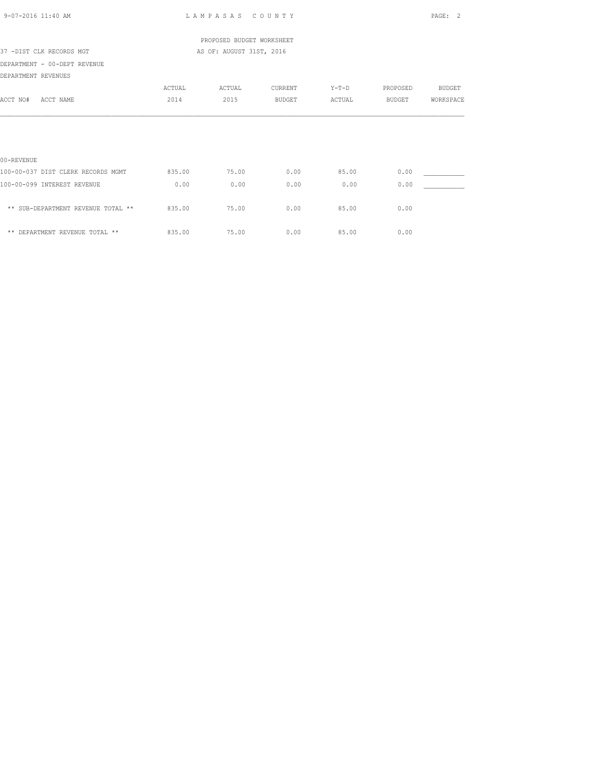| 9-07-2016 11:40 AM                 |                          | LAMPASAS COUNTY           |               |         |          | PAGE:<br>2    |  |
|------------------------------------|--------------------------|---------------------------|---------------|---------|----------|---------------|--|
|                                    |                          | PROPOSED BUDGET WORKSHEET |               |         |          |               |  |
| 37 -DIST CLK RECORDS MGT           | AS OF: AUGUST 31ST, 2016 |                           |               |         |          |               |  |
| DEPARTMENT - 00-DEPT REVENUE       |                          |                           |               |         |          |               |  |
| DEPARTMENT REVENUES                |                          |                           |               |         |          |               |  |
|                                    | ACTUAL                   | ACTUAL                    | CURRENT       | $Y-T-D$ | PROPOSED | <b>BUDGET</b> |  |
| ACCT NO#<br>ACCT NAME              | 2014                     | 2015                      | <b>BUDGET</b> | ACTUAL  | BUDGET   | WORKSPACE     |  |
|                                    |                          |                           |               |         |          |               |  |
| 00-REVENUE                         |                          |                           |               |         |          |               |  |
| 100-00-037 DIST CLERK RECORDS MGMT | 835.00                   | 75.00                     | 0.00          | 85.00   | 0.00     |               |  |
| 100-00-099 INTEREST REVENUE        | 0.00                     | 0.00                      | 0.00          | 0.00    | 0.00     |               |  |
| ** SUB-DEPARTMENT REVENUE TOTAL ** | 835.00                   | 75.00                     | 0.00          | 85.00   | 0.00     |               |  |
| ** DEPARTMENT REVENUE TOTAL **     | 835.00                   | 75.00                     | 0.00          | 85.00   | 0.00     |               |  |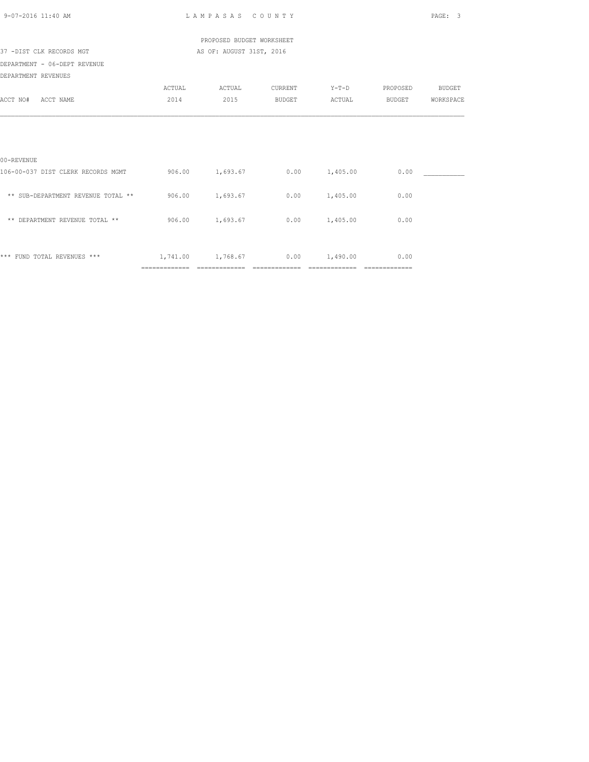| 9-07-2016 11:40 AM                 |        | LAMPASAS COUNTY                 |         |                 |          | PAGE:<br>3    |
|------------------------------------|--------|---------------------------------|---------|-----------------|----------|---------------|
|                                    |        | PROPOSED BUDGET WORKSHEET       |         |                 |          |               |
| 37 -DIST CLK RECORDS MGT           |        | AS OF: AUGUST 31ST, 2016        |         |                 |          |               |
| DEPARTMENT - 06-DEPT REVENUE       |        |                                 |         |                 |          |               |
| DEPARTMENT REVENUES                |        |                                 |         |                 |          |               |
|                                    | ACTUAL | ACTUAL                          | CURRENT | $Y-T-D$         | PROPOSED | <b>BUDGET</b> |
| ACCT NO#<br>ACCT NAME              | 2014   | 2015                            | BUDGET  | ACTUAL          | BUDGET   | WORKSPACE     |
|                                    |        |                                 |         |                 |          |               |
| 00-REVENUE                         |        |                                 |         |                 |          |               |
| 106-00-037 DIST CLERK RECORDS MGMT |        | 906.00 1,693.67 0.00 1,405.00   |         |                 | 0.00     |               |
| ** SUB-DEPARTMENT REVENUE TOTAL ** |        | 906.00 1,693.67                 |         | $0.00$ 1,405.00 | 0.00     |               |
| ** DEPARTMENT REVENUE TOTAL **     |        | 906.00 1,693.67                 |         | $0.00$ 1,405.00 | 0.00     |               |
| *** FUND TOTAL REVENUES ***        |        | 1,741.00 1,768.67 0.00 1,490.00 |         |                 | 0.00     |               |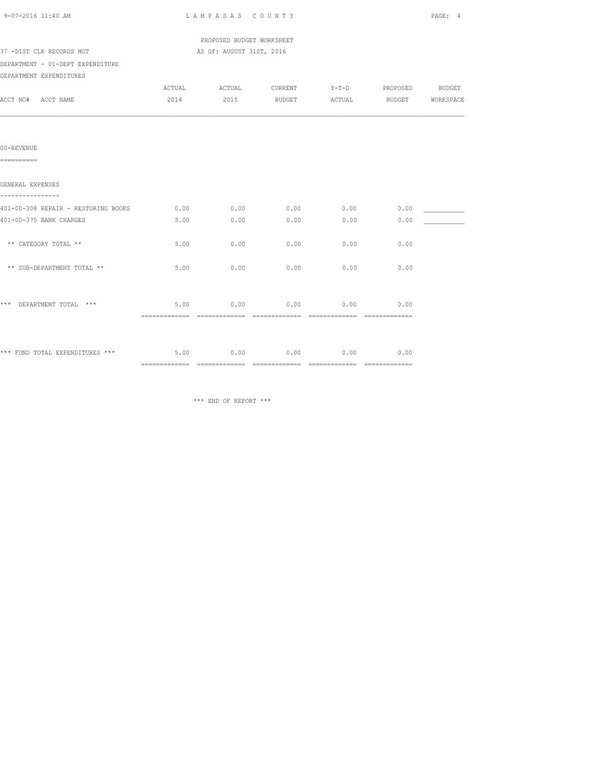| 9-07-2016 11:40 AM                                      | LAMPASAS COUNTY | PAGE: 4                   |                                     |      |                       |  |
|---------------------------------------------------------|-----------------|---------------------------|-------------------------------------|------|-----------------------|--|
|                                                         |                 | PROPOSED BUDGET WORKSHEET |                                     |      |                       |  |
| 37 -DIST CLK RECORDS MGT                                |                 | AS OF: AUGUST 31ST, 2016  |                                     |      |                       |  |
| DEPARTMENT - 01-DEPT EXPENDITURE                        |                 |                           |                                     |      |                       |  |
| DEPARTMENT EXPENDITURES                                 |                 |                           |                                     |      |                       |  |
|                                                         |                 |                           | ACTUAL ACTUAL CURRENT               |      | Y-T-D PROPOSED BUDGET |  |
| ACCT NO# ACCT NAME                                      | 2014            |                           | 2015 BUDGET ACTUAL BUDGET WORKSPACE |      |                       |  |
|                                                         |                 |                           |                                     |      |                       |  |
| 00-REVENUE<br>==========                                |                 |                           |                                     |      |                       |  |
| GENERAL EXPENSES                                        |                 |                           |                                     |      |                       |  |
| ----------------<br>401-00-308 REPAIR - RESTORING BOOKS | 0.00            | 0.00                      | 0.00                                | 0.00 | 0.00                  |  |
| 401-00-375 BANK CHARGES                                 | 5.00            | 0.00                      | 0.00                                | 0.00 | 0.00                  |  |
| ** CATEGORY TOTAL **                                    | 5.00            | 0.00                      | 0.00                                | 0.00 | 0.00                  |  |
| ** SUB-DEPARTMENT TOTAL **                              | 5.00            | 0.00                      | 0.00                                | 0.00 | 0.00                  |  |
|                                                         |                 |                           |                                     |      |                       |  |
| *** DEPARTMENT TOTAL ***                                |                 | 5.00<br>0.00              | 0.00                                | 0.00 | 0.00                  |  |
|                                                         |                 |                           |                                     |      |                       |  |
| *** FUND TOTAL EXPENDITURES ***                         | 5.00            | 0.00                      | 0.00                                | 0.00 | 0.00                  |  |
|                                                         |                 |                           |                                     |      |                       |  |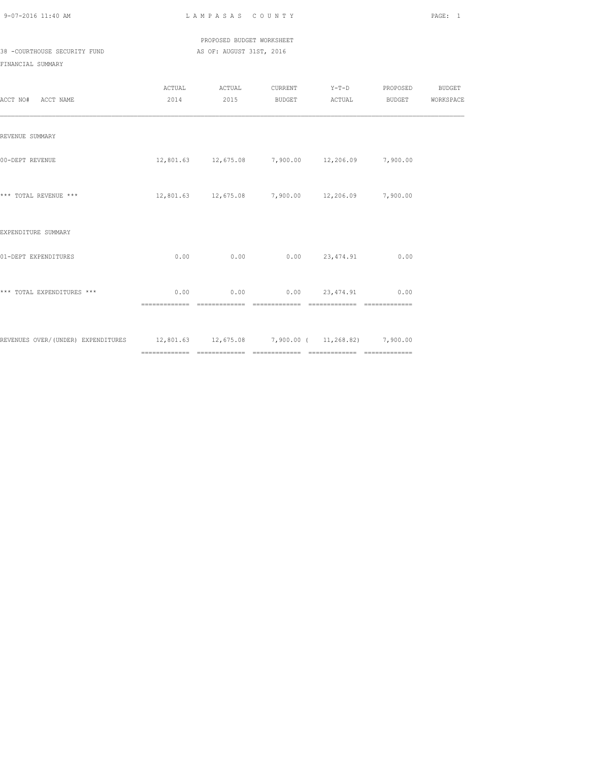#### PROPOSED BUDGET WORKSHEET 38 -COURTHOUSE SECURITY FUND AS OF: AUGUST 31ST, 2016

| ACCT NO# ACCT NAME                                                                   |                       | 2014 2015 | ACTUAL ACTUAL CURRENT Y-T-D PROPOSED BUDGET<br>BUDGET ACTUAL |                | <b>BUDGET</b>  | WORKSPACE |
|--------------------------------------------------------------------------------------|-----------------------|-----------|--------------------------------------------------------------|----------------|----------------|-----------|
| REVENUE SUMMARY                                                                      |                       |           |                                                              |                |                |           |
| 00-DEPT REVENUE                                                                      |                       |           | $12,801.63$ $12,675.08$ $7,900.00$ $12,206.09$ $7,900.00$    |                |                |           |
| *** TOTAL REVENUE ***                                                                |                       |           | 12,801.63  12,675.08  7,900.00  12,206.09  7,900.00          |                |                |           |
| EXPENDITURE SUMMARY                                                                  |                       |           |                                                              |                |                |           |
| 01-DEPT EXPENDITURES                                                                 | 0.00                  | 0.00      |                                                              | 0.00 23,474.91 | 0.00           |           |
| *** TOTAL EXPENDITURES ***                                                           | 0.00<br>============= |           | $0.00$ $0.00$ $23,474,91$ $0.00$                             |                | ============== |           |
| REVENUES OVER/(UNDER) EXPENDITURES 12,801.63 12,675.08 7,900.00 (11,268.82) 7,900.00 |                       |           |                                                              |                |                |           |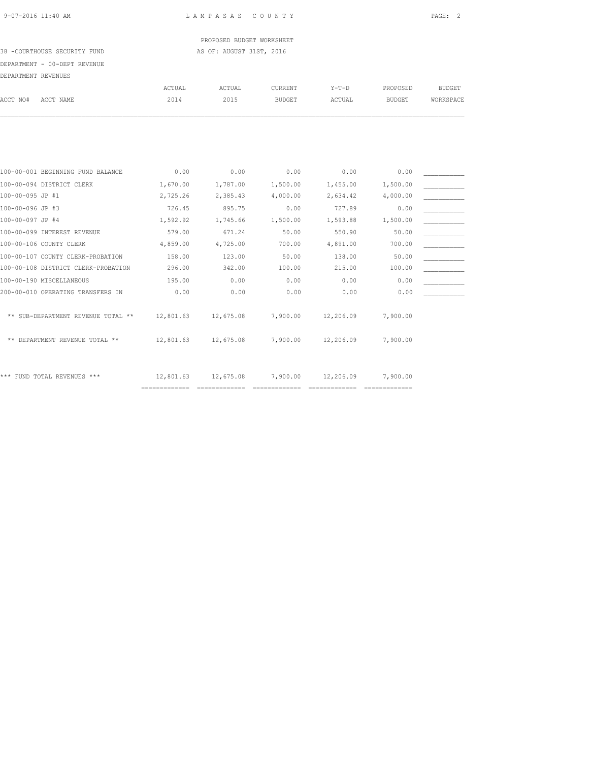PROPOSED BUDGET WORKSHEET 38 -COURTHOUSE SECURITY FUND AS OF: AUGUST 31ST, 2016

## DEPARTMENT - 00-DEPT REVENUE

| DEPARTMENT REVENUES                 |           |           |               |           |               |               |
|-------------------------------------|-----------|-----------|---------------|-----------|---------------|---------------|
|                                     | ACTUAL    | ACTUAL    | CURRENT       | $Y-T-D$   | PROPOSED      | <b>BUDGET</b> |
| ACCT NO#<br>ACCT NAME               | 2014      | 2015      | <b>BUDGET</b> | ACTUAL    | <b>BUDGET</b> | WORKSPACE     |
|                                     |           |           |               |           |               |               |
|                                     |           |           |               |           |               |               |
| 100-00-001 BEGINNING FUND BALANCE   | 0.00      | 0.00      | 0.00          | 0.00      | 0.00          |               |
| 100-00-094 DISTRICT CLERK           | 1,670.00  | 1,787.00  | 1,500.00      | 1,455.00  | 1,500.00      |               |
| 100-00-095 JP #1                    | 2,725.26  | 2,385.43  | 4,000.00      | 2,634.42  | 4,000.00      |               |
| 100-00-096 JP #3                    | 726.45    | 895.75    | 0.00          | 727.89    | 0.00          |               |
| 100-00-097 JP #4                    | 1,592.92  | 1,745.66  | 1,500.00      | 1,593.88  | 1,500.00      |               |
| 100-00-099 INTEREST REVENUE         | 579.00    | 671.24    | 50.00         | 550.90    | 50.00         |               |
| 100-00-106 COUNTY CLERK             | 4,859.00  | 4,725.00  | 700.00        | 4,891.00  | 700.00        |               |
| 100-00-107 COUNTY CLERK-PROBATION   | 158.00    | 123.00    | 50.00         | 138.00    | 50.00         |               |
| 100-00-108 DISTRICT CLERK-PROBATION | 296.00    | 342.00    | 100.00        | 215.00    | 100.00        |               |
| 100-00-190 MISCELLANEOUS            | 195.00    | 0.00      | 0.00          | 0.00      | 0.00          |               |
| 200-00-010 OPERATING TRANSFERS IN   | 0.00      | 0.00      | 0.00          | 0.00      | 0.00          |               |
| ** SUB-DEPARTMENT REVENUE TOTAL **  | 12,801.63 | 12,675.08 | 7,900.00      | 12,206.09 | 7,900.00      |               |
| ** DEPARTMENT REVENUE TOTAL **      | 12,801.63 | 12,675.08 | 7,900.00      | 12,206.09 | 7,900.00      |               |
| *** FUND TOTAL REVENUES ***         | 12,801.63 | 12,675.08 | 7,900.00      | 12,206.09 | 7,900.00      |               |

============= ============= ============= ============= =============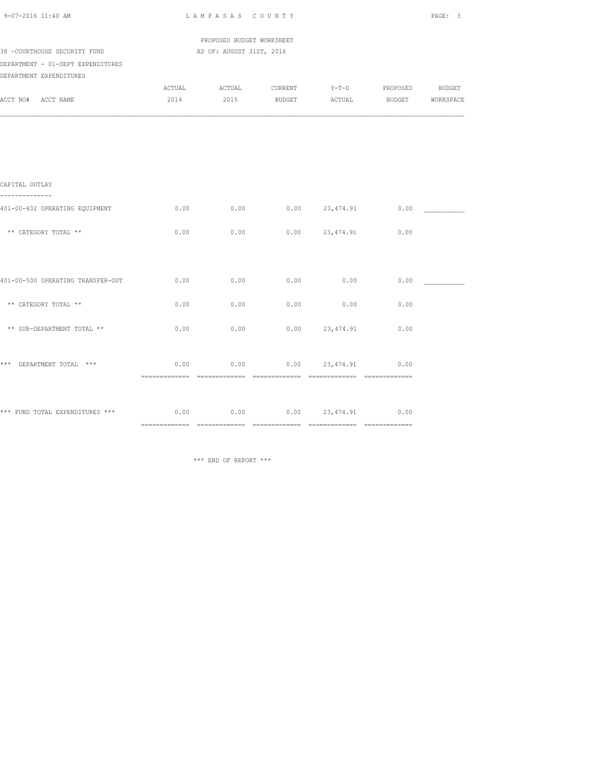| 9-07-2016 11:40 AM                                               | LAMPASAS COUNTY |                           |               |                       |          | PAGE: 3          |  |
|------------------------------------------------------------------|-----------------|---------------------------|---------------|-----------------------|----------|------------------|--|
|                                                                  |                 | PROPOSED BUDGET WORKSHEET |               |                       |          |                  |  |
| 38 -COURTHOUSE SECURITY FUND                                     |                 | AS OF: AUGUST 31ST, 2016  |               |                       |          |                  |  |
| DEPARTMENT - 01-DEPT EXPENDITURES<br>DEPARTMENT EXPENDITURES     |                 |                           |               |                       |          |                  |  |
|                                                                  | ACTUAL          | ACTUAL                    | CURRENT       | $Y-T-D$               | PROPOSED | <b>BUDGET</b>    |  |
| ACCT NO# ACCT NAME                                               | 2014            | 2015                      | <b>BUDGET</b> | ACTUAL                |          | BUDGET WORKSPACE |  |
|                                                                  |                 |                           |               |                       |          |                  |  |
|                                                                  |                 |                           |               |                       |          |                  |  |
| CAPITAL OUTLAY<br>--------------                                 |                 |                           |               |                       |          |                  |  |
| 401-00-402 OPERATING EQUIPMENT                                   | 0.00            | 0.00                      |               | $0.00$ 23,474.91      | 0.00     |                  |  |
| ** CATEGORY TOTAL **                                             | 0.00            | 0.00                      |               | $0.00$ 23,474.91      | 0.00     |                  |  |
|                                                                  |                 |                           |               |                       |          |                  |  |
| 401-00-500 OPERATING TRANSFER-OUT                                | 0.00            | 0.00                      | 0.00          | 0.00                  | 0.00     |                  |  |
| ** CATEGORY TOTAL **                                             | 0.00            | 0.00                      | 0.00          | 0.00                  | 0.00     |                  |  |
| ** SUB-DEPARTMENT TOTAL **                                       | 0.00            | 0.00                      |               | $0.00$ 23,474.91      | 0.00     |                  |  |
| *** DEPARTMENT TOTAL ***                                         |                 | $0.00$ 0.00               |               | $0.00$ 23,474.91 0.00 |          |                  |  |
|                                                                  |                 |                           |               |                       |          |                  |  |
| *** FUND TOTAL EXPENDITURES *** $0.00$ $0.00$ $0.00$ $23,474.91$ |                 |                           |               |                       | 0.00     |                  |  |
|                                                                  |                 |                           |               |                       |          |                  |  |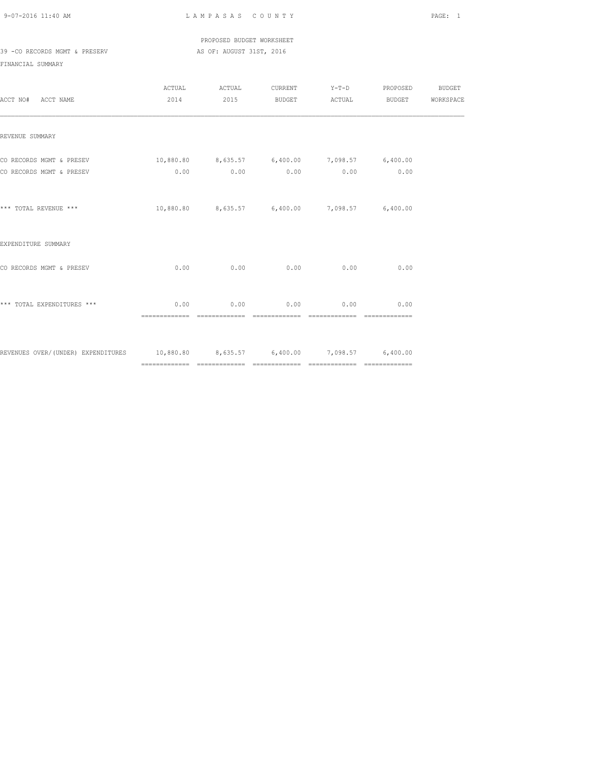PROPOSED BUDGET WORKSHEET 39 -CO RECORDS MGMT & PRESERV AS OF: AUGUST 31ST, 2016

| ACCT NO# ACCT NAME                                                               |                                                         |                                                         |                             | ACTUAL ACTUAL CURRENT Y-T-D PROPOSED BUDGET<br>2014 2015 BUDGET ACTUAL BUDGET WORKSPACE |  |
|----------------------------------------------------------------------------------|---------------------------------------------------------|---------------------------------------------------------|-----------------------------|-----------------------------------------------------------------------------------------|--|
| REVENUE SUMMARY                                                                  |                                                         |                                                         |                             |                                                                                         |  |
| CO RECORDS MGMT & PRESEV<br>CO RECORDS MGMT & PRESEV                             | $10,880.80$ $8,635.57$ $6,400.00$ $7,098.57$ $6,400.00$ | $0.00$ $0.00$ $0.00$ $0.00$ $0.00$ $0.00$ $0.00$        |                             |                                                                                         |  |
|                                                                                  |                                                         |                                                         |                             |                                                                                         |  |
| *** TOTAL REVENUE ***                                                            |                                                         | $10,880.80$ $8,635.57$ $6,400.00$ $7,098.57$ $6,400.00$ |                             |                                                                                         |  |
| EXPENDITURE SUMMARY                                                              |                                                         |                                                         |                             |                                                                                         |  |
| CO RECORDS MGMT & PRESEV                                                         | 0.00                                                    |                                                         | $0.00$ $0.00$ $0.00$ $0.00$ | 0.00                                                                                    |  |
| *** TOTAL EXPENDITURES ***                                                       | 0.00                                                    |                                                         | $0.00$ 0.00 0.00            | 0.00                                                                                    |  |
| REVENUES OVER/(UNDER) EXPENDITURES 10,880.80 8,635.57 6,400.00 7,098.57 6,400.00 |                                                         |                                                         |                             |                                                                                         |  |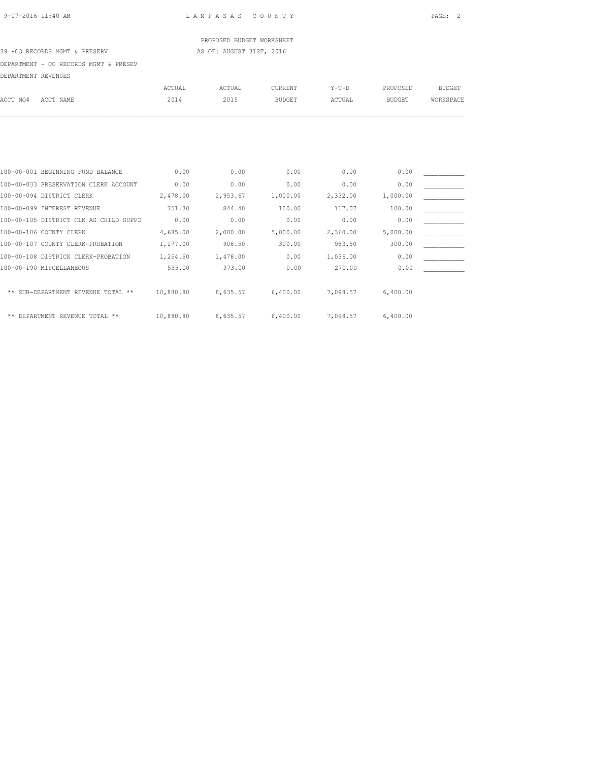### PROPOSED BUDGET WORKSHEET

#### 39 -CO RECORDS MGMT & PRESERV AS OF: AUGUST 31ST, 2016

DEPARTMENT - CO RECORDS MGMT & PRESEV

| DIS LAUTRISIA T     | - CO RECORDO MGMI & FREOEV             |               |          |                |          |               |               |
|---------------------|----------------------------------------|---------------|----------|----------------|----------|---------------|---------------|
| DEPARTMENT REVENUES |                                        |               |          |                |          |               |               |
|                     |                                        | <b>ACTUAL</b> | ACTUAL   | <b>CURRENT</b> | $Y-T-D$  | PROPOSED      | <b>BUDGET</b> |
| ACCT NO#            | ACCT NAME                              | 2014          | 2015     | <b>BUDGET</b>  | ACTUAL   | <b>BUDGET</b> | WORKSPACE     |
|                     |                                        |               |          |                |          |               |               |
|                     |                                        |               |          |                |          |               |               |
|                     |                                        |               |          |                |          |               |               |
|                     | 100-00-001 BEGINNING FUND BALANCE      | 0.00          | 0.00     | 0.00           | 0.00     | 0.00          |               |
|                     | 100-00-033 PRESERVATION CLERK ACCOUNT  | 0.00          | 0.00     | 0.00           | 0.00     | 0.00          |               |
|                     | 100-00-094 DISTRICT CLERK              | 2,478.00      | 2,953.67 | 1,000.00       | 2,332.00 | 1,000.00      |               |
|                     | 100-00-099 INTEREST REVENUE            | 751.30        | 844.40   | 100.00         | 117.07   | 100.00        |               |
|                     | 100-00-105 DISTRICT CLK AG CHILD SUPPO | 0.00          | 0.00     | 0.00           | 0.00     | 0.00          |               |
|                     | 100-00-106 COUNTY CLERK                | 4,685.00      | 2,080.00 | 5,000.00       | 2,360.00 | 5,000.00      |               |
|                     | 100-00-107 COUNTY CLERK-PROBATION      | 1,177.00      | 906.50   | 300.00         | 983.50   | 300.00        |               |
|                     | 100-00-108 DISTRICK CLERK-PROBATION    | 1,254.50      | 1,478.00 | 0.00           | 1,036.00 | 0.00          |               |
|                     | 100-00-190 MISCELLANEOUS               | 535.00        | 373.00   | 0.00           | 270.00   | 0.00          |               |
|                     | ** SUB-DEPARTMENT REVENUE TOTAL **     | 10,880.80     | 8,635.57 | 6,400.00       | 7,098.57 | 6,400.00      |               |
|                     |                                        |               |          |                |          |               |               |

\*\* DEPARTMENT REVENUE TOTAL \*\* 10,880.80 8,635.57 6,400.00 7,098.57 6,400.00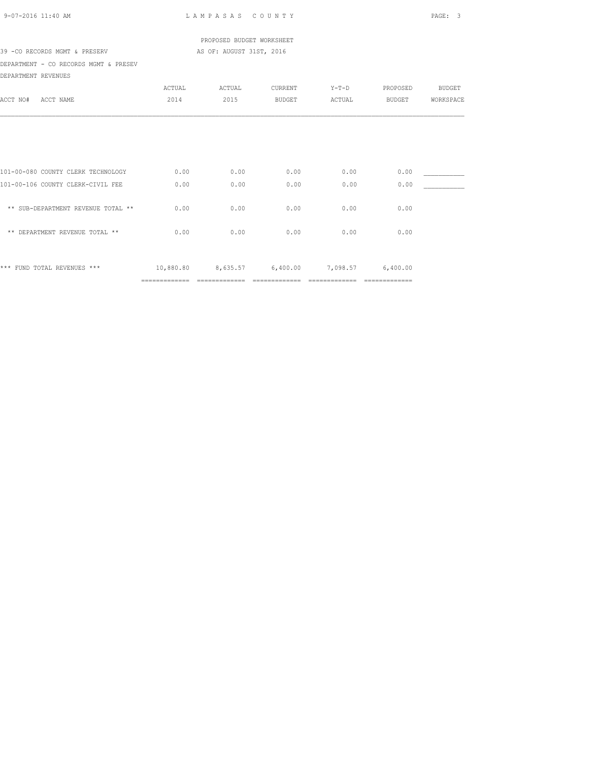| 9-07-2016 11:40 AM                    | LAMPASAS COUNTY |                           |                            |         | PAGE: 3                                                                                                                                                                                                                                                                                                                                                                                                                                                                                |           |
|---------------------------------------|-----------------|---------------------------|----------------------------|---------|----------------------------------------------------------------------------------------------------------------------------------------------------------------------------------------------------------------------------------------------------------------------------------------------------------------------------------------------------------------------------------------------------------------------------------------------------------------------------------------|-----------|
|                                       |                 | PROPOSED BUDGET WORKSHEET |                            |         |                                                                                                                                                                                                                                                                                                                                                                                                                                                                                        |           |
| 39 - CO RECORDS MGMT & PRESERV        |                 | AS OF: AUGUST 31ST, 2016  |                            |         |                                                                                                                                                                                                                                                                                                                                                                                                                                                                                        |           |
| DEPARTMENT - CO RECORDS MGMT & PRESEV |                 |                           |                            |         |                                                                                                                                                                                                                                                                                                                                                                                                                                                                                        |           |
| DEPARTMENT REVENUES                   |                 |                           |                            |         |                                                                                                                                                                                                                                                                                                                                                                                                                                                                                        |           |
|                                       | ACTUAL          | ACTUAL                    | CURRENT                    | $Y-T-D$ | PROPOSED                                                                                                                                                                                                                                                                                                                                                                                                                                                                               | BUDGET    |
| ACCT NAME<br>ACCT NO#                 | 2014            | 2015                      | <b>BUDGET</b>              | ACTUAL  | BUDGET                                                                                                                                                                                                                                                                                                                                                                                                                                                                                 | WORKSPACE |
|                                       |                 |                           |                            |         |                                                                                                                                                                                                                                                                                                                                                                                                                                                                                        |           |
| 101-00-080 COUNTY CLERK TECHNOLOGY    | 0.00            | 0.00                      | 0.00                       | 0.00    | 0.00                                                                                                                                                                                                                                                                                                                                                                                                                                                                                   |           |
| 101-00-106 COUNTY CLERK-CIVIL FEE     | 0.00            | 0.00                      | 0.00                       | 0.00    | 0.00                                                                                                                                                                                                                                                                                                                                                                                                                                                                                   |           |
| ** SUB-DEPARTMENT REVENUE TOTAL **    | 0.00            | 0.00                      | 0.00                       | 0.00    | 0.00                                                                                                                                                                                                                                                                                                                                                                                                                                                                                   |           |
| ** DEPARTMENT REVENUE TOTAL **        | 0.00            | 0.00                      | 0.00                       | 0.00    | 0.00                                                                                                                                                                                                                                                                                                                                                                                                                                                                                   |           |
| *** FUND TOTAL REVENUES ***           | 10,880.80       |                           | 8,635.57 6,400.00 7,098.57 |         | 6,400.00                                                                                                                                                                                                                                                                                                                                                                                                                                                                               |           |
|                                       | =============   | ==============            | ==============             |         | $\begin{array}{cccccccccccccc} \multicolumn{2}{c}{} & \multicolumn{2}{c}{} & \multicolumn{2}{c}{} & \multicolumn{2}{c}{} & \multicolumn{2}{c}{} & \multicolumn{2}{c}{} & \multicolumn{2}{c}{} & \multicolumn{2}{c}{} & \multicolumn{2}{c}{} & \multicolumn{2}{c}{} & \multicolumn{2}{c}{} & \multicolumn{2}{c}{} & \multicolumn{2}{c}{} & \multicolumn{2}{c}{} & \multicolumn{2}{c}{} & \multicolumn{2}{c}{} & \multicolumn{2}{c}{} & \multicolumn{2}{c}{} & \multicolumn{2}{c}{} & \$ |           |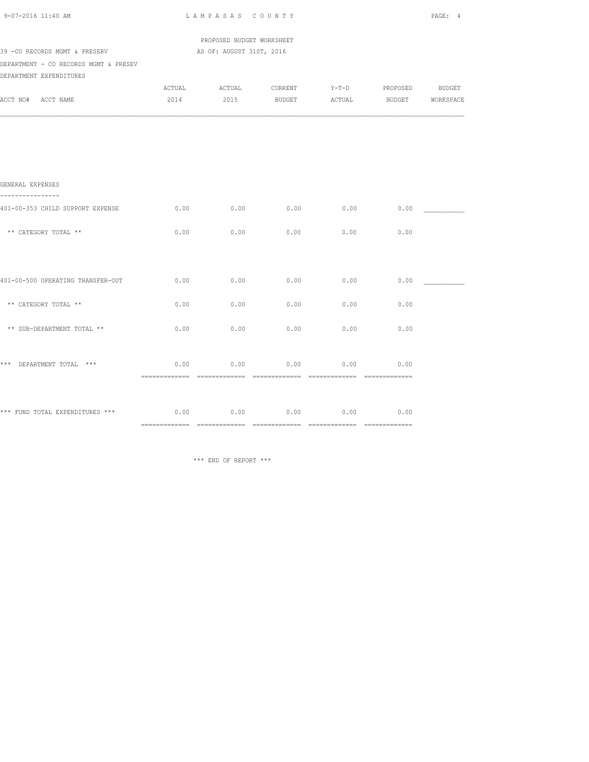| 9-07-2016 11:40 AM                               |        | LAMPASAS COUNTY           |               |         |          |                  |
|--------------------------------------------------|--------|---------------------------|---------------|---------|----------|------------------|
|                                                  |        | PROPOSED BUDGET WORKSHEET |               |         |          |                  |
| 39 - CO RECORDS MGMT & PRESERV                   |        | AS OF: AUGUST 31ST, 2016  |               |         |          |                  |
| DEPARTMENT - CO RECORDS MGMT & PRESEV            |        |                           |               |         |          |                  |
| DEPARTMENT EXPENDITURES                          |        |                           |               |         |          |                  |
|                                                  | ACTUAL | ACTUAL                    | CURRENT       | $Y-T-D$ | PROPOSED | <b>BUDGET</b>    |
| ACCT NO# ACCT NAME                               | 2014   | 2015                      | <b>BUDGET</b> | ACTUAL  |          | BUDGET WORKSPACE |
|                                                  |        |                           |               |         |          |                  |
| GENERAL EXPENSES<br>----------                   |        |                           |               |         |          |                  |
| 401-00-353 CHILD SUPPORT EXPENSE                 | 0.00   | 0.00                      | 0.00          | 0.00    | 0.00     |                  |
| ** CATEGORY TOTAL **                             | 0.00   | 0.00                      | 0.00          | 0.00    | 0.00     |                  |
|                                                  |        |                           |               |         |          |                  |
| 401-00-500 OPERATING TRANSFER-OUT                | 0.00   | 0.00                      | 0.00          | 0.00    | 0.00     |                  |
| ** CATEGORY TOTAL **                             | 0.00   | 0.00                      | 0.00          | 0.00    | 0.00     |                  |
| ** SUB-DEPARTMENT TOTAL **                       | 0.00   | 0.00                      | 0.00          | 0.00    | 0.00     |                  |
| *** DEPARTMENT TOTAL ***                         | 0.00   | 0.00                      | 0.00          | 0.00    | 0.00     |                  |
|                                                  |        |                           |               |         |          |                  |
| *** FUND TOTAL EXPENDITURES *** $0.00$ 0.00 0.00 |        |                           | 0.00          | 0.00    | 0.00     |                  |
|                                                  |        |                           |               |         |          |                  |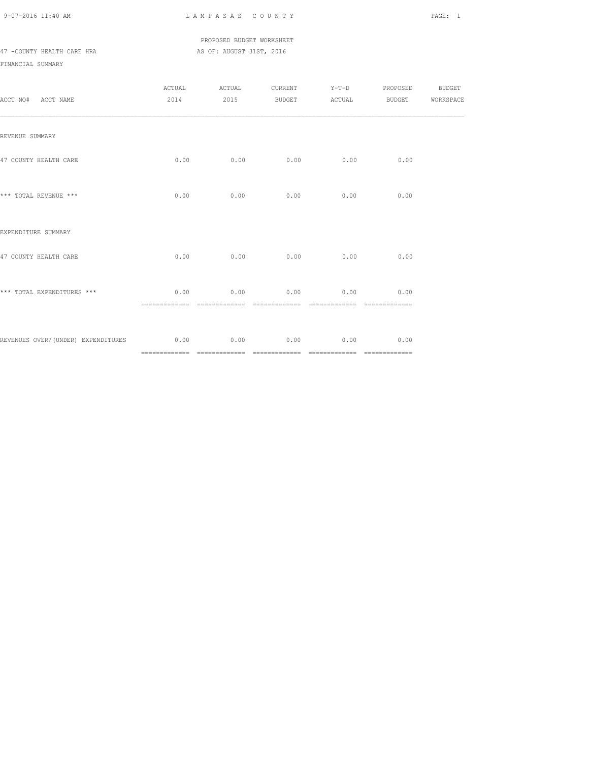#### PROPOSED BUDGET WORKSHEET 47 -COUNTY HEALTH CARE HRA AS OF: AUGUST 31ST, 2016

| ACCT NO# ACCT NAME                                                |      | ACTUAL ACTUAL                      |                                    | CURRENT Y-T-D PROPOSED BUDGET<br>2014 2015 BUDGET ACTUAL BUDGET WORKSPACE |  |
|-------------------------------------------------------------------|------|------------------------------------|------------------------------------|---------------------------------------------------------------------------|--|
| REVENUE SUMMARY                                                   |      |                                    |                                    |                                                                           |  |
| 47 COUNTY HEALTH CARE                                             |      | $0.00$ $0.00$ $0.00$ $0.00$ $0.00$ |                                    | 0.00                                                                      |  |
| *** TOTAL REVENUE ***                                             | 0.00 |                                    | $0.00$ $0.00$ $0.00$ $0.00$ $0.00$ |                                                                           |  |
| EXPENDITURE SUMMARY                                               |      |                                    |                                    |                                                                           |  |
| 47 COUNTY HEALTH CARE                                             |      | $0.00$ $0.00$ $0.00$ $0.00$ $0.00$ |                                    | 0.00                                                                      |  |
| *** TOTAL EXPENDITURES ***                                        | 0.00 |                                    | $0.00$ $0.00$ $0.00$ $0.00$ $0.00$ |                                                                           |  |
| REVENUES OVER/(UNDER) EXPENDITURES 60.00 0.00 0.00 0.00 0.00 0.00 |      |                                    |                                    | 0.00                                                                      |  |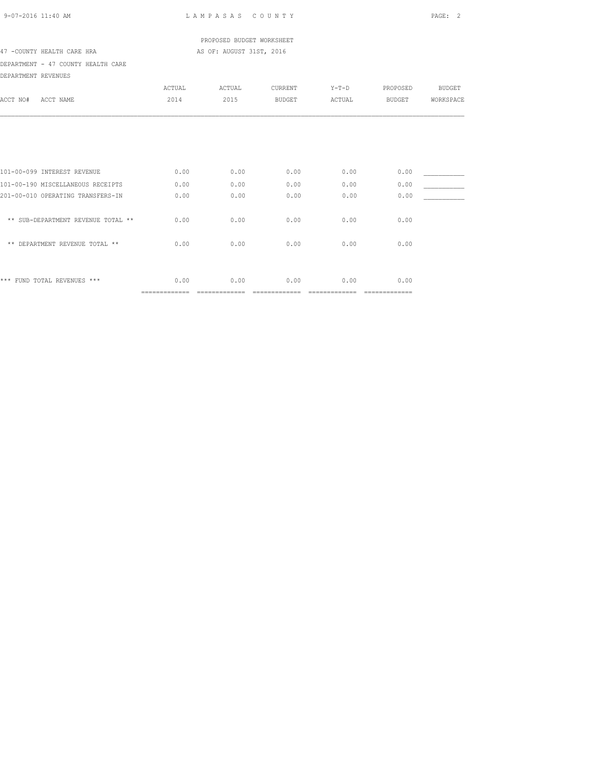|  | $9 - 07 - 2016$ 11:40 AM |  |
|--|--------------------------|--|
|  |                          |  |

L A M P A S A S C O U N T Y PAGE: 2

 PROPOSED BUDGET WORKSHEET 47 -COUNTY HEALTH CARE HRA AS OF: AUGUST 31ST, 2016

## DEPARTMENT - 47 COUNTY HEALTH CARE

DEPARTMENT REVENUES

| DEFARIMENI REVENUES                  |                |        |               |         |               |               |
|--------------------------------------|----------------|--------|---------------|---------|---------------|---------------|
|                                      | ACTUAL         | ACTUAL | CURRENT       | $Y-T-D$ | PROPOSED      | <b>BUDGET</b> |
| ACCT NAME<br>ACCT NO#                | 2014           | 2015   | <b>BUDGET</b> | ACTUAL  | <b>BUDGET</b> | WORKSPACE     |
|                                      |                |        |               |         |               |               |
|                                      |                |        |               |         |               |               |
|                                      |                |        |               |         |               |               |
|                                      |                |        |               |         |               |               |
| 101-00-099 INTEREST REVENUE          | 0.00           | 0.00   | 0.00          | 0.00    | 0.00          |               |
| 101-00-190 MISCELLANEOUS RECEIPTS    | 0.00           | 0.00   | 0.00          | 0.00    | 0.00          |               |
| 201-00-010 OPERATING TRANSFERS-IN    | 0.00           | 0.00   | 0.00          | 0.00    | 0.00          |               |
| ** SUB-DEPARTMENT REVENUE TOTAL **   | 0.00           | 0.00   | 0.00          | 0.00    | 0.00          |               |
|                                      |                |        |               |         |               |               |
| DEPARTMENT REVENUE TOTAL **<br>$* *$ | 0.00           | 0.00   | 0.00          | 0.00    | 0.00          |               |
|                                      |                |        |               |         |               |               |
| ***<br>FUND TOTAL REVENUES ***       | 0.00           | 0.00   | 0.00          | 0.00    | 0.00          |               |
|                                      | ============== |        | ============= |         | ============= |               |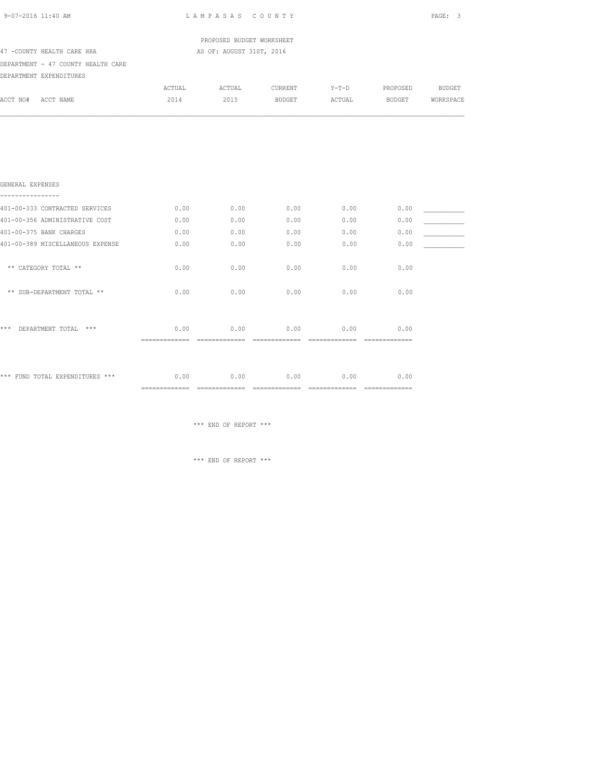| 9-07-2016 11:40 AM                   |                        | LAMPASAS COUNTY           |         |         |               | PAGE: 3   |
|--------------------------------------|------------------------|---------------------------|---------|---------|---------------|-----------|
|                                      |                        | PROPOSED BUDGET WORKSHEET |         |         |               |           |
| 47 -COUNTY HEALTH CARE HRA           |                        | AS OF: AUGUST 31ST, 2016  |         |         |               |           |
| DEPARTMENT - 47 COUNTY HEALTH CARE   |                        |                           |         |         |               |           |
| DEPARTMENT EXPENDITURES              |                        |                           |         |         |               |           |
|                                      | ACTUAL                 | ACTUAL                    | CURRENT | $Y-T-D$ | PROPOSED      | BUDGET    |
| ACCT NO# ACCT NAME                   | 2014                   | 2015                      | BUDGET  | ACTUAL  | <b>BUDGET</b> | WORKSPACE |
|                                      |                        |                           |         |         |               |           |
| GENERAL EXPENSES<br>---------------- |                        |                           |         |         |               |           |
| 401-00-333 CONTRACTED SERVICES       | 0.00                   | 0.00                      | 0.00    | 0.00    | 0.00          |           |
| 401-00-356 ADMINISTRATIVE COST       | 0.00                   | 0.00                      | 0.00    | 0.00    | 0.00          |           |
| 401-00-375 BANK CHARGES              | 0.00                   | 0.00                      | 0.00    | 0.00    | 0.00          |           |
| 401-00-389 MISCELLANEOUS EXPENSE     | 0.00                   | 0.00                      | 0.00    | 0.00    | 0.00          |           |
| ** CATEGORY TOTAL **                 | 0.00                   | 0.00                      | 0.00    | 0.00    | 0.00          |           |
| ** SUB-DEPARTMENT TOTAL **           | 0.00                   | 0.00                      | 0.00    | 0.00    | 0.00          |           |
| *** DEPARTMENT TOTAL ***             | 0.00<br>============== | 0.00                      | 0.00    | 0.00    | 0.00          |           |
|                                      |                        |                           |         |         |               |           |

============= ============= ============= ============= =============

\*\*\* END OF REPORT \*\*\*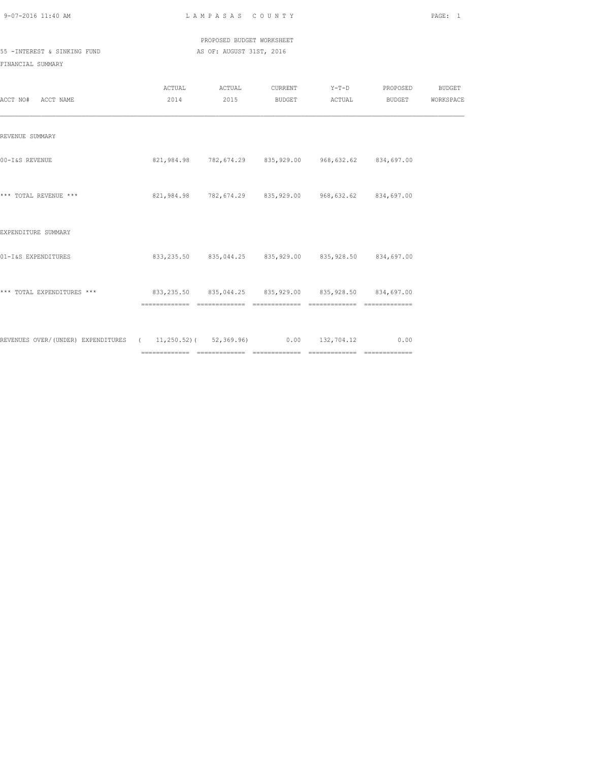| 9-07-2016 11:40 AM |  |
|--------------------|--|

L A M P A S A S C O U N T Y PAGE: 1

 PROPOSED BUDGET WORKSHEET 55 -INTEREST & SINKING FUND AS OF: AUGUST 31ST, 2016

| ACCT NO# ACCT NAME                                                                |                                                        | ACTUAL ACTUAL |                                                               | CURRENT Y-T-D PROPOSED BUDGET<br>2014 2015 BUDGET ACTUAL BUDGET WORKSPACE |  |
|-----------------------------------------------------------------------------------|--------------------------------------------------------|---------------|---------------------------------------------------------------|---------------------------------------------------------------------------|--|
| REVENUE SUMMARY                                                                   |                                                        |               |                                                               |                                                                           |  |
| 00-I&S REVENUE                                                                    |                                                        |               | 821,984.98 782,674.29 835,929.00 968,632.62 834,697.00        |                                                                           |  |
| *** TOTAL REVENUE ***                                                             | 821,984.98 782,674.29 835,929.00 968,632.62 834,697.00 |               |                                                               |                                                                           |  |
| EXPENDITURE SUMMARY                                                               |                                                        |               |                                                               |                                                                           |  |
| 01-I&S EXPENDITURES                                                               |                                                        |               | 833, 235.50 835, 044. 25 835, 929.00 835, 928. 50 834, 697.00 |                                                                           |  |
| *** TOTAL EXPENDITURES *** 633,235.50 835,044.25 835,929.00 835,928.50 834,697.00 |                                                        |               |                                                               |                                                                           |  |
| REVENUES OVER/(UNDER) EXPENDITURES ( 11,250.52) ( 52,369.96) 0.00 132,704.12 0.00 |                                                        |               |                                                               |                                                                           |  |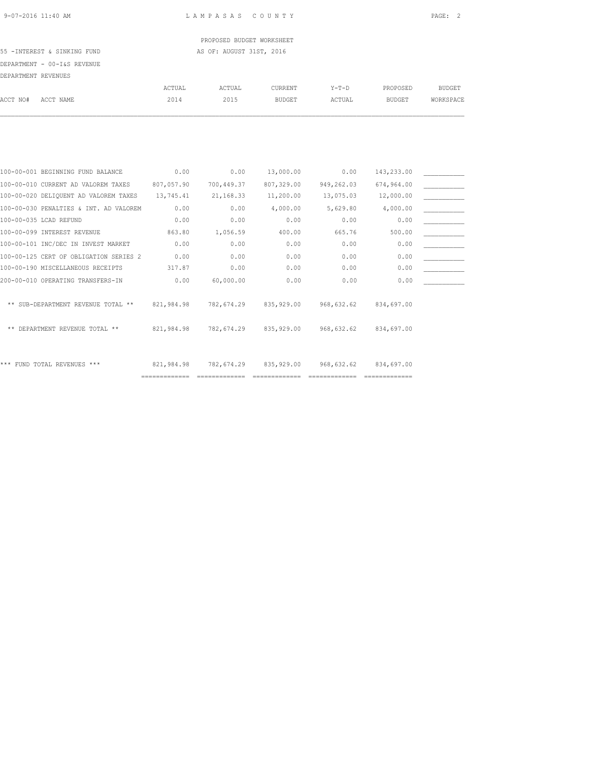PROPOSED BUDGET WORKSHEET 55 -INTEREST & SINKING FUND **AS OF: AUGUST 31ST, 2016** 

# DEPARTMENT - 00-I&S REVENUE

| DEPARTMENT REVENUES |                                        |            |            |               |            |               |               |
|---------------------|----------------------------------------|------------|------------|---------------|------------|---------------|---------------|
|                     |                                        | ACTUAL     | ACTUAL     | CURRENT       | $Y-T-D$    | PROPOSED      | <b>BUDGET</b> |
| ACCT NO#            | ACCT NAME                              | 2014       | 2015       | <b>BUDGET</b> | ACTUAL     | <b>BUDGET</b> | WORKSPACE     |
|                     |                                        |            |            |               |            |               |               |
|                     |                                        |            |            |               |            |               |               |
|                     | 100-00-001 BEGINNING FUND BALANCE      | 0.00       | 0.00       | 13,000.00     | 0.00       | 143,233.00    |               |
|                     | 100-00-010 CURRENT AD VALOREM TAXES    | 807,057.90 | 700,449.37 | 807,329.00    | 949,262.03 | 674,964.00    |               |
|                     | 100-00-020 DELIQUENT AD VALOREM TAXES  | 13,745.41  | 21, 168.33 | 11,200.00     | 13,075.03  | 12,000.00     |               |
|                     | 100-00-030 PENALTIES & INT. AD VALOREM | 0.00       | 0.00       | 4,000.00      | 5,629.80   | 4,000.00      |               |
|                     | 100-00-035 LCAD REFUND                 | 0.00       | 0.00       | 0.00          | 0.00       | 0.00          |               |
|                     | 100-00-099 INTEREST REVENUE            | 863.80     | 1,056.59   | 400.00        | 665.76     | 500.00        |               |
|                     | 100-00-101 INC/DEC IN INVEST MARKET    | 0.00       | 0.00       | 0.00          | 0.00       | 0.00          |               |

| 100-00-125 CERT OF OBLIGATION SERIES 2 | 0.00       | 0.00       | 0.00         | 0.00       | 0.00       |  |
|----------------------------------------|------------|------------|--------------|------------|------------|--|
| 100-00-190 MISCELLANEOUS RECEIPTS      | 317.87     | 0.00       | 0.00         | 0.00       | 0.00       |  |
| 200-00-010 OPERATING TRANSFERS-IN      | 0.00       | 60,000.00  | 0.00         | 0.00       | 0.00       |  |
|                                        |            |            |              |            |            |  |
| ** SUB-DEPARTMENT REVENUE TOTAL **     | 821,984.98 | 782,674.29 | 835, 929, 00 | 968,632.62 | 834,697.00 |  |
|                                        |            |            |              |            |            |  |
| ** DEPARTMENT REVENUE TOTAL **         | 821,984.98 | 782,674.29 | 835, 929, 00 | 968,632.62 | 834,697.00 |  |
|                                        |            |            |              |            |            |  |
|                                        |            |            |              |            |            |  |
| *** FUND TOTAL REVENUES ***            | 821,984.98 | 782,674.29 | 835,929.00   | 968,632.62 | 834,697.00 |  |

============= ============= ============= ============= =============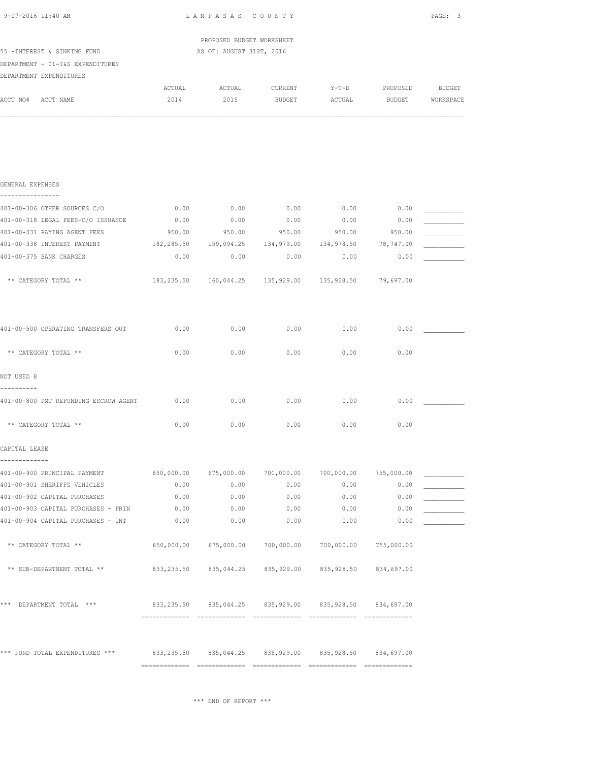| 9-07-2016 11:40 AM                                                                  | LAMPASAS COUNTY                                            |                                                            |                   |                   |                           |                     |  |
|-------------------------------------------------------------------------------------|------------------------------------------------------------|------------------------------------------------------------|-------------------|-------------------|---------------------------|---------------------|--|
|                                                                                     |                                                            | PROPOSED BUDGET WORKSHEET                                  |                   |                   |                           |                     |  |
| 55 - INTEREST & SINKING FUND<br>DEPARTMENT - 01-I&S EXPENDITURES                    |                                                            | AS OF: AUGUST 31ST, 2016                                   |                   |                   |                           |                     |  |
| DEPARTMENT EXPENDITURES                                                             |                                                            |                                                            |                   |                   |                           |                     |  |
| ACCT NO# ACCT NAME                                                                  | ACTUAL<br>2014                                             | ACTUAL<br>2015                                             | CURRENT<br>BUDGET | $Y-T-D$<br>ACTUAL | PROPOSED<br><b>BUDGET</b> | BUDGET<br>WORKSPACE |  |
|                                                                                     |                                                            |                                                            |                   |                   |                           |                     |  |
| GENERAL EXPENSES<br>----------------                                                |                                                            |                                                            |                   |                   |                           |                     |  |
| 401-00-306 OTHER SOURCES C/O                                                        | 0.00                                                       | 0.00                                                       | 0.00              | 0.00              | 0.00                      |                     |  |
| 401-00-318 LEGAL FEES-C/O ISSUANCE                                                  | 0.00                                                       | 0.00                                                       | 0.00              | 0.00              | 0.00                      |                     |  |
| 401-00-331 PAYING AGENT FEES                                                        | 950.00                                                     | 950.00                                                     | 950.00            | 950.00            | 950.00                    |                     |  |
| 401-00-338 INTEREST PAYMENT                                                         |                                                            | 182,285.50  159,094.25  134,979.00  134,978.50             |                   |                   | 78,747.00                 |                     |  |
| 401-00-375 BANK CHARGES                                                             | 0.00                                                       | 0.00                                                       | 0.00              | 0.00              | 0.00                      |                     |  |
| ** CATEGORY TOTAL **                                                                |                                                            | 183,235.50 160,044.25 135,929.00 135,928.50 79,697.00      |                   |                   |                           |                     |  |
| 401-00-500 OPERATING TRANSFERS OUT                                                  | 0.00                                                       | 0.00                                                       | 0.00              | 0.00              | 0.00                      |                     |  |
| ** CATEGORY TOTAL **                                                                | 0.00                                                       | 0.00                                                       | 0.00              | 0.00              | 0.00                      |                     |  |
| NOT USED 8<br>----------                                                            |                                                            |                                                            |                   |                   |                           |                     |  |
| 401-00-800 PMT REFUNDING ESCROW AGENT 0.00                                          |                                                            | 0.00                                                       | 0.00              | 0.00              | 0.00                      |                     |  |
| ** CATEGORY TOTAL **                                                                | 0.00                                                       | 0.00                                                       | 0.00              | 0.00              | 0.00                      |                     |  |
| CAPITAL LEASE<br>-------------                                                      |                                                            |                                                            |                   |                   |                           |                     |  |
| 401-00-900 PRINCIPAL PAYMENT 650,000.00 675,000.00 700,000.00 700,000.00 755,000.00 |                                                            |                                                            |                   |                   |                           |                     |  |
| 401-00-901 SHERIFFS VEHICLES                                                        | 0.00                                                       | 0.00                                                       | 0.00              | 0.00              | 0.00                      |                     |  |
| 401-00-902 CAPITAL PURCHASES                                                        | 0.00                                                       | 0.00                                                       | 0.00              | 0.00              | 0.00                      |                     |  |
| 401-00-903 CAPITAL PURCHASES - PRIN                                                 | 0.00                                                       | 0.00                                                       | 0.00              | 0.00              | 0.00                      |                     |  |
| 401-00-904 CAPITAL PURCHASES - INT                                                  | 0.00                                                       | 0.00                                                       | 0.00              | 0.00              | 0.00                      |                     |  |
| ** CATEGORY TOTAL **                                                                |                                                            | 650,000.00 675,000.00 700,000.00 700,000.00 755,000.00     |                   |                   |                           |                     |  |
| ** SUB-DEPARTMENT TOTAL **                                                          |                                                            | 833,235.50  835,044.25  835,929.00  835,928.50  834,697.00 |                   |                   |                           |                     |  |
| *** DEPARTMENT TOTAL ***                                                            |                                                            | 833,235.50 835,044.25 835,929.00 835,928.50 834,697.00     |                   |                   |                           |                     |  |
|                                                                                     |                                                            |                                                            |                   |                   |                           |                     |  |
| *** FUND TOTAL EXPENDITURES ***                                                     | 833,235.50  835,044.25  835,929.00  835,928.50  834,697.00 |                                                            |                   |                   |                           |                     |  |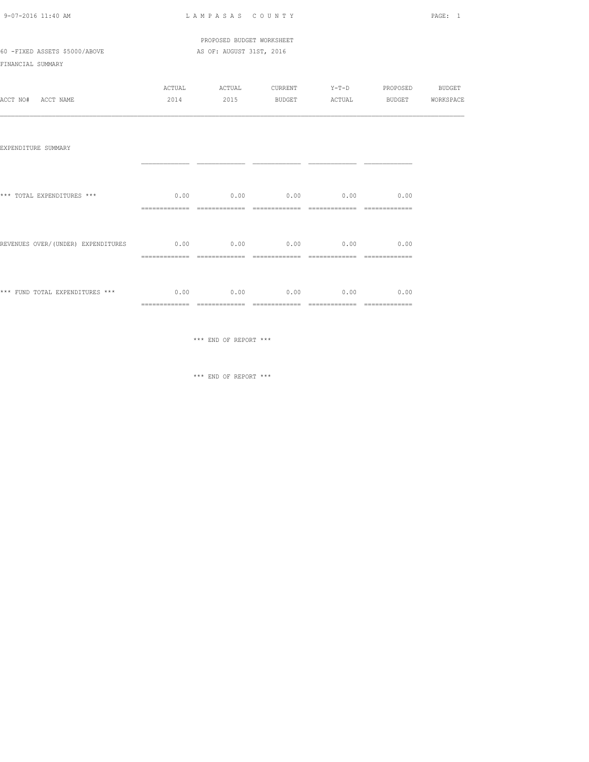| 9-07-2016 11:40 AM |  |
|--------------------|--|

L A M P A S A S C O U N T Y PAGE: 1

 PROPOSED BUDGET WORKSHEET 60 -FIXED ASSETS \$5000/ABOVE AS OF: AUGUST 31ST, 2016

FINANCIAL SUMMARY

|          |           | ACTUAL | ACTUAL | CURRENT       | $Y - T - D$ | PROPOSED | <b>BUDGET</b> |
|----------|-----------|--------|--------|---------------|-------------|----------|---------------|
| ACCT NO# | ACCT NAME | 2014   | 2015   | <b>BUDGET</b> | ACTUAL      | BUDGET   | WORKSPACE     |

| EXPENDITURE SUMMARY                 |                        |      |                  |      |      |
|-------------------------------------|------------------------|------|------------------|------|------|
| *** TOTAL EXPENDITURES ***          | 0.00                   | 0.00 | 0.00             | 0.00 | 0.00 |
| REVENUES OVER/ (UNDER) EXPENDITURES | 0.00<br>-------------- |      | $0.00$ 0.00 0.00 |      | 0.00 |
| *** FUND TOTAL EXPENDITURES ***     | 0.00                   | 0.00 | 0.00             | 0.00 | 0.00 |

\*\*\* END OF REPORT \*\*\*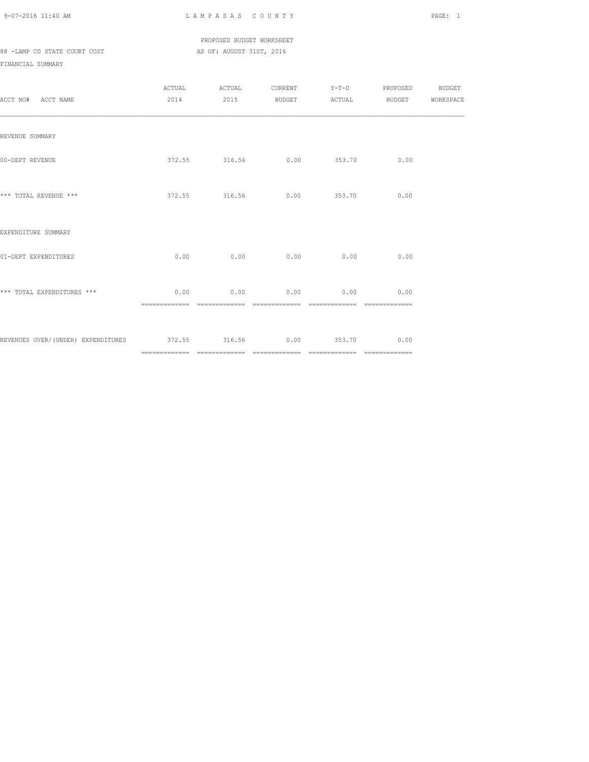PROPOSED BUDGET WORKSHEET 88 -LAMP CO STATE COURT COST AS OF: AUGUST 31ST, 2016

| ACCT NO# ACCT NAME                                           | 2014 2015 BUDGET ACTUAL              |             | ${\tt ACTUAL} \hspace{2.3cm} {\tt ACTUAL} \hspace{2.3cm} {\tt CURRENT} \hspace{2.3cm} {\tt Y-T-D} \hspace{2.3cm} {\tt PROPOSED} \hspace{2.3cm} {\tt BUDGET}$ | BUDGET WORKSPACE |
|--------------------------------------------------------------|--------------------------------------|-------------|--------------------------------------------------------------------------------------------------------------------------------------------------------------|------------------|
| REVENUE SUMMARY                                              |                                      |             |                                                                                                                                                              |                  |
| 00-DEPT REVENUE                                              | 372.55 316.56 0.00 353.70 0.00       |             |                                                                                                                                                              |                  |
| *** TOTAL REVENUE ***                                        | $372.55$ $316.56$ 0.00 $353.70$ 0.00 |             |                                                                                                                                                              |                  |
| EXPENDITURE SUMMARY                                          |                                      |             |                                                                                                                                                              |                  |
| 01-DEPT EXPENDITURES                                         | $0.00$ 0.00                          | $0.00$ 0.00 | 0.00                                                                                                                                                         |                  |
| *** TOTAL EXPENDITURES ***                                   | $0.00$ 0.00 0.00 0.00 0.00 0.00      |             |                                                                                                                                                              |                  |
| REVENUES OVER/(UNDER) EXPENDITURES 372.55 316.56 0.00 353.70 |                                      |             | 0.00                                                                                                                                                         |                  |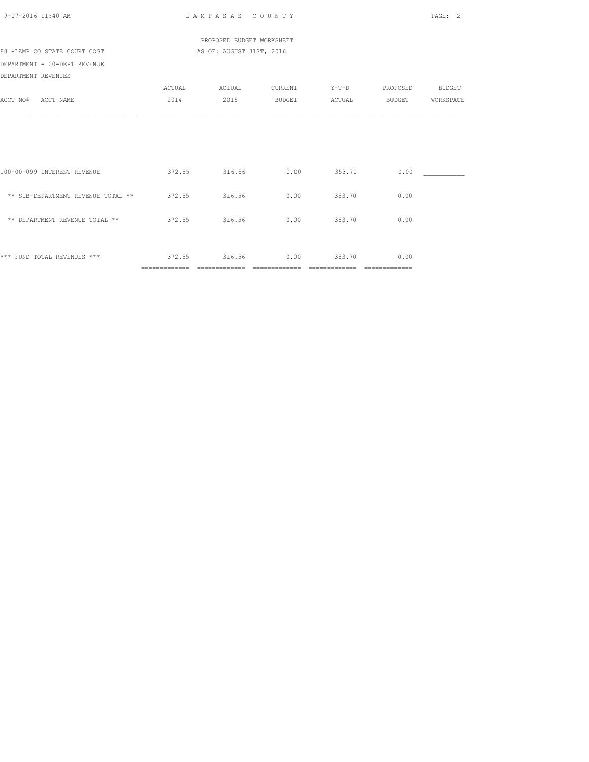| 9-07-2016 11:40 AM                               |               | LAMPASAS COUNTY                     |                        |                          |                        | PAGE:<br>$\mathcal{L}$ |
|--------------------------------------------------|---------------|-------------------------------------|------------------------|--------------------------|------------------------|------------------------|
|                                                  |               | PROPOSED BUDGET WORKSHEET           |                        |                          |                        |                        |
| 88 -LAMP CO STATE COURT COST                     |               | AS OF: AUGUST 31ST, 2016            |                        |                          |                        |                        |
| DEPARTMENT - 00-DEPT REVENUE                     |               |                                     |                        |                          |                        |                        |
| DEPARTMENT REVENUES                              |               |                                     |                        |                          |                        |                        |
|                                                  | ACTUAL        | ACTUAL                              | <b>CURRENT</b>         | $Y-T-D$                  | PROPOSED BUDGET        |                        |
| ACCT NO# ACCT NAME                               | 2014          | 2015                                | <b>BUDGET</b>          | ACTUAL                   | BUDGET                 | WORKSPACE              |
| 100-00-099 INTEREST REVENUE                      |               | 372.55 316.56                       | 0.00                   | 353.70                   | 0.00                   |                        |
| ** SUB-DEPARTMENT REVENUE TOTAL ** 372.55 316.56 |               |                                     |                        | $0.00$ 353.70            | 0.00                   |                        |
| ** DEPARTMENT REVENUE TOTAL **                   |               | 372.55 316.56                       | 0.00                   | 353.70                   | 0.00                   |                        |
| *** FUND TOTAL REVENUES ***                      | ============= | 372.55 316.56<br>$=$ ============== | 0.00<br>============== | 353.70<br>============== | 0.00<br>-------------- |                        |